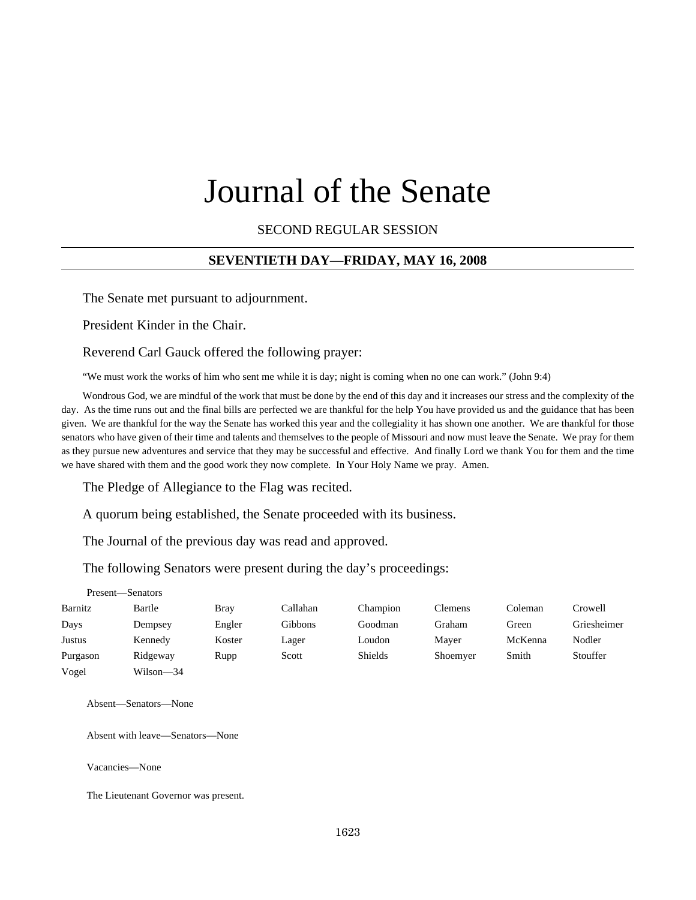# Journal of the Senate

SECOND REGULAR SESSION

#### **SEVENTIETH DAY—FRIDAY, MAY 16, 2008**

The Senate met pursuant to adjournment.

President Kinder in the Chair.

Reverend Carl Gauck offered the following prayer:

"We must work the works of him who sent me while it is day; night is coming when no one can work." (John 9:4)

Wondrous God, we are mindful of the work that must be done by the end of this day and it increases our stress and the complexity of the day. As the time runs out and the final bills are perfected we are thankful for the help You have provided us and the guidance that has been given. We are thankful for the way the Senate has worked this year and the collegiality it has shown one another. We are thankful for those senators who have given of their time and talents and themselves to the people of Missouri and now must leave the Senate. We pray for them as they pursue new adventures and service that they may be successful and effective. And finally Lord we thank You for them and the time we have shared with them and the good work they now complete. In Your Holy Name we pray. Amen.

The Pledge of Allegiance to the Flag was recited.

A quorum being established, the Senate proceeded with its business.

The Journal of the previous day was read and approved.

The following Senators were present during the day's proceedings:

Present—Senators

| Barnitz  | Bartle    | Bray   | Callahan | Champion       | <b>Clemens</b> | Coleman | Crowell     |
|----------|-----------|--------|----------|----------------|----------------|---------|-------------|
| Days     | Dempsey   | Engler | Gibbons  | Goodman        | Graham         | Green   | Griesheimer |
| Justus   | Kennedy   | Koster | Lager    | Loudon         | Maver          | McKenna | Nodler      |
| Purgason | Ridgeway  | Rupp   | Scott    | <b>Shields</b> | Shoemyer       | Smith   | Stouffer    |
| Vogel    | Wilson-34 |        |          |                |                |         |             |

Absent—Senators—None

Absent with leave—Senators—None

Vacancies—None

The Lieutenant Governor was present.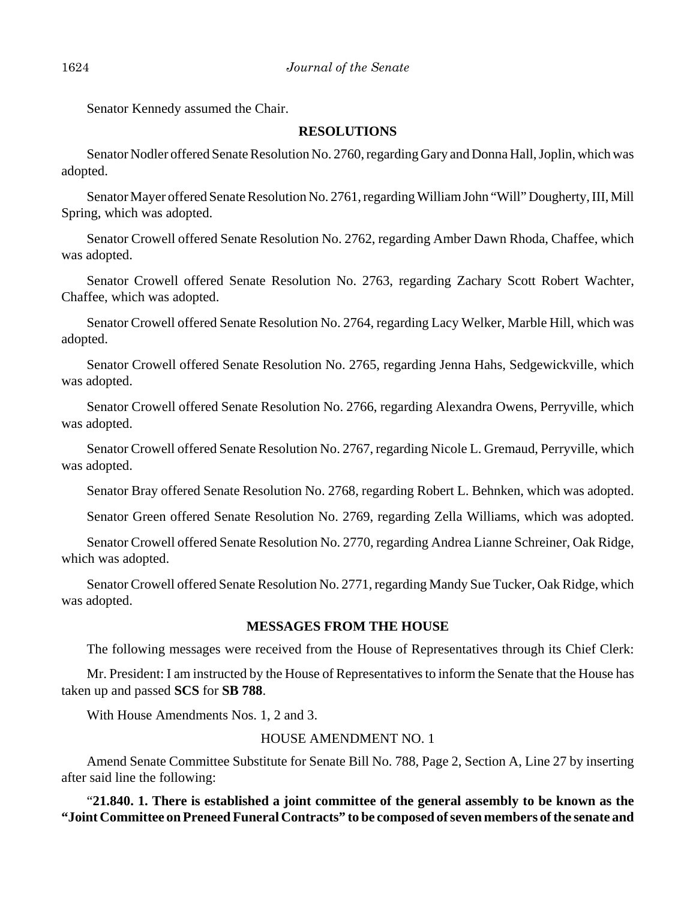Senator Kennedy assumed the Chair.

#### **RESOLUTIONS**

Senator Nodler offered Senate Resolution No. 2760, regarding Gary and Donna Hall, Joplin, which was adopted.

Senator Mayer offered Senate Resolution No. 2761, regarding William John "Will" Dougherty, III, Mill Spring, which was adopted.

Senator Crowell offered Senate Resolution No. 2762, regarding Amber Dawn Rhoda, Chaffee, which was adopted.

Senator Crowell offered Senate Resolution No. 2763, regarding Zachary Scott Robert Wachter, Chaffee, which was adopted.

Senator Crowell offered Senate Resolution No. 2764, regarding Lacy Welker, Marble Hill, which was adopted.

Senator Crowell offered Senate Resolution No. 2765, regarding Jenna Hahs, Sedgewickville, which was adopted.

Senator Crowell offered Senate Resolution No. 2766, regarding Alexandra Owens, Perryville, which was adopted.

Senator Crowell offered Senate Resolution No. 2767, regarding Nicole L. Gremaud, Perryville, which was adopted.

Senator Bray offered Senate Resolution No. 2768, regarding Robert L. Behnken, which was adopted.

Senator Green offered Senate Resolution No. 2769, regarding Zella Williams, which was adopted.

Senator Crowell offered Senate Resolution No. 2770, regarding Andrea Lianne Schreiner, Oak Ridge, which was adopted.

Senator Crowell offered Senate Resolution No. 2771, regarding Mandy Sue Tucker, Oak Ridge, which was adopted.

#### **MESSAGES FROM THE HOUSE**

The following messages were received from the House of Representatives through its Chief Clerk:

Mr. President: I am instructed by the House of Representatives to inform the Senate that the House has taken up and passed **SCS** for **SB 788**.

With House Amendments Nos. 1, 2 and 3.

#### HOUSE AMENDMENT NO. 1

Amend Senate Committee Substitute for Senate Bill No. 788, Page 2, Section A, Line 27 by inserting after said line the following:

"**21.840. 1. There is established a joint committee of the general assembly to be known as the "Joint Committee on Preneed Funeral Contracts" to be composed of seven members of the senate and**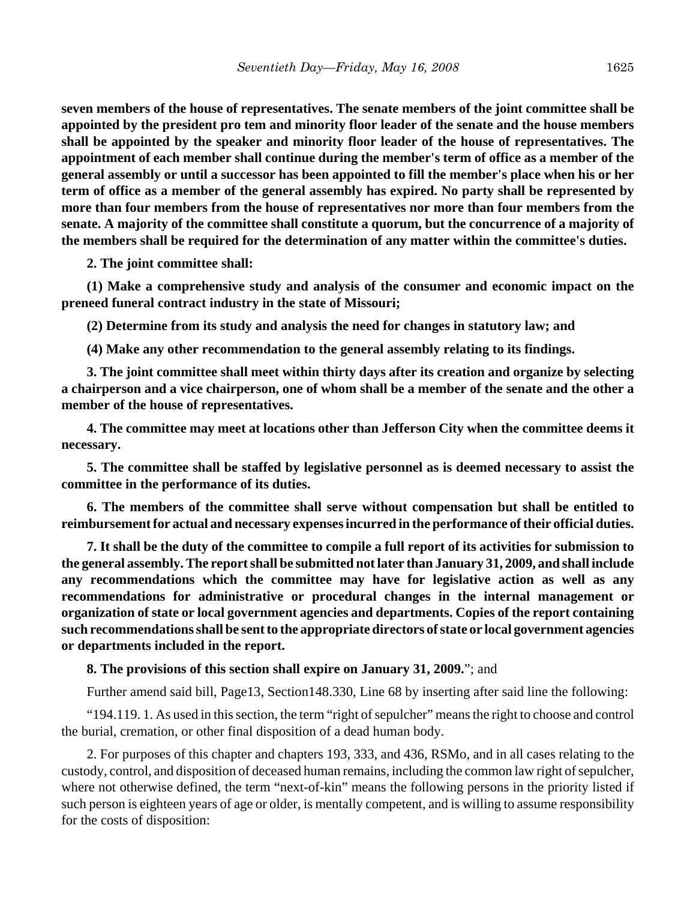**seven members of the house of representatives. The senate members of the joint committee shall be appointed by the president pro tem and minority floor leader of the senate and the house members shall be appointed by the speaker and minority floor leader of the house of representatives. The appointment of each member shall continue during the member's term of office as a member of the general assembly or until a successor has been appointed to fill the member's place when his or her term of office as a member of the general assembly has expired. No party shall be represented by more than four members from the house of representatives nor more than four members from the senate. A majority of the committee shall constitute a quorum, but the concurrence of a majority of the members shall be required for the determination of any matter within the committee's duties.**

**2. The joint committee shall:**

**(1) Make a comprehensive study and analysis of the consumer and economic impact on the preneed funeral contract industry in the state of Missouri;**

**(2) Determine from its study and analysis the need for changes in statutory law; and**

**(4) Make any other recommendation to the general assembly relating to its findings.**

**3. The joint committee shall meet within thirty days after its creation and organize by selecting a chairperson and a vice chairperson, one of whom shall be a member of the senate and the other a member of the house of representatives.**

**4. The committee may meet at locations other than Jefferson City when the committee deems it necessary.**

**5. The committee shall be staffed by legislative personnel as is deemed necessary to assist the committee in the performance of its duties.**

**6. The members of the committee shall serve without compensation but shall be entitled to reimbursement for actual and necessary expenses incurred in the performance of their official duties.**

**7. It shall be the duty of the committee to compile a full report of its activities for submission to the general assembly. The report shall be submitted not later than January 31, 2009, and shall include any recommendations which the committee may have for legislative action as well as any recommendations for administrative or procedural changes in the internal management or organization of state or local government agencies and departments. Copies of the report containing such recommendations shall be sent to the appropriate directors of state or local government agencies or departments included in the report.**

**8. The provisions of this section shall expire on January 31, 2009.**"; and

Further amend said bill, Page13, Section148.330, Line 68 by inserting after said line the following:

"194.119. 1. As used in this section, the term "right of sepulcher" means the right to choose and control the burial, cremation, or other final disposition of a dead human body.

2. For purposes of this chapter and chapters 193, 333, and 436, RSMo, and in all cases relating to the custody, control, and disposition of deceased human remains, including the common law right of sepulcher, where not otherwise defined, the term "next-of-kin" means the following persons in the priority listed if such person is eighteen years of age or older, is mentally competent, and is willing to assume responsibility for the costs of disposition: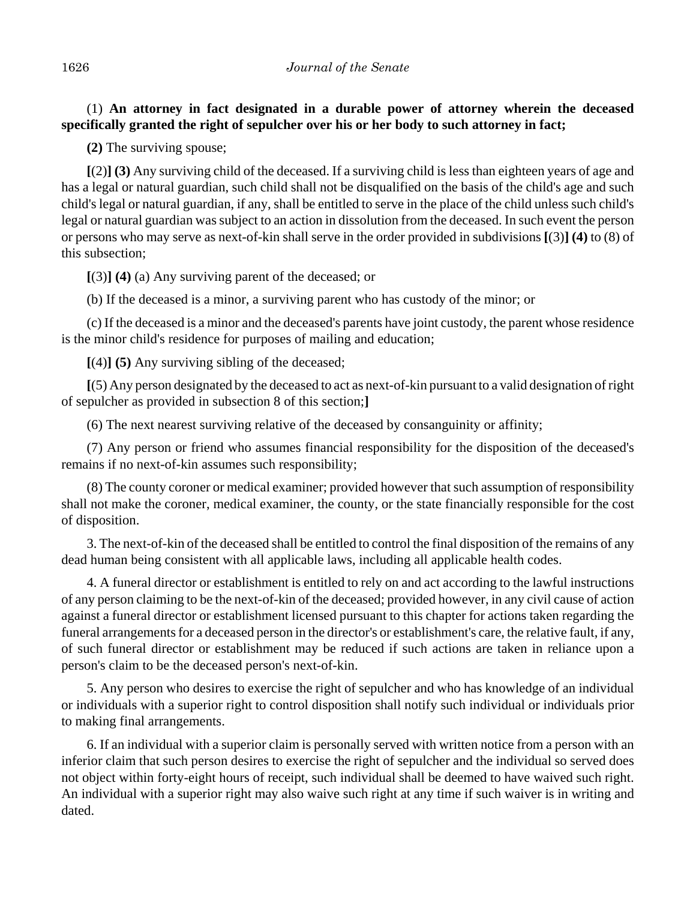(1) **An attorney in fact designated in a durable power of attorney wherein the deceased specifically granted the right of sepulcher over his or her body to such attorney in fact;**

**(2)** The surviving spouse;

**[**(2)**] (3)** Any surviving child of the deceased. If a surviving child is less than eighteen years of age and has a legal or natural guardian, such child shall not be disqualified on the basis of the child's age and such child's legal or natural guardian, if any, shall be entitled to serve in the place of the child unless such child's legal or natural guardian was subject to an action in dissolution from the deceased. In such event the person or persons who may serve as next-of-kin shall serve in the order provided in subdivisions **[**(3)**] (4)** to (8) of this subsection;

**[**(3)**] (4)** (a) Any surviving parent of the deceased; or

(b) If the deceased is a minor, a surviving parent who has custody of the minor; or

(c) If the deceased is a minor and the deceased's parents have joint custody, the parent whose residence is the minor child's residence for purposes of mailing and education;

**[**(4)**] (5)** Any surviving sibling of the deceased;

**[**(5) Any person designated by the deceased to act as next-of-kin pursuant to a valid designation of right of sepulcher as provided in subsection 8 of this section;**]**

(6) The next nearest surviving relative of the deceased by consanguinity or affinity;

(7) Any person or friend who assumes financial responsibility for the disposition of the deceased's remains if no next-of-kin assumes such responsibility;

(8) The county coroner or medical examiner; provided however that such assumption of responsibility shall not make the coroner, medical examiner, the county, or the state financially responsible for the cost of disposition.

3. The next-of-kin of the deceased shall be entitled to control the final disposition of the remains of any dead human being consistent with all applicable laws, including all applicable health codes.

4. A funeral director or establishment is entitled to rely on and act according to the lawful instructions of any person claiming to be the next-of-kin of the deceased; provided however, in any civil cause of action against a funeral director or establishment licensed pursuant to this chapter for actions taken regarding the funeral arrangements for a deceased person in the director's or establishment's care, the relative fault, if any, of such funeral director or establishment may be reduced if such actions are taken in reliance upon a person's claim to be the deceased person's next-of-kin.

5. Any person who desires to exercise the right of sepulcher and who has knowledge of an individual or individuals with a superior right to control disposition shall notify such individual or individuals prior to making final arrangements.

6. If an individual with a superior claim is personally served with written notice from a person with an inferior claim that such person desires to exercise the right of sepulcher and the individual so served does not object within forty-eight hours of receipt, such individual shall be deemed to have waived such right. An individual with a superior right may also waive such right at any time if such waiver is in writing and dated.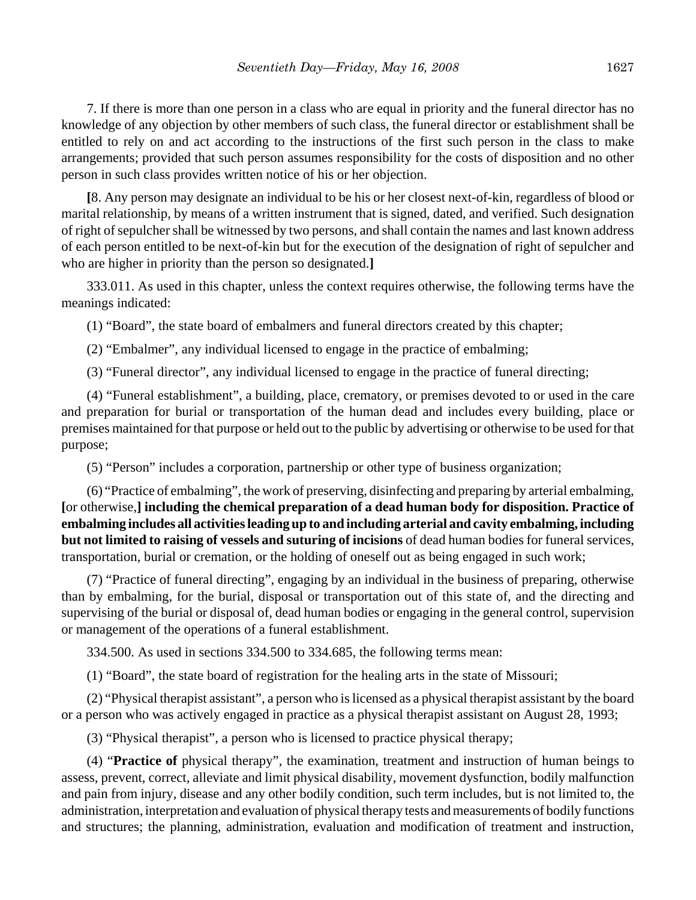7. If there is more than one person in a class who are equal in priority and the funeral director has no knowledge of any objection by other members of such class, the funeral director or establishment shall be entitled to rely on and act according to the instructions of the first such person in the class to make arrangements; provided that such person assumes responsibility for the costs of disposition and no other person in such class provides written notice of his or her objection.

**[**8. Any person may designate an individual to be his or her closest next-of-kin, regardless of blood or marital relationship, by means of a written instrument that is signed, dated, and verified. Such designation of right of sepulcher shall be witnessed by two persons, and shall contain the names and last known address of each person entitled to be next-of-kin but for the execution of the designation of right of sepulcher and who are higher in priority than the person so designated.**]**

333.011. As used in this chapter, unless the context requires otherwise, the following terms have the meanings indicated:

(1) "Board", the state board of embalmers and funeral directors created by this chapter;

(2) "Embalmer", any individual licensed to engage in the practice of embalming;

(3) "Funeral director", any individual licensed to engage in the practice of funeral directing;

(4) "Funeral establishment", a building, place, crematory, or premises devoted to or used in the care and preparation for burial or transportation of the human dead and includes every building, place or premises maintained for that purpose or held out to the public by advertising or otherwise to be used for that purpose;

(5) "Person" includes a corporation, partnership or other type of business organization;

(6) "Practice of embalming", the work of preserving, disinfecting and preparing by arterial embalming, **[**or otherwise,**] including the chemical preparation of a dead human body for disposition. Practice of embalming includes all activities leading up to and including arterial and cavity embalming, including but not limited to raising of vessels and suturing of incisions** of dead human bodies for funeral services, transportation, burial or cremation, or the holding of oneself out as being engaged in such work;

(7) "Practice of funeral directing", engaging by an individual in the business of preparing, otherwise than by embalming, for the burial, disposal or transportation out of this state of, and the directing and supervising of the burial or disposal of, dead human bodies or engaging in the general control, supervision or management of the operations of a funeral establishment.

334.500. As used in sections 334.500 to 334.685, the following terms mean:

(1) "Board", the state board of registration for the healing arts in the state of Missouri;

(2) "Physical therapist assistant", a person who is licensed as a physical therapist assistant by the board or a person who was actively engaged in practice as a physical therapist assistant on August 28, 1993;

(3) "Physical therapist", a person who is licensed to practice physical therapy;

(4) "**Practice of** physical therapy", the examination, treatment and instruction of human beings to assess, prevent, correct, alleviate and limit physical disability, movement dysfunction, bodily malfunction and pain from injury, disease and any other bodily condition, such term includes, but is not limited to, the administration, interpretation and evaluation of physical therapy tests and measurements of bodily functions and structures; the planning, administration, evaluation and modification of treatment and instruction,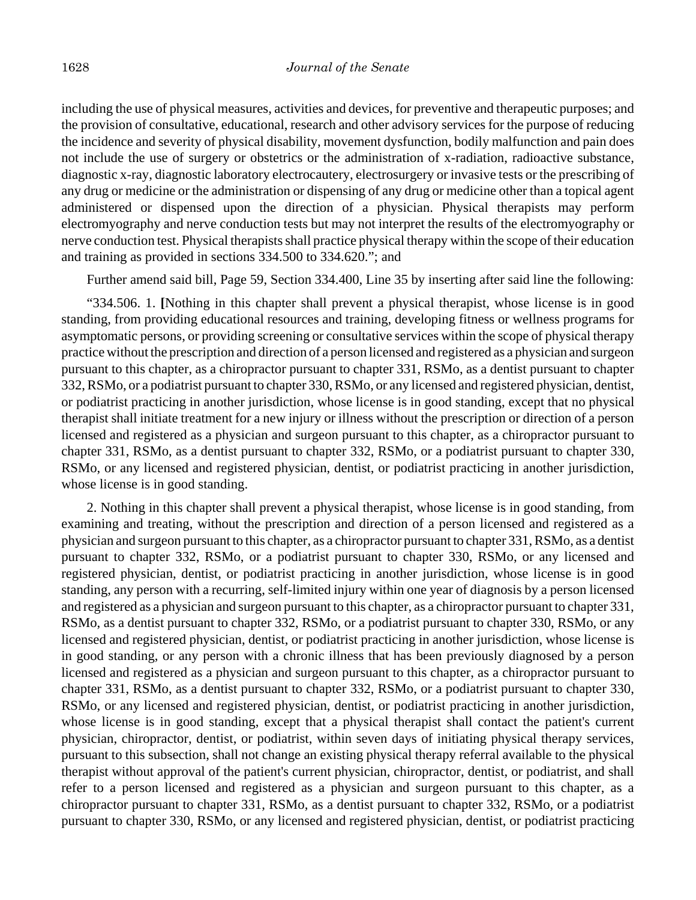including the use of physical measures, activities and devices, for preventive and therapeutic purposes; and the provision of consultative, educational, research and other advisory services for the purpose of reducing the incidence and severity of physical disability, movement dysfunction, bodily malfunction and pain does not include the use of surgery or obstetrics or the administration of x-radiation, radioactive substance, diagnostic x-ray, diagnostic laboratory electrocautery, electrosurgery or invasive tests or the prescribing of any drug or medicine or the administration or dispensing of any drug or medicine other than a topical agent administered or dispensed upon the direction of a physician. Physical therapists may perform electromyography and nerve conduction tests but may not interpret the results of the electromyography or nerve conduction test. Physical therapists shall practice physical therapy within the scope of their education and training as provided in sections 334.500 to 334.620."; and

Further amend said bill, Page 59, Section 334.400, Line 35 by inserting after said line the following:

"334.506. 1. **[**Nothing in this chapter shall prevent a physical therapist, whose license is in good standing, from providing educational resources and training, developing fitness or wellness programs for asymptomatic persons, or providing screening or consultative services within the scope of physical therapy practice without the prescription and direction of a person licensed and registered as a physician and surgeon pursuant to this chapter, as a chiropractor pursuant to chapter 331, RSMo, as a dentist pursuant to chapter 332, RSMo, or a podiatrist pursuant to chapter 330, RSMo, or any licensed and registered physician, dentist, or podiatrist practicing in another jurisdiction, whose license is in good standing, except that no physical therapist shall initiate treatment for a new injury or illness without the prescription or direction of a person licensed and registered as a physician and surgeon pursuant to this chapter, as a chiropractor pursuant to chapter 331, RSMo, as a dentist pursuant to chapter 332, RSMo, or a podiatrist pursuant to chapter 330, RSMo, or any licensed and registered physician, dentist, or podiatrist practicing in another jurisdiction, whose license is in good standing.

2. Nothing in this chapter shall prevent a physical therapist, whose license is in good standing, from examining and treating, without the prescription and direction of a person licensed and registered as a physician and surgeon pursuant to this chapter, as a chiropractor pursuant to chapter 331, RSMo, as a dentist pursuant to chapter 332, RSMo, or a podiatrist pursuant to chapter 330, RSMo, or any licensed and registered physician, dentist, or podiatrist practicing in another jurisdiction, whose license is in good standing, any person with a recurring, self-limited injury within one year of diagnosis by a person licensed and registered as a physician and surgeon pursuant to this chapter, as a chiropractor pursuant to chapter 331, RSMo, as a dentist pursuant to chapter 332, RSMo, or a podiatrist pursuant to chapter 330, RSMo, or any licensed and registered physician, dentist, or podiatrist practicing in another jurisdiction, whose license is in good standing, or any person with a chronic illness that has been previously diagnosed by a person licensed and registered as a physician and surgeon pursuant to this chapter, as a chiropractor pursuant to chapter 331, RSMo, as a dentist pursuant to chapter 332, RSMo, or a podiatrist pursuant to chapter 330, RSMo, or any licensed and registered physician, dentist, or podiatrist practicing in another jurisdiction, whose license is in good standing, except that a physical therapist shall contact the patient's current physician, chiropractor, dentist, or podiatrist, within seven days of initiating physical therapy services, pursuant to this subsection, shall not change an existing physical therapy referral available to the physical therapist without approval of the patient's current physician, chiropractor, dentist, or podiatrist, and shall refer to a person licensed and registered as a physician and surgeon pursuant to this chapter, as a chiropractor pursuant to chapter 331, RSMo, as a dentist pursuant to chapter 332, RSMo, or a podiatrist pursuant to chapter 330, RSMo, or any licensed and registered physician, dentist, or podiatrist practicing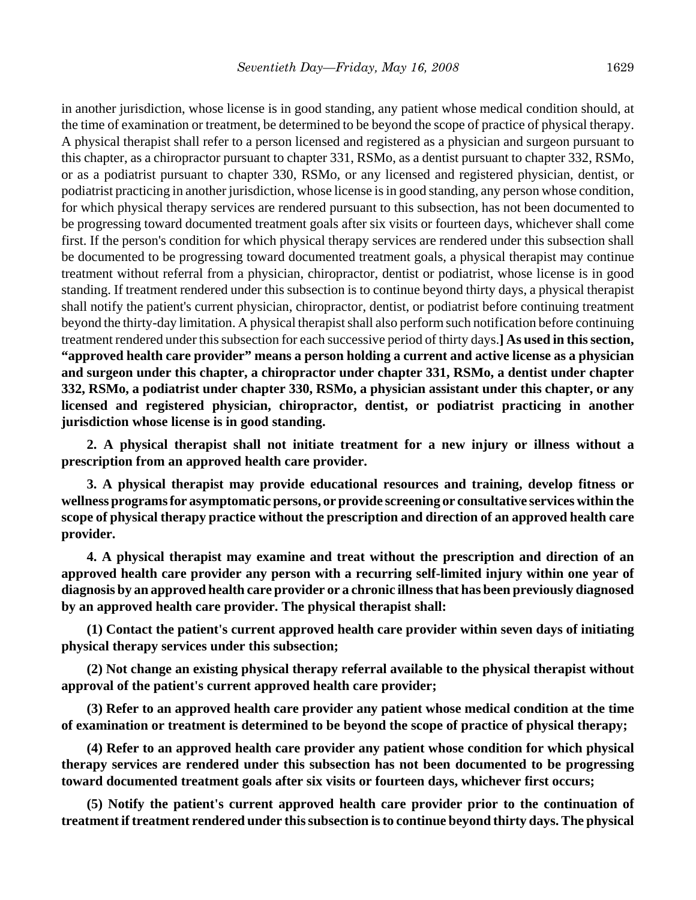in another jurisdiction, whose license is in good standing, any patient whose medical condition should, at the time of examination or treatment, be determined to be beyond the scope of practice of physical therapy. A physical therapist shall refer to a person licensed and registered as a physician and surgeon pursuant to this chapter, as a chiropractor pursuant to chapter 331, RSMo, as a dentist pursuant to chapter 332, RSMo, or as a podiatrist pursuant to chapter 330, RSMo, or any licensed and registered physician, dentist, or podiatrist practicing in another jurisdiction, whose license is in good standing, any person whose condition, for which physical therapy services are rendered pursuant to this subsection, has not been documented to be progressing toward documented treatment goals after six visits or fourteen days, whichever shall come first. If the person's condition for which physical therapy services are rendered under this subsection shall be documented to be progressing toward documented treatment goals, a physical therapist may continue treatment without referral from a physician, chiropractor, dentist or podiatrist, whose license is in good standing. If treatment rendered under this subsection is to continue beyond thirty days, a physical therapist shall notify the patient's current physician, chiropractor, dentist, or podiatrist before continuing treatment beyond the thirty-day limitation. A physical therapist shall also perform such notification before continuing treatment rendered under this subsection for each successive period of thirty days.**] As used in this section, "approved health care provider" means a person holding a current and active license as a physician and surgeon under this chapter, a chiropractor under chapter 331, RSMo, a dentist under chapter 332, RSMo, a podiatrist under chapter 330, RSMo, a physician assistant under this chapter, or any licensed and registered physician, chiropractor, dentist, or podiatrist practicing in another jurisdiction whose license is in good standing.**

**2. A physical therapist shall not initiate treatment for a new injury or illness without a prescription from an approved health care provider.**

**3. A physical therapist may provide educational resources and training, develop fitness or wellness programs for asymptomatic persons, or provide screening or consultative services within the scope of physical therapy practice without the prescription and direction of an approved health care provider.**

**4. A physical therapist may examine and treat without the prescription and direction of an approved health care provider any person with a recurring self-limited injury within one year of diagnosis by an approved health care provider or a chronic illness that has been previously diagnosed by an approved health care provider. The physical therapist shall:**

**(1) Contact the patient's current approved health care provider within seven days of initiating physical therapy services under this subsection;**

**(2) Not change an existing physical therapy referral available to the physical therapist without approval of the patient's current approved health care provider;**

**(3) Refer to an approved health care provider any patient whose medical condition at the time of examination or treatment is determined to be beyond the scope of practice of physical therapy;**

**(4) Refer to an approved health care provider any patient whose condition for which physical therapy services are rendered under this subsection has not been documented to be progressing toward documented treatment goals after six visits or fourteen days, whichever first occurs;**

**(5) Notify the patient's current approved health care provider prior to the continuation of treatment if treatment rendered under this subsection is to continue beyond thirty days. The physical**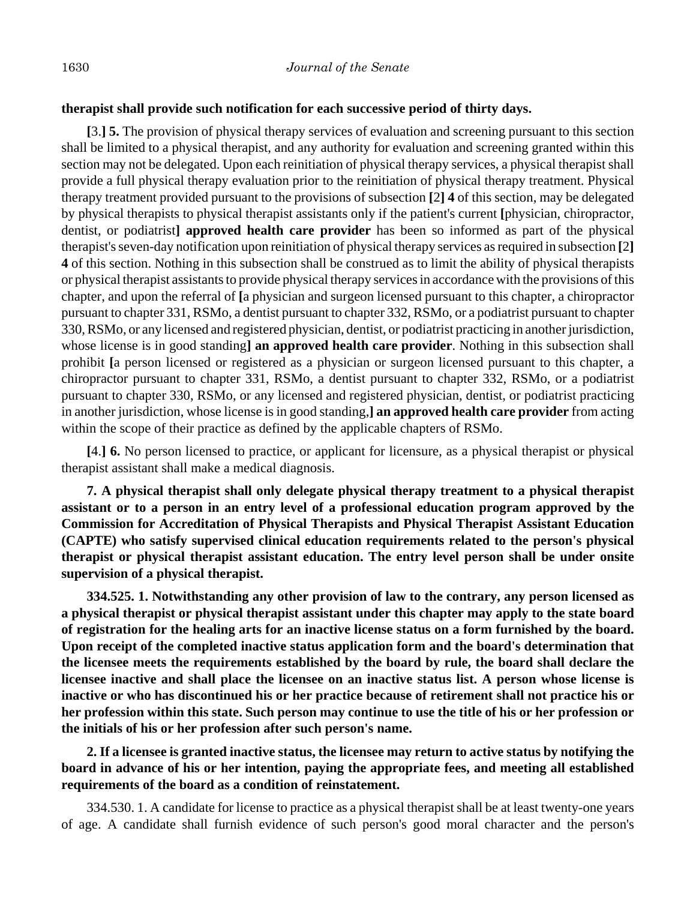#### **therapist shall provide such notification for each successive period of thirty days.**

**[**3.**] 5.** The provision of physical therapy services of evaluation and screening pursuant to this section shall be limited to a physical therapist, and any authority for evaluation and screening granted within this section may not be delegated. Upon each reinitiation of physical therapy services, a physical therapist shall provide a full physical therapy evaluation prior to the reinitiation of physical therapy treatment. Physical therapy treatment provided pursuant to the provisions of subsection **[**2**] 4** of this section, may be delegated by physical therapists to physical therapist assistants only if the patient's current **[**physician, chiropractor, dentist, or podiatrist**] approved health care provider** has been so informed as part of the physical therapist's seven-day notification upon reinitiation of physical therapy services as required in subsection **[**2**] 4** of this section. Nothing in this subsection shall be construed as to limit the ability of physical therapists or physical therapist assistants to provide physical therapy services in accordance with the provisions of this chapter, and upon the referral of **[**a physician and surgeon licensed pursuant to this chapter, a chiropractor pursuant to chapter 331, RSMo, a dentist pursuant to chapter 332, RSMo, or a podiatrist pursuant to chapter 330, RSMo, or any licensed and registered physician, dentist, or podiatrist practicing in another jurisdiction, whose license is in good standing**] an approved health care provider**. Nothing in this subsection shall prohibit **[**a person licensed or registered as a physician or surgeon licensed pursuant to this chapter, a chiropractor pursuant to chapter 331, RSMo, a dentist pursuant to chapter 332, RSMo, or a podiatrist pursuant to chapter 330, RSMo, or any licensed and registered physician, dentist, or podiatrist practicing in another jurisdiction, whose license is in good standing,**] an approved health care provider** from acting within the scope of their practice as defined by the applicable chapters of RSMo.

**[**4.**] 6.** No person licensed to practice, or applicant for licensure, as a physical therapist or physical therapist assistant shall make a medical diagnosis.

**7. A physical therapist shall only delegate physical therapy treatment to a physical therapist assistant or to a person in an entry level of a professional education program approved by the Commission for Accreditation of Physical Therapists and Physical Therapist Assistant Education (CAPTE) who satisfy supervised clinical education requirements related to the person's physical therapist or physical therapist assistant education. The entry level person shall be under onsite supervision of a physical therapist.**

**334.525. 1. Notwithstanding any other provision of law to the contrary, any person licensed as a physical therapist or physical therapist assistant under this chapter may apply to the state board of registration for the healing arts for an inactive license status on a form furnished by the board. Upon receipt of the completed inactive status application form and the board's determination that the licensee meets the requirements established by the board by rule, the board shall declare the licensee inactive and shall place the licensee on an inactive status list. A person whose license is inactive or who has discontinued his or her practice because of retirement shall not practice his or her profession within this state. Such person may continue to use the title of his or her profession or the initials of his or her profession after such person's name.**

**2. If a licensee is granted inactive status, the licensee may return to active status by notifying the board in advance of his or her intention, paying the appropriate fees, and meeting all established requirements of the board as a condition of reinstatement.**

334.530. 1. A candidate for license to practice as a physical therapist shall be at least twenty-one years of age. A candidate shall furnish evidence of such person's good moral character and the person's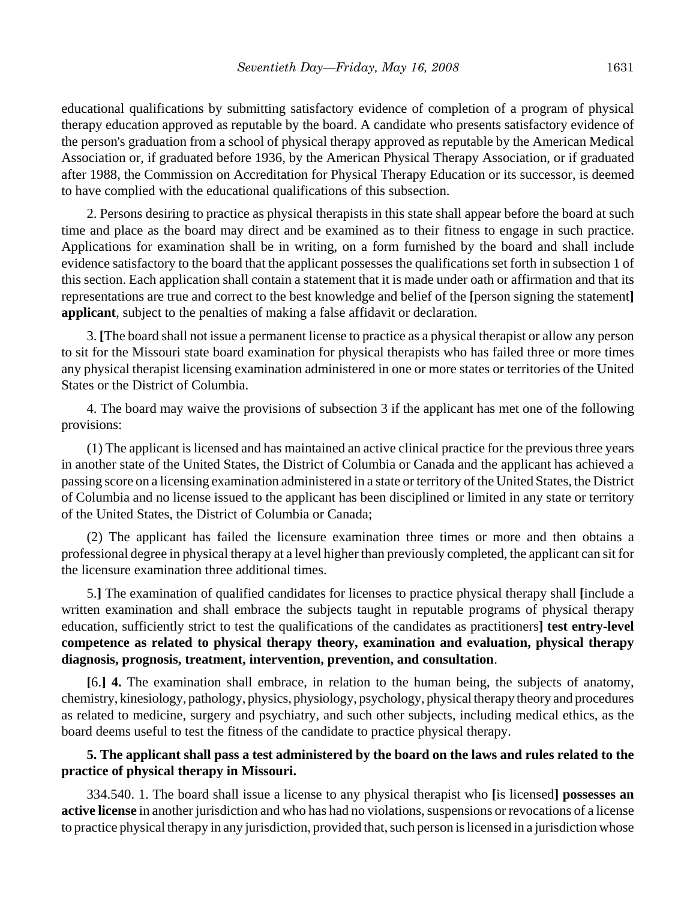educational qualifications by submitting satisfactory evidence of completion of a program of physical therapy education approved as reputable by the board. A candidate who presents satisfactory evidence of the person's graduation from a school of physical therapy approved as reputable by the American Medical Association or, if graduated before 1936, by the American Physical Therapy Association, or if graduated after 1988, the Commission on Accreditation for Physical Therapy Education or its successor, is deemed to have complied with the educational qualifications of this subsection.

2. Persons desiring to practice as physical therapists in this state shall appear before the board at such time and place as the board may direct and be examined as to their fitness to engage in such practice. Applications for examination shall be in writing, on a form furnished by the board and shall include evidence satisfactory to the board that the applicant possesses the qualifications set forth in subsection 1 of this section. Each application shall contain a statement that it is made under oath or affirmation and that its representations are true and correct to the best knowledge and belief of the **[**person signing the statement**] applicant**, subject to the penalties of making a false affidavit or declaration.

3. **[**The board shall not issue a permanent license to practice as a physical therapist or allow any person to sit for the Missouri state board examination for physical therapists who has failed three or more times any physical therapist licensing examination administered in one or more states or territories of the United States or the District of Columbia.

4. The board may waive the provisions of subsection 3 if the applicant has met one of the following provisions:

(1) The applicant is licensed and has maintained an active clinical practice for the previous three years in another state of the United States, the District of Columbia or Canada and the applicant has achieved a passing score on a licensing examination administered in a state or territory of the United States, the District of Columbia and no license issued to the applicant has been disciplined or limited in any state or territory of the United States, the District of Columbia or Canada;

(2) The applicant has failed the licensure examination three times or more and then obtains a professional degree in physical therapy at a level higher than previously completed, the applicant can sit for the licensure examination three additional times.

5.**]** The examination of qualified candidates for licenses to practice physical therapy shall **[**include a written examination and shall embrace the subjects taught in reputable programs of physical therapy education, sufficiently strict to test the qualifications of the candidates as practitioners**] test entry-level competence as related to physical therapy theory, examination and evaluation, physical therapy diagnosis, prognosis, treatment, intervention, prevention, and consultation**.

**[**6.**] 4.** The examination shall embrace, in relation to the human being, the subjects of anatomy, chemistry, kinesiology, pathology, physics, physiology, psychology, physical therapy theory and procedures as related to medicine, surgery and psychiatry, and such other subjects, including medical ethics, as the board deems useful to test the fitness of the candidate to practice physical therapy.

#### **5. The applicant shall pass a test administered by the board on the laws and rules related to the practice of physical therapy in Missouri.**

334.540. 1. The board shall issue a license to any physical therapist who **[**is licensed**] possesses an active license** in another jurisdiction and who has had no violations, suspensions or revocations of a license to practice physical therapy in any jurisdiction, provided that, such person is licensed in a jurisdiction whose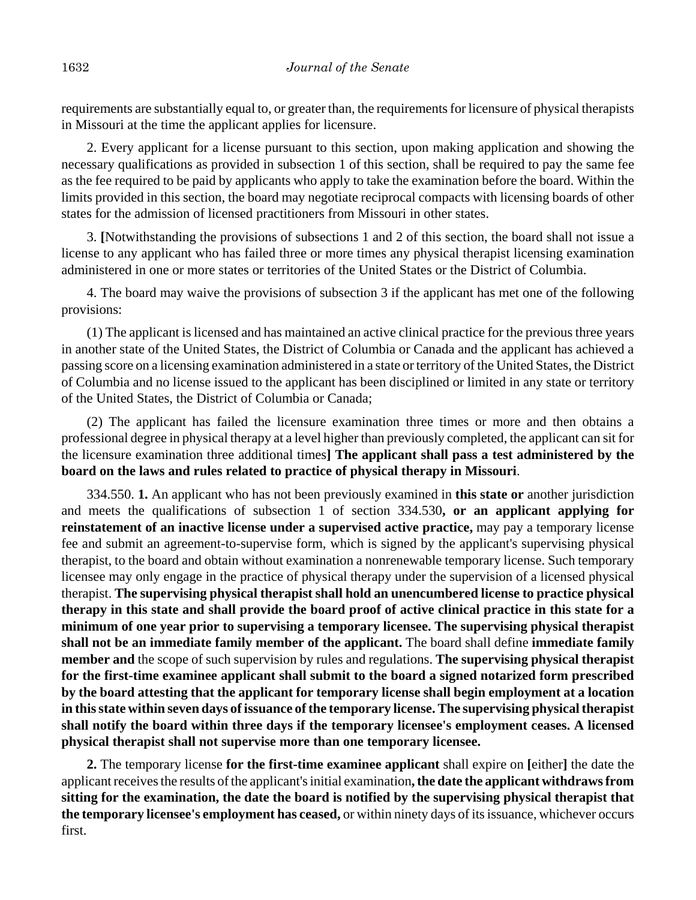requirements are substantially equal to, or greater than, the requirements for licensure of physical therapists in Missouri at the time the applicant applies for licensure.

2. Every applicant for a license pursuant to this section, upon making application and showing the necessary qualifications as provided in subsection 1 of this section, shall be required to pay the same fee as the fee required to be paid by applicants who apply to take the examination before the board. Within the limits provided in this section, the board may negotiate reciprocal compacts with licensing boards of other states for the admission of licensed practitioners from Missouri in other states.

3. **[**Notwithstanding the provisions of subsections 1 and 2 of this section, the board shall not issue a license to any applicant who has failed three or more times any physical therapist licensing examination administered in one or more states or territories of the United States or the District of Columbia.

4. The board may waive the provisions of subsection 3 if the applicant has met one of the following provisions:

(1) The applicant is licensed and has maintained an active clinical practice for the previous three years in another state of the United States, the District of Columbia or Canada and the applicant has achieved a passing score on a licensing examination administered in a state or territory of the United States, the District of Columbia and no license issued to the applicant has been disciplined or limited in any state or territory of the United States, the District of Columbia or Canada;

(2) The applicant has failed the licensure examination three times or more and then obtains a professional degree in physical therapy at a level higher than previously completed, the applicant can sit for the licensure examination three additional times**] The applicant shall pass a test administered by the board on the laws and rules related to practice of physical therapy in Missouri**.

334.550. **1.** An applicant who has not been previously examined in **this state or** another jurisdiction and meets the qualifications of subsection 1 of section 334.530**, or an applicant applying for reinstatement of an inactive license under a supervised active practice,** may pay a temporary license fee and submit an agreement-to-supervise form, which is signed by the applicant's supervising physical therapist, to the board and obtain without examination a nonrenewable temporary license. Such temporary licensee may only engage in the practice of physical therapy under the supervision of a licensed physical therapist. **The supervising physical therapist shall hold an unencumbered license to practice physical therapy in this state and shall provide the board proof of active clinical practice in this state for a minimum of one year prior to supervising a temporary licensee. The supervising physical therapist shall not be an immediate family member of the applicant.** The board shall define **immediate family member and** the scope of such supervision by rules and regulations. **The supervising physical therapist for the first-time examinee applicant shall submit to the board a signed notarized form prescribed by the board attesting that the applicant for temporary license shall begin employment at a location in this state within seven days of issuance of the temporary license. The supervising physical therapist shall notify the board within three days if the temporary licensee's employment ceases. A licensed physical therapist shall not supervise more than one temporary licensee.**

**2.** The temporary license **for the first-time examinee applicant** shall expire on **[**either**]** the date the applicant receives the results of the applicant's initial examination**, the date the applicant withdraws from sitting for the examination, the date the board is notified by the supervising physical therapist that the temporary licensee's employment has ceased,** or within ninety days of its issuance, whichever occurs first.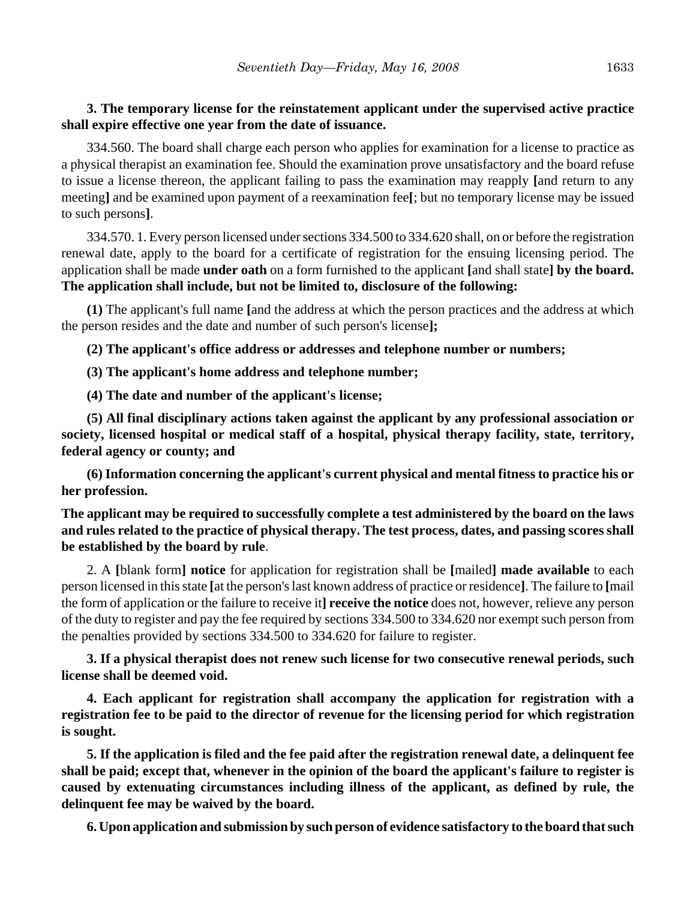# **3. The temporary license for the reinstatement applicant under the supervised active practice shall expire effective one year from the date of issuance.**

334.560. The board shall charge each person who applies for examination for a license to practice as a physical therapist an examination fee. Should the examination prove unsatisfactory and the board refuse to issue a license thereon, the applicant failing to pass the examination may reapply **[**and return to any meeting**]** and be examined upon payment of a reexamination fee**[**; but no temporary license may be issued to such persons**]**.

334.570. 1. Every person licensed under sections 334.500 to 334.620 shall, on or before the registration renewal date, apply to the board for a certificate of registration for the ensuing licensing period. The application shall be made **under oath** on a form furnished to the applicant **[**and shall state**] by the board. The application shall include, but not be limited to, disclosure of the following:**

**(1)** The applicant's full name **[**and the address at which the person practices and the address at which the person resides and the date and number of such person's license**];**

**(2) The applicant's office address or addresses and telephone number or numbers;**

**(3) The applicant's home address and telephone number;**

**(4) The date and number of the applicant's license;**

**(5) All final disciplinary actions taken against the applicant by any professional association or society, licensed hospital or medical staff of a hospital, physical therapy facility, state, territory, federal agency or county; and**

**(6) Information concerning the applicant's current physical and mental fitness to practice his or her profession.**

**The applicant may be required to successfully complete a test administered by the board on the laws and rules related to the practice of physical therapy. The test process, dates, and passing scores shall be established by the board by rule**.

2. A **[**blank form**] notice** for application for registration shall be **[**mailed**] made available** to each person licensed in this state **[**at the person's last known address of practice or residence**]**. The failure to **[**mail the form of application or the failure to receive it**] receive the notice** does not, however, relieve any person of the duty to register and pay the fee required by sections 334.500 to 334.620 nor exempt such person from the penalties provided by sections 334.500 to 334.620 for failure to register.

**3. If a physical therapist does not renew such license for two consecutive renewal periods, such license shall be deemed void.**

**4. Each applicant for registration shall accompany the application for registration with a registration fee to be paid to the director of revenue for the licensing period for which registration is sought.**

**5. If the application is filed and the fee paid after the registration renewal date, a delinquent fee shall be paid; except that, whenever in the opinion of the board the applicant's failure to register is caused by extenuating circumstances including illness of the applicant, as defined by rule, the delinquent fee may be waived by the board.**

**6. Upon application and submission by such person of evidence satisfactory to the board that such**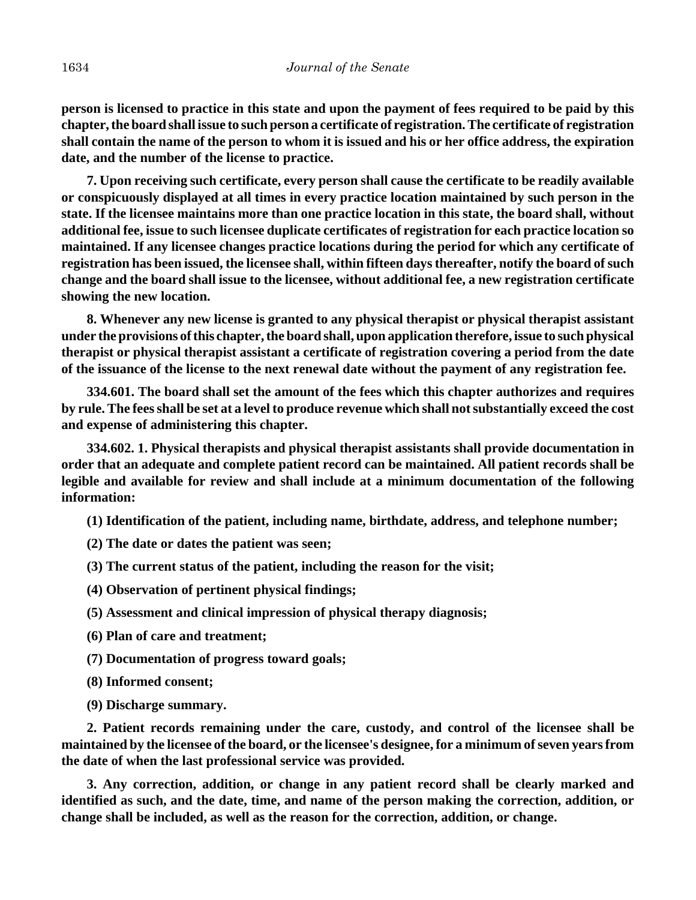**person is licensed to practice in this state and upon the payment of fees required to be paid by this chapter, the board shall issue to such person a certificate of registration. The certificate of registration shall contain the name of the person to whom it is issued and his or her office address, the expiration date, and the number of the license to practice.**

**7. Upon receiving such certificate, every person shall cause the certificate to be readily available or conspicuously displayed at all times in every practice location maintained by such person in the state. If the licensee maintains more than one practice location in this state, the board shall, without additional fee, issue to such licensee duplicate certificates of registration for each practice location so maintained. If any licensee changes practice locations during the period for which any certificate of registration has been issued, the licensee shall, within fifteen days thereafter, notify the board of such change and the board shall issue to the licensee, without additional fee, a new registration certificate showing the new location.**

**8. Whenever any new license is granted to any physical therapist or physical therapist assistant under the provisions of this chapter, the board shall, upon application therefore, issue to such physical therapist or physical therapist assistant a certificate of registration covering a period from the date of the issuance of the license to the next renewal date without the payment of any registration fee.**

**334.601. The board shall set the amount of the fees which this chapter authorizes and requires by rule. The fees shall be set at a level to produce revenue which shall not substantially exceed the cost and expense of administering this chapter.**

**334.602. 1. Physical therapists and physical therapist assistants shall provide documentation in order that an adequate and complete patient record can be maintained. All patient records shall be legible and available for review and shall include at a minimum documentation of the following information:**

**(1) Identification of the patient, including name, birthdate, address, and telephone number;**

**(2) The date or dates the patient was seen;**

**(3) The current status of the patient, including the reason for the visit;**

**(4) Observation of pertinent physical findings;**

**(5) Assessment and clinical impression of physical therapy diagnosis;**

**(6) Plan of care and treatment;**

**(7) Documentation of progress toward goals;**

**(8) Informed consent;**

**(9) Discharge summary.**

**2. Patient records remaining under the care, custody, and control of the licensee shall be maintained by the licensee of the board, or the licensee's designee, for a minimum of seven years from the date of when the last professional service was provided.**

**3. Any correction, addition, or change in any patient record shall be clearly marked and identified as such, and the date, time, and name of the person making the correction, addition, or change shall be included, as well as the reason for the correction, addition, or change.**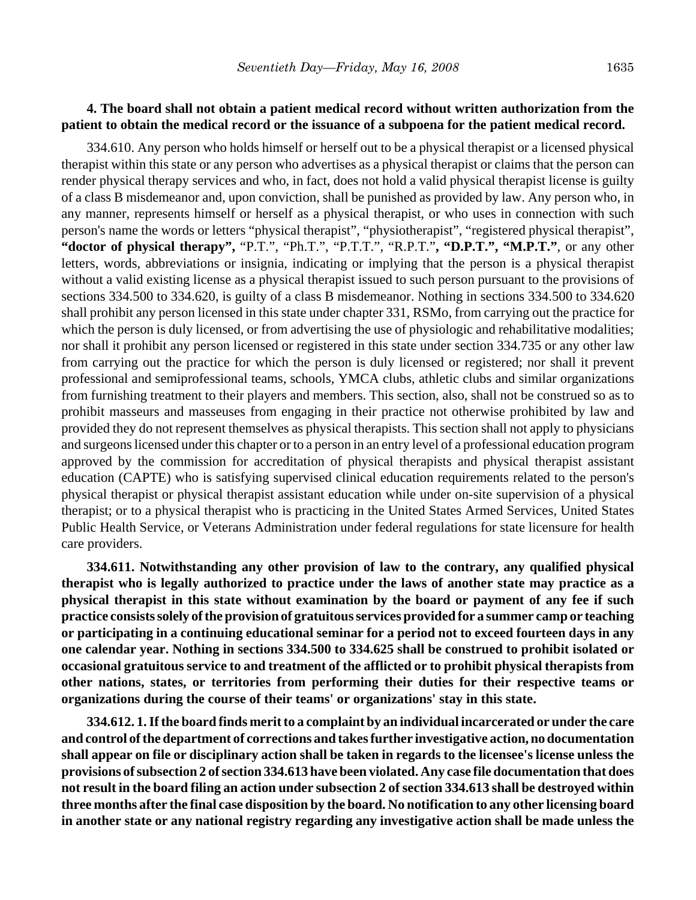#### **4. The board shall not obtain a patient medical record without written authorization from the patient to obtain the medical record or the issuance of a subpoena for the patient medical record.**

334.610. Any person who holds himself or herself out to be a physical therapist or a licensed physical therapist within this state or any person who advertises as a physical therapist or claims that the person can render physical therapy services and who, in fact, does not hold a valid physical therapist license is guilty of a class B misdemeanor and, upon conviction, shall be punished as provided by law. Any person who, in any manner, represents himself or herself as a physical therapist, or who uses in connection with such person's name the words or letters "physical therapist", "physiotherapist", "registered physical therapist", **"doctor of physical therapy",** "P.T.", "Ph.T.", "P.T.T.", "R.P.T."**, "D.P.T.", "M.P.T."**, or any other letters, words, abbreviations or insignia, indicating or implying that the person is a physical therapist without a valid existing license as a physical therapist issued to such person pursuant to the provisions of sections 334.500 to 334.620, is guilty of a class B misdemeanor. Nothing in sections 334.500 to 334.620 shall prohibit any person licensed in this state under chapter 331, RSMo, from carrying out the practice for which the person is duly licensed, or from advertising the use of physiologic and rehabilitative modalities; nor shall it prohibit any person licensed or registered in this state under section 334.735 or any other law from carrying out the practice for which the person is duly licensed or registered; nor shall it prevent professional and semiprofessional teams, schools, YMCA clubs, athletic clubs and similar organizations from furnishing treatment to their players and members. This section, also, shall not be construed so as to prohibit masseurs and masseuses from engaging in their practice not otherwise prohibited by law and provided they do not represent themselves as physical therapists. This section shall not apply to physicians and surgeons licensed under this chapter or to a person in an entry level of a professional education program approved by the commission for accreditation of physical therapists and physical therapist assistant education (CAPTE) who is satisfying supervised clinical education requirements related to the person's physical therapist or physical therapist assistant education while under on-site supervision of a physical therapist; or to a physical therapist who is practicing in the United States Armed Services, United States Public Health Service, or Veterans Administration under federal regulations for state licensure for health care providers.

**334.611. Notwithstanding any other provision of law to the contrary, any qualified physical therapist who is legally authorized to practice under the laws of another state may practice as a physical therapist in this state without examination by the board or payment of any fee if such practice consists solely of the provision of gratuitous services provided for a summer camp or teaching or participating in a continuing educational seminar for a period not to exceed fourteen days in any one calendar year. Nothing in sections 334.500 to 334.625 shall be construed to prohibit isolated or occasional gratuitous service to and treatment of the afflicted or to prohibit physical therapists from other nations, states, or territories from performing their duties for their respective teams or organizations during the course of their teams' or organizations' stay in this state.**

**334.612. 1. If the board finds merit to a complaint by an individual incarcerated or under the care and control of the department of corrections and takes further investigative action, no documentation shall appear on file or disciplinary action shall be taken in regards to the licensee's license unless the provisions of subsection 2 of section 334.613 have been violated. Any case file documentation that does not result in the board filing an action under subsection 2 of section 334.613 shall be destroyed within three months after the final case disposition by the board. No notification to any other licensing board in another state or any national registry regarding any investigative action shall be made unless the**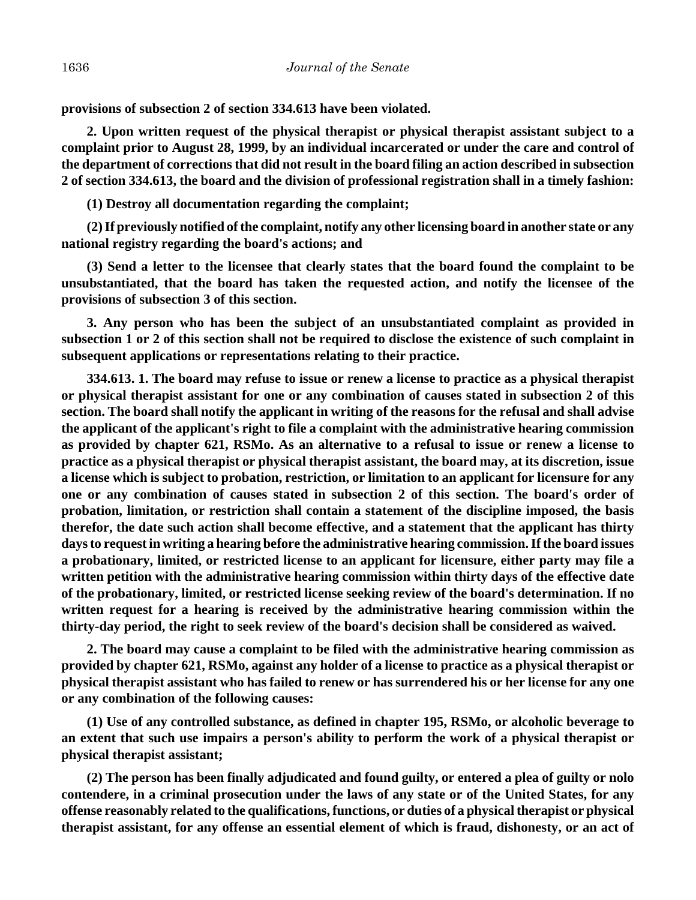**provisions of subsection 2 of section 334.613 have been violated.**

**2. Upon written request of the physical therapist or physical therapist assistant subject to a complaint prior to August 28, 1999, by an individual incarcerated or under the care and control of the department of corrections that did not result in the board filing an action described in subsection 2 of section 334.613, the board and the division of professional registration shall in a timely fashion:**

**(1) Destroy all documentation regarding the complaint;**

**(2) If previously notified of the complaint, notify any other licensing board in another state or any national registry regarding the board's actions; and**

**(3) Send a letter to the licensee that clearly states that the board found the complaint to be unsubstantiated, that the board has taken the requested action, and notify the licensee of the provisions of subsection 3 of this section.**

**3. Any person who has been the subject of an unsubstantiated complaint as provided in subsection 1 or 2 of this section shall not be required to disclose the existence of such complaint in subsequent applications or representations relating to their practice.**

**334.613. 1. The board may refuse to issue or renew a license to practice as a physical therapist or physical therapist assistant for one or any combination of causes stated in subsection 2 of this section. The board shall notify the applicant in writing of the reasons for the refusal and shall advise the applicant of the applicant's right to file a complaint with the administrative hearing commission as provided by chapter 621, RSMo. As an alternative to a refusal to issue or renew a license to practice as a physical therapist or physical therapist assistant, the board may, at its discretion, issue a license which is subject to probation, restriction, or limitation to an applicant for licensure for any one or any combination of causes stated in subsection 2 of this section. The board's order of probation, limitation, or restriction shall contain a statement of the discipline imposed, the basis therefor, the date such action shall become effective, and a statement that the applicant has thirty days to request in writing a hearing before the administrative hearing commission. If the board issues a probationary, limited, or restricted license to an applicant for licensure, either party may file a written petition with the administrative hearing commission within thirty days of the effective date of the probationary, limited, or restricted license seeking review of the board's determination. If no written request for a hearing is received by the administrative hearing commission within the thirty-day period, the right to seek review of the board's decision shall be considered as waived.**

**2. The board may cause a complaint to be filed with the administrative hearing commission as provided by chapter 621, RSMo, against any holder of a license to practice as a physical therapist or physical therapist assistant who has failed to renew or has surrendered his or her license for any one or any combination of the following causes:**

**(1) Use of any controlled substance, as defined in chapter 195, RSMo, or alcoholic beverage to an extent that such use impairs a person's ability to perform the work of a physical therapist or physical therapist assistant;**

**(2) The person has been finally adjudicated and found guilty, or entered a plea of guilty or nolo contendere, in a criminal prosecution under the laws of any state or of the United States, for any offense reasonably related to the qualifications, functions, or duties of a physical therapist or physical therapist assistant, for any offense an essential element of which is fraud, dishonesty, or an act of**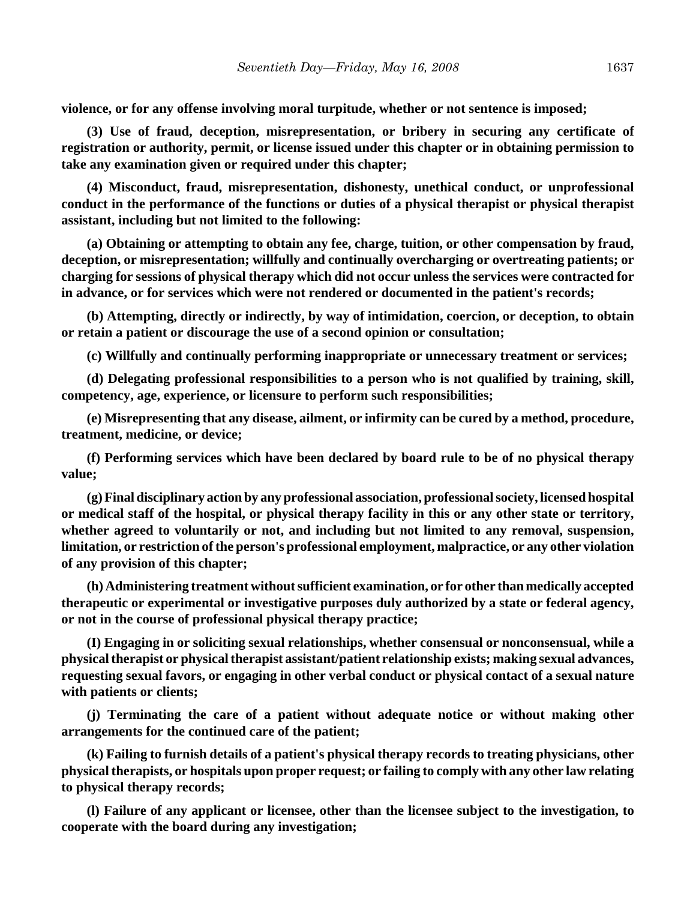**violence, or for any offense involving moral turpitude, whether or not sentence is imposed;**

**(3) Use of fraud, deception, misrepresentation, or bribery in securing any certificate of registration or authority, permit, or license issued under this chapter or in obtaining permission to take any examination given or required under this chapter;**

**(4) Misconduct, fraud, misrepresentation, dishonesty, unethical conduct, or unprofessional conduct in the performance of the functions or duties of a physical therapist or physical therapist assistant, including but not limited to the following:**

**(a) Obtaining or attempting to obtain any fee, charge, tuition, or other compensation by fraud, deception, or misrepresentation; willfully and continually overcharging or overtreating patients; or charging for sessions of physical therapy which did not occur unless the services were contracted for in advance, or for services which were not rendered or documented in the patient's records;**

**(b) Attempting, directly or indirectly, by way of intimidation, coercion, or deception, to obtain or retain a patient or discourage the use of a second opinion or consultation;**

**(c) Willfully and continually performing inappropriate or unnecessary treatment or services;**

**(d) Delegating professional responsibilities to a person who is not qualified by training, skill, competency, age, experience, or licensure to perform such responsibilities;**

**(e) Misrepresenting that any disease, ailment, or infirmity can be cured by a method, procedure, treatment, medicine, or device;**

**(f) Performing services which have been declared by board rule to be of no physical therapy value;**

**(g) Final disciplinary action by any professional association, professional society, licensed hospital or medical staff of the hospital, or physical therapy facility in this or any other state or territory, whether agreed to voluntarily or not, and including but not limited to any removal, suspension, limitation, or restriction of the person's professional employment, malpractice, or any other violation of any provision of this chapter;**

**(h) Administering treatment without sufficient examination, or for other than medically accepted therapeutic or experimental or investigative purposes duly authorized by a state or federal agency, or not in the course of professional physical therapy practice;**

**(I) Engaging in or soliciting sexual relationships, whether consensual or nonconsensual, while a physical therapist or physical therapist assistant/patient relationship exists; making sexual advances, requesting sexual favors, or engaging in other verbal conduct or physical contact of a sexual nature with patients or clients;**

**(j) Terminating the care of a patient without adequate notice or without making other arrangements for the continued care of the patient;**

**(k) Failing to furnish details of a patient's physical therapy records to treating physicians, other physical therapists, or hospitals upon proper request; or failing to comply with any other law relating to physical therapy records;**

**(l) Failure of any applicant or licensee, other than the licensee subject to the investigation, to cooperate with the board during any investigation;**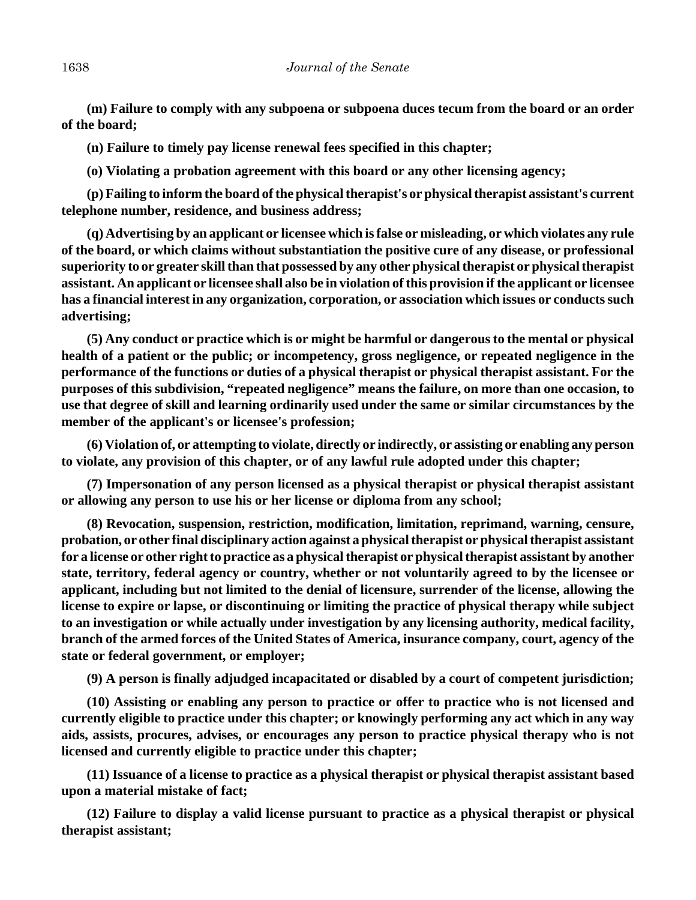**(m) Failure to comply with any subpoena or subpoena duces tecum from the board or an order of the board;**

**(n) Failure to timely pay license renewal fees specified in this chapter;**

**(o) Violating a probation agreement with this board or any other licensing agency;**

**(p) Failing to inform the board of the physical therapist's or physical therapist assistant's current telephone number, residence, and business address;**

**(q) Advertising by an applicant or licensee which is false or misleading, or which violates any rule of the board, or which claims without substantiation the positive cure of any disease, or professional superiority to or greater skill than that possessed by any other physical therapist or physical therapist assistant. An applicant or licensee shall also be in violation of this provision if the applicant or licensee has a financial interest in any organization, corporation, or association which issues or conducts such advertising;**

**(5) Any conduct or practice which is or might be harmful or dangerous to the mental or physical health of a patient or the public; or incompetency, gross negligence, or repeated negligence in the performance of the functions or duties of a physical therapist or physical therapist assistant. For the purposes of this subdivision, "repeated negligence" means the failure, on more than one occasion, to use that degree of skill and learning ordinarily used under the same or similar circumstances by the member of the applicant's or licensee's profession;**

**(6) Violation of, or attempting to violate, directly or indirectly, or assisting or enabling any person to violate, any provision of this chapter, or of any lawful rule adopted under this chapter;**

**(7) Impersonation of any person licensed as a physical therapist or physical therapist assistant or allowing any person to use his or her license or diploma from any school;**

**(8) Revocation, suspension, restriction, modification, limitation, reprimand, warning, censure, probation, or other final disciplinary action against a physical therapist or physical therapist assistant for a license or other right to practice as a physical therapist or physical therapist assistant by another state, territory, federal agency or country, whether or not voluntarily agreed to by the licensee or applicant, including but not limited to the denial of licensure, surrender of the license, allowing the license to expire or lapse, or discontinuing or limiting the practice of physical therapy while subject to an investigation or while actually under investigation by any licensing authority, medical facility, branch of the armed forces of the United States of America, insurance company, court, agency of the state or federal government, or employer;**

**(9) A person is finally adjudged incapacitated or disabled by a court of competent jurisdiction;**

**(10) Assisting or enabling any person to practice or offer to practice who is not licensed and currently eligible to practice under this chapter; or knowingly performing any act which in any way aids, assists, procures, advises, or encourages any person to practice physical therapy who is not licensed and currently eligible to practice under this chapter;**

**(11) Issuance of a license to practice as a physical therapist or physical therapist assistant based upon a material mistake of fact;**

**(12) Failure to display a valid license pursuant to practice as a physical therapist or physical therapist assistant;**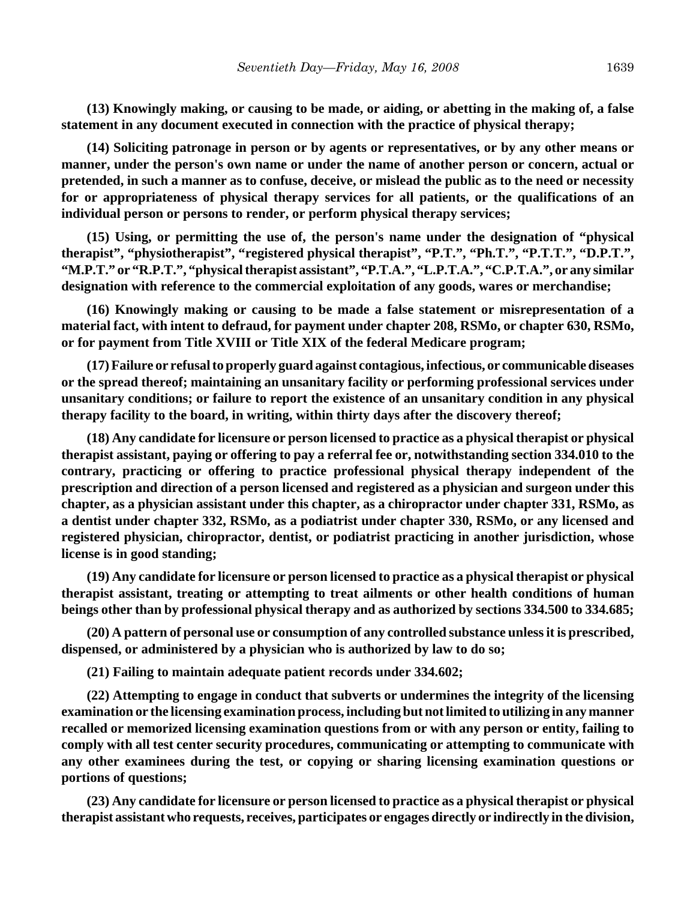**(13) Knowingly making, or causing to be made, or aiding, or abetting in the making of, a false statement in any document executed in connection with the practice of physical therapy;**

**(14) Soliciting patronage in person or by agents or representatives, or by any other means or manner, under the person's own name or under the name of another person or concern, actual or pretended, in such a manner as to confuse, deceive, or mislead the public as to the need or necessity for or appropriateness of physical therapy services for all patients, or the qualifications of an individual person or persons to render, or perform physical therapy services;**

**(15) Using, or permitting the use of, the person's name under the designation of "physical therapist", "physiotherapist", "registered physical therapist", "P.T.", "Ph.T.", "P.T.T.", "D.P.T.", "M.P.T." or "R.P.T.", "physical therapist assistant", "P.T.A.", "L.P.T.A.", "C.P.T.A.", or any similar designation with reference to the commercial exploitation of any goods, wares or merchandise;**

**(16) Knowingly making or causing to be made a false statement or misrepresentation of a material fact, with intent to defraud, for payment under chapter 208, RSMo, or chapter 630, RSMo, or for payment from Title XVIII or Title XIX of the federal Medicare program;**

**(17) Failure or refusal to properly guard against contagious, infectious, or communicable diseases or the spread thereof; maintaining an unsanitary facility or performing professional services under unsanitary conditions; or failure to report the existence of an unsanitary condition in any physical therapy facility to the board, in writing, within thirty days after the discovery thereof;**

**(18) Any candidate for licensure or person licensed to practice as a physical therapist or physical therapist assistant, paying or offering to pay a referral fee or, notwithstanding section 334.010 to the contrary, practicing or offering to practice professional physical therapy independent of the prescription and direction of a person licensed and registered as a physician and surgeon under this chapter, as a physician assistant under this chapter, as a chiropractor under chapter 331, RSMo, as a dentist under chapter 332, RSMo, as a podiatrist under chapter 330, RSMo, or any licensed and registered physician, chiropractor, dentist, or podiatrist practicing in another jurisdiction, whose license is in good standing;**

**(19) Any candidate for licensure or person licensed to practice as a physical therapist or physical therapist assistant, treating or attempting to treat ailments or other health conditions of human beings other than by professional physical therapy and as authorized by sections 334.500 to 334.685;**

**(20) A pattern of personal use or consumption of any controlled substance unless it is prescribed, dispensed, or administered by a physician who is authorized by law to do so;**

**(21) Failing to maintain adequate patient records under 334.602;**

**(22) Attempting to engage in conduct that subverts or undermines the integrity of the licensing examination or the licensing examination process, including but not limited to utilizing in any manner recalled or memorized licensing examination questions from or with any person or entity, failing to comply with all test center security procedures, communicating or attempting to communicate with any other examinees during the test, or copying or sharing licensing examination questions or portions of questions;**

**(23) Any candidate for licensure or person licensed to practice as a physical therapist or physical therapist assistant who requests, receives, participates or engages directly or indirectly in the division,**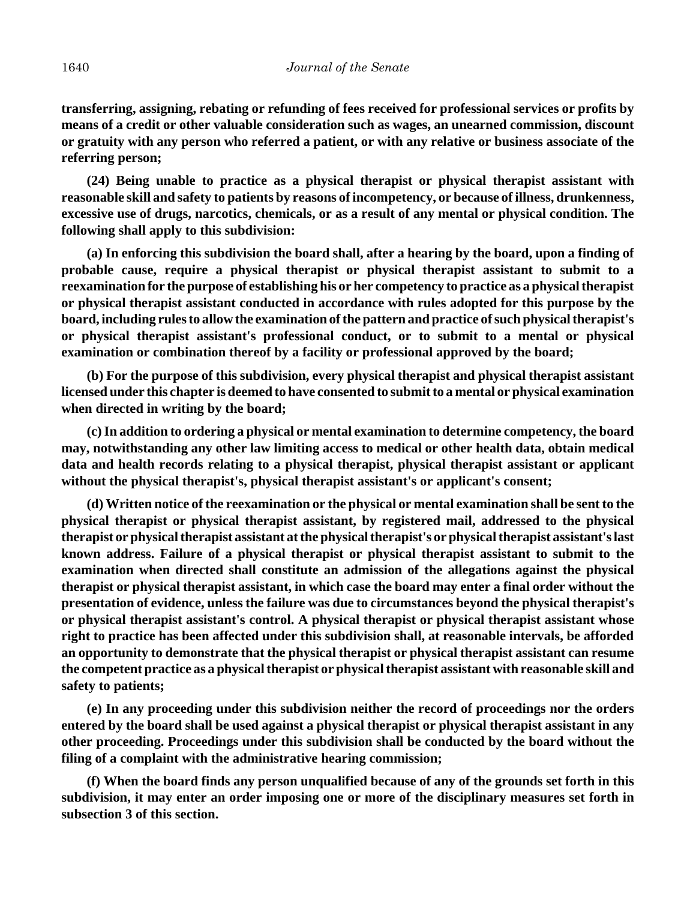**transferring, assigning, rebating or refunding of fees received for professional services or profits by means of a credit or other valuable consideration such as wages, an unearned commission, discount or gratuity with any person who referred a patient, or with any relative or business associate of the referring person;**

**(24) Being unable to practice as a physical therapist or physical therapist assistant with reasonable skill and safety to patients by reasons of incompetency, or because of illness, drunkenness, excessive use of drugs, narcotics, chemicals, or as a result of any mental or physical condition. The following shall apply to this subdivision:**

**(a) In enforcing this subdivision the board shall, after a hearing by the board, upon a finding of probable cause, require a physical therapist or physical therapist assistant to submit to a reexamination for the purpose of establishing his or her competency to practice as a physical therapist or physical therapist assistant conducted in accordance with rules adopted for this purpose by the board, including rules to allow the examination of the pattern and practice of such physical therapist's or physical therapist assistant's professional conduct, or to submit to a mental or physical examination or combination thereof by a facility or professional approved by the board;**

**(b) For the purpose of this subdivision, every physical therapist and physical therapist assistant licensed under this chapter is deemed to have consented to submit to a mental or physical examination when directed in writing by the board;**

**(c) In addition to ordering a physical or mental examination to determine competency, the board may, notwithstanding any other law limiting access to medical or other health data, obtain medical data and health records relating to a physical therapist, physical therapist assistant or applicant without the physical therapist's, physical therapist assistant's or applicant's consent;**

**(d) Written notice of the reexamination or the physical or mental examination shall be sent to the physical therapist or physical therapist assistant, by registered mail, addressed to the physical therapist or physical therapist assistant at the physical therapist's or physical therapist assistant's last known address. Failure of a physical therapist or physical therapist assistant to submit to the examination when directed shall constitute an admission of the allegations against the physical therapist or physical therapist assistant, in which case the board may enter a final order without the presentation of evidence, unless the failure was due to circumstances beyond the physical therapist's or physical therapist assistant's control. A physical therapist or physical therapist assistant whose right to practice has been affected under this subdivision shall, at reasonable intervals, be afforded an opportunity to demonstrate that the physical therapist or physical therapist assistant can resume the competent practice as a physical therapist or physical therapist assistant with reasonable skill and safety to patients;**

**(e) In any proceeding under this subdivision neither the record of proceedings nor the orders entered by the board shall be used against a physical therapist or physical therapist assistant in any other proceeding. Proceedings under this subdivision shall be conducted by the board without the filing of a complaint with the administrative hearing commission;**

**(f) When the board finds any person unqualified because of any of the grounds set forth in this subdivision, it may enter an order imposing one or more of the disciplinary measures set forth in subsection 3 of this section.**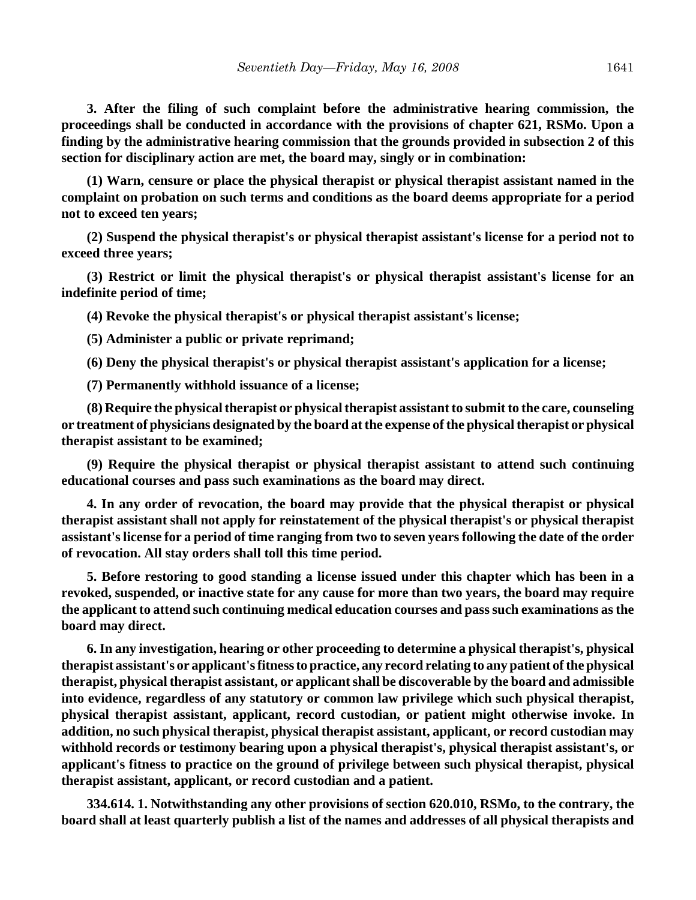**3. After the filing of such complaint before the administrative hearing commission, the proceedings shall be conducted in accordance with the provisions of chapter 621, RSMo. Upon a finding by the administrative hearing commission that the grounds provided in subsection 2 of this section for disciplinary action are met, the board may, singly or in combination:**

**(1) Warn, censure or place the physical therapist or physical therapist assistant named in the complaint on probation on such terms and conditions as the board deems appropriate for a period not to exceed ten years;**

**(2) Suspend the physical therapist's or physical therapist assistant's license for a period not to exceed three years;**

**(3) Restrict or limit the physical therapist's or physical therapist assistant's license for an indefinite period of time;**

**(4) Revoke the physical therapist's or physical therapist assistant's license;**

**(5) Administer a public or private reprimand;**

**(6) Deny the physical therapist's or physical therapist assistant's application for a license;**

**(7) Permanently withhold issuance of a license;**

**(8) Require the physical therapist or physical therapist assistant to submit to the care, counseling or treatment of physicians designated by the board at the expense of the physical therapist or physical therapist assistant to be examined;**

**(9) Require the physical therapist or physical therapist assistant to attend such continuing educational courses and pass such examinations as the board may direct.**

**4. In any order of revocation, the board may provide that the physical therapist or physical therapist assistant shall not apply for reinstatement of the physical therapist's or physical therapist assistant's license for a period of time ranging from two to seven years following the date of the order of revocation. All stay orders shall toll this time period.**

**5. Before restoring to good standing a license issued under this chapter which has been in a revoked, suspended, or inactive state for any cause for more than two years, the board may require the applicant to attend such continuing medical education courses and pass such examinations as the board may direct.**

**6. In any investigation, hearing or other proceeding to determine a physical therapist's, physical therapist assistant's or applicant's fitness to practice, any record relating to any patient of the physical therapist, physical therapist assistant, or applicant shall be discoverable by the board and admissible into evidence, regardless of any statutory or common law privilege which such physical therapist, physical therapist assistant, applicant, record custodian, or patient might otherwise invoke. In addition, no such physical therapist, physical therapist assistant, applicant, or record custodian may withhold records or testimony bearing upon a physical therapist's, physical therapist assistant's, or applicant's fitness to practice on the ground of privilege between such physical therapist, physical therapist assistant, applicant, or record custodian and a patient.**

**334.614. 1. Notwithstanding any other provisions of section 620.010, RSMo, to the contrary, the board shall at least quarterly publish a list of the names and addresses of all physical therapists and**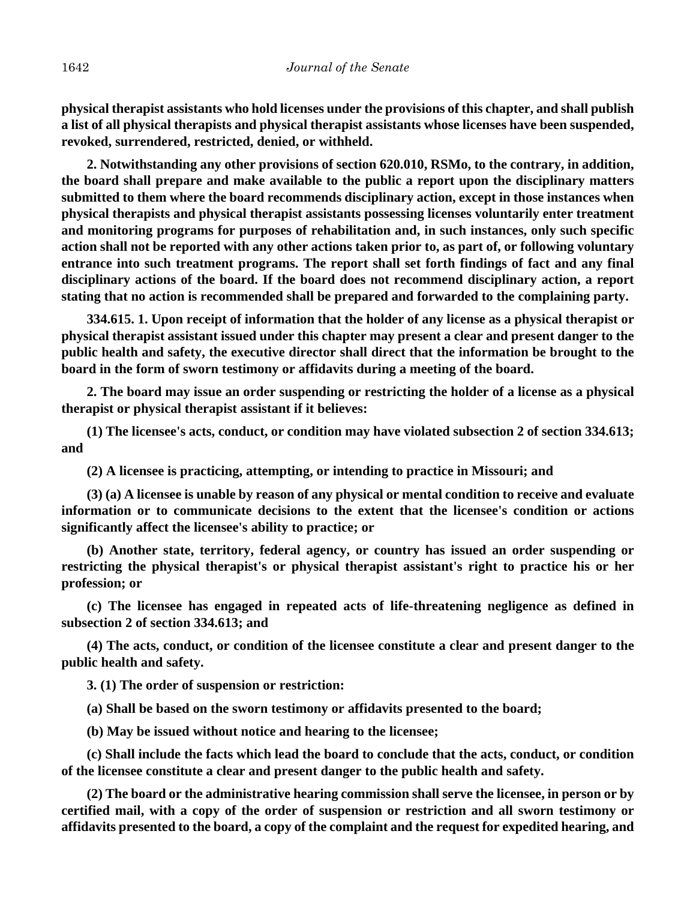**physical therapist assistants who hold licenses under the provisions of this chapter, and shall publish a list of all physical therapists and physical therapist assistants whose licenses have been suspended, revoked, surrendered, restricted, denied, or withheld.**

**2. Notwithstanding any other provisions of section 620.010, RSMo, to the contrary, in addition, the board shall prepare and make available to the public a report upon the disciplinary matters submitted to them where the board recommends disciplinary action, except in those instances when physical therapists and physical therapist assistants possessing licenses voluntarily enter treatment and monitoring programs for purposes of rehabilitation and, in such instances, only such specific action shall not be reported with any other actions taken prior to, as part of, or following voluntary entrance into such treatment programs. The report shall set forth findings of fact and any final disciplinary actions of the board. If the board does not recommend disciplinary action, a report stating that no action is recommended shall be prepared and forwarded to the complaining party.**

**334.615. 1. Upon receipt of information that the holder of any license as a physical therapist or physical therapist assistant issued under this chapter may present a clear and present danger to the public health and safety, the executive director shall direct that the information be brought to the board in the form of sworn testimony or affidavits during a meeting of the board.**

**2. The board may issue an order suspending or restricting the holder of a license as a physical therapist or physical therapist assistant if it believes:**

**(1) The licensee's acts, conduct, or condition may have violated subsection 2 of section 334.613; and**

**(2) A licensee is practicing, attempting, or intending to practice in Missouri; and**

**(3) (a) A licensee is unable by reason of any physical or mental condition to receive and evaluate information or to communicate decisions to the extent that the licensee's condition or actions significantly affect the licensee's ability to practice; or**

**(b) Another state, territory, federal agency, or country has issued an order suspending or restricting the physical therapist's or physical therapist assistant's right to practice his or her profession; or**

**(c) The licensee has engaged in repeated acts of life-threatening negligence as defined in subsection 2 of section 334.613; and**

**(4) The acts, conduct, or condition of the licensee constitute a clear and present danger to the public health and safety.**

**3. (1) The order of suspension or restriction:**

**(a) Shall be based on the sworn testimony or affidavits presented to the board;**

**(b) May be issued without notice and hearing to the licensee;**

**(c) Shall include the facts which lead the board to conclude that the acts, conduct, or condition of the licensee constitute a clear and present danger to the public health and safety.**

**(2) The board or the administrative hearing commission shall serve the licensee, in person or by certified mail, with a copy of the order of suspension or restriction and all sworn testimony or affidavits presented to the board, a copy of the complaint and the request for expedited hearing, and**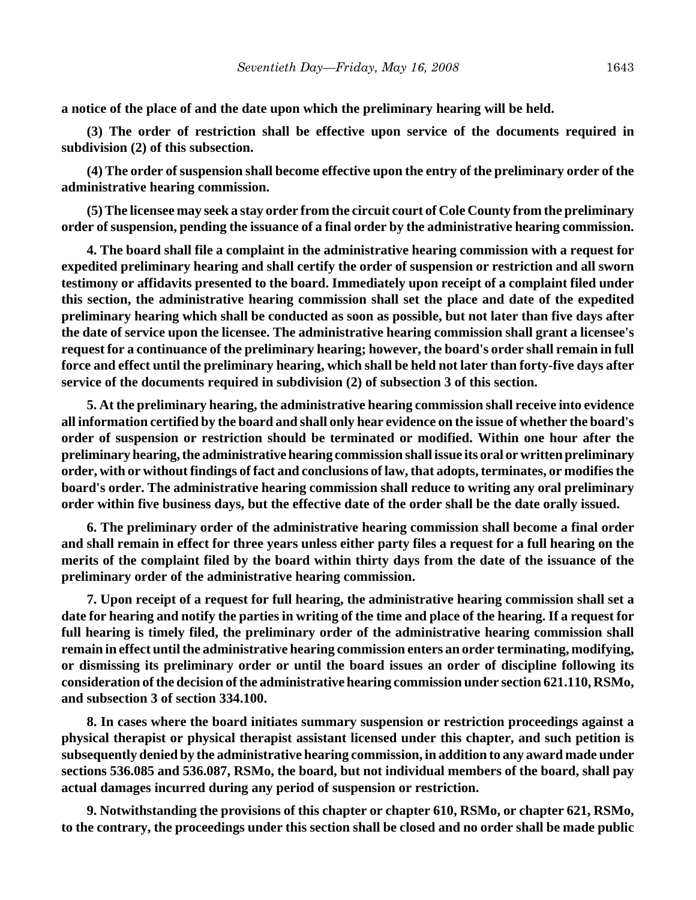**a notice of the place of and the date upon which the preliminary hearing will be held.**

**(3) The order of restriction shall be effective upon service of the documents required in subdivision (2) of this subsection.**

**(4) The order of suspension shall become effective upon the entry of the preliminary order of the administrative hearing commission.**

**(5) The licensee may seek a stay order from the circuit court of Cole County from the preliminary order of suspension, pending the issuance of a final order by the administrative hearing commission.**

**4. The board shall file a complaint in the administrative hearing commission with a request for expedited preliminary hearing and shall certify the order of suspension or restriction and all sworn testimony or affidavits presented to the board. Immediately upon receipt of a complaint filed under this section, the administrative hearing commission shall set the place and date of the expedited preliminary hearing which shall be conducted as soon as possible, but not later than five days after the date of service upon the licensee. The administrative hearing commission shall grant a licensee's request for a continuance of the preliminary hearing; however, the board's order shall remain in full force and effect until the preliminary hearing, which shall be held not later than forty-five days after service of the documents required in subdivision (2) of subsection 3 of this section.**

**5. At the preliminary hearing, the administrative hearing commission shall receive into evidence all information certified by the board and shall only hear evidence on the issue of whether the board's order of suspension or restriction should be terminated or modified. Within one hour after the preliminary hearing, the administrative hearing commission shall issue its oral or written preliminary order, with or without findings of fact and conclusions of law, that adopts, terminates, or modifies the board's order. The administrative hearing commission shall reduce to writing any oral preliminary order within five business days, but the effective date of the order shall be the date orally issued.**

**6. The preliminary order of the administrative hearing commission shall become a final order and shall remain in effect for three years unless either party files a request for a full hearing on the merits of the complaint filed by the board within thirty days from the date of the issuance of the preliminary order of the administrative hearing commission.**

**7. Upon receipt of a request for full hearing, the administrative hearing commission shall set a date for hearing and notify the parties in writing of the time and place of the hearing. If a request for full hearing is timely filed, the preliminary order of the administrative hearing commission shall remain in effect until the administrative hearing commission enters an order terminating, modifying, or dismissing its preliminary order or until the board issues an order of discipline following its consideration of the decision of the administrative hearing commission under section 621.110, RSMo, and subsection 3 of section 334.100.**

**8. In cases where the board initiates summary suspension or restriction proceedings against a physical therapist or physical therapist assistant licensed under this chapter, and such petition is subsequently denied by the administrative hearing commission, in addition to any award made under sections 536.085 and 536.087, RSMo, the board, but not individual members of the board, shall pay actual damages incurred during any period of suspension or restriction.**

**9. Notwithstanding the provisions of this chapter or chapter 610, RSMo, or chapter 621, RSMo, to the contrary, the proceedings under this section shall be closed and no order shall be made public**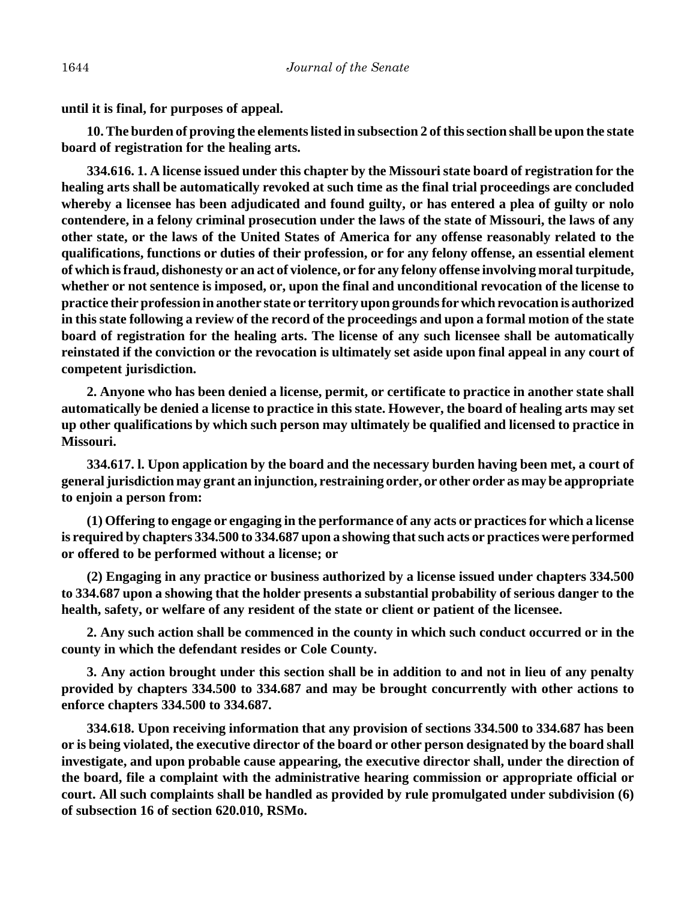**until it is final, for purposes of appeal.**

**10. The burden of proving the elements listed in subsection 2 of this section shall be upon the state board of registration for the healing arts.**

**334.616. 1. A license issued under this chapter by the Missouri state board of registration for the healing arts shall be automatically revoked at such time as the final trial proceedings are concluded whereby a licensee has been adjudicated and found guilty, or has entered a plea of guilty or nolo contendere, in a felony criminal prosecution under the laws of the state of Missouri, the laws of any other state, or the laws of the United States of America for any offense reasonably related to the qualifications, functions or duties of their profession, or for any felony offense, an essential element of which is fraud, dishonesty or an act of violence, or for any felony offense involving moral turpitude, whether or not sentence is imposed, or, upon the final and unconditional revocation of the license to practice their profession in another state or territory upon grounds for which revocation is authorized in this state following a review of the record of the proceedings and upon a formal motion of the state board of registration for the healing arts. The license of any such licensee shall be automatically reinstated if the conviction or the revocation is ultimately set aside upon final appeal in any court of competent jurisdiction.**

**2. Anyone who has been denied a license, permit, or certificate to practice in another state shall automatically be denied a license to practice in this state. However, the board of healing arts may set up other qualifications by which such person may ultimately be qualified and licensed to practice in Missouri.**

**334.617. l. Upon application by the board and the necessary burden having been met, a court of general jurisdiction may grant an injunction, restraining order, or other order as may be appropriate to enjoin a person from:**

**(1) Offering to engage or engaging in the performance of any acts or practices for which a license is required by chapters 334.500 to 334.687 upon a showing that such acts or practices were performed or offered to be performed without a license; or**

**(2) Engaging in any practice or business authorized by a license issued under chapters 334.500 to 334.687 upon a showing that the holder presents a substantial probability of serious danger to the health, safety, or welfare of any resident of the state or client or patient of the licensee.**

**2. Any such action shall be commenced in the county in which such conduct occurred or in the county in which the defendant resides or Cole County.**

**3. Any action brought under this section shall be in addition to and not in lieu of any penalty provided by chapters 334.500 to 334.687 and may be brought concurrently with other actions to enforce chapters 334.500 to 334.687.**

**334.618. Upon receiving information that any provision of sections 334.500 to 334.687 has been or is being violated, the executive director of the board or other person designated by the board shall investigate, and upon probable cause appearing, the executive director shall, under the direction of the board, file a complaint with the administrative hearing commission or appropriate official or court. All such complaints shall be handled as provided by rule promulgated under subdivision (6) of subsection 16 of section 620.010, RSMo.**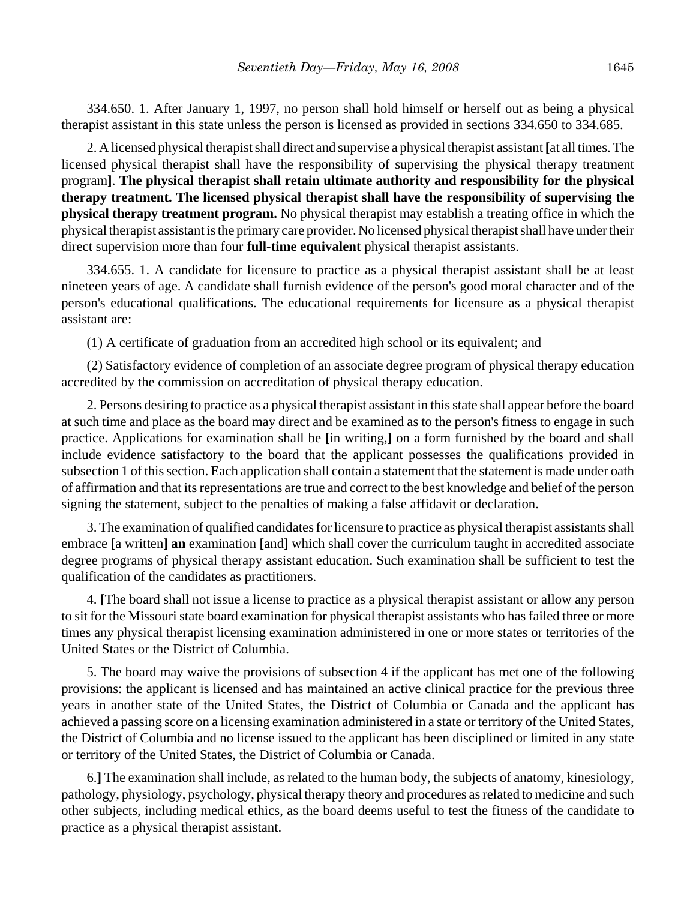334.650. 1. After January 1, 1997, no person shall hold himself or herself out as being a physical therapist assistant in this state unless the person is licensed as provided in sections 334.650 to 334.685.

2. A licensed physical therapist shall direct and supervise a physical therapist assistant **[**at all times. The licensed physical therapist shall have the responsibility of supervising the physical therapy treatment program**]**. **The physical therapist shall retain ultimate authority and responsibility for the physical therapy treatment. The licensed physical therapist shall have the responsibility of supervising the physical therapy treatment program.** No physical therapist may establish a treating office in which the physical therapist assistant is the primary care provider. No licensed physical therapist shall have under their direct supervision more than four **full-time equivalent** physical therapist assistants.

334.655. 1. A candidate for licensure to practice as a physical therapist assistant shall be at least nineteen years of age. A candidate shall furnish evidence of the person's good moral character and of the person's educational qualifications. The educational requirements for licensure as a physical therapist assistant are:

(1) A certificate of graduation from an accredited high school or its equivalent; and

(2) Satisfactory evidence of completion of an associate degree program of physical therapy education accredited by the commission on accreditation of physical therapy education.

2. Persons desiring to practice as a physical therapist assistant in this state shall appear before the board at such time and place as the board may direct and be examined as to the person's fitness to engage in such practice. Applications for examination shall be **[**in writing,**]** on a form furnished by the board and shall include evidence satisfactory to the board that the applicant possesses the qualifications provided in subsection 1 of this section. Each application shall contain a statement that the statement is made under oath of affirmation and that its representations are true and correct to the best knowledge and belief of the person signing the statement, subject to the penalties of making a false affidavit or declaration.

3. The examination of qualified candidates for licensure to practice as physical therapist assistants shall embrace **[**a written**] an** examination **[**and**]** which shall cover the curriculum taught in accredited associate degree programs of physical therapy assistant education. Such examination shall be sufficient to test the qualification of the candidates as practitioners.

4. **[**The board shall not issue a license to practice as a physical therapist assistant or allow any person to sit for the Missouri state board examination for physical therapist assistants who has failed three or more times any physical therapist licensing examination administered in one or more states or territories of the United States or the District of Columbia.

5. The board may waive the provisions of subsection 4 if the applicant has met one of the following provisions: the applicant is licensed and has maintained an active clinical practice for the previous three years in another state of the United States, the District of Columbia or Canada and the applicant has achieved a passing score on a licensing examination administered in a state or territory of the United States, the District of Columbia and no license issued to the applicant has been disciplined or limited in any state or territory of the United States, the District of Columbia or Canada.

6.**]** The examination shall include, as related to the human body, the subjects of anatomy, kinesiology, pathology, physiology, psychology, physical therapy theory and procedures as related to medicine and such other subjects, including medical ethics, as the board deems useful to test the fitness of the candidate to practice as a physical therapist assistant.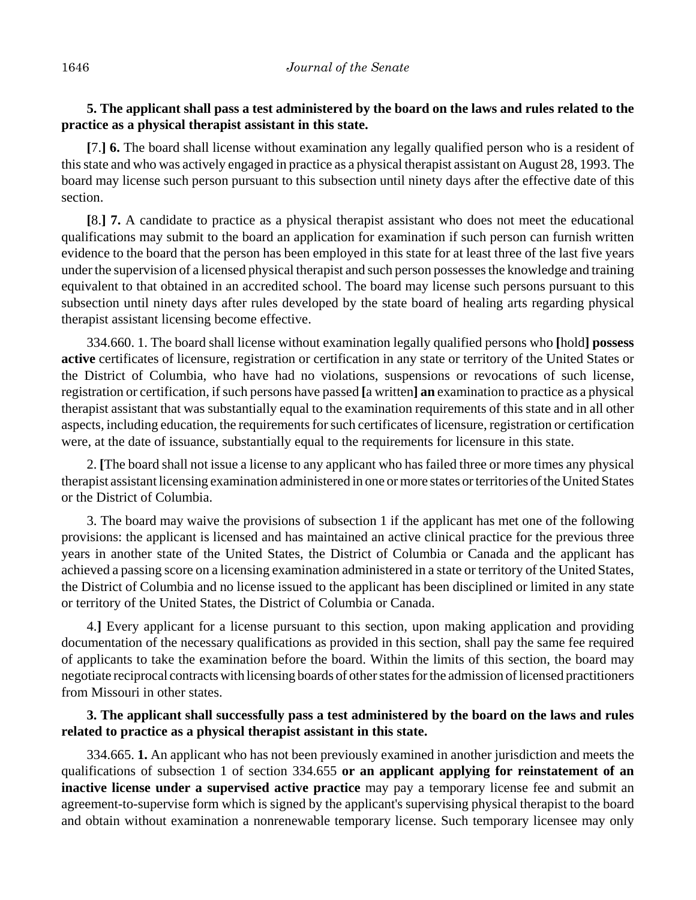# **5. The applicant shall pass a test administered by the board on the laws and rules related to the practice as a physical therapist assistant in this state.**

**[**7.**] 6.** The board shall license without examination any legally qualified person who is a resident of this state and who was actively engaged in practice as a physical therapist assistant on August 28, 1993. The board may license such person pursuant to this subsection until ninety days after the effective date of this section.

**[**8.**] 7.** A candidate to practice as a physical therapist assistant who does not meet the educational qualifications may submit to the board an application for examination if such person can furnish written evidence to the board that the person has been employed in this state for at least three of the last five years under the supervision of a licensed physical therapist and such person possesses the knowledge and training equivalent to that obtained in an accredited school. The board may license such persons pursuant to this subsection until ninety days after rules developed by the state board of healing arts regarding physical therapist assistant licensing become effective.

334.660. 1. The board shall license without examination legally qualified persons who **[**hold**] possess active** certificates of licensure, registration or certification in any state or territory of the United States or the District of Columbia, who have had no violations, suspensions or revocations of such license, registration or certification, if such persons have passed **[**a written**] an** examination to practice as a physical therapist assistant that was substantially equal to the examination requirements of this state and in all other aspects, including education, the requirements for such certificates of licensure, registration or certification were, at the date of issuance, substantially equal to the requirements for licensure in this state.

2. **[**The board shall not issue a license to any applicant who has failed three or more times any physical therapist assistant licensing examination administered in one or more states or territories of the United States or the District of Columbia.

3. The board may waive the provisions of subsection 1 if the applicant has met one of the following provisions: the applicant is licensed and has maintained an active clinical practice for the previous three years in another state of the United States, the District of Columbia or Canada and the applicant has achieved a passing score on a licensing examination administered in a state or territory of the United States, the District of Columbia and no license issued to the applicant has been disciplined or limited in any state or territory of the United States, the District of Columbia or Canada.

4.**]** Every applicant for a license pursuant to this section, upon making application and providing documentation of the necessary qualifications as provided in this section, shall pay the same fee required of applicants to take the examination before the board. Within the limits of this section, the board may negotiate reciprocal contracts with licensing boards of other states for the admission of licensed practitioners from Missouri in other states.

# **3. The applicant shall successfully pass a test administered by the board on the laws and rules related to practice as a physical therapist assistant in this state.**

334.665. **1.** An applicant who has not been previously examined in another jurisdiction and meets the qualifications of subsection 1 of section 334.655 **or an applicant applying for reinstatement of an inactive license under a supervised active practice** may pay a temporary license fee and submit an agreement-to-supervise form which is signed by the applicant's supervising physical therapist to the board and obtain without examination a nonrenewable temporary license. Such temporary licensee may only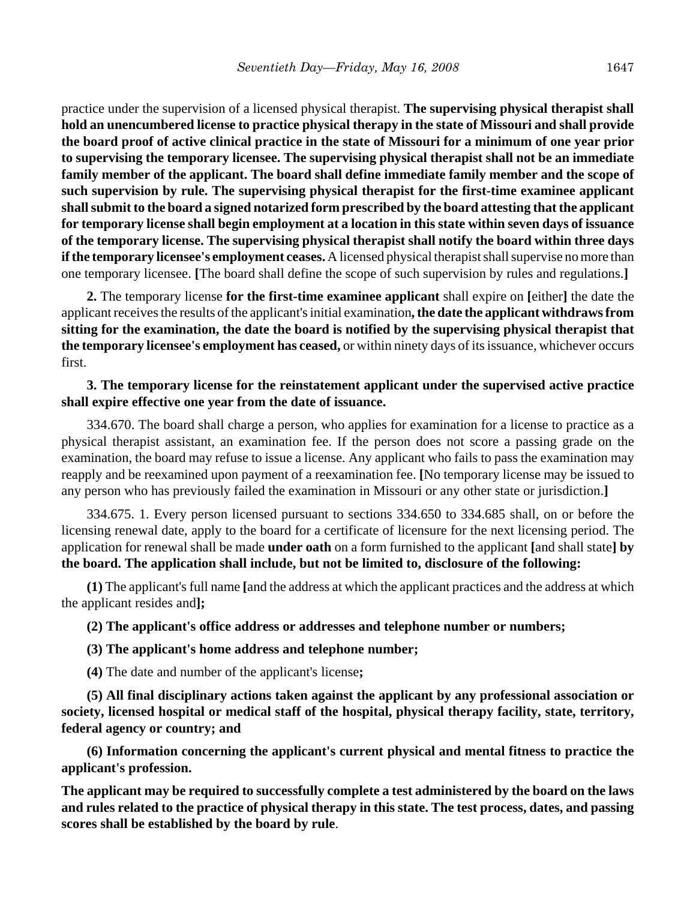practice under the supervision of a licensed physical therapist. **The supervising physical therapist shall hold an unencumbered license to practice physical therapy in the state of Missouri and shall provide the board proof of active clinical practice in the state of Missouri for a minimum of one year prior to supervising the temporary licensee. The supervising physical therapist shall not be an immediate family member of the applicant. The board shall define immediate family member and the scope of such supervision by rule. The supervising physical therapist for the first-time examinee applicant shall submit to the board a signed notarized form prescribed by the board attesting that the applicant for temporary license shall begin employment at a location in this state within seven days of issuance of the temporary license. The supervising physical therapist shall notify the board within three days if the temporary licensee's employment ceases.** A licensed physical therapist shall supervise no more than one temporary licensee. **[**The board shall define the scope of such supervision by rules and regulations.**]**

**2.** The temporary license **for the first-time examinee applicant** shall expire on **[**either**]** the date the applicant receives the results of the applicant's initial examination**, the date the applicant withdraws from sitting for the examination, the date the board is notified by the supervising physical therapist that the temporary licensee's employment has ceased,** or within ninety days of its issuance, whichever occurs first.

#### **3. The temporary license for the reinstatement applicant under the supervised active practice shall expire effective one year from the date of issuance.**

334.670. The board shall charge a person, who applies for examination for a license to practice as a physical therapist assistant, an examination fee. If the person does not score a passing grade on the examination, the board may refuse to issue a license. Any applicant who fails to pass the examination may reapply and be reexamined upon payment of a reexamination fee. **[**No temporary license may be issued to any person who has previously failed the examination in Missouri or any other state or jurisdiction.**]**

334.675. 1. Every person licensed pursuant to sections 334.650 to 334.685 shall, on or before the licensing renewal date, apply to the board for a certificate of licensure for the next licensing period. The application for renewal shall be made **under oath** on a form furnished to the applicant **[**and shall state**] by the board. The application shall include, but not be limited to, disclosure of the following:**

**(1)** The applicant's full name **[**and the address at which the applicant practices and the address at which the applicant resides and**];**

## **(2) The applicant's office address or addresses and telephone number or numbers;**

## **(3) The applicant's home address and telephone number;**

**(4)** The date and number of the applicant's license**;**

**(5) All final disciplinary actions taken against the applicant by any professional association or society, licensed hospital or medical staff of the hospital, physical therapy facility, state, territory, federal agency or country; and**

**(6) Information concerning the applicant's current physical and mental fitness to practice the applicant's profession.**

**The applicant may be required to successfully complete a test administered by the board on the laws and rules related to the practice of physical therapy in this state. The test process, dates, and passing scores shall be established by the board by rule**.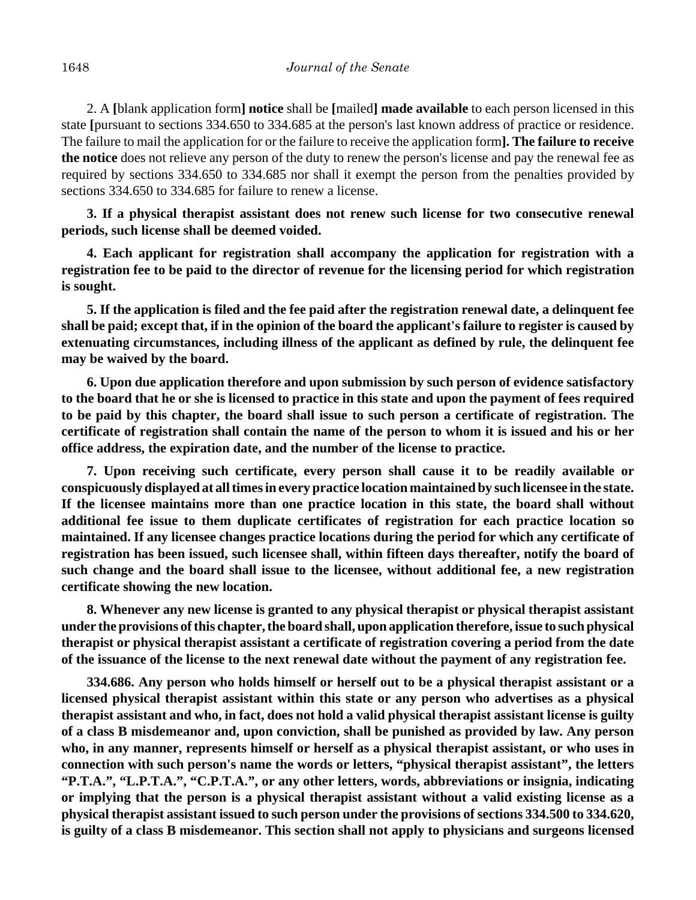2. A **[**blank application form**] notice** shall be **[**mailed**] made available** to each person licensed in this state **[**pursuant to sections 334.650 to 334.685 at the person's last known address of practice or residence. The failure to mail the application for or the failure to receive the application form**]. The failure to receive the notice** does not relieve any person of the duty to renew the person's license and pay the renewal fee as required by sections 334.650 to 334.685 nor shall it exempt the person from the penalties provided by sections 334.650 to 334.685 for failure to renew a license.

**3. If a physical therapist assistant does not renew such license for two consecutive renewal periods, such license shall be deemed voided.**

**4. Each applicant for registration shall accompany the application for registration with a registration fee to be paid to the director of revenue for the licensing period for which registration is sought.**

**5. If the application is filed and the fee paid after the registration renewal date, a delinquent fee shall be paid; except that, if in the opinion of the board the applicant's failure to register is caused by extenuating circumstances, including illness of the applicant as defined by rule, the delinquent fee may be waived by the board.**

**6. Upon due application therefore and upon submission by such person of evidence satisfactory to the board that he or she is licensed to practice in this state and upon the payment of fees required to be paid by this chapter, the board shall issue to such person a certificate of registration. The certificate of registration shall contain the name of the person to whom it is issued and his or her office address, the expiration date, and the number of the license to practice.**

**7. Upon receiving such certificate, every person shall cause it to be readily available or conspicuously displayed at all times in every practice location maintained by such licensee in the state. If the licensee maintains more than one practice location in this state, the board shall without additional fee issue to them duplicate certificates of registration for each practice location so maintained. If any licensee changes practice locations during the period for which any certificate of registration has been issued, such licensee shall, within fifteen days thereafter, notify the board of such change and the board shall issue to the licensee, without additional fee, a new registration certificate showing the new location.**

**8. Whenever any new license is granted to any physical therapist or physical therapist assistant under the provisions of this chapter, the board shall, upon application therefore, issue to such physical therapist or physical therapist assistant a certificate of registration covering a period from the date of the issuance of the license to the next renewal date without the payment of any registration fee.**

**334.686. Any person who holds himself or herself out to be a physical therapist assistant or a licensed physical therapist assistant within this state or any person who advertises as a physical therapist assistant and who, in fact, does not hold a valid physical therapist assistant license is guilty of a class B misdemeanor and, upon conviction, shall be punished as provided by law. Any person who, in any manner, represents himself or herself as a physical therapist assistant, or who uses in connection with such person's name the words or letters, "physical therapist assistant", the letters "P.T.A.", "L.P.T.A.", "C.P.T.A.", or any other letters, words, abbreviations or insignia, indicating or implying that the person is a physical therapist assistant without a valid existing license as a physical therapist assistant issued to such person under the provisions of sections 334.500 to 334.620, is guilty of a class B misdemeanor. This section shall not apply to physicians and surgeons licensed**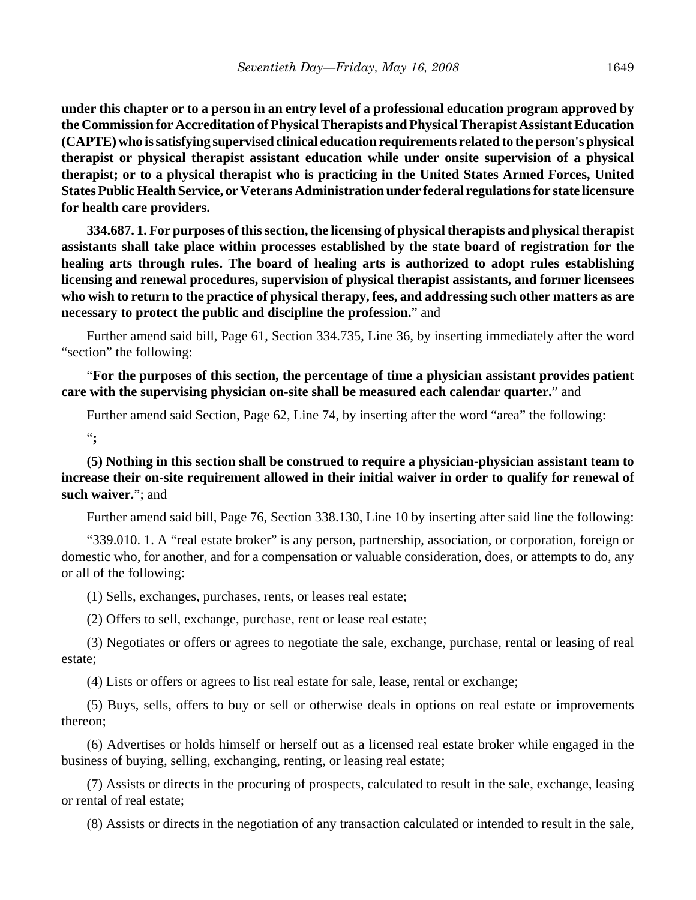**under this chapter or to a person in an entry level of a professional education program approved by the Commission for Accreditation of Physical Therapists and Physical Therapist Assistant Education (CAPTE) who is satisfying supervised clinical education requirements related to the person's physical therapist or physical therapist assistant education while under onsite supervision of a physical therapist; or to a physical therapist who is practicing in the United States Armed Forces, United States Public Health Service, or Veterans Administration under federal regulations for state licensure for health care providers.**

**334.687. 1. For purposes of this section, the licensing of physical therapists and physical therapist assistants shall take place within processes established by the state board of registration for the healing arts through rules. The board of healing arts is authorized to adopt rules establishing licensing and renewal procedures, supervision of physical therapist assistants, and former licensees who wish to return to the practice of physical therapy, fees, and addressing such other matters as are necessary to protect the public and discipline the profession.**" and

Further amend said bill, Page 61, Section 334.735, Line 36, by inserting immediately after the word "section" the following:

"**For the purposes of this section, the percentage of time a physician assistant provides patient care with the supervising physician on-site shall be measured each calendar quarter.**" and

Further amend said Section, Page 62, Line 74, by inserting after the word "area" the following:

"**;**

**(5) Nothing in this section shall be construed to require a physician-physician assistant team to increase their on-site requirement allowed in their initial waiver in order to qualify for renewal of such waiver.**"; and

Further amend said bill, Page 76, Section 338.130, Line 10 by inserting after said line the following:

"339.010. 1. A "real estate broker" is any person, partnership, association, or corporation, foreign or domestic who, for another, and for a compensation or valuable consideration, does, or attempts to do, any or all of the following:

(1) Sells, exchanges, purchases, rents, or leases real estate;

(2) Offers to sell, exchange, purchase, rent or lease real estate;

(3) Negotiates or offers or agrees to negotiate the sale, exchange, purchase, rental or leasing of real estate;

(4) Lists or offers or agrees to list real estate for sale, lease, rental or exchange;

(5) Buys, sells, offers to buy or sell or otherwise deals in options on real estate or improvements thereon;

(6) Advertises or holds himself or herself out as a licensed real estate broker while engaged in the business of buying, selling, exchanging, renting, or leasing real estate;

(7) Assists or directs in the procuring of prospects, calculated to result in the sale, exchange, leasing or rental of real estate;

(8) Assists or directs in the negotiation of any transaction calculated or intended to result in the sale,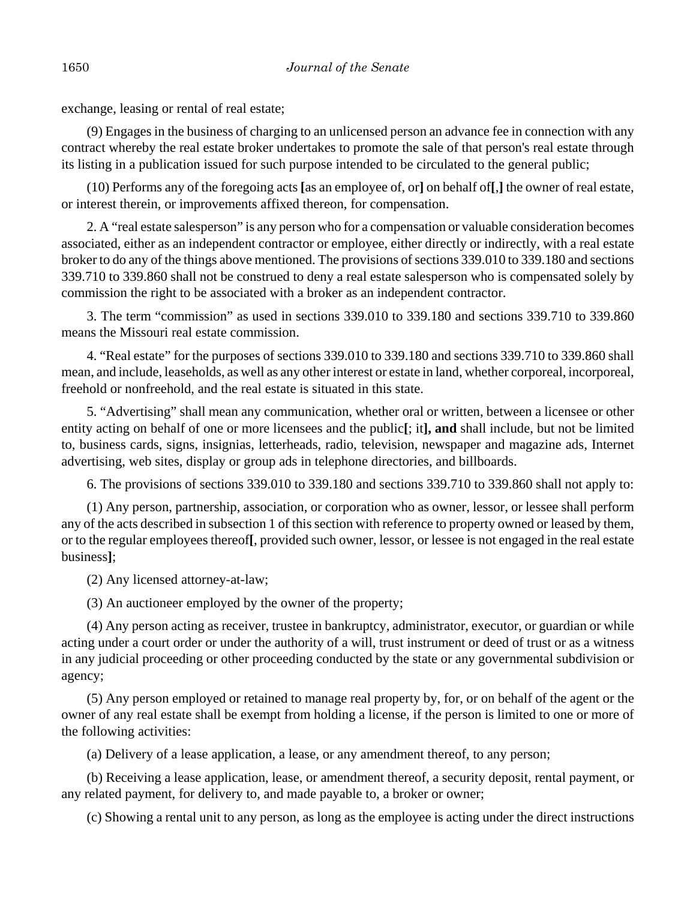exchange, leasing or rental of real estate;

(9) Engages in the business of charging to an unlicensed person an advance fee in connection with any contract whereby the real estate broker undertakes to promote the sale of that person's real estate through its listing in a publication issued for such purpose intended to be circulated to the general public;

(10) Performs any of the foregoing acts **[**as an employee of, or**]** on behalf of**[**,**]** the owner of real estate, or interest therein, or improvements affixed thereon, for compensation.

2. A "real estate salesperson" is any person who for a compensation or valuable consideration becomes associated, either as an independent contractor or employee, either directly or indirectly, with a real estate broker to do any of the things above mentioned. The provisions of sections 339.010 to 339.180 and sections 339.710 to 339.860 shall not be construed to deny a real estate salesperson who is compensated solely by commission the right to be associated with a broker as an independent contractor.

3. The term "commission" as used in sections 339.010 to 339.180 and sections 339.710 to 339.860 means the Missouri real estate commission.

4. "Real estate" for the purposes of sections 339.010 to 339.180 and sections 339.710 to 339.860 shall mean, and include, leaseholds, as well as any other interest or estate in land, whether corporeal, incorporeal, freehold or nonfreehold, and the real estate is situated in this state.

5. "Advertising" shall mean any communication, whether oral or written, between a licensee or other entity acting on behalf of one or more licensees and the public**[**; it**], and** shall include, but not be limited to, business cards, signs, insignias, letterheads, radio, television, newspaper and magazine ads, Internet advertising, web sites, display or group ads in telephone directories, and billboards.

6. The provisions of sections 339.010 to 339.180 and sections 339.710 to 339.860 shall not apply to:

(1) Any person, partnership, association, or corporation who as owner, lessor, or lessee shall perform any of the acts described in subsection 1 of this section with reference to property owned or leased by them, or to the regular employees thereof**[**, provided such owner, lessor, or lessee is not engaged in the real estate business**]**;

(2) Any licensed attorney-at-law;

(3) An auctioneer employed by the owner of the property;

(4) Any person acting as receiver, trustee in bankruptcy, administrator, executor, or guardian or while acting under a court order or under the authority of a will, trust instrument or deed of trust or as a witness in any judicial proceeding or other proceeding conducted by the state or any governmental subdivision or agency;

(5) Any person employed or retained to manage real property by, for, or on behalf of the agent or the owner of any real estate shall be exempt from holding a license, if the person is limited to one or more of the following activities:

(a) Delivery of a lease application, a lease, or any amendment thereof, to any person;

(b) Receiving a lease application, lease, or amendment thereof, a security deposit, rental payment, or any related payment, for delivery to, and made payable to, a broker or owner;

(c) Showing a rental unit to any person, as long as the employee is acting under the direct instructions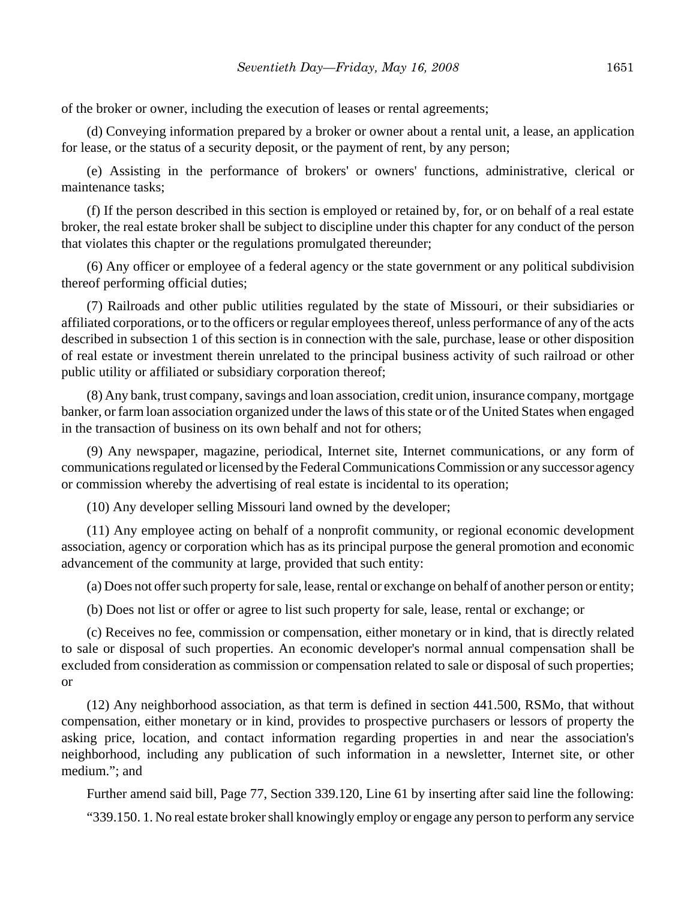of the broker or owner, including the execution of leases or rental agreements;

(d) Conveying information prepared by a broker or owner about a rental unit, a lease, an application for lease, or the status of a security deposit, or the payment of rent, by any person;

(e) Assisting in the performance of brokers' or owners' functions, administrative, clerical or maintenance tasks;

(f) If the person described in this section is employed or retained by, for, or on behalf of a real estate broker, the real estate broker shall be subject to discipline under this chapter for any conduct of the person that violates this chapter or the regulations promulgated thereunder;

(6) Any officer or employee of a federal agency or the state government or any political subdivision thereof performing official duties;

(7) Railroads and other public utilities regulated by the state of Missouri, or their subsidiaries or affiliated corporations, or to the officers or regular employees thereof, unless performance of any of the acts described in subsection 1 of this section is in connection with the sale, purchase, lease or other disposition of real estate or investment therein unrelated to the principal business activity of such railroad or other public utility or affiliated or subsidiary corporation thereof;

(8) Any bank, trust company, savings and loan association, credit union, insurance company, mortgage banker, or farm loan association organized under the laws of this state or of the United States when engaged in the transaction of business on its own behalf and not for others;

(9) Any newspaper, magazine, periodical, Internet site, Internet communications, or any form of communications regulated or licensed by the Federal Communications Commission or any successor agency or commission whereby the advertising of real estate is incidental to its operation;

(10) Any developer selling Missouri land owned by the developer;

(11) Any employee acting on behalf of a nonprofit community, or regional economic development association, agency or corporation which has as its principal purpose the general promotion and economic advancement of the community at large, provided that such entity:

(a) Does not offer such property for sale, lease, rental or exchange on behalf of another person or entity;

(b) Does not list or offer or agree to list such property for sale, lease, rental or exchange; or

(c) Receives no fee, commission or compensation, either monetary or in kind, that is directly related to sale or disposal of such properties. An economic developer's normal annual compensation shall be excluded from consideration as commission or compensation related to sale or disposal of such properties; or

(12) Any neighborhood association, as that term is defined in section 441.500, RSMo, that without compensation, either monetary or in kind, provides to prospective purchasers or lessors of property the asking price, location, and contact information regarding properties in and near the association's neighborhood, including any publication of such information in a newsletter, Internet site, or other medium."; and

Further amend said bill, Page 77, Section 339.120, Line 61 by inserting after said line the following:

"339.150. 1. No real estate broker shall knowingly employ or engage any person to perform any service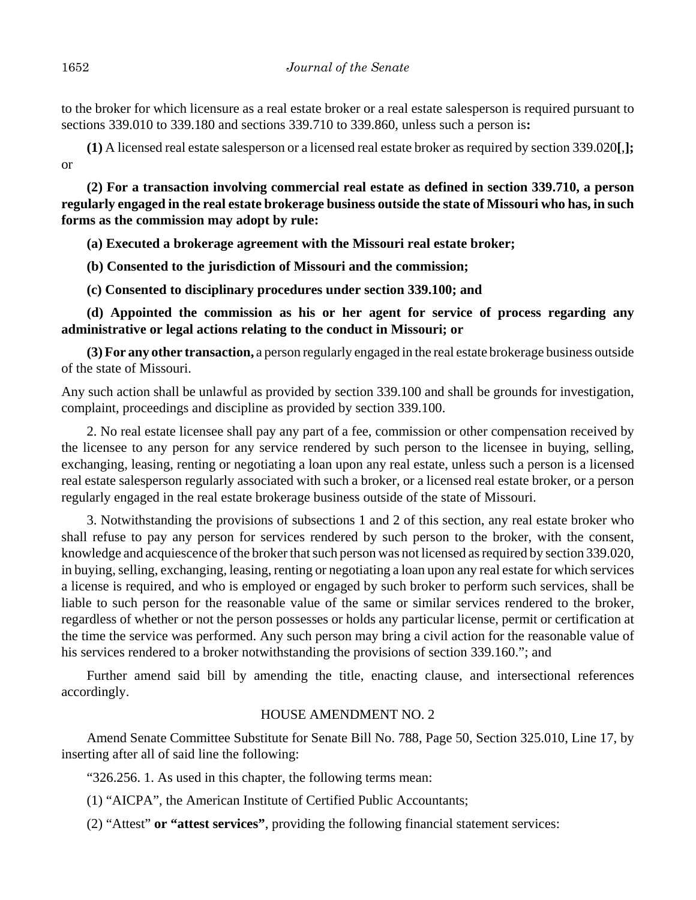to the broker for which licensure as a real estate broker or a real estate salesperson is required pursuant to sections 339.010 to 339.180 and sections 339.710 to 339.860, unless such a person is**:**

**(1)** A licensed real estate salesperson or a licensed real estate broker as required by section 339.020**[**,**];** or

**(2) For a transaction involving commercial real estate as defined in section 339.710, a person regularly engaged in the real estate brokerage business outside the state of Missouri who has, in such forms as the commission may adopt by rule:**

**(a) Executed a brokerage agreement with the Missouri real estate broker;**

**(b) Consented to the jurisdiction of Missouri and the commission;**

**(c) Consented to disciplinary procedures under section 339.100; and**

**(d) Appointed the commission as his or her agent for service of process regarding any administrative or legal actions relating to the conduct in Missouri; or**

**(3) For any other transaction,** a person regularly engaged in the real estate brokerage business outside of the state of Missouri.

Any such action shall be unlawful as provided by section 339.100 and shall be grounds for investigation, complaint, proceedings and discipline as provided by section 339.100.

2. No real estate licensee shall pay any part of a fee, commission or other compensation received by the licensee to any person for any service rendered by such person to the licensee in buying, selling, exchanging, leasing, renting or negotiating a loan upon any real estate, unless such a person is a licensed real estate salesperson regularly associated with such a broker, or a licensed real estate broker, or a person regularly engaged in the real estate brokerage business outside of the state of Missouri.

3. Notwithstanding the provisions of subsections 1 and 2 of this section, any real estate broker who shall refuse to pay any person for services rendered by such person to the broker, with the consent, knowledge and acquiescence of the broker that such person was not licensed as required by section 339.020, in buying, selling, exchanging, leasing, renting or negotiating a loan upon any real estate for which services a license is required, and who is employed or engaged by such broker to perform such services, shall be liable to such person for the reasonable value of the same or similar services rendered to the broker, regardless of whether or not the person possesses or holds any particular license, permit or certification at the time the service was performed. Any such person may bring a civil action for the reasonable value of his services rendered to a broker notwithstanding the provisions of section 339.160."; and

Further amend said bill by amending the title, enacting clause, and intersectional references accordingly.

## HOUSE AMENDMENT NO. 2

Amend Senate Committee Substitute for Senate Bill No. 788, Page 50, Section 325.010, Line 17, by inserting after all of said line the following:

"326.256. 1. As used in this chapter, the following terms mean:

(1) "AICPA", the American Institute of Certified Public Accountants;

(2) "Attest" **or "attest services"**, providing the following financial statement services: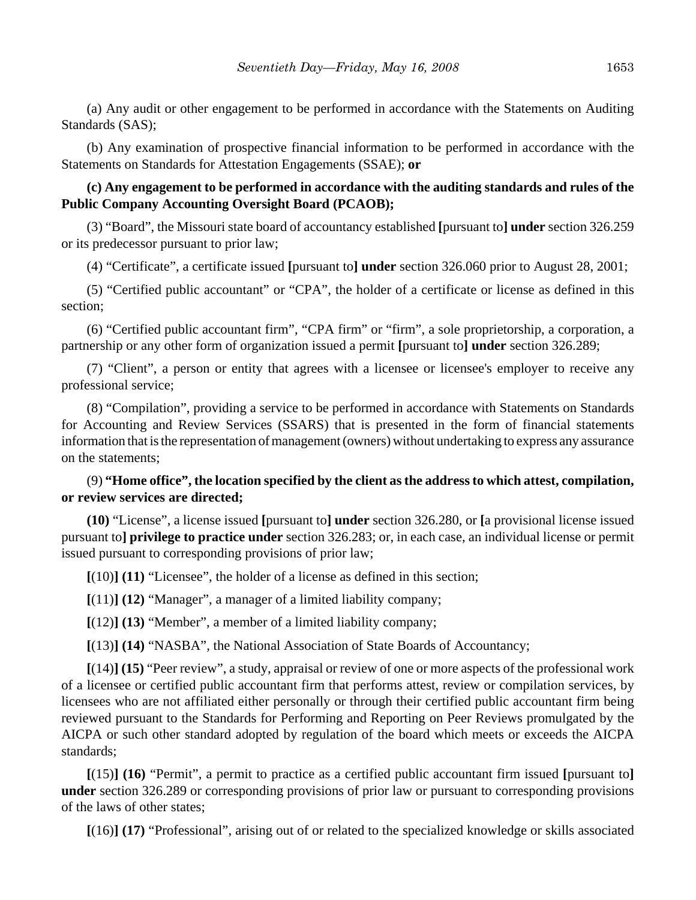(a) Any audit or other engagement to be performed in accordance with the Statements on Auditing Standards (SAS);

(b) Any examination of prospective financial information to be performed in accordance with the Statements on Standards for Attestation Engagements (SSAE); **or**

## **(c) Any engagement to be performed in accordance with the auditing standards and rules of the Public Company Accounting Oversight Board (PCAOB);**

(3) "Board", the Missouri state board of accountancy established **[**pursuant to**] under** section 326.259 or its predecessor pursuant to prior law;

(4) "Certificate", a certificate issued **[**pursuant to**] under** section 326.060 prior to August 28, 2001;

(5) "Certified public accountant" or "CPA", the holder of a certificate or license as defined in this section;

(6) "Certified public accountant firm", "CPA firm" or "firm", a sole proprietorship, a corporation, a partnership or any other form of organization issued a permit **[**pursuant to**] under** section 326.289;

(7) "Client", a person or entity that agrees with a licensee or licensee's employer to receive any professional service;

(8) "Compilation", providing a service to be performed in accordance with Statements on Standards for Accounting and Review Services (SSARS) that is presented in the form of financial statements information that is the representation of management (owners) without undertaking to express any assurance on the statements;

## (9) **"Home office", the location specified by the client as the address to which attest, compilation, or review services are directed;**

**(10)** "License", a license issued **[**pursuant to**] under** section 326.280, or **[**a provisional license issued pursuant to**] privilege to practice under** section 326.283; or, in each case, an individual license or permit issued pursuant to corresponding provisions of prior law;

**[**(10)**] (11)** "Licensee", the holder of a license as defined in this section;

**[**(11)**] (12)** "Manager", a manager of a limited liability company;

**[**(12)**] (13)** "Member", a member of a limited liability company;

**[**(13)**] (14)** "NASBA", the National Association of State Boards of Accountancy;

**[**(14)**] (15)** "Peer review", a study, appraisal or review of one or more aspects of the professional work of a licensee or certified public accountant firm that performs attest, review or compilation services, by licensees who are not affiliated either personally or through their certified public accountant firm being reviewed pursuant to the Standards for Performing and Reporting on Peer Reviews promulgated by the AICPA or such other standard adopted by regulation of the board which meets or exceeds the AICPA standards;

**[**(15)**] (16)** "Permit", a permit to practice as a certified public accountant firm issued **[**pursuant to**] under** section 326.289 or corresponding provisions of prior law or pursuant to corresponding provisions of the laws of other states;

**[**(16)**] (17)** "Professional", arising out of or related to the specialized knowledge or skills associated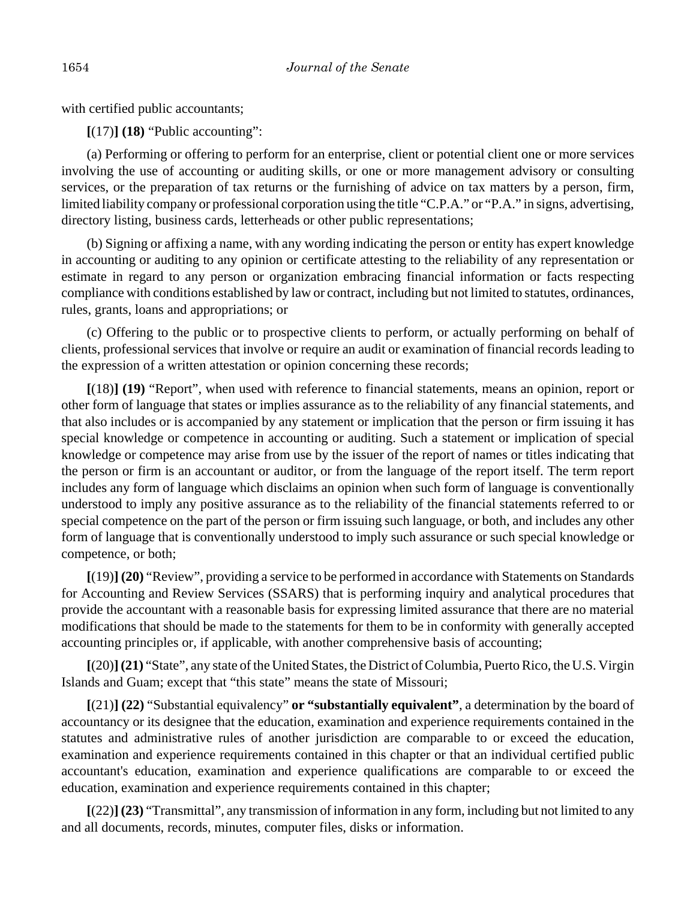with certified public accountants;

**[**(17)**] (18)** "Public accounting":

(a) Performing or offering to perform for an enterprise, client or potential client one or more services involving the use of accounting or auditing skills, or one or more management advisory or consulting services, or the preparation of tax returns or the furnishing of advice on tax matters by a person, firm, limited liability company or professional corporation using the title "C.P.A." or "P.A." in signs, advertising, directory listing, business cards, letterheads or other public representations;

(b) Signing or affixing a name, with any wording indicating the person or entity has expert knowledge in accounting or auditing to any opinion or certificate attesting to the reliability of any representation or estimate in regard to any person or organization embracing financial information or facts respecting compliance with conditions established by law or contract, including but not limited to statutes, ordinances, rules, grants, loans and appropriations; or

(c) Offering to the public or to prospective clients to perform, or actually performing on behalf of clients, professional services that involve or require an audit or examination of financial records leading to the expression of a written attestation or opinion concerning these records;

**[**(18)**] (19)** "Report", when used with reference to financial statements, means an opinion, report or other form of language that states or implies assurance as to the reliability of any financial statements, and that also includes or is accompanied by any statement or implication that the person or firm issuing it has special knowledge or competence in accounting or auditing. Such a statement or implication of special knowledge or competence may arise from use by the issuer of the report of names or titles indicating that the person or firm is an accountant or auditor, or from the language of the report itself. The term report includes any form of language which disclaims an opinion when such form of language is conventionally understood to imply any positive assurance as to the reliability of the financial statements referred to or special competence on the part of the person or firm issuing such language, or both, and includes any other form of language that is conventionally understood to imply such assurance or such special knowledge or competence, or both;

**[**(19)**] (20)** "Review", providing a service to be performed in accordance with Statements on Standards for Accounting and Review Services (SSARS) that is performing inquiry and analytical procedures that provide the accountant with a reasonable basis for expressing limited assurance that there are no material modifications that should be made to the statements for them to be in conformity with generally accepted accounting principles or, if applicable, with another comprehensive basis of accounting;

**[**(20)**](21)** "State", any state of the United States, the District of Columbia, Puerto Rico, the U.S. Virgin Islands and Guam; except that "this state" means the state of Missouri;

**[**(21)**] (22)** "Substantial equivalency" **or "substantially equivalent"**, a determination by the board of accountancy or its designee that the education, examination and experience requirements contained in the statutes and administrative rules of another jurisdiction are comparable to or exceed the education, examination and experience requirements contained in this chapter or that an individual certified public accountant's education, examination and experience qualifications are comparable to or exceed the education, examination and experience requirements contained in this chapter;

**[**(22)**] (23)** "Transmittal", any transmission of information in any form, including but not limited to any and all documents, records, minutes, computer files, disks or information.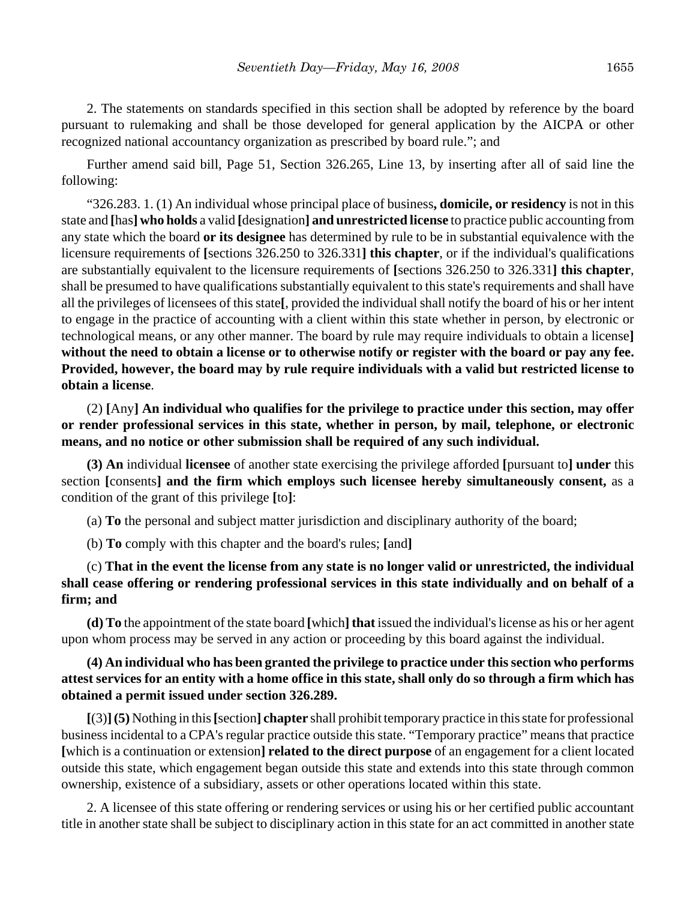2. The statements on standards specified in this section shall be adopted by reference by the board pursuant to rulemaking and shall be those developed for general application by the AICPA or other recognized national accountancy organization as prescribed by board rule."; and

Further amend said bill, Page 51, Section 326.265, Line 13, by inserting after all of said line the following:

"326.283. 1. (1) An individual whose principal place of business**, domicile, or residency** is not in this state and **[**has**] who holds** a valid **[**designation**] and unrestricted license** to practice public accounting from any state which the board **or its designee** has determined by rule to be in substantial equivalence with the licensure requirements of **[**sections 326.250 to 326.331**] this chapter**, or if the individual's qualifications are substantially equivalent to the licensure requirements of **[**sections 326.250 to 326.331**] this chapter**, shall be presumed to have qualifications substantially equivalent to this state's requirements and shall have all the privileges of licensees of this state**[**, provided the individual shall notify the board of his or her intent to engage in the practice of accounting with a client within this state whether in person, by electronic or technological means, or any other manner. The board by rule may require individuals to obtain a license**] without the need to obtain a license or to otherwise notify or register with the board or pay any fee. Provided, however, the board may by rule require individuals with a valid but restricted license to obtain a license**.

(2) **[**Any**] An individual who qualifies for the privilege to practice under this section, may offer or render professional services in this state, whether in person, by mail, telephone, or electronic means, and no notice or other submission shall be required of any such individual.**

**(3) An** individual **licensee** of another state exercising the privilege afforded **[**pursuant to**] under** this section **[**consents**] and the firm which employs such licensee hereby simultaneously consent,** as a condition of the grant of this privilege **[**to**]**:

(a) **To** the personal and subject matter jurisdiction and disciplinary authority of the board;

(b) **To** comply with this chapter and the board's rules; **[**and**]**

(c) **That in the event the license from any state is no longer valid or unrestricted, the individual shall cease offering or rendering professional services in this state individually and on behalf of a firm; and**

**(d) To** the appointment of the state board **[**which**] that** issued the individual's license as his or her agent upon whom process may be served in any action or proceeding by this board against the individual.

## **(4) An individual who has been granted the privilege to practice under this section who performs attest services for an entity with a home office in this state, shall only do so through a firm which has obtained a permit issued under section 326.289.**

**[**(3)**](5)** Nothing in this **[**section**] chapter** shall prohibit temporary practice in this state for professional business incidental to a CPA's regular practice outside this state. "Temporary practice" means that practice **[**which is a continuation or extension**] related to the direct purpose** of an engagement for a client located outside this state, which engagement began outside this state and extends into this state through common ownership, existence of a subsidiary, assets or other operations located within this state.

2. A licensee of this state offering or rendering services or using his or her certified public accountant title in another state shall be subject to disciplinary action in this state for an act committed in another state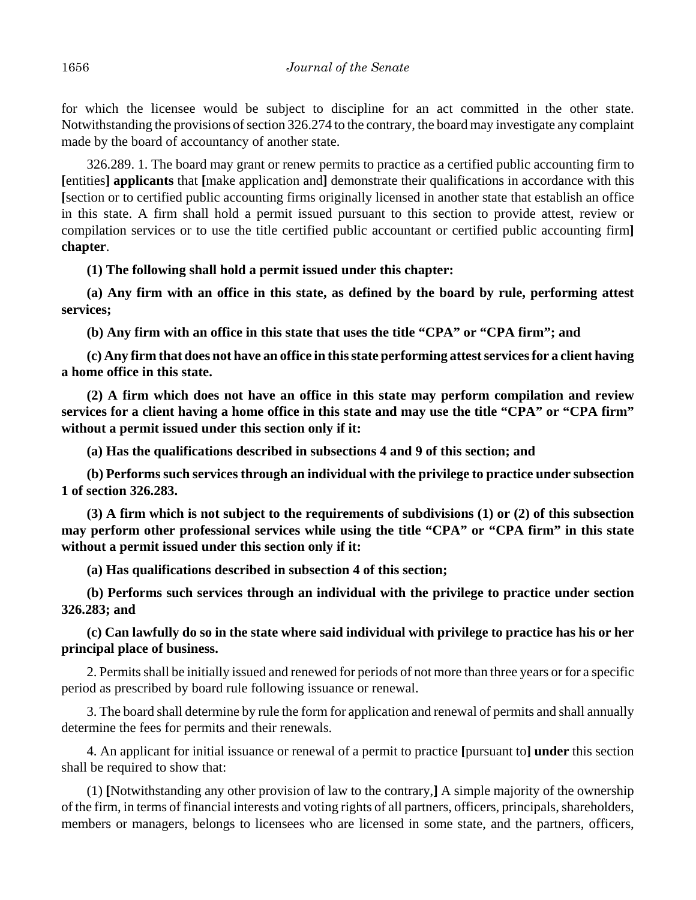for which the licensee would be subject to discipline for an act committed in the other state. Notwithstanding the provisions of section 326.274 to the contrary, the board may investigate any complaint made by the board of accountancy of another state.

326.289. 1. The board may grant or renew permits to practice as a certified public accounting firm to **[**entities**] applicants** that **[**make application and**]** demonstrate their qualifications in accordance with this **[**section or to certified public accounting firms originally licensed in another state that establish an office in this state. A firm shall hold a permit issued pursuant to this section to provide attest, review or compilation services or to use the title certified public accountant or certified public accounting firm**] chapter**.

**(1) The following shall hold a permit issued under this chapter:**

**(a) Any firm with an office in this state, as defined by the board by rule, performing attest services;**

**(b) Any firm with an office in this state that uses the title "CPA" or "CPA firm"; and**

**(c) Any firm that does not have an office in this state performing attest services for a client having a home office in this state.**

**(2) A firm which does not have an office in this state may perform compilation and review services for a client having a home office in this state and may use the title "CPA" or "CPA firm" without a permit issued under this section only if it:**

**(a) Has the qualifications described in subsections 4 and 9 of this section; and**

**(b) Performs such services through an individual with the privilege to practice under subsection 1 of section 326.283.**

**(3) A firm which is not subject to the requirements of subdivisions (1) or (2) of this subsection may perform other professional services while using the title "CPA" or "CPA firm" in this state without a permit issued under this section only if it:**

**(a) Has qualifications described in subsection 4 of this section;**

**(b) Performs such services through an individual with the privilege to practice under section 326.283; and**

# **(c) Can lawfully do so in the state where said individual with privilege to practice has his or her principal place of business.**

2. Permits shall be initially issued and renewed for periods of not more than three years or for a specific period as prescribed by board rule following issuance or renewal.

3. The board shall determine by rule the form for application and renewal of permits and shall annually determine the fees for permits and their renewals.

4. An applicant for initial issuance or renewal of a permit to practice **[**pursuant to**] under** this section shall be required to show that:

(1) **[**Notwithstanding any other provision of law to the contrary,**]** A simple majority of the ownership of the firm, in terms of financial interests and voting rights of all partners, officers, principals, shareholders, members or managers, belongs to licensees who are licensed in some state, and the partners, officers,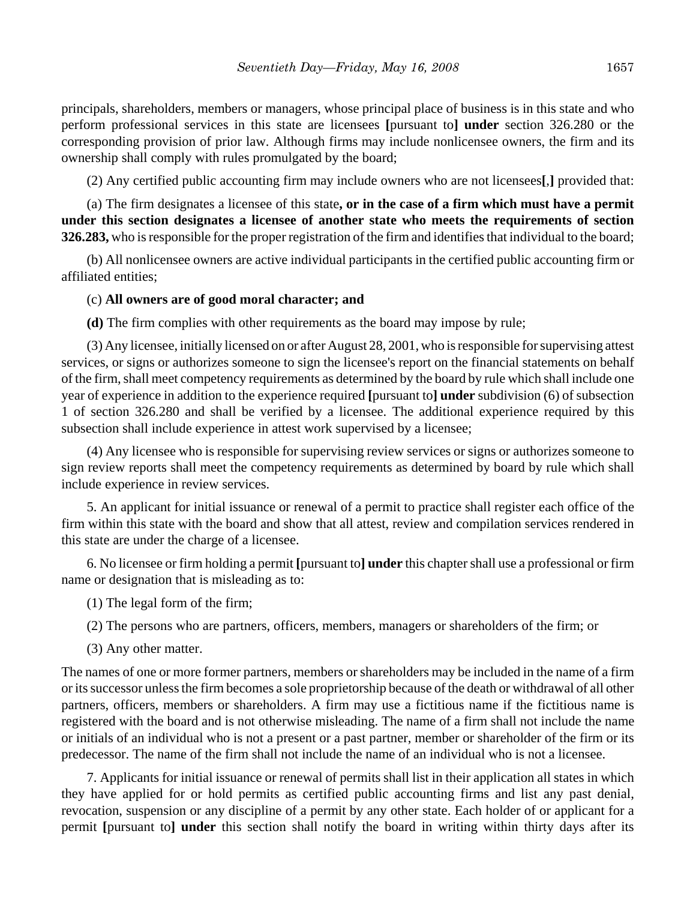principals, shareholders, members or managers, whose principal place of business is in this state and who perform professional services in this state are licensees **[**pursuant to**] under** section 326.280 or the corresponding provision of prior law. Although firms may include nonlicensee owners, the firm and its ownership shall comply with rules promulgated by the board;

(2) Any certified public accounting firm may include owners who are not licensees**[**,**]** provided that:

(a) The firm designates a licensee of this state**, or in the case of a firm which must have a permit under this section designates a licensee of another state who meets the requirements of section 326.283,** who is responsible for the proper registration of the firm and identifies that individual to the board;

(b) All nonlicensee owners are active individual participants in the certified public accounting firm or affiliated entities;

#### (c) **All owners are of good moral character; and**

**(d)** The firm complies with other requirements as the board may impose by rule;

(3) Any licensee, initially licensed on or after August 28, 2001, who is responsible for supervising attest services, or signs or authorizes someone to sign the licensee's report on the financial statements on behalf of the firm, shall meet competency requirements as determined by the board by rule which shall include one year of experience in addition to the experience required **[**pursuant to**] under** subdivision (6) of subsection 1 of section 326.280 and shall be verified by a licensee. The additional experience required by this subsection shall include experience in attest work supervised by a licensee;

(4) Any licensee who is responsible for supervising review services or signs or authorizes someone to sign review reports shall meet the competency requirements as determined by board by rule which shall include experience in review services.

5. An applicant for initial issuance or renewal of a permit to practice shall register each office of the firm within this state with the board and show that all attest, review and compilation services rendered in this state are under the charge of a licensee.

6. No licensee or firm holding a permit **[**pursuant to**] under** this chapter shall use a professional or firm name or designation that is misleading as to:

(1) The legal form of the firm;

- (2) The persons who are partners, officers, members, managers or shareholders of the firm; or
- (3) Any other matter.

The names of one or more former partners, members or shareholders may be included in the name of a firm or its successor unless the firm becomes a sole proprietorship because of the death or withdrawal of all other partners, officers, members or shareholders. A firm may use a fictitious name if the fictitious name is registered with the board and is not otherwise misleading. The name of a firm shall not include the name or initials of an individual who is not a present or a past partner, member or shareholder of the firm or its predecessor. The name of the firm shall not include the name of an individual who is not a licensee.

7. Applicants for initial issuance or renewal of permits shall list in their application all states in which they have applied for or hold permits as certified public accounting firms and list any past denial, revocation, suspension or any discipline of a permit by any other state. Each holder of or applicant for a permit **[**pursuant to**] under** this section shall notify the board in writing within thirty days after its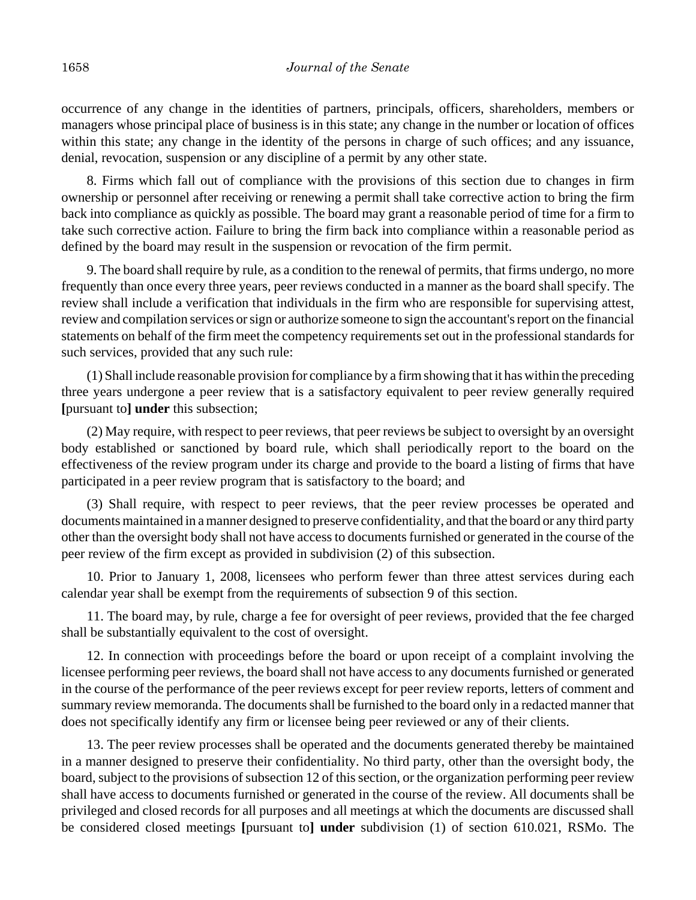occurrence of any change in the identities of partners, principals, officers, shareholders, members or managers whose principal place of business is in this state; any change in the number or location of offices within this state; any change in the identity of the persons in charge of such offices; and any issuance, denial, revocation, suspension or any discipline of a permit by any other state.

8. Firms which fall out of compliance with the provisions of this section due to changes in firm ownership or personnel after receiving or renewing a permit shall take corrective action to bring the firm back into compliance as quickly as possible. The board may grant a reasonable period of time for a firm to take such corrective action. Failure to bring the firm back into compliance within a reasonable period as defined by the board may result in the suspension or revocation of the firm permit.

9. The board shall require by rule, as a condition to the renewal of permits, that firms undergo, no more frequently than once every three years, peer reviews conducted in a manner as the board shall specify. The review shall include a verification that individuals in the firm who are responsible for supervising attest, review and compilation services or sign or authorize someone to sign the accountant's report on the financial statements on behalf of the firm meet the competency requirements set out in the professional standards for such services, provided that any such rule:

(1) Shall include reasonable provision for compliance by a firm showing that it has within the preceding three years undergone a peer review that is a satisfactory equivalent to peer review generally required **[**pursuant to**] under** this subsection;

(2) May require, with respect to peer reviews, that peer reviews be subject to oversight by an oversight body established or sanctioned by board rule, which shall periodically report to the board on the effectiveness of the review program under its charge and provide to the board a listing of firms that have participated in a peer review program that is satisfactory to the board; and

(3) Shall require, with respect to peer reviews, that the peer review processes be operated and documents maintained in a manner designed to preserve confidentiality, and that the board or any third party other than the oversight body shall not have access to documents furnished or generated in the course of the peer review of the firm except as provided in subdivision (2) of this subsection.

10. Prior to January 1, 2008, licensees who perform fewer than three attest services during each calendar year shall be exempt from the requirements of subsection 9 of this section.

11. The board may, by rule, charge a fee for oversight of peer reviews, provided that the fee charged shall be substantially equivalent to the cost of oversight.

12. In connection with proceedings before the board or upon receipt of a complaint involving the licensee performing peer reviews, the board shall not have access to any documents furnished or generated in the course of the performance of the peer reviews except for peer review reports, letters of comment and summary review memoranda. The documents shall be furnished to the board only in a redacted manner that does not specifically identify any firm or licensee being peer reviewed or any of their clients.

13. The peer review processes shall be operated and the documents generated thereby be maintained in a manner designed to preserve their confidentiality. No third party, other than the oversight body, the board, subject to the provisions of subsection 12 of this section, or the organization performing peer review shall have access to documents furnished or generated in the course of the review. All documents shall be privileged and closed records for all purposes and all meetings at which the documents are discussed shall be considered closed meetings **[**pursuant to**] under** subdivision (1) of section 610.021, RSMo. The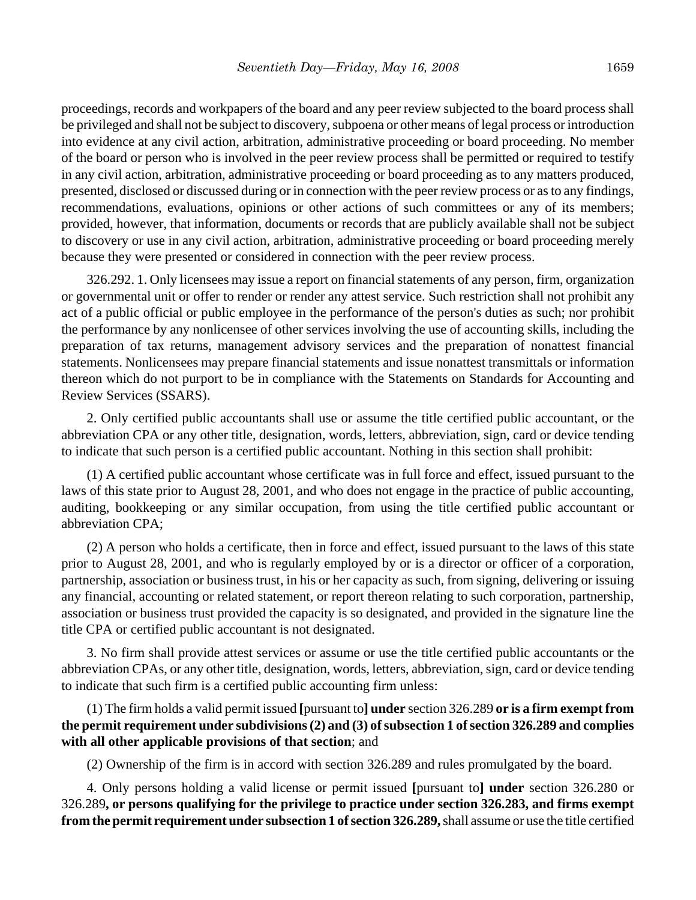proceedings, records and workpapers of the board and any peer review subjected to the board process shall be privileged and shall not be subject to discovery, subpoena or other means of legal process or introduction into evidence at any civil action, arbitration, administrative proceeding or board proceeding. No member of the board or person who is involved in the peer review process shall be permitted or required to testify in any civil action, arbitration, administrative proceeding or board proceeding as to any matters produced, presented, disclosed or discussed during or in connection with the peer review process or as to any findings, recommendations, evaluations, opinions or other actions of such committees or any of its members; provided, however, that information, documents or records that are publicly available shall not be subject to discovery or use in any civil action, arbitration, administrative proceeding or board proceeding merely because they were presented or considered in connection with the peer review process.

326.292. 1. Only licensees may issue a report on financial statements of any person, firm, organization or governmental unit or offer to render or render any attest service. Such restriction shall not prohibit any act of a public official or public employee in the performance of the person's duties as such; nor prohibit the performance by any nonlicensee of other services involving the use of accounting skills, including the preparation of tax returns, management advisory services and the preparation of nonattest financial statements. Nonlicensees may prepare financial statements and issue nonattest transmittals or information thereon which do not purport to be in compliance with the Statements on Standards for Accounting and Review Services (SSARS).

2. Only certified public accountants shall use or assume the title certified public accountant, or the abbreviation CPA or any other title, designation, words, letters, abbreviation, sign, card or device tending to indicate that such person is a certified public accountant. Nothing in this section shall prohibit:

(1) A certified public accountant whose certificate was in full force and effect, issued pursuant to the laws of this state prior to August 28, 2001, and who does not engage in the practice of public accounting, auditing, bookkeeping or any similar occupation, from using the title certified public accountant or abbreviation CPA;

(2) A person who holds a certificate, then in force and effect, issued pursuant to the laws of this state prior to August 28, 2001, and who is regularly employed by or is a director or officer of a corporation, partnership, association or business trust, in his or her capacity as such, from signing, delivering or issuing any financial, accounting or related statement, or report thereon relating to such corporation, partnership, association or business trust provided the capacity is so designated, and provided in the signature line the title CPA or certified public accountant is not designated.

3. No firm shall provide attest services or assume or use the title certified public accountants or the abbreviation CPAs, or any other title, designation, words, letters, abbreviation, sign, card or device tending to indicate that such firm is a certified public accounting firm unless:

(1) The firm holds a valid permit issued **[**pursuant to**] under** section 326.289 **or is a firm exempt from the permit requirement under subdivisions (2) and (3) of subsection 1 of section 326.289 and complies with all other applicable provisions of that section**; and

(2) Ownership of the firm is in accord with section 326.289 and rules promulgated by the board.

4. Only persons holding a valid license or permit issued **[**pursuant to**] under** section 326.280 or 326.289**, or persons qualifying for the privilege to practice under section 326.283, and firms exempt from the permit requirement under subsection 1 of section 326.289,** shall assume or use the title certified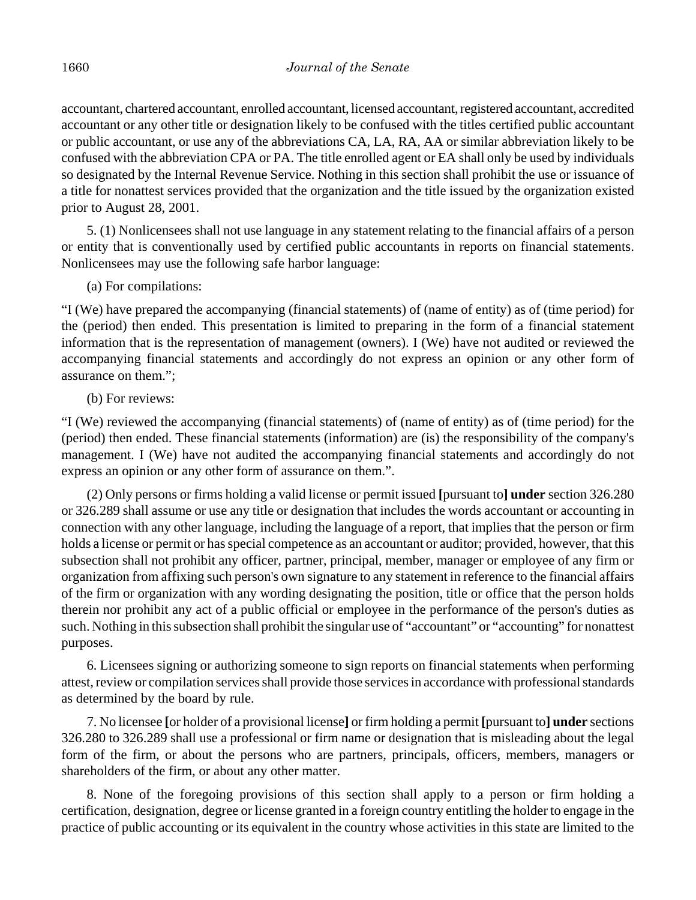accountant, chartered accountant, enrolled accountant, licensed accountant, registered accountant, accredited accountant or any other title or designation likely to be confused with the titles certified public accountant or public accountant, or use any of the abbreviations CA, LA, RA, AA or similar abbreviation likely to be confused with the abbreviation CPA or PA. The title enrolled agent or EA shall only be used by individuals so designated by the Internal Revenue Service. Nothing in this section shall prohibit the use or issuance of a title for nonattest services provided that the organization and the title issued by the organization existed prior to August 28, 2001.

5. (1) Nonlicensees shall not use language in any statement relating to the financial affairs of a person or entity that is conventionally used by certified public accountants in reports on financial statements. Nonlicensees may use the following safe harbor language:

(a) For compilations:

"I (We) have prepared the accompanying (financial statements) of (name of entity) as of (time period) for the (period) then ended. This presentation is limited to preparing in the form of a financial statement information that is the representation of management (owners). I (We) have not audited or reviewed the accompanying financial statements and accordingly do not express an opinion or any other form of assurance on them.";

(b) For reviews:

"I (We) reviewed the accompanying (financial statements) of (name of entity) as of (time period) for the (period) then ended. These financial statements (information) are (is) the responsibility of the company's management. I (We) have not audited the accompanying financial statements and accordingly do not express an opinion or any other form of assurance on them.".

(2) Only persons or firms holding a valid license or permit issued **[**pursuant to**] under** section 326.280 or 326.289 shall assume or use any title or designation that includes the words accountant or accounting in connection with any other language, including the language of a report, that implies that the person or firm holds a license or permit or has special competence as an accountant or auditor; provided, however, that this subsection shall not prohibit any officer, partner, principal, member, manager or employee of any firm or organization from affixing such person's own signature to any statement in reference to the financial affairs of the firm or organization with any wording designating the position, title or office that the person holds therein nor prohibit any act of a public official or employee in the performance of the person's duties as such. Nothing in this subsection shall prohibit the singular use of "accountant" or "accounting" for nonattest purposes.

6. Licensees signing or authorizing someone to sign reports on financial statements when performing attest, review or compilation services shall provide those services in accordance with professional standards as determined by the board by rule.

7. No licensee **[**or holder of a provisional license**]** or firm holding a permit **[**pursuant to**] under** sections 326.280 to 326.289 shall use a professional or firm name or designation that is misleading about the legal form of the firm, or about the persons who are partners, principals, officers, members, managers or shareholders of the firm, or about any other matter.

8. None of the foregoing provisions of this section shall apply to a person or firm holding a certification, designation, degree or license granted in a foreign country entitling the holder to engage in the practice of public accounting or its equivalent in the country whose activities in this state are limited to the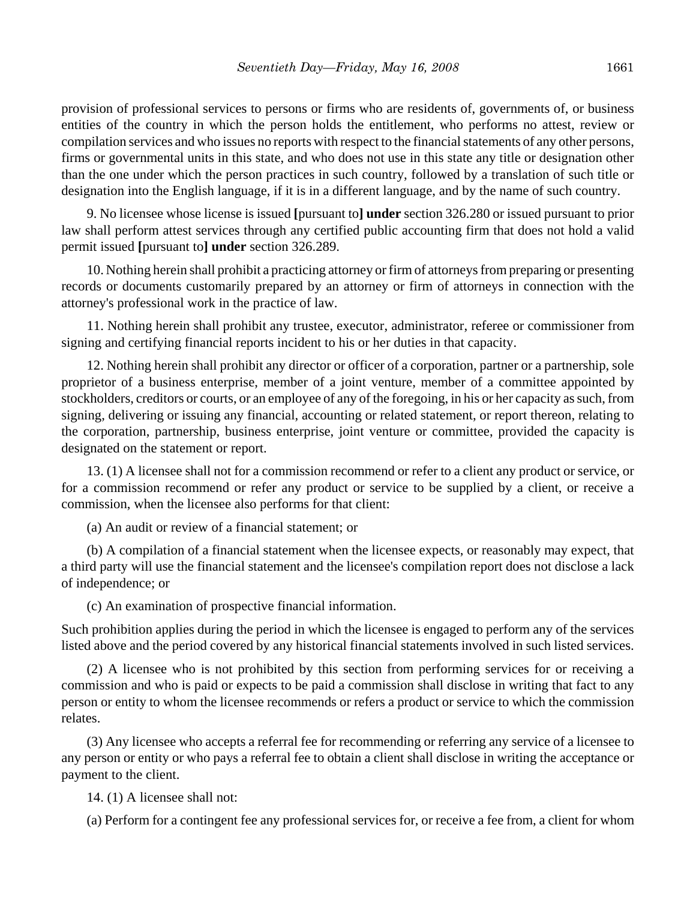provision of professional services to persons or firms who are residents of, governments of, or business entities of the country in which the person holds the entitlement, who performs no attest, review or compilation services and who issues no reports with respect to the financial statements of any other persons, firms or governmental units in this state, and who does not use in this state any title or designation other than the one under which the person practices in such country, followed by a translation of such title or designation into the English language, if it is in a different language, and by the name of such country.

9. No licensee whose license is issued **[**pursuant to**] under** section 326.280 or issued pursuant to prior law shall perform attest services through any certified public accounting firm that does not hold a valid permit issued **[**pursuant to**] under** section 326.289.

10. Nothing herein shall prohibit a practicing attorney or firm of attorneys from preparing or presenting records or documents customarily prepared by an attorney or firm of attorneys in connection with the attorney's professional work in the practice of law.

11. Nothing herein shall prohibit any trustee, executor, administrator, referee or commissioner from signing and certifying financial reports incident to his or her duties in that capacity.

12. Nothing herein shall prohibit any director or officer of a corporation, partner or a partnership, sole proprietor of a business enterprise, member of a joint venture, member of a committee appointed by stockholders, creditors or courts, or an employee of any of the foregoing, in his or her capacity as such, from signing, delivering or issuing any financial, accounting or related statement, or report thereon, relating to the corporation, partnership, business enterprise, joint venture or committee, provided the capacity is designated on the statement or report.

13. (1) A licensee shall not for a commission recommend or refer to a client any product or service, or for a commission recommend or refer any product or service to be supplied by a client, or receive a commission, when the licensee also performs for that client:

(a) An audit or review of a financial statement; or

(b) A compilation of a financial statement when the licensee expects, or reasonably may expect, that a third party will use the financial statement and the licensee's compilation report does not disclose a lack of independence; or

(c) An examination of prospective financial information.

Such prohibition applies during the period in which the licensee is engaged to perform any of the services listed above and the period covered by any historical financial statements involved in such listed services.

(2) A licensee who is not prohibited by this section from performing services for or receiving a commission and who is paid or expects to be paid a commission shall disclose in writing that fact to any person or entity to whom the licensee recommends or refers a product or service to which the commission relates.

(3) Any licensee who accepts a referral fee for recommending or referring any service of a licensee to any person or entity or who pays a referral fee to obtain a client shall disclose in writing the acceptance or payment to the client.

14. (1) A licensee shall not:

(a) Perform for a contingent fee any professional services for, or receive a fee from, a client for whom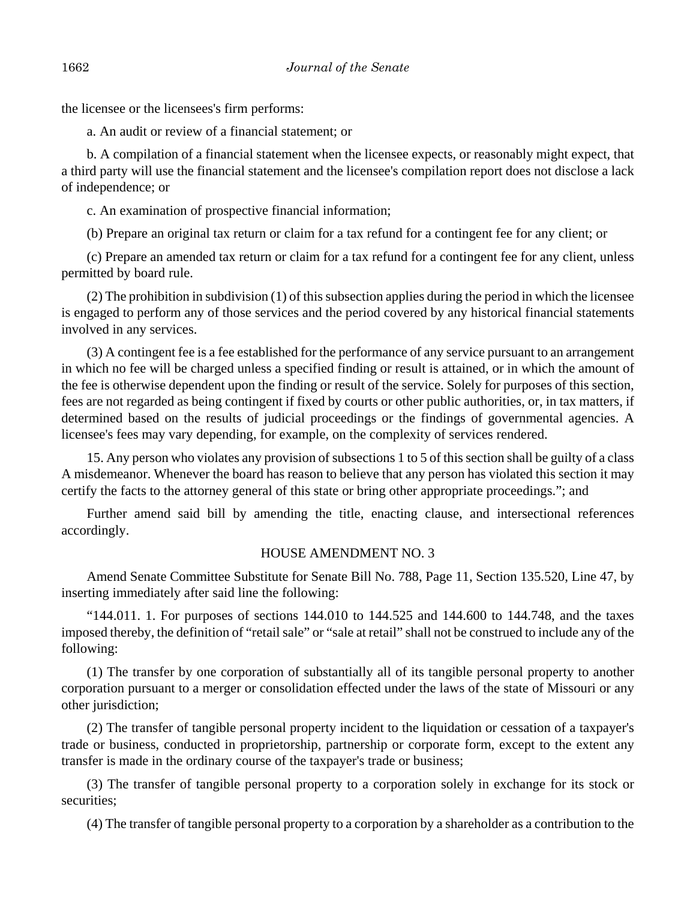the licensee or the licensees's firm performs:

a. An audit or review of a financial statement; or

b. A compilation of a financial statement when the licensee expects, or reasonably might expect, that a third party will use the financial statement and the licensee's compilation report does not disclose a lack of independence; or

c. An examination of prospective financial information;

(b) Prepare an original tax return or claim for a tax refund for a contingent fee for any client; or

(c) Prepare an amended tax return or claim for a tax refund for a contingent fee for any client, unless permitted by board rule.

(2) The prohibition in subdivision (1) of this subsection applies during the period in which the licensee is engaged to perform any of those services and the period covered by any historical financial statements involved in any services.

(3) A contingent fee is a fee established for the performance of any service pursuant to an arrangement in which no fee will be charged unless a specified finding or result is attained, or in which the amount of the fee is otherwise dependent upon the finding or result of the service. Solely for purposes of this section, fees are not regarded as being contingent if fixed by courts or other public authorities, or, in tax matters, if determined based on the results of judicial proceedings or the findings of governmental agencies. A licensee's fees may vary depending, for example, on the complexity of services rendered.

15. Any person who violates any provision of subsections 1 to 5 of this section shall be guilty of a class A misdemeanor. Whenever the board has reason to believe that any person has violated this section it may certify the facts to the attorney general of this state or bring other appropriate proceedings."; and

Further amend said bill by amending the title, enacting clause, and intersectional references accordingly.

## HOUSE AMENDMENT NO. 3

Amend Senate Committee Substitute for Senate Bill No. 788, Page 11, Section 135.520, Line 47, by inserting immediately after said line the following:

"144.011. 1. For purposes of sections 144.010 to 144.525 and 144.600 to 144.748, and the taxes imposed thereby, the definition of "retail sale" or "sale at retail" shall not be construed to include any of the following:

(1) The transfer by one corporation of substantially all of its tangible personal property to another corporation pursuant to a merger or consolidation effected under the laws of the state of Missouri or any other jurisdiction;

(2) The transfer of tangible personal property incident to the liquidation or cessation of a taxpayer's trade or business, conducted in proprietorship, partnership or corporate form, except to the extent any transfer is made in the ordinary course of the taxpayer's trade or business;

(3) The transfer of tangible personal property to a corporation solely in exchange for its stock or securities;

(4) The transfer of tangible personal property to a corporation by a shareholder as a contribution to the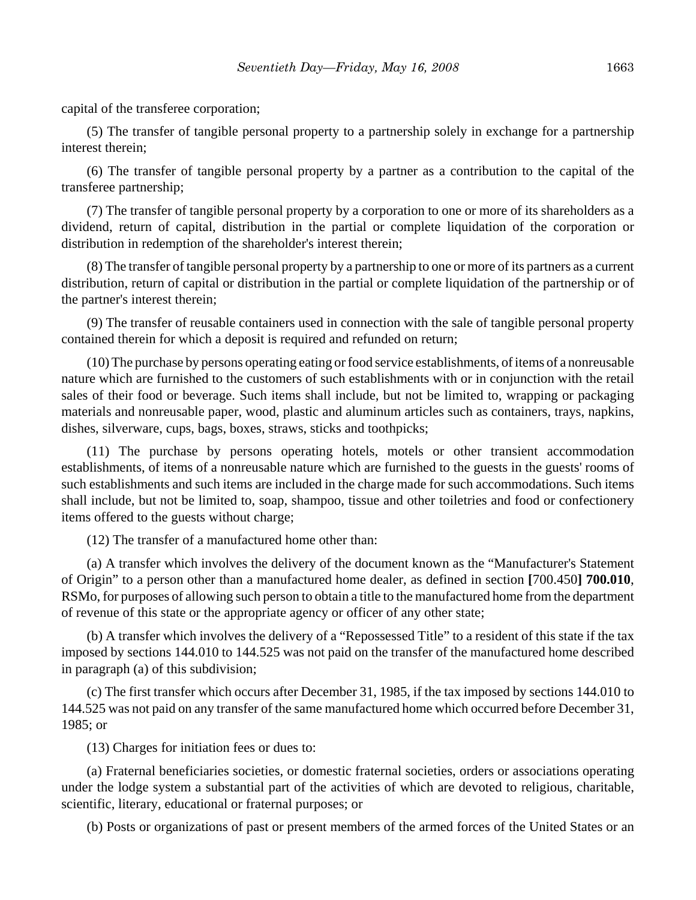capital of the transferee corporation;

(5) The transfer of tangible personal property to a partnership solely in exchange for a partnership interest therein;

(6) The transfer of tangible personal property by a partner as a contribution to the capital of the transferee partnership;

(7) The transfer of tangible personal property by a corporation to one or more of its shareholders as a dividend, return of capital, distribution in the partial or complete liquidation of the corporation or distribution in redemption of the shareholder's interest therein;

(8) The transfer of tangible personal property by a partnership to one or more of its partners as a current distribution, return of capital or distribution in the partial or complete liquidation of the partnership or of the partner's interest therein;

(9) The transfer of reusable containers used in connection with the sale of tangible personal property contained therein for which a deposit is required and refunded on return;

(10) The purchase by persons operating eating or food service establishments, of items of a nonreusable nature which are furnished to the customers of such establishments with or in conjunction with the retail sales of their food or beverage. Such items shall include, but not be limited to, wrapping or packaging materials and nonreusable paper, wood, plastic and aluminum articles such as containers, trays, napkins, dishes, silverware, cups, bags, boxes, straws, sticks and toothpicks;

(11) The purchase by persons operating hotels, motels or other transient accommodation establishments, of items of a nonreusable nature which are furnished to the guests in the guests' rooms of such establishments and such items are included in the charge made for such accommodations. Such items shall include, but not be limited to, soap, shampoo, tissue and other toiletries and food or confectionery items offered to the guests without charge;

(12) The transfer of a manufactured home other than:

(a) A transfer which involves the delivery of the document known as the "Manufacturer's Statement of Origin" to a person other than a manufactured home dealer, as defined in section **[**700.450**] 700.010**, RSMo, for purposes of allowing such person to obtain a title to the manufactured home from the department of revenue of this state or the appropriate agency or officer of any other state;

(b) A transfer which involves the delivery of a "Repossessed Title" to a resident of this state if the tax imposed by sections 144.010 to 144.525 was not paid on the transfer of the manufactured home described in paragraph (a) of this subdivision;

(c) The first transfer which occurs after December 31, 1985, if the tax imposed by sections 144.010 to 144.525 was not paid on any transfer of the same manufactured home which occurred before December 31, 1985; or

(13) Charges for initiation fees or dues to:

(a) Fraternal beneficiaries societies, or domestic fraternal societies, orders or associations operating under the lodge system a substantial part of the activities of which are devoted to religious, charitable, scientific, literary, educational or fraternal purposes; or

(b) Posts or organizations of past or present members of the armed forces of the United States or an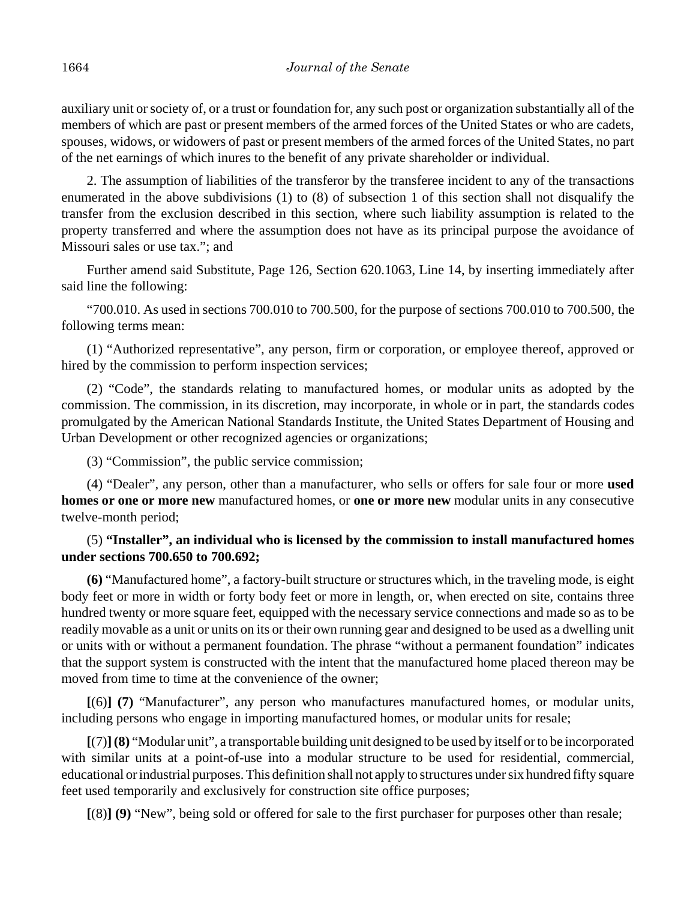auxiliary unit or society of, or a trust or foundation for, any such post or organization substantially all of the members of which are past or present members of the armed forces of the United States or who are cadets, spouses, widows, or widowers of past or present members of the armed forces of the United States, no part of the net earnings of which inures to the benefit of any private shareholder or individual.

2. The assumption of liabilities of the transferor by the transferee incident to any of the transactions enumerated in the above subdivisions (1) to (8) of subsection 1 of this section shall not disqualify the transfer from the exclusion described in this section, where such liability assumption is related to the property transferred and where the assumption does not have as its principal purpose the avoidance of Missouri sales or use tax."; and

Further amend said Substitute, Page 126, Section 620.1063, Line 14, by inserting immediately after said line the following:

 "700.010. As used in sections 700.010 to 700.500, for the purpose of sections 700.010 to 700.500, the following terms mean:

(1) "Authorized representative", any person, firm or corporation, or employee thereof, approved or hired by the commission to perform inspection services;

(2) "Code", the standards relating to manufactured homes, or modular units as adopted by the commission. The commission, in its discretion, may incorporate, in whole or in part, the standards codes promulgated by the American National Standards Institute, the United States Department of Housing and Urban Development or other recognized agencies or organizations;

(3) "Commission", the public service commission;

(4) "Dealer", any person, other than a manufacturer, who sells or offers for sale four or more **used homes or one or more new** manufactured homes, or **one or more new** modular units in any consecutive twelve-month period;

## (5) **"Installer", an individual who is licensed by the commission to install manufactured homes under sections 700.650 to 700.692;**

**(6)** "Manufactured home", a factory-built structure or structures which, in the traveling mode, is eight body feet or more in width or forty body feet or more in length, or, when erected on site, contains three hundred twenty or more square feet, equipped with the necessary service connections and made so as to be readily movable as a unit or units on its or their own running gear and designed to be used as a dwelling unit or units with or without a permanent foundation. The phrase "without a permanent foundation" indicates that the support system is constructed with the intent that the manufactured home placed thereon may be moved from time to time at the convenience of the owner;

**[**(6)**] (7)** "Manufacturer", any person who manufactures manufactured homes, or modular units, including persons who engage in importing manufactured homes, or modular units for resale;

**[**(7)**](8)** "Modular unit", a transportable building unit designed to be used by itself or to be incorporated with similar units at a point-of-use into a modular structure to be used for residential, commercial, educational or industrial purposes. This definition shall not apply to structures under six hundred fifty square feet used temporarily and exclusively for construction site office purposes;

**[**(8)**] (9)** "New", being sold or offered for sale to the first purchaser for purposes other than resale;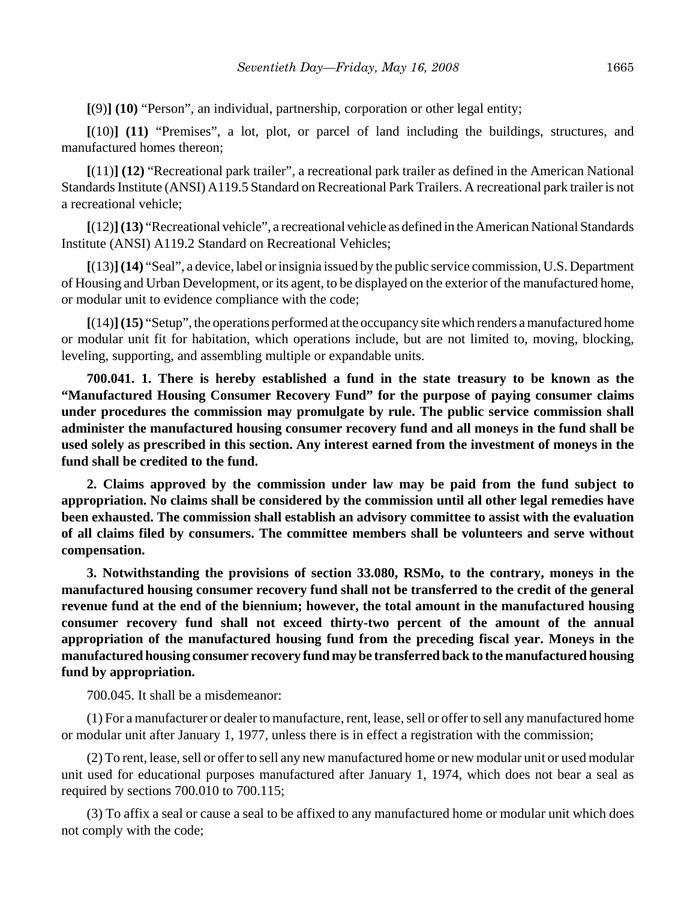**[**(9)**] (10)** "Person", an individual, partnership, corporation or other legal entity;

**[**(10)**] (11)** "Premises", a lot, plot, or parcel of land including the buildings, structures, and manufactured homes thereon;

**[**(11)**] (12)** "Recreational park trailer", a recreational park trailer as defined in the American National Standards Institute (ANSI) A119.5 Standard on Recreational Park Trailers. A recreational park trailer is not a recreational vehicle;

**[**(12)**](13)** "Recreational vehicle", a recreational vehicle as defined in the American National Standards Institute (ANSI) A119.2 Standard on Recreational Vehicles;

**[**(13)**](14)** "Seal", a device, label or insignia issued by the public service commission, U.S. Department of Housing and Urban Development, or its agent, to be displayed on the exterior of the manufactured home, or modular unit to evidence compliance with the code;

**[**(14)**](15)** "Setup", the operations performed at the occupancy site which renders a manufactured home or modular unit fit for habitation, which operations include, but are not limited to, moving, blocking, leveling, supporting, and assembling multiple or expandable units.

**700.041. 1. There is hereby established a fund in the state treasury to be known as the "Manufactured Housing Consumer Recovery Fund" for the purpose of paying consumer claims under procedures the commission may promulgate by rule. The public service commission shall administer the manufactured housing consumer recovery fund and all moneys in the fund shall be used solely as prescribed in this section. Any interest earned from the investment of moneys in the fund shall be credited to the fund.**

**2. Claims approved by the commission under law may be paid from the fund subject to appropriation. No claims shall be considered by the commission until all other legal remedies have been exhausted. The commission shall establish an advisory committee to assist with the evaluation of all claims filed by consumers. The committee members shall be volunteers and serve without compensation.**

**3. Notwithstanding the provisions of section 33.080, RSMo, to the contrary, moneys in the manufactured housing consumer recovery fund shall not be transferred to the credit of the general revenue fund at the end of the biennium; however, the total amount in the manufactured housing consumer recovery fund shall not exceed thirty-two percent of the amount of the annual appropriation of the manufactured housing fund from the preceding fiscal year. Moneys in the manufactured housing consumer recovery fund may be transferred back to the manufactured housing fund by appropriation.**

700.045. It shall be a misdemeanor:

(1) For a manufacturer or dealer to manufacture, rent, lease, sell or offer to sell any manufactured home or modular unit after January 1, 1977, unless there is in effect a registration with the commission;

(2) To rent, lease, sell or offer to sell any new manufactured home or new modular unit or used modular unit used for educational purposes manufactured after January 1, 1974, which does not bear a seal as required by sections 700.010 to 700.115;

(3) To affix a seal or cause a seal to be affixed to any manufactured home or modular unit which does not comply with the code;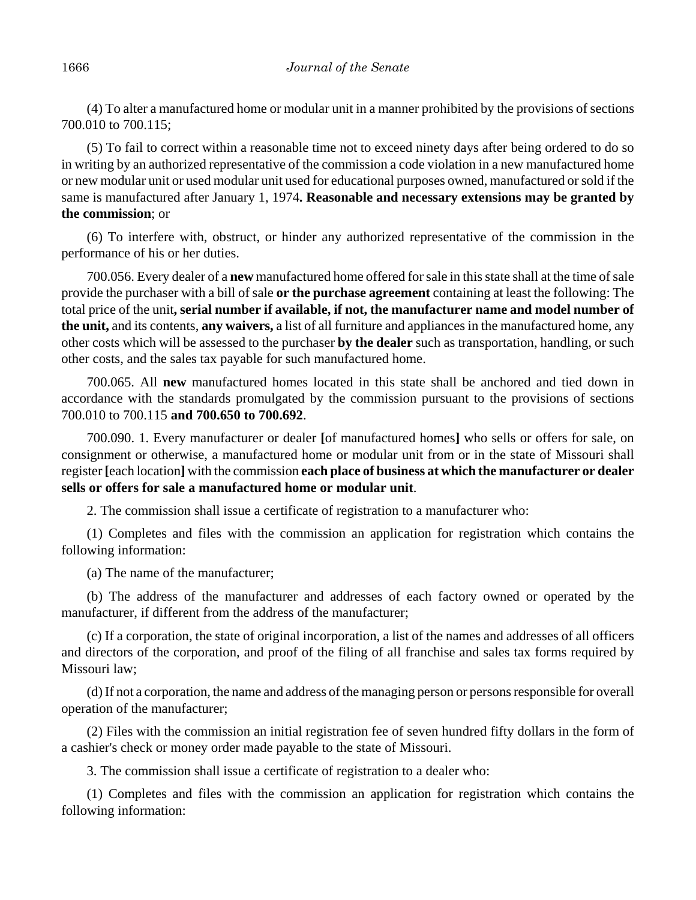(4) To alter a manufactured home or modular unit in a manner prohibited by the provisions of sections 700.010 to 700.115;

(5) To fail to correct within a reasonable time not to exceed ninety days after being ordered to do so in writing by an authorized representative of the commission a code violation in a new manufactured home or new modular unit or used modular unit used for educational purposes owned, manufactured or sold if the same is manufactured after January 1, 1974**. Reasonable and necessary extensions may be granted by the commission**; or

(6) To interfere with, obstruct, or hinder any authorized representative of the commission in the performance of his or her duties.

700.056. Every dealer of a **new** manufactured home offered for sale in this state shall at the time of sale provide the purchaser with a bill of sale **or the purchase agreement** containing at least the following: The total price of the unit**, serial number if available, if not, the manufacturer name and model number of the unit,** and its contents, **any waivers,** a list of all furniture and appliances in the manufactured home, any other costs which will be assessed to the purchaser **by the dealer** such as transportation, handling, or such other costs, and the sales tax payable for such manufactured home.

700.065. All **new** manufactured homes located in this state shall be anchored and tied down in accordance with the standards promulgated by the commission pursuant to the provisions of sections 700.010 to 700.115 **and 700.650 to 700.692**.

700.090. 1. Every manufacturer or dealer **[**of manufactured homes**]** who sells or offers for sale, on consignment or otherwise, a manufactured home or modular unit from or in the state of Missouri shall register **[**each location**]** with the commission **each place of business at which the manufacturer or dealer sells or offers for sale a manufactured home or modular unit**.

2. The commission shall issue a certificate of registration to a manufacturer who:

(1) Completes and files with the commission an application for registration which contains the following information:

(a) The name of the manufacturer;

(b) The address of the manufacturer and addresses of each factory owned or operated by the manufacturer, if different from the address of the manufacturer;

(c) If a corporation, the state of original incorporation, a list of the names and addresses of all officers and directors of the corporation, and proof of the filing of all franchise and sales tax forms required by Missouri law;

(d) If not a corporation, the name and address of the managing person or persons responsible for overall operation of the manufacturer;

(2) Files with the commission an initial registration fee of seven hundred fifty dollars in the form of a cashier's check or money order made payable to the state of Missouri.

3. The commission shall issue a certificate of registration to a dealer who:

(1) Completes and files with the commission an application for registration which contains the following information: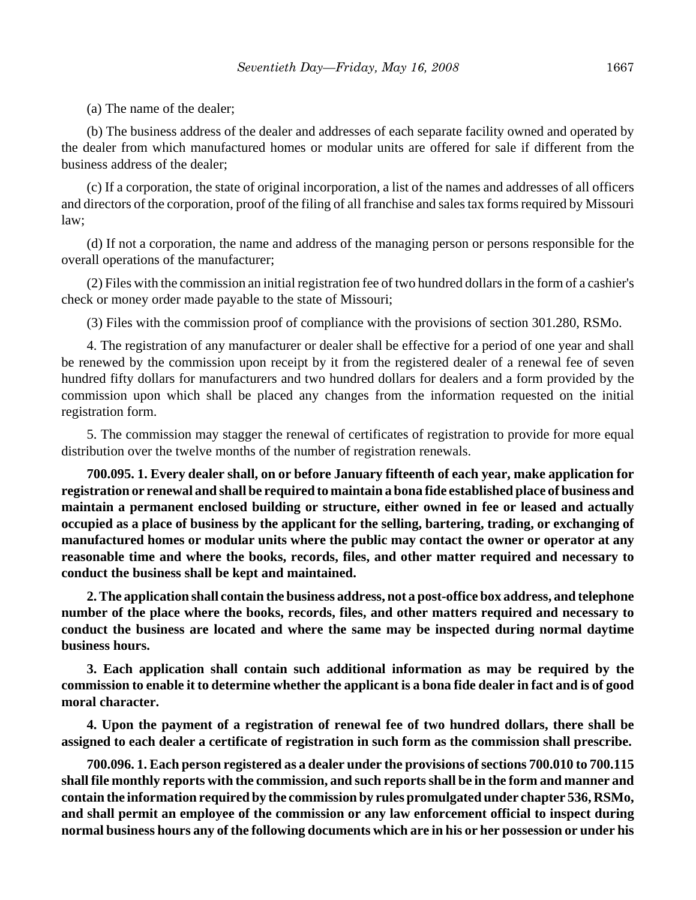(a) The name of the dealer;

(b) The business address of the dealer and addresses of each separate facility owned and operated by the dealer from which manufactured homes or modular units are offered for sale if different from the business address of the dealer;

(c) If a corporation, the state of original incorporation, a list of the names and addresses of all officers and directors of the corporation, proof of the filing of all franchise and sales tax forms required by Missouri law;

(d) If not a corporation, the name and address of the managing person or persons responsible for the overall operations of the manufacturer;

(2) Files with the commission an initial registration fee of two hundred dollars in the form of a cashier's check or money order made payable to the state of Missouri;

(3) Files with the commission proof of compliance with the provisions of section 301.280, RSMo.

4. The registration of any manufacturer or dealer shall be effective for a period of one year and shall be renewed by the commission upon receipt by it from the registered dealer of a renewal fee of seven hundred fifty dollars for manufacturers and two hundred dollars for dealers and a form provided by the commission upon which shall be placed any changes from the information requested on the initial registration form.

5. The commission may stagger the renewal of certificates of registration to provide for more equal distribution over the twelve months of the number of registration renewals.

**700.095. 1. Every dealer shall, on or before January fifteenth of each year, make application for registration or renewal and shall be required to maintain a bona fide established place of business and maintain a permanent enclosed building or structure, either owned in fee or leased and actually occupied as a place of business by the applicant for the selling, bartering, trading, or exchanging of manufactured homes or modular units where the public may contact the owner or operator at any reasonable time and where the books, records, files, and other matter required and necessary to conduct the business shall be kept and maintained.**

**2. The application shall contain the business address, not a post-office box address, and telephone number of the place where the books, records, files, and other matters required and necessary to conduct the business are located and where the same may be inspected during normal daytime business hours.**

**3. Each application shall contain such additional information as may be required by the commission to enable it to determine whether the applicant is a bona fide dealer in fact and is of good moral character.**

**4. Upon the payment of a registration of renewal fee of two hundred dollars, there shall be assigned to each dealer a certificate of registration in such form as the commission shall prescribe.**

**700.096. 1. Each person registered as a dealer under the provisions of sections 700.010 to 700.115 shall file monthly reports with the commission, and such reports shall be in the form and manner and contain the information required by the commission by rules promulgated under chapter 536, RSMo, and shall permit an employee of the commission or any law enforcement official to inspect during normal business hours any of the following documents which are in his or her possession or under his**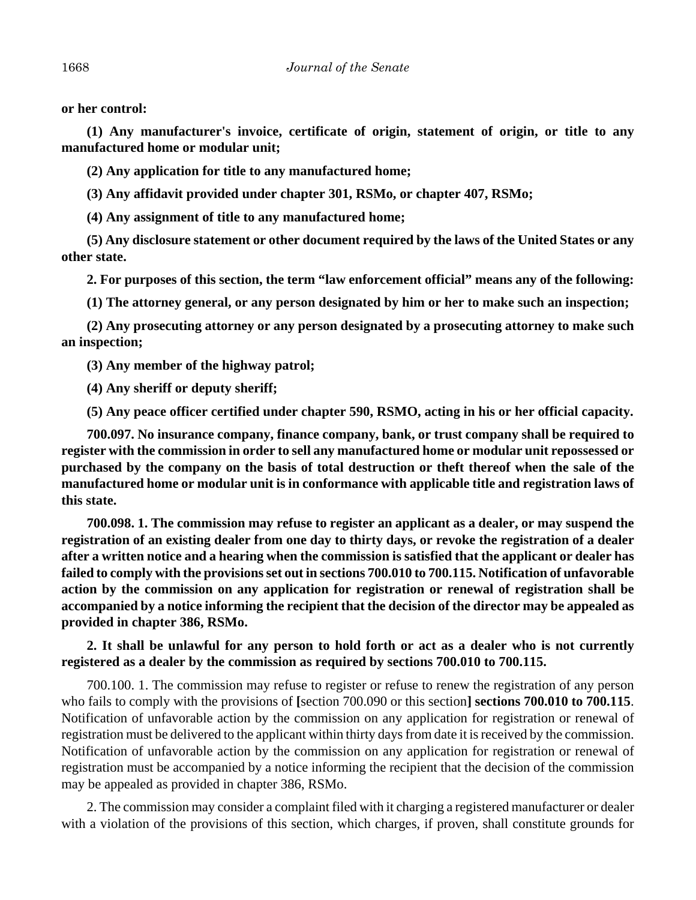**or her control:**

**(1) Any manufacturer's invoice, certificate of origin, statement of origin, or title to any manufactured home or modular unit;**

**(2) Any application for title to any manufactured home;**

**(3) Any affidavit provided under chapter 301, RSMo, or chapter 407, RSMo;**

**(4) Any assignment of title to any manufactured home;**

**(5) Any disclosure statement or other document required by the laws of the United States or any other state.**

**2. For purposes of this section, the term "law enforcement official" means any of the following:**

**(1) The attorney general, or any person designated by him or her to make such an inspection;**

**(2) Any prosecuting attorney or any person designated by a prosecuting attorney to make such an inspection;**

**(3) Any member of the highway patrol;**

**(4) Any sheriff or deputy sheriff;**

**(5) Any peace officer certified under chapter 590, RSMO, acting in his or her official capacity.**

**700.097. No insurance company, finance company, bank, or trust company shall be required to register with the commission in order to sell any manufactured home or modular unit repossessed or purchased by the company on the basis of total destruction or theft thereof when the sale of the manufactured home or modular unit is in conformance with applicable title and registration laws of this state.**

**700.098. 1. The commission may refuse to register an applicant as a dealer, or may suspend the registration of an existing dealer from one day to thirty days, or revoke the registration of a dealer after a written notice and a hearing when the commission is satisfied that the applicant or dealer has failed to comply with the provisions set out in sections 700.010 to 700.115. Notification of unfavorable action by the commission on any application for registration or renewal of registration shall be accompanied by a notice informing the recipient that the decision of the director may be appealed as provided in chapter 386, RSMo.**

**2. It shall be unlawful for any person to hold forth or act as a dealer who is not currently registered as a dealer by the commission as required by sections 700.010 to 700.115.**

700.100. 1. The commission may refuse to register or refuse to renew the registration of any person who fails to comply with the provisions of **[**section 700.090 or this section**] sections 700.010 to 700.115**. Notification of unfavorable action by the commission on any application for registration or renewal of registration must be delivered to the applicant within thirty days from date it is received by the commission. Notification of unfavorable action by the commission on any application for registration or renewal of registration must be accompanied by a notice informing the recipient that the decision of the commission may be appealed as provided in chapter 386, RSMo.

2. The commission may consider a complaint filed with it charging a registered manufacturer or dealer with a violation of the provisions of this section, which charges, if proven, shall constitute grounds for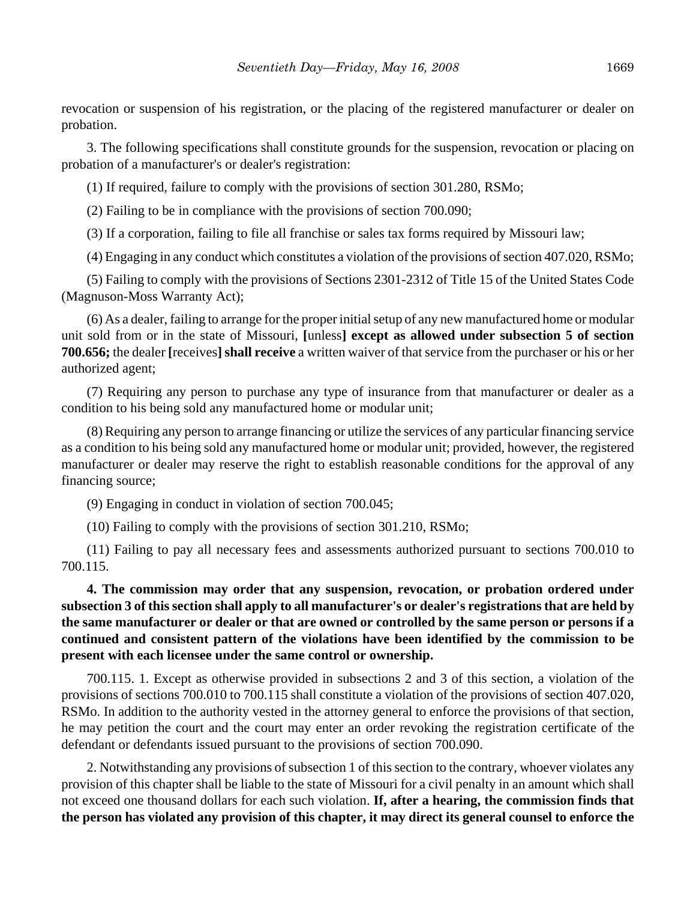revocation or suspension of his registration, or the placing of the registered manufacturer or dealer on probation.

3. The following specifications shall constitute grounds for the suspension, revocation or placing on probation of a manufacturer's or dealer's registration:

(1) If required, failure to comply with the provisions of section 301.280, RSMo;

(2) Failing to be in compliance with the provisions of section 700.090;

(3) If a corporation, failing to file all franchise or sales tax forms required by Missouri law;

(4) Engaging in any conduct which constitutes a violation of the provisions of section 407.020, RSMo;

(5) Failing to comply with the provisions of Sections 2301-2312 of Title 15 of the United States Code (Magnuson-Moss Warranty Act);

(6) As a dealer, failing to arrange for the proper initial setup of any new manufactured home or modular unit sold from or in the state of Missouri, **[**unless**] except as allowed under subsection 5 of section 700.656;** the dealer **[**receives**]shall receive** a written waiver of that service from the purchaser or his or her authorized agent;

(7) Requiring any person to purchase any type of insurance from that manufacturer or dealer as a condition to his being sold any manufactured home or modular unit;

(8) Requiring any person to arrange financing or utilize the services of any particular financing service as a condition to his being sold any manufactured home or modular unit; provided, however, the registered manufacturer or dealer may reserve the right to establish reasonable conditions for the approval of any financing source;

(9) Engaging in conduct in violation of section 700.045;

(10) Failing to comply with the provisions of section 301.210, RSMo;

(11) Failing to pay all necessary fees and assessments authorized pursuant to sections 700.010 to 700.115.

**4. The commission may order that any suspension, revocation, or probation ordered under subsection 3 of this section shall apply to all manufacturer's or dealer's registrations that are held by the same manufacturer or dealer or that are owned or controlled by the same person or persons if a continued and consistent pattern of the violations have been identified by the commission to be present with each licensee under the same control or ownership.**

700.115. 1. Except as otherwise provided in subsections 2 and 3 of this section, a violation of the provisions of sections 700.010 to 700.115 shall constitute a violation of the provisions of section 407.020, RSMo. In addition to the authority vested in the attorney general to enforce the provisions of that section, he may petition the court and the court may enter an order revoking the registration certificate of the defendant or defendants issued pursuant to the provisions of section 700.090.

2. Notwithstanding any provisions of subsection 1 of this section to the contrary, whoever violates any provision of this chapter shall be liable to the state of Missouri for a civil penalty in an amount which shall not exceed one thousand dollars for each such violation. **If, after a hearing, the commission finds that the person has violated any provision of this chapter, it may direct its general counsel to enforce the**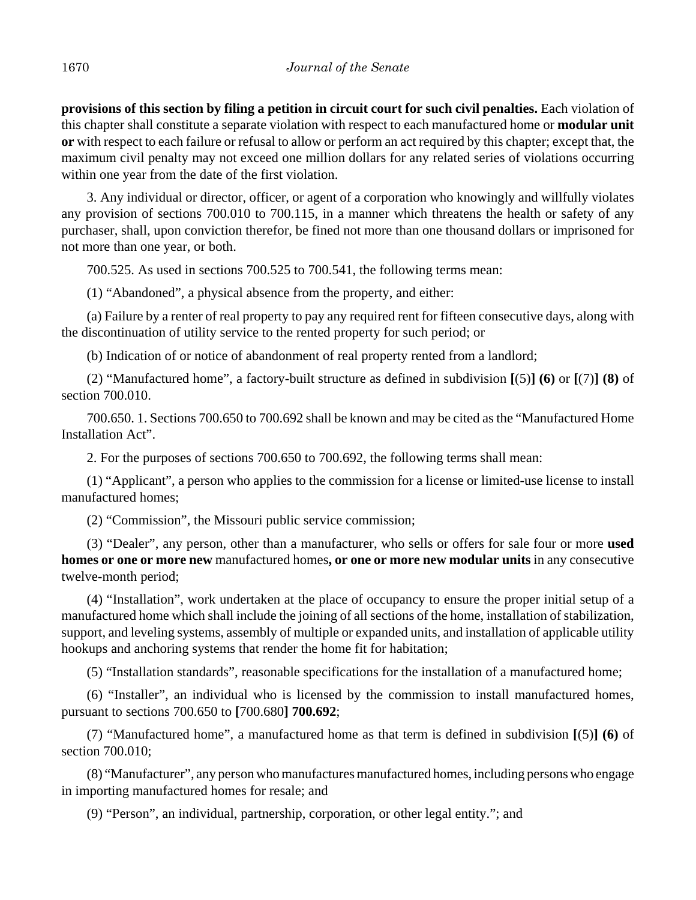**provisions of this section by filing a petition in circuit court for such civil penalties.** Each violation of this chapter shall constitute a separate violation with respect to each manufactured home or **modular unit or** with respect to each failure or refusal to allow or perform an act required by this chapter; except that, the maximum civil penalty may not exceed one million dollars for any related series of violations occurring within one year from the date of the first violation.

3. Any individual or director, officer, or agent of a corporation who knowingly and willfully violates any provision of sections 700.010 to 700.115, in a manner which threatens the health or safety of any purchaser, shall, upon conviction therefor, be fined not more than one thousand dollars or imprisoned for not more than one year, or both.

700.525. As used in sections 700.525 to 700.541, the following terms mean:

(1) "Abandoned", a physical absence from the property, and either:

(a) Failure by a renter of real property to pay any required rent for fifteen consecutive days, along with the discontinuation of utility service to the rented property for such period; or

(b) Indication of or notice of abandonment of real property rented from a landlord;

(2) "Manufactured home", a factory-built structure as defined in subdivision **[**(5)**] (6)** or **[**(7)**] (8)** of section 700.010.

700.650. 1. Sections 700.650 to 700.692 shall be known and may be cited as the "Manufactured Home Installation Act".

2. For the purposes of sections 700.650 to 700.692, the following terms shall mean:

(1) "Applicant", a person who applies to the commission for a license or limited-use license to install manufactured homes;

(2) "Commission", the Missouri public service commission;

(3) "Dealer", any person, other than a manufacturer, who sells or offers for sale four or more **used homes or one or more new** manufactured homes**, or one or more new modular units** in any consecutive twelve-month period;

(4) "Installation", work undertaken at the place of occupancy to ensure the proper initial setup of a manufactured home which shall include the joining of all sections of the home, installation of stabilization, support, and leveling systems, assembly of multiple or expanded units, and installation of applicable utility hookups and anchoring systems that render the home fit for habitation;

(5) "Installation standards", reasonable specifications for the installation of a manufactured home;

(6) "Installer", an individual who is licensed by the commission to install manufactured homes, pursuant to sections 700.650 to **[**700.680**] 700.692**;

(7) "Manufactured home", a manufactured home as that term is defined in subdivision **[**(5)**] (6)** of section 700.010;

(8) "Manufacturer", any person who manufactures manufactured homes, including persons who engage in importing manufactured homes for resale; and

(9) "Person", an individual, partnership, corporation, or other legal entity."; and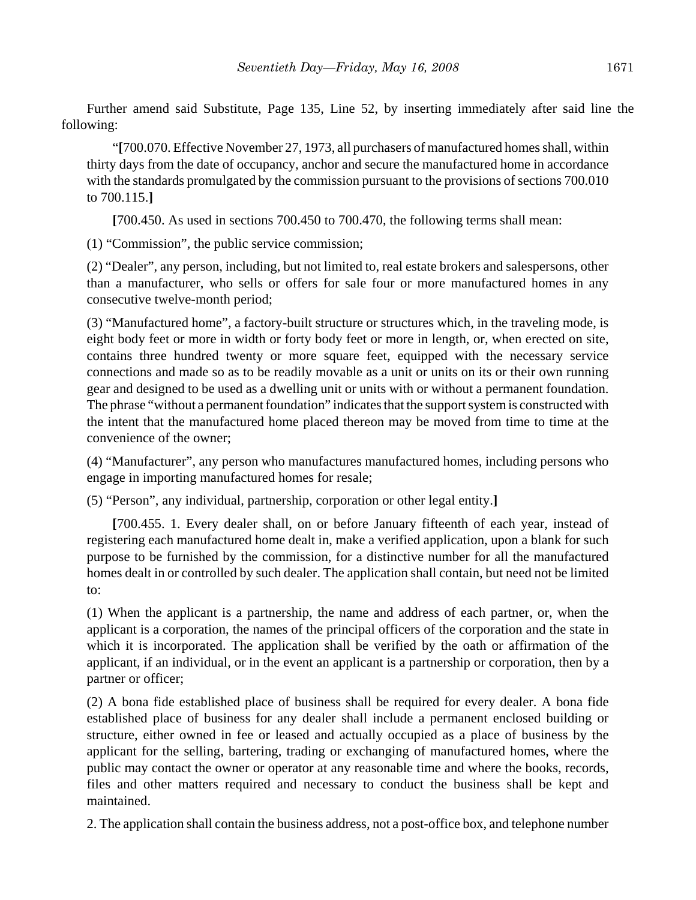Further amend said Substitute, Page 135, Line 52, by inserting immediately after said line the following:

"**[**700.070. Effective November 27, 1973, all purchasers of manufactured homes shall, within thirty days from the date of occupancy, anchor and secure the manufactured home in accordance with the standards promulgated by the commission pursuant to the provisions of sections 700.010 to 700.115.**]**

**[**700.450. As used in sections 700.450 to 700.470, the following terms shall mean:

(1) "Commission", the public service commission;

(2) "Dealer", any person, including, but not limited to, real estate brokers and salespersons, other than a manufacturer, who sells or offers for sale four or more manufactured homes in any consecutive twelve-month period;

(3) "Manufactured home", a factory-built structure or structures which, in the traveling mode, is eight body feet or more in width or forty body feet or more in length, or, when erected on site, contains three hundred twenty or more square feet, equipped with the necessary service connections and made so as to be readily movable as a unit or units on its or their own running gear and designed to be used as a dwelling unit or units with or without a permanent foundation. The phrase "without a permanent foundation" indicates that the support system is constructed with the intent that the manufactured home placed thereon may be moved from time to time at the convenience of the owner;

(4) "Manufacturer", any person who manufactures manufactured homes, including persons who engage in importing manufactured homes for resale;

(5) "Person", any individual, partnership, corporation or other legal entity.**]**

**[**700.455. 1. Every dealer shall, on or before January fifteenth of each year, instead of registering each manufactured home dealt in, make a verified application, upon a blank for such purpose to be furnished by the commission, for a distinctive number for all the manufactured homes dealt in or controlled by such dealer. The application shall contain, but need not be limited to:

(1) When the applicant is a partnership, the name and address of each partner, or, when the applicant is a corporation, the names of the principal officers of the corporation and the state in which it is incorporated. The application shall be verified by the oath or affirmation of the applicant, if an individual, or in the event an applicant is a partnership or corporation, then by a partner or officer;

(2) A bona fide established place of business shall be required for every dealer. A bona fide established place of business for any dealer shall include a permanent enclosed building or structure, either owned in fee or leased and actually occupied as a place of business by the applicant for the selling, bartering, trading or exchanging of manufactured homes, where the public may contact the owner or operator at any reasonable time and where the books, records, files and other matters required and necessary to conduct the business shall be kept and maintained.

2. The application shall contain the business address, not a post-office box, and telephone number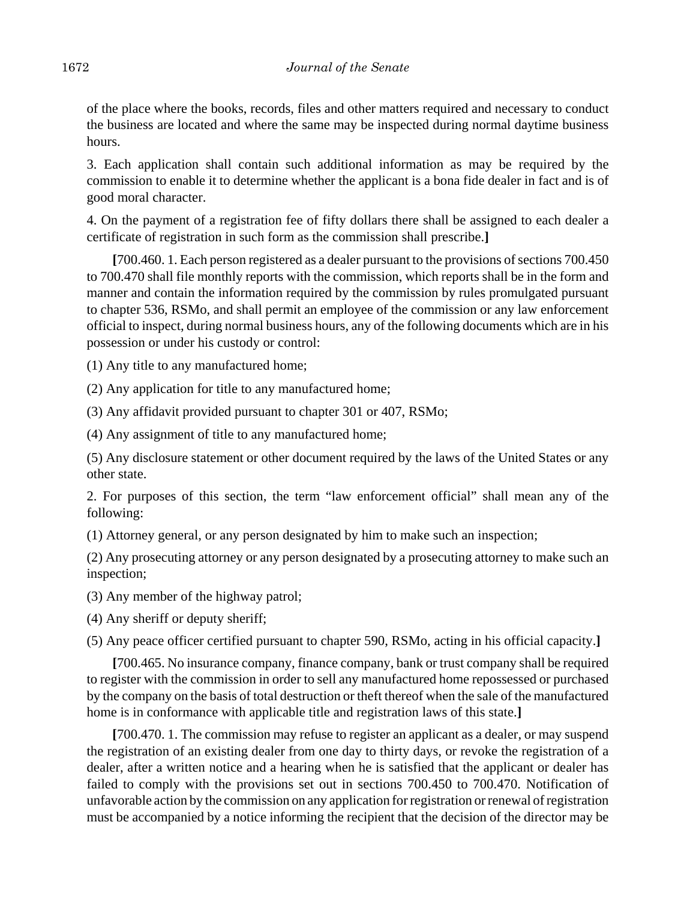of the place where the books, records, files and other matters required and necessary to conduct the business are located and where the same may be inspected during normal daytime business hours.

3. Each application shall contain such additional information as may be required by the commission to enable it to determine whether the applicant is a bona fide dealer in fact and is of good moral character.

4. On the payment of a registration fee of fifty dollars there shall be assigned to each dealer a certificate of registration in such form as the commission shall prescribe.**]**

**[**700.460. 1. Each person registered as a dealer pursuant to the provisions of sections 700.450 to 700.470 shall file monthly reports with the commission, which reports shall be in the form and manner and contain the information required by the commission by rules promulgated pursuant to chapter 536, RSMo, and shall permit an employee of the commission or any law enforcement official to inspect, during normal business hours, any of the following documents which are in his possession or under his custody or control:

(1) Any title to any manufactured home;

(2) Any application for title to any manufactured home;

(3) Any affidavit provided pursuant to chapter 301 or 407, RSMo;

(4) Any assignment of title to any manufactured home;

(5) Any disclosure statement or other document required by the laws of the United States or any other state.

2. For purposes of this section, the term "law enforcement official" shall mean any of the following:

(1) Attorney general, or any person designated by him to make such an inspection;

(2) Any prosecuting attorney or any person designated by a prosecuting attorney to make such an inspection;

(3) Any member of the highway patrol;

(4) Any sheriff or deputy sheriff;

(5) Any peace officer certified pursuant to chapter 590, RSMo, acting in his official capacity.**]**

**[**700.465. No insurance company, finance company, bank or trust company shall be required to register with the commission in order to sell any manufactured home repossessed or purchased by the company on the basis of total destruction or theft thereof when the sale of the manufactured home is in conformance with applicable title and registration laws of this state.**]**

**[**700.470. 1. The commission may refuse to register an applicant as a dealer, or may suspend the registration of an existing dealer from one day to thirty days, or revoke the registration of a dealer, after a written notice and a hearing when he is satisfied that the applicant or dealer has failed to comply with the provisions set out in sections 700.450 to 700.470. Notification of unfavorable action by the commission on any application for registration or renewal of registration must be accompanied by a notice informing the recipient that the decision of the director may be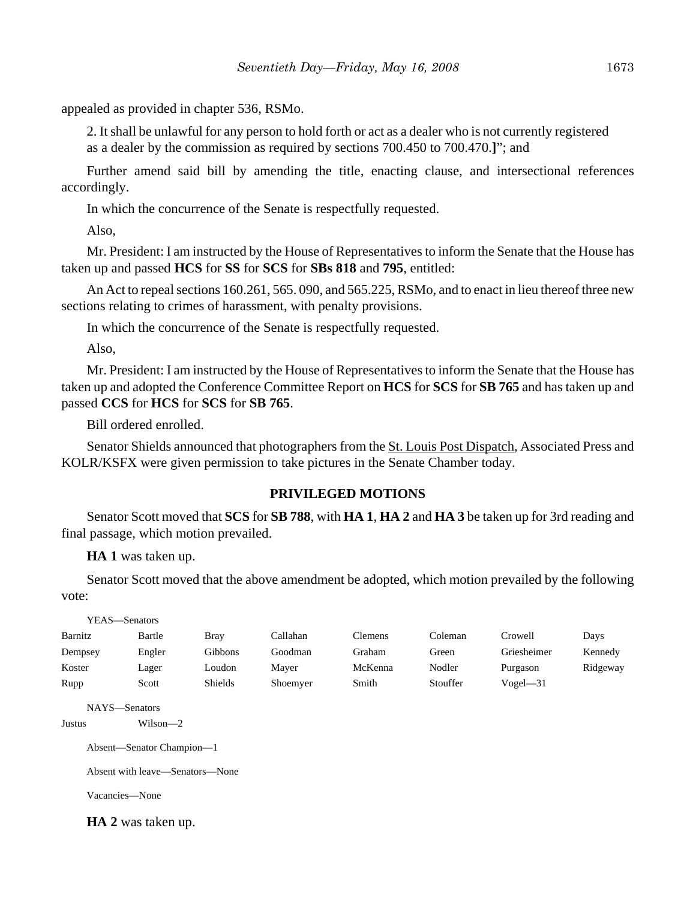appealed as provided in chapter 536, RSMo.

2. It shall be unlawful for any person to hold forth or act as a dealer who is not currently registered as a dealer by the commission as required by sections 700.450 to 700.470.**]**"; and

Further amend said bill by amending the title, enacting clause, and intersectional references accordingly.

In which the concurrence of the Senate is respectfully requested.

Also,

Mr. President: I am instructed by the House of Representatives to inform the Senate that the House has taken up and passed **HCS** for **SS** for **SCS** for **SBs 818** and **795**, entitled:

An Act to repeal sections 160.261, 565. 090, and 565.225, RSMo, and to enact in lieu thereof three new sections relating to crimes of harassment, with penalty provisions.

In which the concurrence of the Senate is respectfully requested.

Also,

Mr. President: I am instructed by the House of Representatives to inform the Senate that the House has taken up and adopted the Conference Committee Report on **HCS** for **SCS** for **SB 765** and has taken up and passed **CCS** for **HCS** for **SCS** for **SB 765**.

Bill ordered enrolled.

Senator Shields announced that photographers from the St. Louis Post Dispatch, Associated Press and KOLR/KSFX were given permission to take pictures in the Senate Chamber today.

## **PRIVILEGED MOTIONS**

Senator Scott moved that **SCS** for **SB 788**, with **HA 1**, **HA 2** and **HA 3** be taken up for 3rd reading and final passage, which motion prevailed.

**HA 1** was taken up.

Senator Scott moved that the above amendment be adopted, which motion prevailed by the following vote:

| YEAS—Senators                             |                                                                            |                |          |                |          |              |          |
|-------------------------------------------|----------------------------------------------------------------------------|----------------|----------|----------------|----------|--------------|----------|
| Barnitz                                   | Bartle                                                                     | <b>Bray</b>    | Callahan | <b>Clemens</b> | Coleman  | Crowell      | Days     |
| Dempsey                                   | Engler                                                                     | Gibbons        | Goodman  | Graham         | Green    | Griesheimer  | Kennedy  |
| Koster                                    | Lager                                                                      | Loudon         | Mayer    | McKenna        | Nodler   | Purgason     | Ridgeway |
| Rupp                                      | Scott                                                                      | <b>Shields</b> | Shoemyer | Smith          | Stouffer | $Vogel - 31$ |          |
| NAYS-Senators<br>Justus<br>Vacancies—None | $Wilson-2$<br>Absent-Senator Champion-1<br>Absent with leave—Senators—None |                |          |                |          |              |          |

**HA 2** was taken up.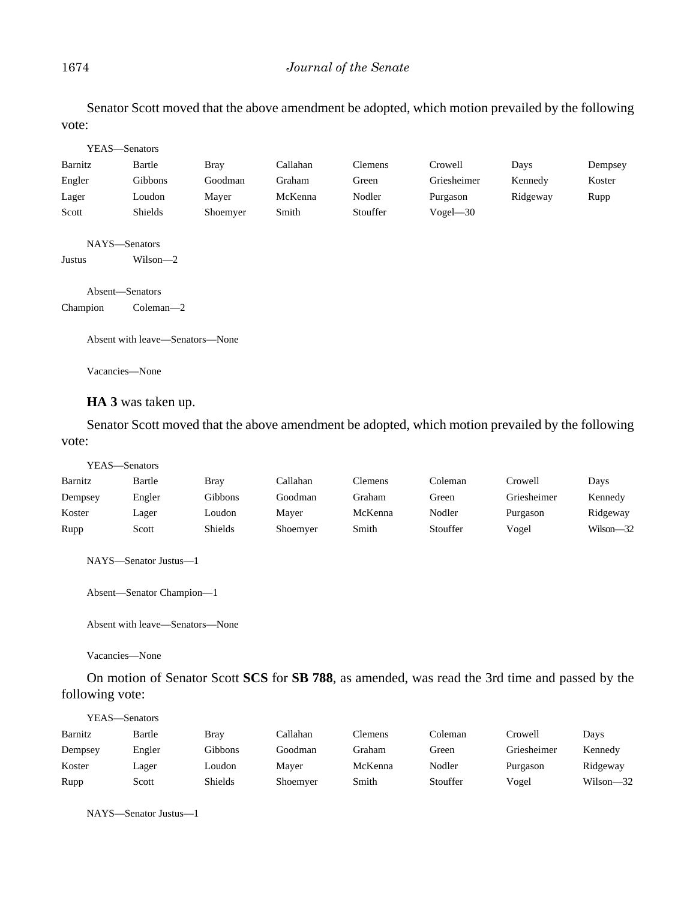#### 1674 *Journal of the Senate*

Senator Scott moved that the above amendment be adopted, which motion prevailed by the following vote:

| YEAS-Senators   |                                 |             |          |          |              |          |         |
|-----------------|---------------------------------|-------------|----------|----------|--------------|----------|---------|
| Barnitz         | Bartle                          | <b>Bray</b> | Callahan | Clemens  | Crowell      | Days     | Dempsey |
| Engler          | Gibbons                         | Goodman     | Graham   | Green    | Griesheimer  | Kennedy  | Koster  |
| Lager           | Loudon                          | Mayer       | McKenna  | Nodler   | Purgason     | Ridgeway | Rupp    |
| Scott           | Shields                         | Shoemyer    | Smith    | Stouffer | $Vogel - 30$ |          |         |
| NAYS-Senators   |                                 |             |          |          |              |          |         |
| Justus          | $Wilson-2$                      |             |          |          |              |          |         |
| Absent-Senators |                                 |             |          |          |              |          |         |
| Champion        | Coleman $-2$                    |             |          |          |              |          |         |
|                 | Absent with leave—Senators—None |             |          |          |              |          |         |
| Vacancies—None  |                                 |             |          |          |              |          |         |

## **HA 3** was taken up.

Senator Scott moved that the above amendment be adopted, which motion prevailed by the following vote:

| YEAS—Senators |        |         |          |         |          |             |           |
|---------------|--------|---------|----------|---------|----------|-------------|-----------|
| Barnitz       | Bartle | Bray    | Callahan | Clemens | Coleman  | Crowell     | Days      |
| Dempsey       | Engler | Gibbons | Goodman  | Graham  | Green    | Griesheimer | Kennedy   |
| Koster        | Lager  | Loudon  | Maver    | McKenna | Nodler   | Purgason    | Ridgeway  |
| Rupp          | Scott  | Shields | Shoemyer | Smith   | Stouffer | Vogel       | Wilson-32 |

NAYS—Senator Justus—1

Absent—Senator Champion—1

Absent with leave—Senators—None

Vacancies—None

On motion of Senator Scott **SCS** for **SB 788**, as amended, was read the 3rd time and passed by the following vote:

| YEAS—Senators |        |             |          |         |          |             |           |
|---------------|--------|-------------|----------|---------|----------|-------------|-----------|
| Barnitz       | Bartle | <b>Bray</b> | Callahan | Clemens | Coleman  | Crowell     | Days      |
| Dempsey       | Engler | Gibbons     | Goodman  | Graham  | Green    | Griesheimer | Kennedy   |
| Koster        | Lager  | Loudon      | Maver    | McKenna | Nodler   | Purgason    | Ridgeway  |
| Rupp          | Scott  | Shields     | Shoemyer | Smith   | Stouffer | Vogel       | Wilson-32 |

NAYS—Senator Justus—1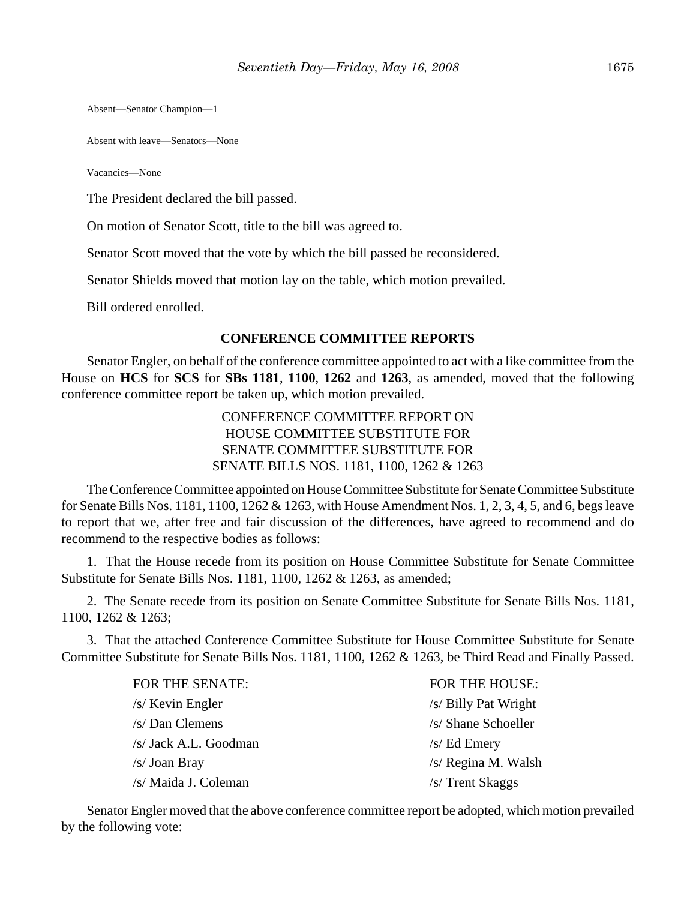Absent—Senator Champion—1

Absent with leave—Senators—None

Vacancies—None

The President declared the bill passed.

On motion of Senator Scott, title to the bill was agreed to.

Senator Scott moved that the vote by which the bill passed be reconsidered.

Senator Shields moved that motion lay on the table, which motion prevailed.

Bill ordered enrolled.

#### **CONFERENCE COMMITTEE REPORTS**

Senator Engler, on behalf of the conference committee appointed to act with a like committee from the House on **HCS** for **SCS** for **SBs 1181**, **1100**, **1262** and **1263**, as amended, moved that the following conference committee report be taken up, which motion prevailed.

> CONFERENCE COMMITTEE REPORT ON HOUSE COMMITTEE SUBSTITUTE FOR SENATE COMMITTEE SUBSTITUTE FOR SENATE BILLS NOS. 1181, 1100, 1262 & 1263

The Conference Committee appointed on House Committee Substitute for Senate Committee Substitute for Senate Bills Nos. 1181, 1100, 1262 & 1263, with House Amendment Nos. 1, 2, 3, 4, 5, and 6, begs leave to report that we, after free and fair discussion of the differences, have agreed to recommend and do recommend to the respective bodies as follows:

1. That the House recede from its position on House Committee Substitute for Senate Committee Substitute for Senate Bills Nos. 1181, 1100, 1262 & 1263, as amended;

2. The Senate recede from its position on Senate Committee Substitute for Senate Bills Nos. 1181, 1100, 1262 & 1263;

3. That the attached Conference Committee Substitute for House Committee Substitute for Senate Committee Substitute for Senate Bills Nos. 1181, 1100, 1262 & 1263, be Third Read and Finally Passed.

| FOR THE SENATE:       | FOR THE HOUSE:       |
|-----------------------|----------------------|
| $/s$ Kevin Engler     | /s/ Billy Pat Wright |
| $/s/Dan$ Clemens      | /s/ Shane Schoeller  |
| /s/ Jack A.L. Goodman | $/s$ Ed Emery        |
| $/s$ Joan Bray        | /s/ Regina M. Walsh  |
| /s/ Maida J. Coleman  | /s/ Trent Skaggs     |

Senator Engler moved that the above conference committee report be adopted, which motion prevailed by the following vote: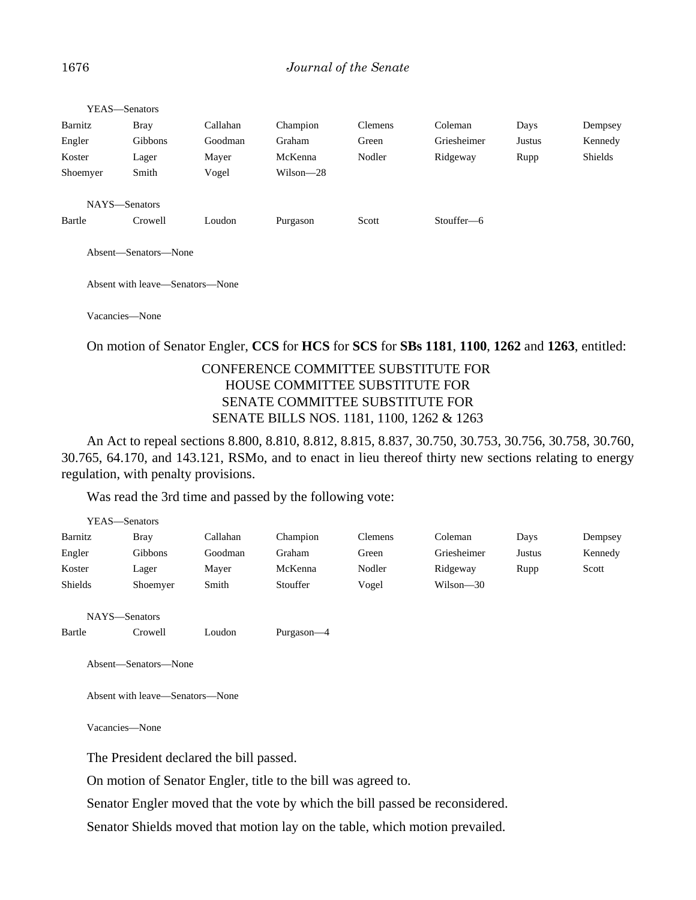|          | YEAS—Senators        |          |           |         |             |        |         |
|----------|----------------------|----------|-----------|---------|-------------|--------|---------|
| Barnitz  | <b>Bray</b>          | Callahan | Champion  | Clemens | Coleman     | Days   | Dempsey |
| Engler   | Gibbons              | Goodman  | Graham    | Green   | Griesheimer | Justus | Kennedy |
| Koster   | Lager                | Mayer    | McKenna   | Nodler  | Ridgeway    | Rupp   | Shields |
| Shoemyer | Smith                | Vogel    | Wilson-28 |         |             |        |         |
|          |                      |          |           |         |             |        |         |
|          | NAYS-Senators        |          |           |         |             |        |         |
| Bartle   | Crowell              | Loudon   | Purgason  | Scott   | Stouffer-6  |        |         |
|          |                      |          |           |         |             |        |         |
|          | Absent—Senators—None |          |           |         |             |        |         |
|          |                      |          |           |         |             |        |         |

Absent with leave—Senators—None

Vacancies—None

#### On motion of Senator Engler, **CCS** for **HCS** for **SCS** for **SBs 1181**, **1100**, **1262** and **1263**, entitled:

# CONFERENCE COMMITTEE SUBSTITUTE FOR HOUSE COMMITTEE SUBSTITUTE FOR SENATE COMMITTEE SUBSTITUTE FOR SENATE BILLS NOS. 1181, 1100, 1262 & 1263

An Act to repeal sections 8.800, 8.810, 8.812, 8.815, 8.837, 30.750, 30.753, 30.756, 30.758, 30.760, 30.765, 64.170, and 143.121, RSMo, and to enact in lieu thereof thirty new sections relating to energy regulation, with penalty provisions.

Was read the 3rd time and passed by the following vote:

|         | YEAS-Senators                   |          |            |                |             |        |         |
|---------|---------------------------------|----------|------------|----------------|-------------|--------|---------|
| Barnitz | <b>Bray</b>                     | Callahan | Champion   | <b>Clemens</b> | Coleman     | Days   | Dempsey |
| Engler  | Gibbons                         | Goodman  | Graham     | Green          | Griesheimer | Justus | Kennedy |
| Koster  | Lager                           | Mayer    | McKenna    | Nodler         | Ridgeway    | Rupp   | Scott   |
| Shields | Shoemyer                        | Smith    | Stouffer   | Vogel          | Wilson-30   |        |         |
|         | NAYS-Senators                   |          |            |                |             |        |         |
| Bartle  | Crowell                         | Loudon   | Purgason-4 |                |             |        |         |
|         | Absent-Senators-None            |          |            |                |             |        |         |
|         | Absent with leave—Senators—None |          |            |                |             |        |         |
|         | Vacancies-None                  |          |            |                |             |        |         |
|         |                                 |          | - 1        |                |             |        |         |

The President declared the bill passed.

On motion of Senator Engler, title to the bill was agreed to.

Senator Engler moved that the vote by which the bill passed be reconsidered.

Senator Shields moved that motion lay on the table, which motion prevailed.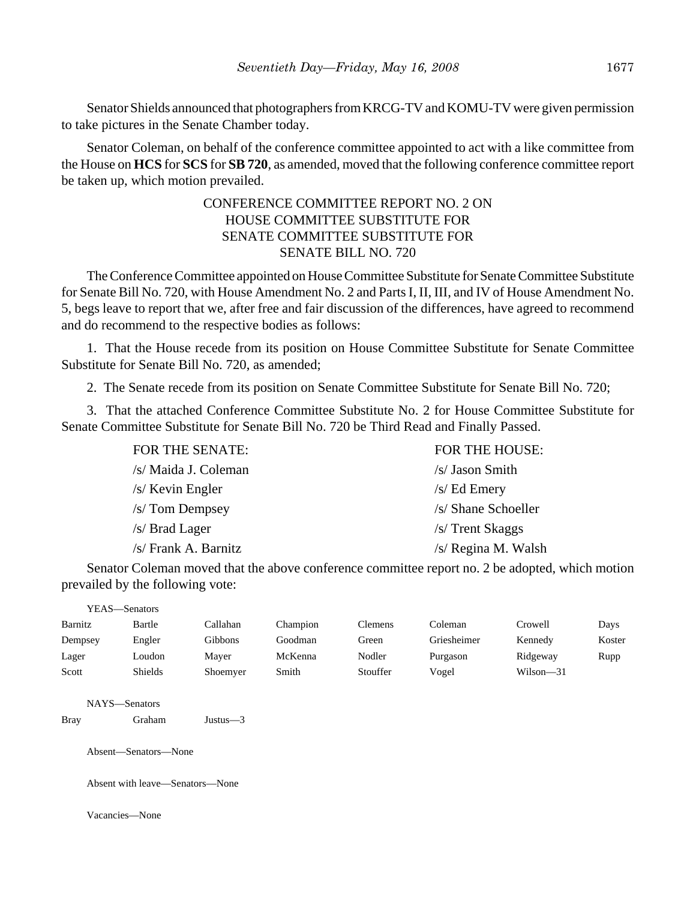Senator Shields announced that photographers from KRCG-TV and KOMU-TV were given permission to take pictures in the Senate Chamber today.

Senator Coleman, on behalf of the conference committee appointed to act with a like committee from the House on **HCS** for **SCS** for **SB 720**, as amended, moved that the following conference committee report be taken up, which motion prevailed.

# CONFERENCE COMMITTEE REPORT NO. 2 ON HOUSE COMMITTEE SUBSTITUTE FOR SENATE COMMITTEE SUBSTITUTE FOR SENATE BILL NO. 720

The Conference Committee appointed on House Committee Substitute for Senate Committee Substitute for Senate Bill No. 720, with House Amendment No. 2 and Parts I, II, III, and IV of House Amendment No. 5, begs leave to report that we, after free and fair discussion of the differences, have agreed to recommend and do recommend to the respective bodies as follows:

1. That the House recede from its position on House Committee Substitute for Senate Committee Substitute for Senate Bill No. 720, as amended;

2. The Senate recede from its position on Senate Committee Substitute for Senate Bill No. 720;

3. That the attached Conference Committee Substitute No. 2 for House Committee Substitute for Senate Committee Substitute for Senate Bill No. 720 be Third Read and Finally Passed.

| FOR THE SENATE:      | <b>FOR THE HOUSE:</b> |
|----------------------|-----------------------|
| /s/ Maida J. Coleman | /s/ Jason Smith       |
| /s/ Kevin Engler     | $/s$ Ed Emery         |
| /s/ Tom Dempsey      | /s/ Shane Schoeller   |
| /s/ Brad Lager       | /s/ Trent Skaggs      |
| /s/ Frank A. Barnitz | /s/ Regina M. Walsh   |
|                      |                       |

Senator Coleman moved that the above conference committee report no. 2 be adopted, which motion prevailed by the following vote:

|             | YEAS-Senators |                                                 |                |          |                |             |           |        |
|-------------|---------------|-------------------------------------------------|----------------|----------|----------------|-------------|-----------|--------|
| Barnitz     |               | Bartle                                          | Callahan       | Champion | <b>Clemens</b> | Coleman     | Crowell   | Days   |
| Dempsey     |               | Engler                                          | <b>Gibbons</b> | Goodman  | Green          | Griesheimer | Kennedy   | Koster |
| Lager       |               | Loudon                                          | Mayer          | McKenna  | Nodler         | Purgason    | Ridgeway  | Rupp   |
| Scott       |               | Shields                                         | Shoemyer       | Smith    | Stouffer       | Vogel       | Wilson-31 |        |
| <b>Bray</b> |               | NAYS-Senators<br>Graham<br>Absent-Senators-None | Justus $-3$    |          |                |             |           |        |
|             |               | Absent with leave—Senators—None                 |                |          |                |             |           |        |

Vacancies—None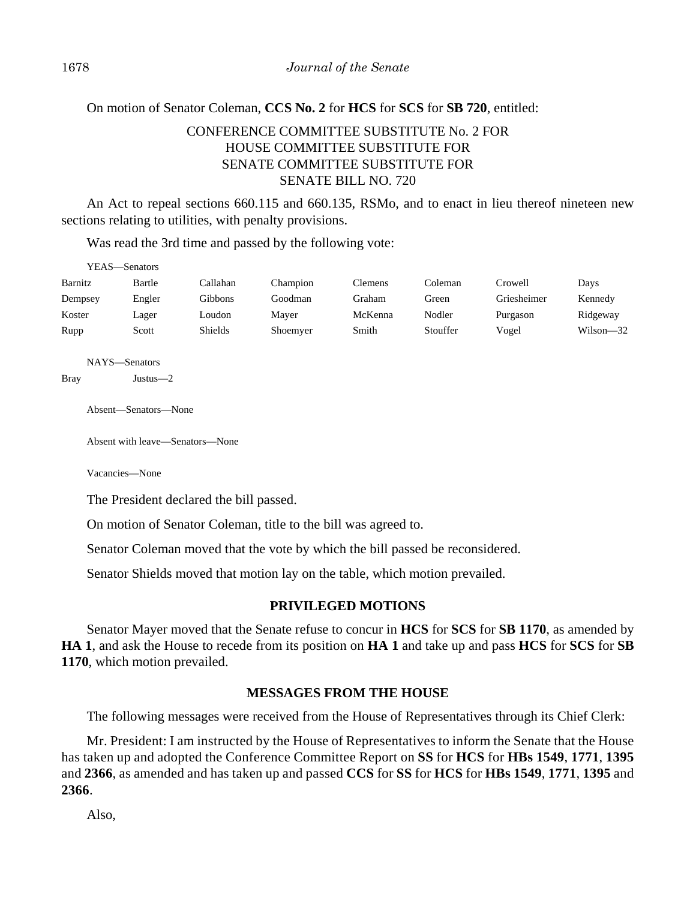## On motion of Senator Coleman, **CCS No. 2** for **HCS** for **SCS** for **SB 720**, entitled:

# CONFERENCE COMMITTEE SUBSTITUTE No. 2 FOR HOUSE COMMITTEE SUBSTITUTE FOR SENATE COMMITTEE SUBSTITUTE FOR SENATE BILL NO. 720

An Act to repeal sections 660.115 and 660.135, RSMo, and to enact in lieu thereof nineteen new sections relating to utilities, with penalty provisions.

Was read the 3rd time and passed by the following vote:

| YEAS—Senators |        |          |          |         |          |             |           |
|---------------|--------|----------|----------|---------|----------|-------------|-----------|
| Barnitz       | Bartle | Callahan | Champion | Clemens | Coleman  | Crowell     | Days      |
| Dempsey       | Engler | Gibbons  | Goodman  | Graham  | Green    | Griesheimer | Kennedy   |
| Koster        | Lager  | Loudon   | Maver    | McKenna | Nodler   | Purgason    | Ridgeway  |
| Rupp          | Scott  | Shields  | Shoemyer | Smith   | Stouffer | Vogel       | Wilson—32 |

NAYS—Senators

Bray Justus—2

Absent—Senators—None

Absent with leave—Senators—None

Vacancies—None

The President declared the bill passed.

On motion of Senator Coleman, title to the bill was agreed to.

Senator Coleman moved that the vote by which the bill passed be reconsidered.

Senator Shields moved that motion lay on the table, which motion prevailed.

## **PRIVILEGED MOTIONS**

Senator Mayer moved that the Senate refuse to concur in **HCS** for **SCS** for **SB 1170**, as amended by **HA 1**, and ask the House to recede from its position on **HA 1** and take up and pass **HCS** for **SCS** for **SB 1170**, which motion prevailed.

## **MESSAGES FROM THE HOUSE**

The following messages were received from the House of Representatives through its Chief Clerk:

Mr. President: I am instructed by the House of Representatives to inform the Senate that the House has taken up and adopted the Conference Committee Report on **SS** for **HCS** for **HBs 1549**, **1771**, **1395** and **2366**, as amended and has taken up and passed **CCS** for **SS** for **HCS** for **HBs 1549**, **1771**, **1395** and **2366**.

Also,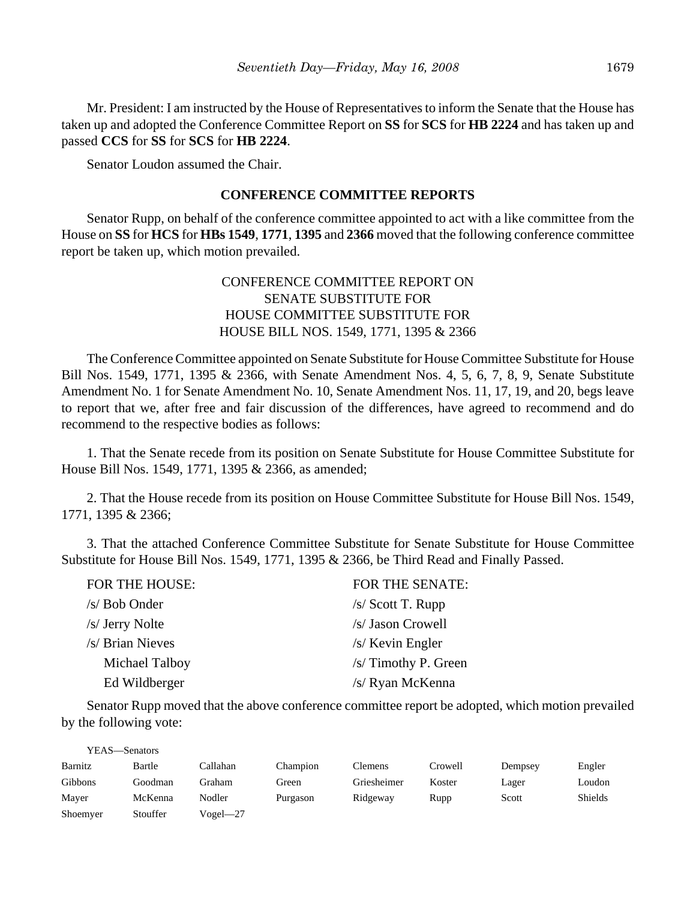Mr. President: I am instructed by the House of Representatives to inform the Senate that the House has taken up and adopted the Conference Committee Report on **SS** for **SCS** for **HB 2224** and has taken up and passed **CCS** for **SS** for **SCS** for **HB 2224**.

Senator Loudon assumed the Chair.

#### **CONFERENCE COMMITTEE REPORTS**

Senator Rupp, on behalf of the conference committee appointed to act with a like committee from the House on **SS** for **HCS** for **HBs 1549**, **1771**, **1395** and **2366** moved that the following conference committee report be taken up, which motion prevailed.

# CONFERENCE COMMITTEE REPORT ON SENATE SUBSTITUTE FOR HOUSE COMMITTEE SUBSTITUTE FOR HOUSE BILL NOS. 1549, 1771, 1395 & 2366

The Conference Committee appointed on Senate Substitute for House Committee Substitute for House Bill Nos. 1549, 1771, 1395 & 2366, with Senate Amendment Nos. 4, 5, 6, 7, 8, 9, Senate Substitute Amendment No. 1 for Senate Amendment No. 10, Senate Amendment Nos. 11, 17, 19, and 20, begs leave to report that we, after free and fair discussion of the differences, have agreed to recommend and do recommend to the respective bodies as follows:

1. That the Senate recede from its position on Senate Substitute for House Committee Substitute for House Bill Nos. 1549, 1771, 1395 & 2366, as amended;

2. That the House recede from its position on House Committee Substitute for House Bill Nos. 1549, 1771, 1395 & 2366;

3. That the attached Conference Committee Substitute for Senate Substitute for House Committee Substitute for House Bill Nos. 1549, 1771, 1395 & 2366, be Third Read and Finally Passed.

| FOR THE HOUSE:   | FOR THE SENATE:      |
|------------------|----------------------|
| /s/ Bob Onder    | $/s/$ Scott T. Rupp  |
| /s/ Jerry Nolte  | /s/ Jason Crowell    |
| /s/ Brian Nieves | $/s$ Kevin Engler    |
| Michael Talboy   | /s/ Timothy P. Green |
| Ed Wildberger    | /s/ Ryan McKenna     |

Senator Rupp moved that the above conference committee report be adopted, which motion prevailed by the following vote:

| YEAS—Senators |          |          |          |             |         |         |                |
|---------------|----------|----------|----------|-------------|---------|---------|----------------|
| Barnitz       | Bartle   | Callahan | Champion | Clemens     | Crowell | Dempsey | Engler         |
| Gibbons       | Goodman  | Graham   | Green    | Griesheimer | Koster  | Lager   | Loudon         |
| Mayer         | McKenna  | Nodler   | Purgason | Ridgeway    | Rupp    | Scott   | <b>Shields</b> |
| Shoemyer      | Stouffer | Vogel—27 |          |             |         |         |                |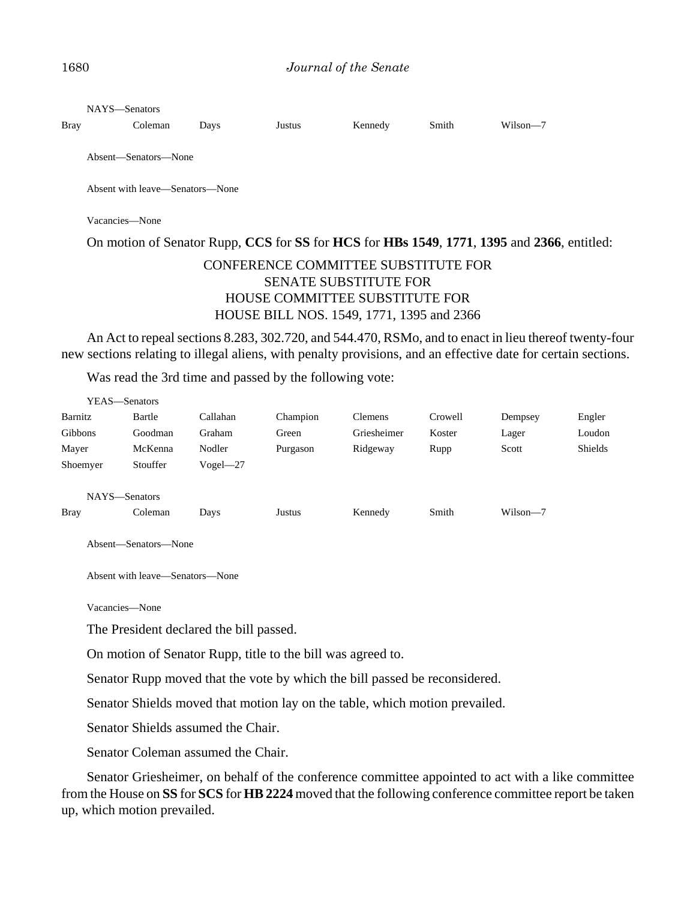| <b>Bray</b> | NAYS—Senators<br>Coleman                                                                   | Days | Justus | Kennedy | Smith | Wilson-7 |  |
|-------------|--------------------------------------------------------------------------------------------|------|--------|---------|-------|----------|--|
|             |                                                                                            |      |        |         |       |          |  |
|             | Absent—Senators—None                                                                       |      |        |         |       |          |  |
|             | Absent with leave—Senators—None                                                            |      |        |         |       |          |  |
|             | Vacancies—None                                                                             |      |        |         |       |          |  |
|             | On motion of Senator Rupp, CCS for SS for HCS for HBs 1549, 1771, 1395 and 2366, entitled: |      |        |         |       |          |  |

# CONFERENCE COMMITTEE SUBSTITUTE FOR SENATE SUBSTITUTE FOR HOUSE COMMITTEE SUBSTITUTE FOR HOUSE BILL NOS. 1549, 1771, 1395 and 2366

An Act to repeal sections 8.283, 302.720, and 544.470, RSMo, and to enact in lieu thereof twenty-four new sections relating to illegal aliens, with penalty provisions, and an effective date for certain sections.

Was read the 3rd time and passed by the following vote:

| YEAS—Senators                |                                 |              |          |                |         |          |                |
|------------------------------|---------------------------------|--------------|----------|----------------|---------|----------|----------------|
| Barnitz                      | Bartle                          | Callahan     | Champion | <b>Clemens</b> | Crowell | Dempsey  | Engler         |
| Gibbons                      | Goodman                         | Graham       | Green    | Griesheimer    | Koster  | Lager    | Loudon         |
| Mayer                        | McKenna                         | Nodler       | Purgason | Ridgeway       | Rupp    | Scott    | <b>Shields</b> |
| Shoemyer                     | Stouffer                        | $Vogel - 27$ |          |                |         |          |                |
| NAYS-Senators<br><b>Bray</b> | Coleman<br>Absent-Senators-None | Days         | Justus   | Kennedy        | Smith   | Wilson-7 |                |

Absent with leave—Senators—None

Vacancies—None

The President declared the bill passed.

On motion of Senator Rupp, title to the bill was agreed to.

Senator Rupp moved that the vote by which the bill passed be reconsidered.

Senator Shields moved that motion lay on the table, which motion prevailed.

Senator Shields assumed the Chair.

Senator Coleman assumed the Chair.

Senator Griesheimer, on behalf of the conference committee appointed to act with a like committee from the House on **SS** for **SCS** for **HB 2224** moved that the following conference committee report be taken up, which motion prevailed.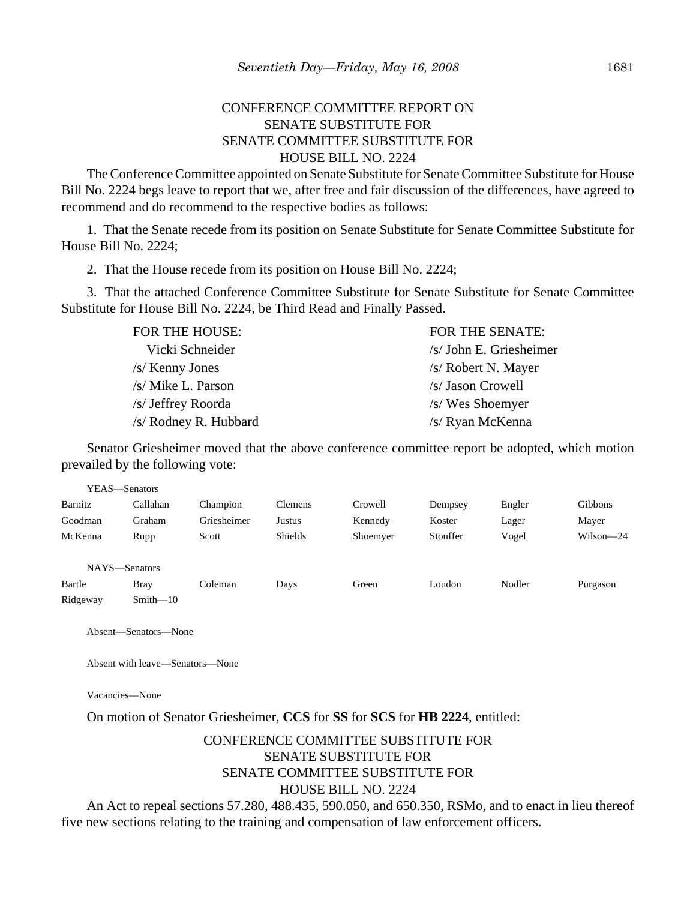# CONFERENCE COMMITTEE REPORT ON SENATE SUBSTITUTE FOR SENATE COMMITTEE SUBSTITUTE FOR HOUSE BILL NO. 2224

The Conference Committee appointed on Senate Substitute for Senate Committee Substitute for House Bill No. 2224 begs leave to report that we, after free and fair discussion of the differences, have agreed to recommend and do recommend to the respective bodies as follows:

1. That the Senate recede from its position on Senate Substitute for Senate Committee Substitute for House Bill No. 2224;

2. That the House recede from its position on House Bill No. 2224;

3. That the attached Conference Committee Substitute for Senate Substitute for Senate Committee Substitute for House Bill No. 2224, be Third Read and Finally Passed.

| FOR THE HOUSE:        | <b>FOR THE SENATE:</b>  |
|-----------------------|-------------------------|
| Vicki Schneider       | /s/ John E. Griesheimer |
| $/s$ Kenny Jones      | /s/ Robert N. Mayer     |
| /s/ Mike L. Parson    | /s/ Jason Crowell       |
| /s/ Jeffrey Roorda    | /s/ Wes Shoemyer        |
| /s/ Rodney R. Hubbard | /s/ Ryan McKenna        |

Senator Griesheimer moved that the above conference committee report be adopted, which motion prevailed by the following vote:

|          | YEAS—Senators |             |                |          |          |        |           |
|----------|---------------|-------------|----------------|----------|----------|--------|-----------|
| Barnitz  | Callahan      | Champion    | Clemens        | Crowell  | Dempsey  | Engler | Gibbons   |
| Goodman  | Graham        | Griesheimer | Justus         | Kennedy  | Koster   | Lager  | Mayer     |
| McKenna  | Rupp          | Scott       | <b>Shields</b> | Shoemyer | Stouffer | Vogel  | Wilson-24 |
|          | NAYS-Senators |             |                |          |          |        |           |
| Bartle   | <b>Bray</b>   | Coleman     | Days           | Green    | Loudon   | Nodler | Purgason  |
| Ridgeway | $Smith - 10$  |             |                |          |          |        |           |

Absent—Senators—None

Absent with leave—Senators—None

Vacancies—None

On motion of Senator Griesheimer, **CCS** for **SS** for **SCS** for **HB 2224**, entitled:

# CONFERENCE COMMITTEE SUBSTITUTE FOR SENATE SUBSTITUTE FOR SENATE COMMITTEE SUBSTITUTE FOR HOUSE BILL NO. 2224

An Act to repeal sections 57.280, 488.435, 590.050, and 650.350, RSMo, and to enact in lieu thereof five new sections relating to the training and compensation of law enforcement officers.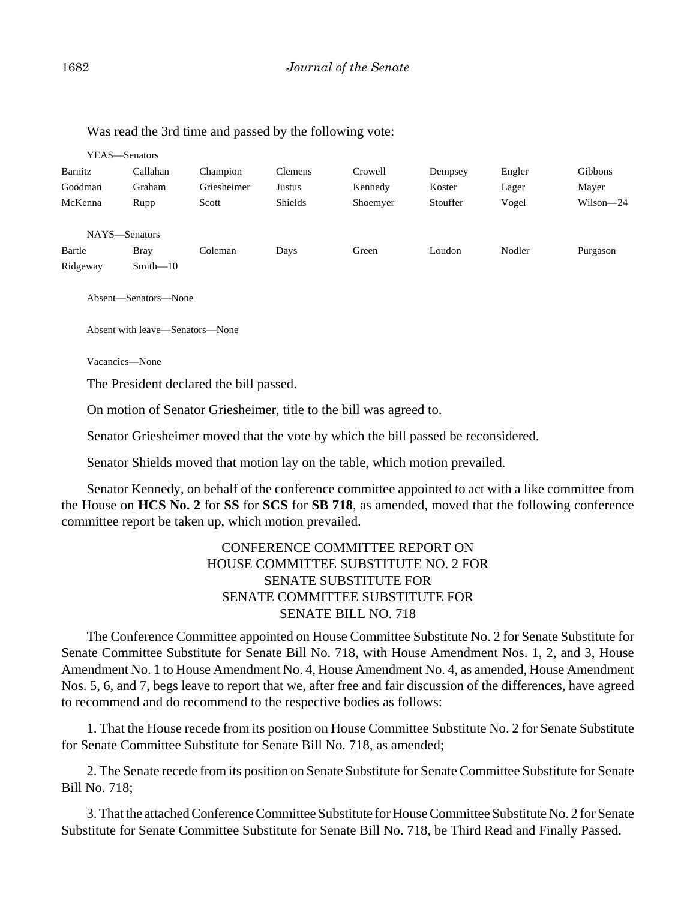| YEAS—Senators                       |                             |             |                |          |          |        |                |
|-------------------------------------|-----------------------------|-------------|----------------|----------|----------|--------|----------------|
| Barnitz                             | Callahan                    | Champion    | <b>Clemens</b> | Crowell  | Dempsey  | Engler | <b>Gibbons</b> |
| Goodman                             | Graham                      | Griesheimer | Justus         | Kennedy  | Koster   | Lager  | Mayer          |
| McKenna                             | Rupp                        | Scott       | <b>Shields</b> | Shoemyer | Stouffer | Vogel  | Wilson-24      |
| NAYS-Senators<br>Bartle<br>Ridgeway | <b>Bray</b><br>$Smith - 10$ | Coleman     | Days           | Green    | Loudon   | Nodler | Purgason       |

Was read the 3rd time and passed by the following vote:

Absent—Senators—None

Absent with leave—Senators—None

Vacancies—None

The President declared the bill passed.

On motion of Senator Griesheimer, title to the bill was agreed to.

Senator Griesheimer moved that the vote by which the bill passed be reconsidered.

Senator Shields moved that motion lay on the table, which motion prevailed.

Senator Kennedy, on behalf of the conference committee appointed to act with a like committee from the House on **HCS No. 2** for **SS** for **SCS** for **SB 718**, as amended, moved that the following conference committee report be taken up, which motion prevailed.

# CONFERENCE COMMITTEE REPORT ON HOUSE COMMITTEE SUBSTITUTE NO. 2 FOR SENATE SUBSTITUTE FOR SENATE COMMITTEE SUBSTITUTE FOR SENATE BILL NO. 718

The Conference Committee appointed on House Committee Substitute No. 2 for Senate Substitute for Senate Committee Substitute for Senate Bill No. 718, with House Amendment Nos. 1, 2, and 3, House Amendment No. 1 to House Amendment No. 4, House Amendment No. 4, as amended, House Amendment Nos. 5, 6, and 7, begs leave to report that we, after free and fair discussion of the differences, have agreed to recommend and do recommend to the respective bodies as follows:

1. That the House recede from its position on House Committee Substitute No. 2 for Senate Substitute for Senate Committee Substitute for Senate Bill No. 718, as amended;

2. The Senate recede from its position on Senate Substitute for Senate Committee Substitute for Senate Bill No. 718;

3. That the attached Conference Committee Substitute for House Committee Substitute No. 2 for Senate Substitute for Senate Committee Substitute for Senate Bill No. 718, be Third Read and Finally Passed.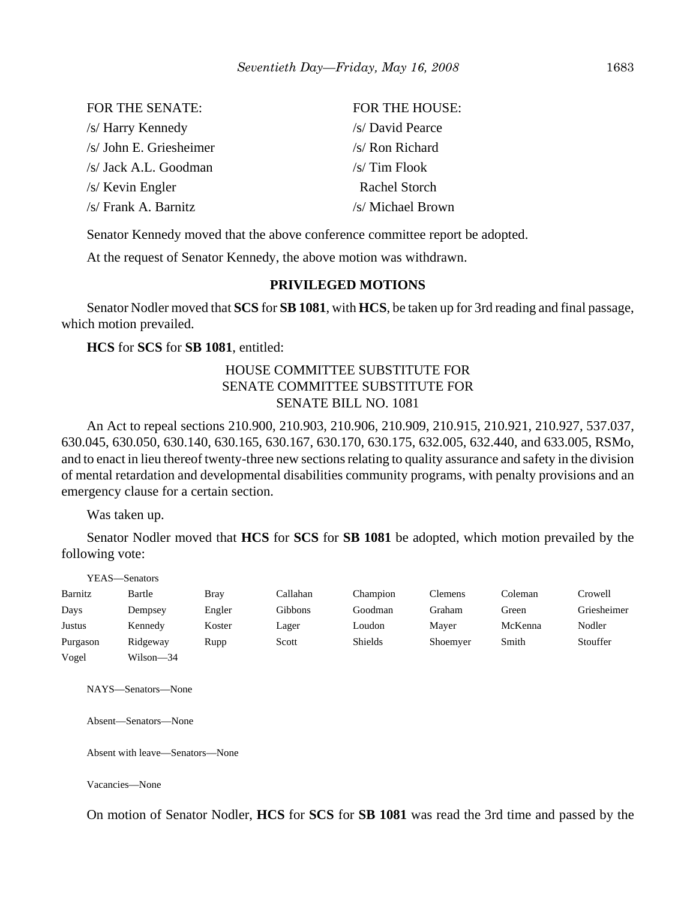| <b>FOR THE SENATE:</b>  | <b>FOR THE HOUSE:</b> |
|-------------------------|-----------------------|
| /s/ Harry Kennedy       | /s/ David Pearce      |
| /s/ John E. Griesheimer | /s/ Ron Richard       |
| /s/ Jack A.L. Goodman   | $/s/$ Tim Flook       |
| $/s$ Kevin Engler       | Rachel Storch         |
| $/s$ Frank A. Barnitz   | /s/ Michael Brown     |

Senator Kennedy moved that the above conference committee report be adopted.

At the request of Senator Kennedy, the above motion was withdrawn.

## **PRIVILEGED MOTIONS**

Senator Nodler moved that **SCS** for **SB 1081**, with **HCS**, be taken up for 3rd reading and final passage, which motion prevailed.

**HCS** for **SCS** for **SB 1081**, entitled:

# HOUSE COMMITTEE SUBSTITUTE FOR SENATE COMMITTEE SUBSTITUTE FOR SENATE BILL NO. 1081

An Act to repeal sections 210.900, 210.903, 210.906, 210.909, 210.915, 210.921, 210.927, 537.037, 630.045, 630.050, 630.140, 630.165, 630.167, 630.170, 630.175, 632.005, 632.440, and 633.005, RSMo, and to enact in lieu thereof twenty-three new sections relating to quality assurance and safety in the division of mental retardation and developmental disabilities community programs, with penalty provisions and an emergency clause for a certain section.

Was taken up.

Senator Nodler moved that **HCS** for **SCS** for **SB 1081** be adopted, which motion prevailed by the following vote:

|          | YEAS—Senators |             |          |                |          |         |             |
|----------|---------------|-------------|----------|----------------|----------|---------|-------------|
| Barnitz  | Bartle        | <b>Bray</b> | Callahan | Champion       | Clemens  | Coleman | Crowell     |
| Days     | Dempsey       | Engler      | Gibbons  | Goodman        | Graham   | Green   | Griesheimer |
| Justus   | Kennedy       | Koster      | Lager    | Loudon         | Maver    | McKenna | Nodler      |
| Purgason | Ridgeway      | Rupp        | Scott    | <b>Shields</b> | Shoemyer | Smith   | Stouffer    |
| Vogel    | Wilson-34     |             |          |                |          |         |             |

NAYS—Senators—None

Absent—Senators—None

Absent with leave—Senators—None

Vacancies—None

On motion of Senator Nodler, **HCS** for **SCS** for **SB 1081** was read the 3rd time and passed by the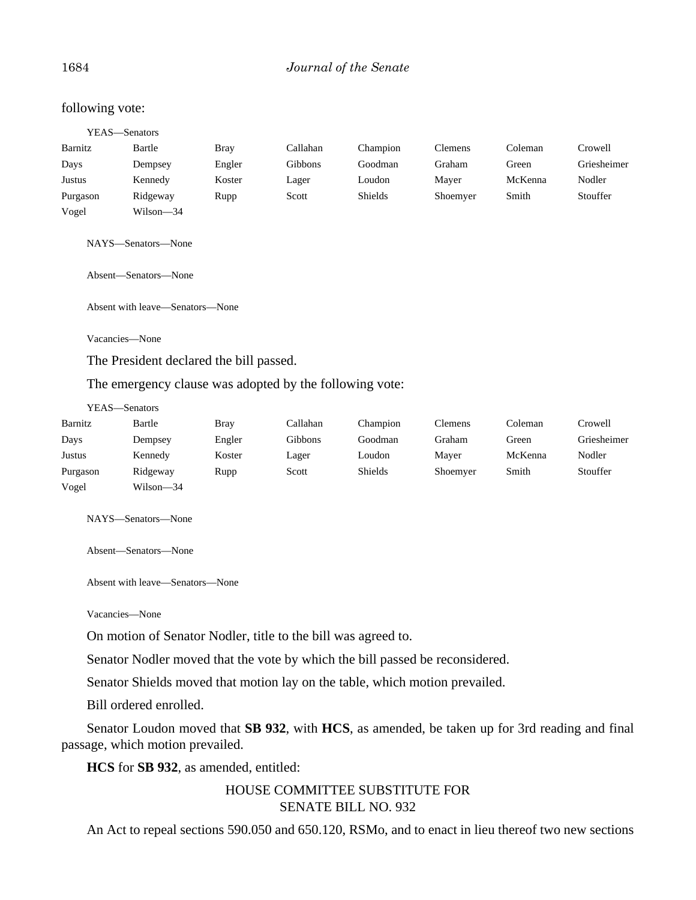## 1684 *Journal of the Senate*

#### following vote:

|          | YEAS—Senators      |             |          |          |                |         |             |
|----------|--------------------|-------------|----------|----------|----------------|---------|-------------|
| Barnitz  | Bartle             | <b>Bray</b> | Callahan | Champion | <b>Clemens</b> | Coleman | Crowell     |
| Days     | Dempsey            | Engler      | Gibbons  | Goodman  | Graham         | Green   | Griesheimer |
| Justus   | Kennedy            | Koster      | Lager    | Loudon   | Mayer          | McKenna | Nodler      |
| Purgason | Ridgeway           | Rupp        | Scott    | Shields  | Shoemyer       | Smith   | Stouffer    |
| Vogel    | Wilson-34          |             |          |          |                |         |             |
|          | NAYS—Senators—None |             |          |          |                |         |             |

Absent—Senators—None

Absent with leave—Senators—None

Vacancies—None

The President declared the bill passed.

The emergency clause was adopted by the following vote:

YEAS—Senators

| Barnitz  | Bartle    | <b>Bray</b> | Callahan | Champion       | <b>Clemens</b> | Coleman | Crowell     |
|----------|-----------|-------------|----------|----------------|----------------|---------|-------------|
| Days     | Dempsey   | Engler      | Gibbons  | Goodman        | Graham         | Green   | Griesheimer |
| Justus   | Kennedy   | Koster      | Lager    | Loudon         | Mayer          | McKenna | Nodler      |
| Purgason | Ridgeway  | Rupp        | Scott    | <b>Shields</b> | Shoemyer       | Smith   | Stouffer    |
| Vogel    | Wilson-34 |             |          |                |                |         |             |

NAYS—Senators—None

Absent—Senators—None

Absent with leave—Senators—None

Vacancies—None

On motion of Senator Nodler, title to the bill was agreed to.

Senator Nodler moved that the vote by which the bill passed be reconsidered.

Senator Shields moved that motion lay on the table, which motion prevailed.

Bill ordered enrolled.

Senator Loudon moved that **SB 932**, with **HCS**, as amended, be taken up for 3rd reading and final passage, which motion prevailed.

**HCS** for **SB 932**, as amended, entitled:

HOUSE COMMITTEE SUBSTITUTE FOR SENATE BILL NO. 932

An Act to repeal sections 590.050 and 650.120, RSMo, and to enact in lieu thereof two new sections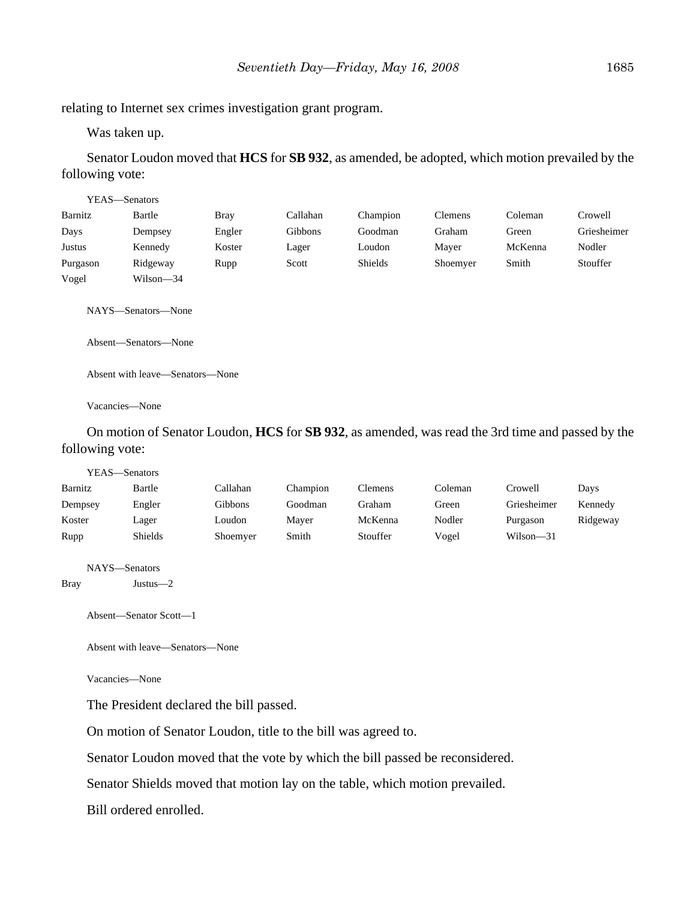Was taken up.

Senator Loudon moved that **HCS** for **SB 932**, as amended, be adopted, which motion prevailed by the following vote:

| YEAS—Senators |                      |             |          |          |                |         |             |
|---------------|----------------------|-------------|----------|----------|----------------|---------|-------------|
| Barnitz       | Bartle               | <b>Bray</b> | Callahan | Champion | <b>Clemens</b> | Coleman | Crowell     |
| Days          | Dempsey              | Engler      | Gibbons  | Goodman  | Graham         | Green   | Griesheimer |
| Justus        | Kennedy              | Koster      | Lager    | Loudon   | Mayer          | McKenna | Nodler      |
| Purgason      | Ridgeway             | Rupp        | Scott    | Shields  | Shoemyer       | Smith   | Stouffer    |
| Vogel         | Wilson-34            |             |          |          |                |         |             |
|               | NAYS-Senators-None   |             |          |          |                |         |             |
|               | Absent—Senators—None |             |          |          |                |         |             |

Absent with leave—Senators—None

Vacancies—None

On motion of Senator Loudon, **HCS** for **SB 932**, as amended, was read the 3rd time and passed by the following vote:

|         | YEAS—Senators |          |          |                |         |             |          |
|---------|---------------|----------|----------|----------------|---------|-------------|----------|
| Barnitz | Bartle        | Callahan | Champion | <b>Clemens</b> | Coleman | Crowell     | Days     |
| Dempsey | Engler        | Gibbons  | Goodman  | Graham         | Green   | Griesheimer | Kennedy  |
| Koster  | Lager         | Loudon   | Mayer    | McKenna        | Nodler  | Purgason    | Ridgeway |
| Rupp    | Shields       | Shoemyer | Smith    | Stouffer       | Vogel   | Wilson-31   |          |
|         |               |          |          |                |         |             |          |
|         | NAYS—Senators |          |          |                |         |             |          |

Bray Justus—2

Absent—Senator Scott—1

Absent with leave—Senators—None

Vacancies—None

The President declared the bill passed.

On motion of Senator Loudon, title to the bill was agreed to.

Senator Loudon moved that the vote by which the bill passed be reconsidered.

Senator Shields moved that motion lay on the table, which motion prevailed.

Bill ordered enrolled.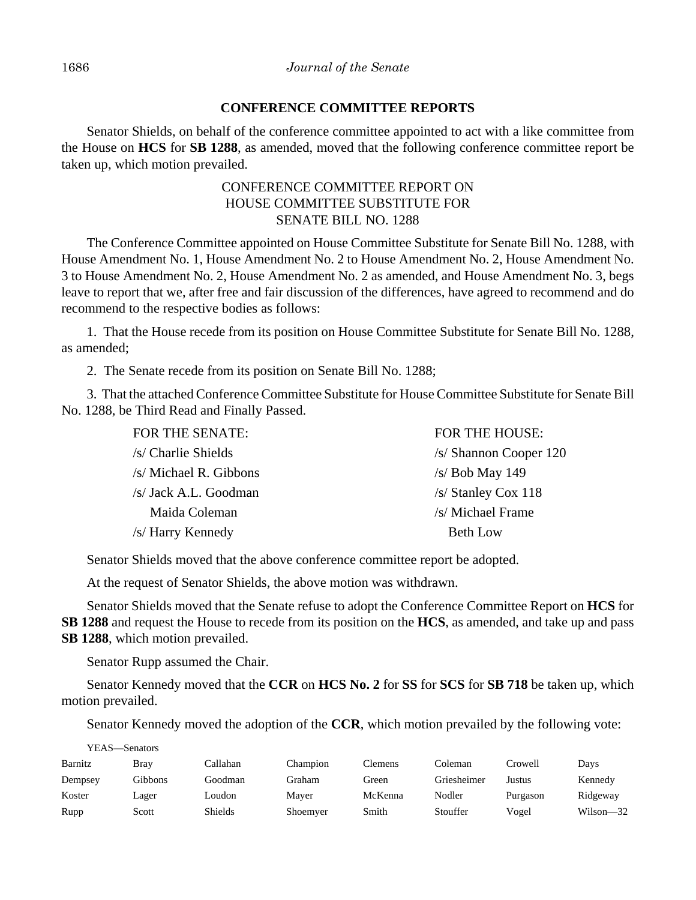## **CONFERENCE COMMITTEE REPORTS**

Senator Shields, on behalf of the conference committee appointed to act with a like committee from the House on **HCS** for **SB 1288**, as amended, moved that the following conference committee report be taken up, which motion prevailed.

## CONFERENCE COMMITTEE REPORT ON HOUSE COMMITTEE SUBSTITUTE FOR SENATE BILL NO. 1288

The Conference Committee appointed on House Committee Substitute for Senate Bill No. 1288, with House Amendment No. 1, House Amendment No. 2 to House Amendment No. 2, House Amendment No. 3 to House Amendment No. 2, House Amendment No. 2 as amended, and House Amendment No. 3, begs leave to report that we, after free and fair discussion of the differences, have agreed to recommend and do recommend to the respective bodies as follows:

1. That the House recede from its position on House Committee Substitute for Senate Bill No. 1288, as amended;

2. The Senate recede from its position on Senate Bill No. 1288;

3. That the attached Conference Committee Substitute for House Committee Substitute for Senate Bill No. 1288, be Third Read and Finally Passed.

| FOR THE SENATE:        | <b>FOR THE HOUSE:</b>  |
|------------------------|------------------------|
| /s/ Charlie Shields    | /s/ Shannon Cooper 120 |
| /s/ Michael R. Gibbons | $/s/$ Bob May 149      |
| /s/ Jack A.L. Goodman  | $/s/$ Stanley Cox 118  |
| Maida Coleman          | /s/ Michael Frame      |
| /s/ Harry Kennedy      | <b>Beth Low</b>        |

Senator Shields moved that the above conference committee report be adopted.

At the request of Senator Shields, the above motion was withdrawn.

Senator Shields moved that the Senate refuse to adopt the Conference Committee Report on **HCS** for **SB 1288** and request the House to recede from its position on the **HCS**, as amended, and take up and pass **SB 1288**, which motion prevailed.

Senator Rupp assumed the Chair.

Senator Kennedy moved that the **CCR** on **HCS No. 2** for **SS** for **SCS** for **SB 718** be taken up, which motion prevailed.

Senator Kennedy moved the adoption of the **CCR**, which motion prevailed by the following vote:

YEAS—Senators

| Barnitz | <b>Bray</b> | Callahan | Champion | Clemens | Coleman     | Crowell  | Davs          |
|---------|-------------|----------|----------|---------|-------------|----------|---------------|
| Dempsey | Gibbons     | Goodman  | Graham   | Green   | Griesheimer | Justus   | Kennedy       |
| Koster  | Lager       | Loudon-  | Maver    | McKenna | Nodler      | Purgason | Ridgeway      |
| Rupp    | Scott       | Shields  | Shoemyer | Smith   | Stouffer    | Vogel    | $Wilson - 32$ |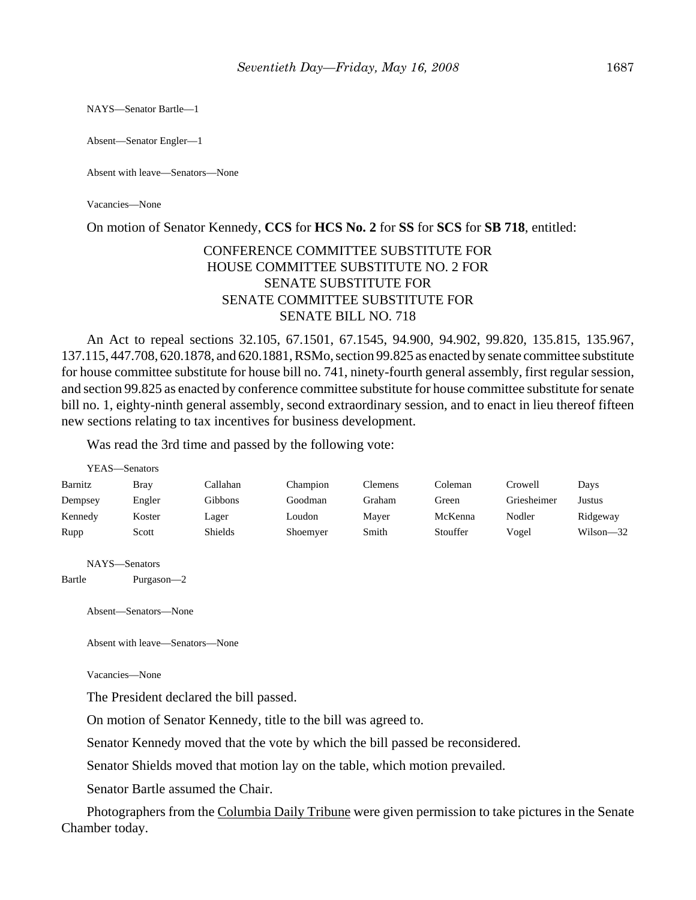NAYS—Senator Bartle—1

Absent—Senator Engler—1

Absent with leave—Senators—None

Vacancies—None

On motion of Senator Kennedy, **CCS** for **HCS No. 2** for **SS** for **SCS** for **SB 718**, entitled:

# CONFERENCE COMMITTEE SUBSTITUTE FOR HOUSE COMMITTEE SUBSTITUTE NO. 2 FOR SENATE SUBSTITUTE FOR SENATE COMMITTEE SUBSTITUTE FOR SENATE BILL NO. 718

An Act to repeal sections 32.105, 67.1501, 67.1545, 94.900, 94.902, 99.820, 135.815, 135.967, 137.115, 447.708, 620.1878, and 620.1881, RSMo, section 99.825 as enacted by senate committee substitute for house committee substitute for house bill no. 741, ninety-fourth general assembly, first regular session, and section 99.825 as enacted by conference committee substitute for house committee substitute for senate bill no. 1, eighty-ninth general assembly, second extraordinary session, and to enact in lieu thereof fifteen new sections relating to tax incentives for business development.

Was read the 3rd time and passed by the following vote:

|         | YEAS—Senators |                |          |                |          |             |               |
|---------|---------------|----------------|----------|----------------|----------|-------------|---------------|
| Barnitz | Bray          | Callahan       | Champion | <b>Clemens</b> | Coleman  | Crowell     | Days          |
| Dempsey | Engler        | Gibbons        | Goodman  | Graham         | Green    | Griesheimer | Justus        |
| Kennedy | Koster        | Lager          | Loudon   | Mayer          | McKenna  | Nodler      | Ridgeway      |
| Rupp    | Scott         | <b>Shields</b> | Shoemyer | Smith          | Stouffer | Vogel       | $Wilson - 32$ |

NAYS—Senators

Bartle Purgason—2

Absent—Senators—None

Absent with leave—Senators—None

Vacancies—None

The President declared the bill passed.

On motion of Senator Kennedy, title to the bill was agreed to.

Senator Kennedy moved that the vote by which the bill passed be reconsidered.

Senator Shields moved that motion lay on the table, which motion prevailed.

Senator Bartle assumed the Chair.

Photographers from the Columbia Daily Tribune were given permission to take pictures in the Senate Chamber today.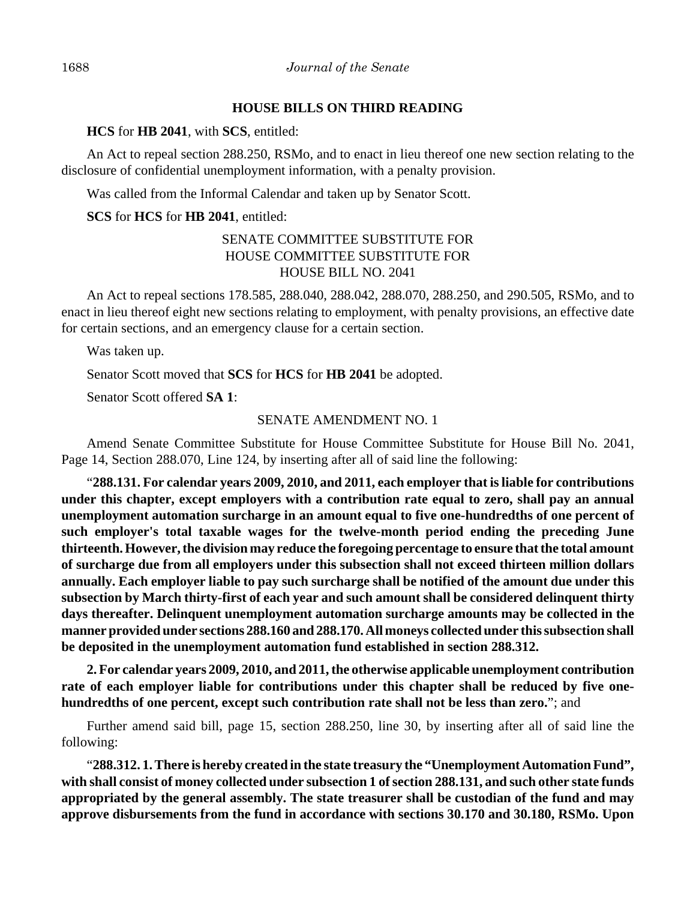#### **HOUSE BILLS ON THIRD READING**

**HCS** for **HB 2041**, with **SCS**, entitled:

An Act to repeal section 288.250, RSMo, and to enact in lieu thereof one new section relating to the disclosure of confidential unemployment information, with a penalty provision.

Was called from the Informal Calendar and taken up by Senator Scott.

## **SCS** for **HCS** for **HB 2041**, entitled:

# SENATE COMMITTEE SUBSTITUTE FOR HOUSE COMMITTEE SUBSTITUTE FOR HOUSE BILL NO. 2041

An Act to repeal sections 178.585, 288.040, 288.042, 288.070, 288.250, and 290.505, RSMo, and to enact in lieu thereof eight new sections relating to employment, with penalty provisions, an effective date for certain sections, and an emergency clause for a certain section.

Was taken up.

Senator Scott moved that **SCS** for **HCS** for **HB 2041** be adopted.

Senator Scott offered **SA 1**:

## SENATE AMENDMENT NO. 1

Amend Senate Committee Substitute for House Committee Substitute for House Bill No. 2041, Page 14, Section 288.070, Line 124, by inserting after all of said line the following:

"**288.131. For calendar years 2009, 2010, and 2011, each employer that is liable for contributions under this chapter, except employers with a contribution rate equal to zero, shall pay an annual unemployment automation surcharge in an amount equal to five one-hundredths of one percent of such employer's total taxable wages for the twelve-month period ending the preceding June thirteenth. However, the division may reduce the foregoing percentage to ensure that the total amount of surcharge due from all employers under this subsection shall not exceed thirteen million dollars annually. Each employer liable to pay such surcharge shall be notified of the amount due under this subsection by March thirty-first of each year and such amount shall be considered delinquent thirty days thereafter. Delinquent unemployment automation surcharge amounts may be collected in the manner provided under sections 288.160 and 288.170. All moneys collected under this subsection shall be deposited in the unemployment automation fund established in section 288.312.**

**2. For calendar years 2009, 2010, and 2011, the otherwise applicable unemployment contribution rate of each employer liable for contributions under this chapter shall be reduced by five onehundredths of one percent, except such contribution rate shall not be less than zero.**"; and

Further amend said bill, page 15, section 288.250, line 30, by inserting after all of said line the following:

"**288.312. 1. There is hereby created in the state treasury the "Unemployment Automation Fund", with shall consist of money collected under subsection 1 of section 288.131, and such other state funds appropriated by the general assembly. The state treasurer shall be custodian of the fund and may approve disbursements from the fund in accordance with sections 30.170 and 30.180, RSMo. Upon**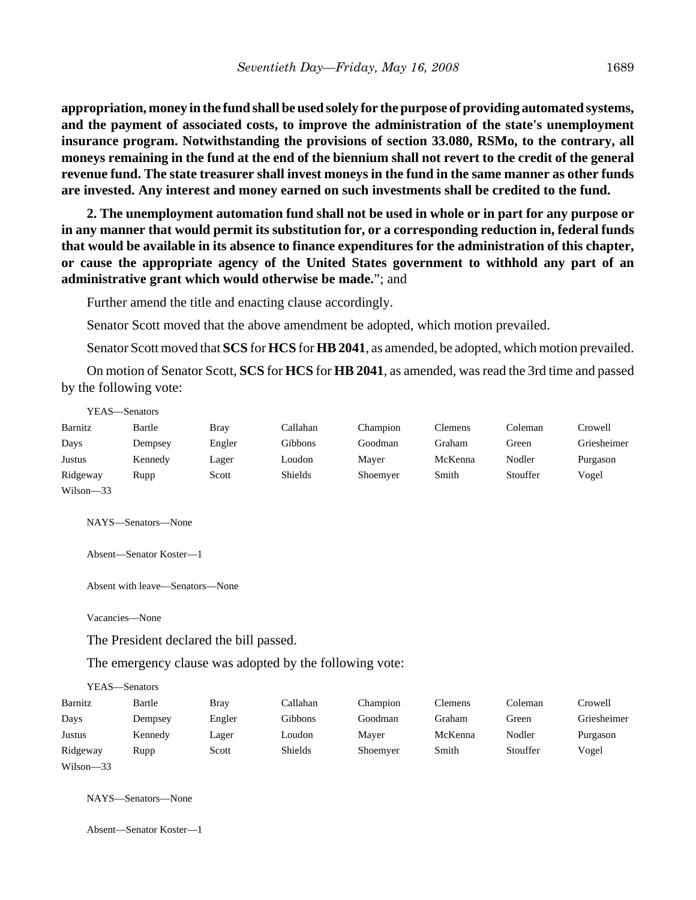**appropriation, money in the fund shall be used solely for the purpose of providing automated systems, and the payment of associated costs, to improve the administration of the state's unemployment insurance program. Notwithstanding the provisions of section 33.080, RSMo, to the contrary, all moneys remaining in the fund at the end of the biennium shall not revert to the credit of the general revenue fund. The state treasurer shall invest moneys in the fund in the same manner as other funds are invested. Any interest and money earned on such investments shall be credited to the fund.**

**2. The unemployment automation fund shall not be used in whole or in part for any purpose or in any manner that would permit its substitution for, or a corresponding reduction in, federal funds that would be available in its absence to finance expenditures for the administration of this chapter, or cause the appropriate agency of the United States government to withhold any part of an administrative grant which would otherwise be made.**"; and

Further amend the title and enacting clause accordingly.

Senator Scott moved that the above amendment be adopted, which motion prevailed.

Senator Scott moved that **SCS** for **HCS** for **HB 2041**, as amended, be adopted, which motion prevailed.

On motion of Senator Scott, **SCS** for **HCS** for **HB 2041**, as amended, was read the 3rd time and passed by the following vote:

|               | YEAS—Senators |             |                |          |         |          |             |
|---------------|---------------|-------------|----------------|----------|---------|----------|-------------|
| Barnitz       | Bartle        | <b>Bray</b> | Callahan       | Champion | Clemens | Coleman  | Crowell     |
| Days          | Dempsey       | Engler      | Gibbons        | Goodman  | Graham  | Green    | Griesheimer |
| Justus        | Kennedy       | Lager       | Loudon         | Mayer    | McKenna | Nodler   | Purgason    |
| Ridgeway      | Rupp          | Scott       | <b>Shields</b> | Shoemyer | Smith   | Stouffer | Vogel       |
| $Wilson - 33$ |               |             |                |          |         |          |             |

NAYS—Senators—None

Absent—Senator Koster—1

Absent with leave—Senators—None

Vacancies—None

 $\mathbf{y}$   $\mathbf{y}$ 

The President declared the bill passed.

The emergency clause was adopted by the following vote:

|           | Y EAS—Senators |             |          |          |                |          |             |
|-----------|----------------|-------------|----------|----------|----------------|----------|-------------|
| Barnitz   | Bartle         | <b>Bray</b> | Callahan | Champion | <b>Clemens</b> | Coleman  | Crowell     |
| Days      | Dempsey        | Engler      | Gibbons  | Goodman  | Graham         | Green    | Griesheimer |
| Justus    | Kennedy        | Lager       | Loudon   | Mayer    | McKenna        | Nodler   | Purgason    |
| Ridgeway  | Rupp           | Scott       | Shields  | Shoemyer | Smith          | Stouffer | Vogel       |
| Wilson-33 |                |             |          |          |                |          |             |

NAYS—Senators—None

Absent—Senator Koster—1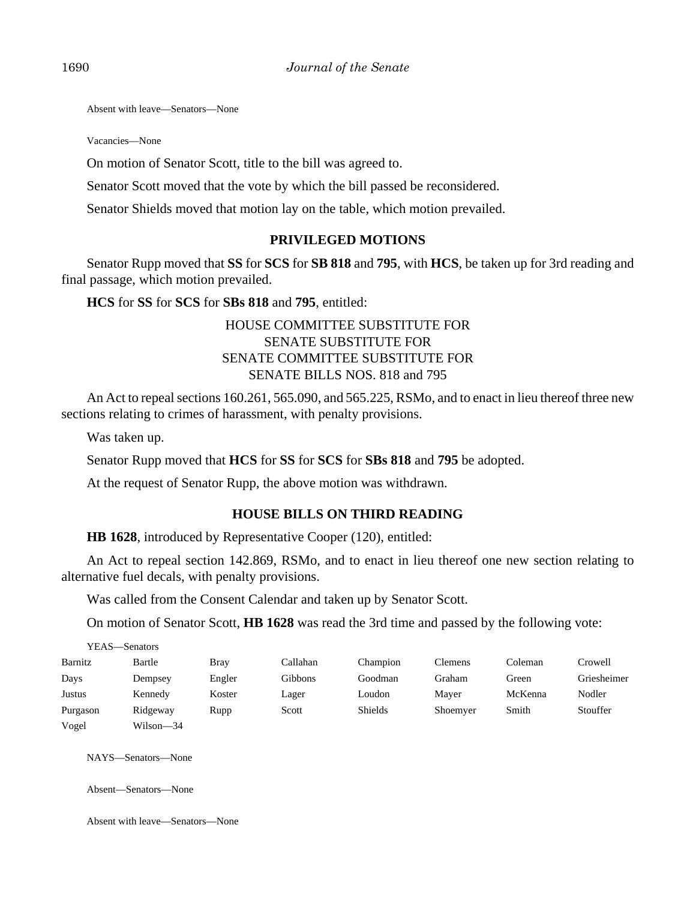Absent with leave—Senators—None

Vacancies—None

On motion of Senator Scott, title to the bill was agreed to.

Senator Scott moved that the vote by which the bill passed be reconsidered.

Senator Shields moved that motion lay on the table, which motion prevailed.

#### **PRIVILEGED MOTIONS**

Senator Rupp moved that **SS** for **SCS** for **SB 818** and **795**, with **HCS**, be taken up for 3rd reading and final passage, which motion prevailed.

**HCS** for **SS** for **SCS** for **SBs 818** and **795**, entitled:

# HOUSE COMMITTEE SUBSTITUTE FOR SENATE SUBSTITUTE FOR SENATE COMMITTEE SUBSTITUTE FOR SENATE BILLS NOS. 818 and 795

An Act to repeal sections 160.261, 565.090, and 565.225, RSMo, and to enact in lieu thereof three new sections relating to crimes of harassment, with penalty provisions.

Was taken up.

Senator Rupp moved that **HCS** for **SS** for **SCS** for **SBs 818** and **795** be adopted.

At the request of Senator Rupp, the above motion was withdrawn.

## **HOUSE BILLS ON THIRD READING**

**HB 1628**, introduced by Representative Cooper (120), entitled:

An Act to repeal section 142.869, RSMo, and to enact in lieu thereof one new section relating to alternative fuel decals, with penalty provisions.

Was called from the Consent Calendar and taken up by Senator Scott.

On motion of Senator Scott, **HB 1628** was read the 3rd time and passed by the following vote:

|          | YEAS—Senators |             |          |          |          |         |             |
|----------|---------------|-------------|----------|----------|----------|---------|-------------|
| Barnitz  | Bartle        | <b>Bray</b> | Callahan | Champion | Clemens  | Coleman | Crowell     |
| Days     | Dempsey       | Engler      | Gibbons  | Goodman  | Graham   | Green   | Griesheimer |
| Justus   | Kennedy       | Koster      | Lager    | Loudon   | Maver    | McKenna | Nodler      |
| Purgason | Ridgeway      | Rupp        | Scott    | Shields  | Shoemyer | Smith   | Stouffer    |
| Vogel    | Wilson—34     |             |          |          |          |         |             |

NAYS—Senators—None

Absent—Senators—None

Absent with leave—Senators—None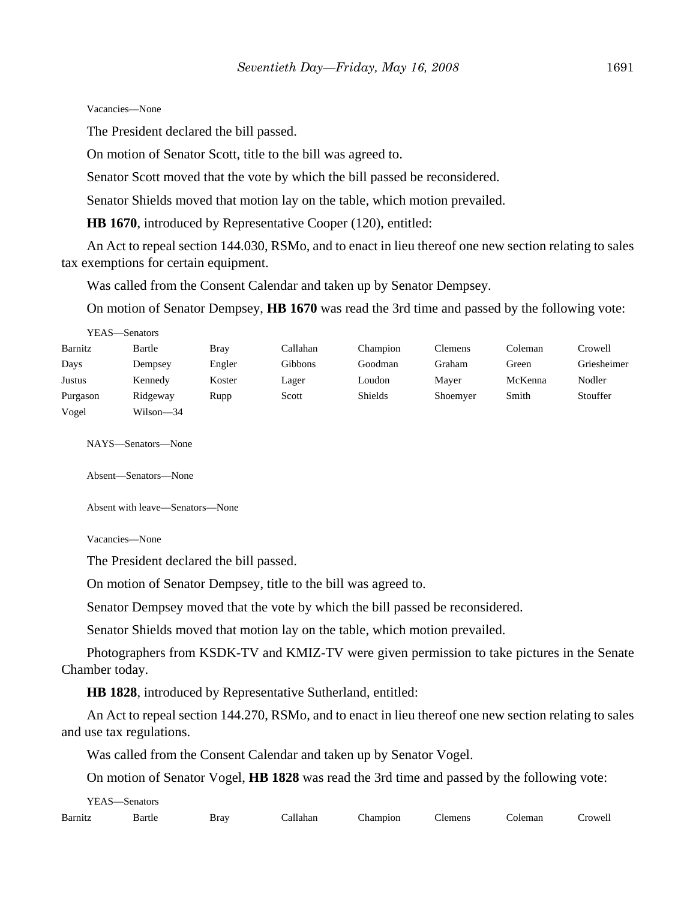Vacancies—None

The President declared the bill passed.

On motion of Senator Scott, title to the bill was agreed to.

Senator Scott moved that the vote by which the bill passed be reconsidered.

Senator Shields moved that motion lay on the table, which motion prevailed.

**HB 1670**, introduced by Representative Cooper (120), entitled:

An Act to repeal section 144.030, RSMo, and to enact in lieu thereof one new section relating to sales tax exemptions for certain equipment.

Was called from the Consent Calendar and taken up by Senator Dempsey.

On motion of Senator Dempsey, **HB 1670** was read the 3rd time and passed by the following vote:

| YEAS—Senators |           |             |          |          |                |         |             |
|---------------|-----------|-------------|----------|----------|----------------|---------|-------------|
| Barnitz       | Bartle    | <b>Bray</b> | Callahan | Champion | <b>Clemens</b> | Coleman | Crowell     |
| Days          | Dempsey   | Engler      | Gibbons  | Goodman  | Graham         | Green   | Griesheimer |
| Justus        | Kennedy   | Koster      | Lager    | Loudon   | Maver          | McKenna | Nodler      |
| Purgason      | Ridgeway  | Rupp        | Scott    | Shields  | Shoemyer       | Smith   | Stouffer    |
| Vogel         | Wilson—34 |             |          |          |                |         |             |

NAYS—Senators—None

Absent—Senators—None

Absent with leave—Senators—None

Vacancies—None

The President declared the bill passed.

On motion of Senator Dempsey, title to the bill was agreed to.

Senator Dempsey moved that the vote by which the bill passed be reconsidered.

Senator Shields moved that motion lay on the table, which motion prevailed.

Photographers from KSDK-TV and KMIZ-TV were given permission to take pictures in the Senate Chamber today.

**HB 1828**, introduced by Representative Sutherland, entitled:

An Act to repeal section 144.270, RSMo, and to enact in lieu thereof one new section relating to sales and use tax regulations.

Was called from the Consent Calendar and taken up by Senator Vogel.

On motion of Senator Vogel, **HB 1828** was read the 3rd time and passed by the following vote:

| YEAS    | -Senators   |      |         |                      |              |         |                 |
|---------|-------------|------|---------|----------------------|--------------|---------|-----------------|
| Barnitz | Bartle<br>. | Bray | allahan | <sup>n</sup> hampion | m<br>'lemens | coleman | ~rowel1<br>$ -$ |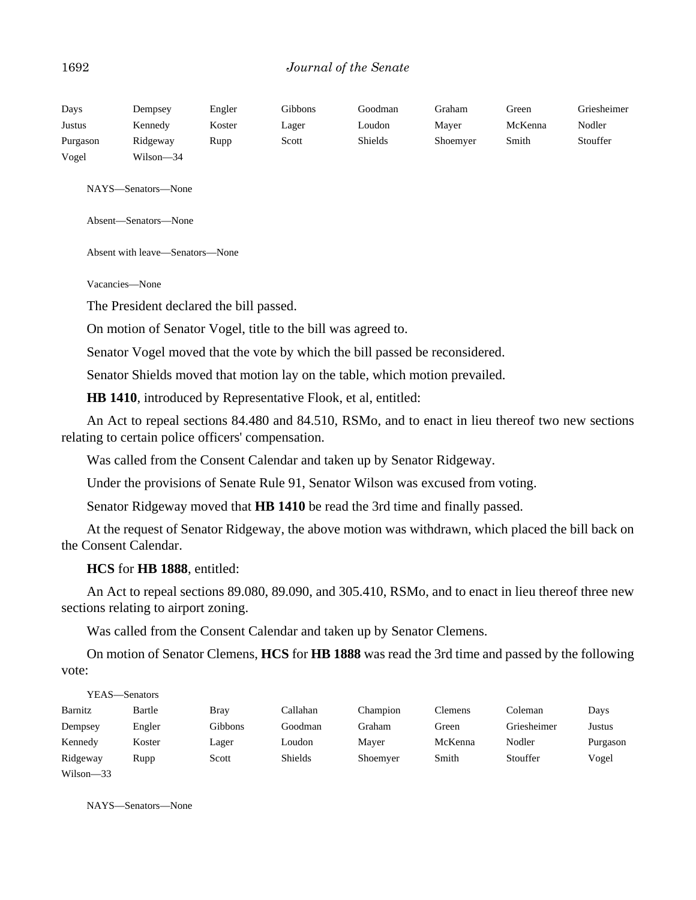#### 1692 *Journal of the Senate*

| Days     | Dempsey   | Engler | Gibbons | Goodman        | Graham   | Green   | Griesheimer |
|----------|-----------|--------|---------|----------------|----------|---------|-------------|
| Justus   | Kennedy   | Koster | Lager   | Loudon         | Mayer    | McKenna | Nodler      |
| Purgason | Ridgeway  | Rupp   | Scott   | <b>Shields</b> | Shoemyer | Smith   | Stouffer    |
| Vogel    | Wilson-34 |        |         |                |          |         |             |

NAYS—Senators—None

Absent—Senators—None

Absent with leave—Senators—None

Vacancies—None

The President declared the bill passed.

On motion of Senator Vogel, title to the bill was agreed to.

Senator Vogel moved that the vote by which the bill passed be reconsidered.

Senator Shields moved that motion lay on the table, which motion prevailed.

**HB 1410**, introduced by Representative Flook, et al, entitled:

An Act to repeal sections 84.480 and 84.510, RSMo, and to enact in lieu thereof two new sections relating to certain police officers' compensation.

Was called from the Consent Calendar and taken up by Senator Ridgeway.

Under the provisions of Senate Rule 91, Senator Wilson was excused from voting.

Senator Ridgeway moved that **HB 1410** be read the 3rd time and finally passed.

At the request of Senator Ridgeway, the above motion was withdrawn, which placed the bill back on the Consent Calendar.

**HCS** for **HB 1888**, entitled:

An Act to repeal sections 89.080, 89.090, and 305.410, RSMo, and to enact in lieu thereof three new sections relating to airport zoning.

Was called from the Consent Calendar and taken up by Senator Clemens.

On motion of Senator Clemens, **HCS** for **HB 1888** was read the 3rd time and passed by the following vote:

| YEAS—Senators |        |             |          |          |                |             |          |
|---------------|--------|-------------|----------|----------|----------------|-------------|----------|
| Barnitz       | Bartle | <b>Bray</b> | Callahan | Champion | <b>Clemens</b> | Coleman     | Days     |
| Dempsey       | Engler | Gibbons     | Goodman  | Graham   | Green          | Griesheimer | Justus   |
| Kennedy       | Koster | Lager       | Loudon   | Mayer    | McKenna        | Nodler      | Purgason |
| Ridgeway      | Rupp   | Scott       | Shields  | Shoemyer | Smith          | Stouffer    | Vogel    |
| $Wilson - 33$ |        |             |          |          |                |             |          |

NAYS—Senators—None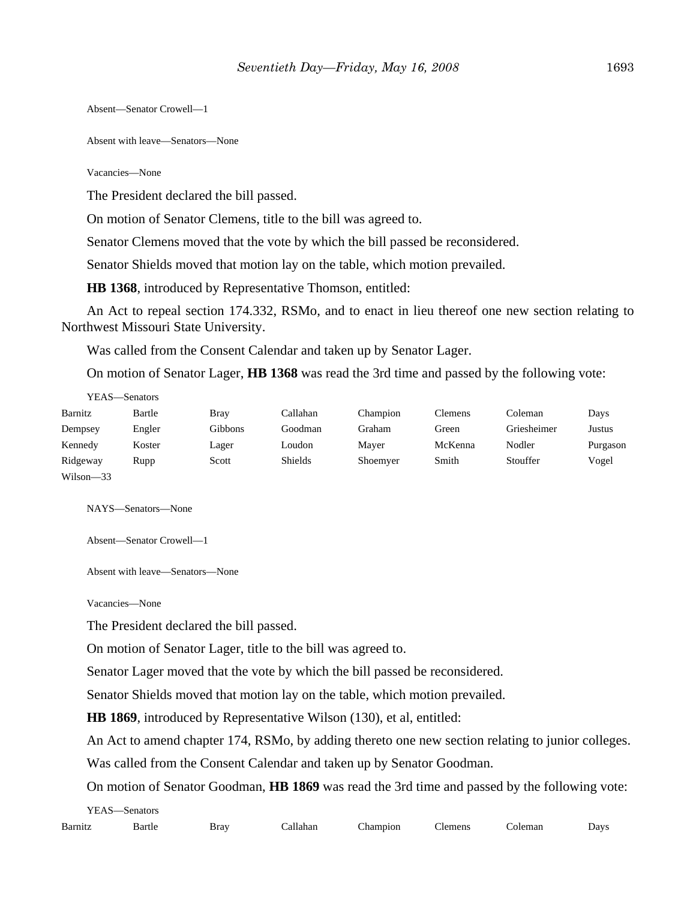Absent—Senator Crowell—1

Absent with leave—Senators—None

Vacancies—None

The President declared the bill passed.

On motion of Senator Clemens, title to the bill was agreed to.

Senator Clemens moved that the vote by which the bill passed be reconsidered.

Senator Shields moved that motion lay on the table, which motion prevailed.

**HB 1368**, introduced by Representative Thomson, entitled:

An Act to repeal section 174.332, RSMo, and to enact in lieu thereof one new section relating to Northwest Missouri State University.

Was called from the Consent Calendar and taken up by Senator Lager.

On motion of Senator Lager, **HB 1368** was read the 3rd time and passed by the following vote:

|               | YEAS—Senators |             |                |          |         |             |          |
|---------------|---------------|-------------|----------------|----------|---------|-------------|----------|
| Barnitz       | Bartle        | <b>Bray</b> | Callahan       | Champion | Clemens | Coleman     | Days     |
| Dempsey       | Engler        | Gibbons     | Goodman        | Graham   | Green   | Griesheimer | Justus   |
| Kennedy       | Koster        | Lager       | Loudon         | Mayer    | McKenna | Nodler      | Purgason |
| Ridgeway      | Rupp          | Scott       | <b>Shields</b> | Shoemyer | Smith   | Stouffer    | Vogel    |
| $Wilson - 33$ |               |             |                |          |         |             |          |

NAYS—Senators—None

Absent—Senator Crowell—1

Absent with leave—Senators—None

Vacancies—None

The President declared the bill passed.

On motion of Senator Lager, title to the bill was agreed to.

Senator Lager moved that the vote by which the bill passed be reconsidered.

Senator Shields moved that motion lay on the table, which motion prevailed.

**HB 1869**, introduced by Representative Wilson (130), et al, entitled:

An Act to amend chapter 174, RSMo, by adding thereto one new section relating to junior colleges.

Was called from the Consent Calendar and taken up by Senator Goodman.

On motion of Senator Goodman, **HB 1869** was read the 3rd time and passed by the following vote:

YEAS—Senators

| Barn | $1 - \epsilon$<br>эань.<br>. | 1.002<br>--- | . la o sa | $-$<br>pior<br>' | .1 <sup>er</sup><br>aan<br>. | man<br>. | $\frac{1}{2}$<br>- іа |
|------|------------------------------|--------------|-----------|------------------|------------------------------|----------|-----------------------|
|------|------------------------------|--------------|-----------|------------------|------------------------------|----------|-----------------------|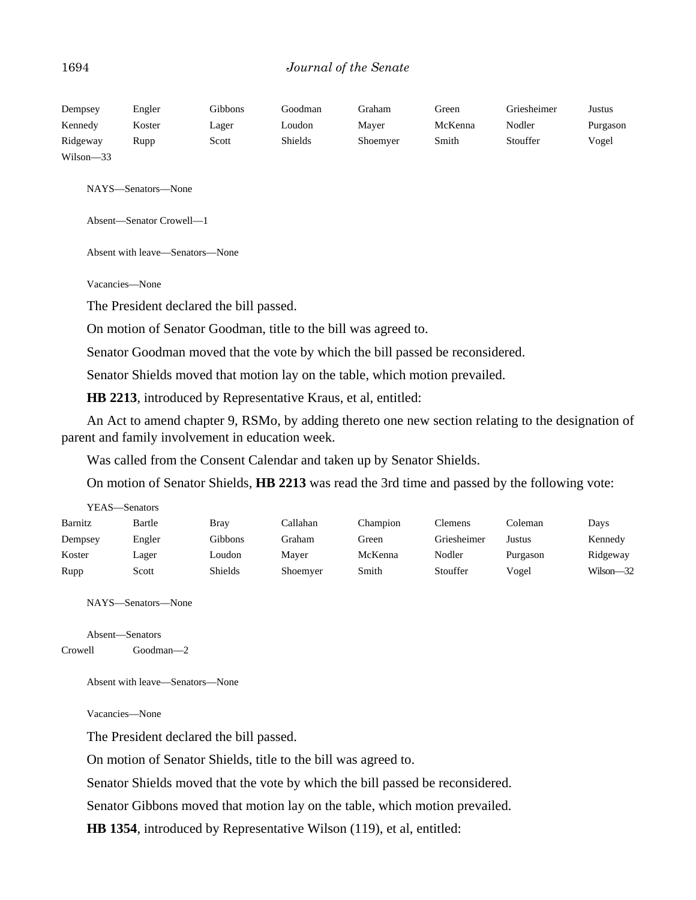| Dempsey      | Engler | Gibbons | Goodman | Graham   | Green   | Griesheimer | Justus   |
|--------------|--------|---------|---------|----------|---------|-------------|----------|
| Kennedy      | Koster | Lager   | Loudon  | Maver    | McKenna | Nodler      | Purgason |
| Ridgeway     | Rupp   | Scott   | Shields | Shoemyer | Smith   | Stouffer    | Vogel    |
| Wilson $-33$ |        |         |         |          |         |             |          |

NAYS—Senators—None

Absent—Senator Crowell—1

Absent with leave—Senators—None

Vacancies—None

The President declared the bill passed.

On motion of Senator Goodman, title to the bill was agreed to.

Senator Goodman moved that the vote by which the bill passed be reconsidered.

Senator Shields moved that motion lay on the table, which motion prevailed.

**HB 2213**, introduced by Representative Kraus, et al, entitled:

An Act to amend chapter 9, RSMo, by adding thereto one new section relating to the designation of parent and family involvement in education week.

Was called from the Consent Calendar and taken up by Senator Shields.

On motion of Senator Shields, **HB 2213** was read the 3rd time and passed by the following vote:

| YEAS—Senators |        |         |          |          |             |          |           |
|---------------|--------|---------|----------|----------|-------------|----------|-----------|
| Barnitz       | Bartle | Brav    | Callahan | Champion | Clemens     | Coleman  | Days      |
| Dempsey       | Engler | Gibbons | Graham   | Green    | Griesheimer | Justus   | Kennedy   |
| Koster        | Lager  | Loudon  | Mayer    | McKenna  | Nodler      | Purgason | Ridgeway  |
| Rupp          | Scott  | Shields | Shoemyer | Smith    | Stouffer    | Vogel    | Wilson-32 |

NAYS—Senators—None

Absent—Senators Crowell Goodman—2

Absent with leave—Senators—None

Vacancies—None

The President declared the bill passed.

On motion of Senator Shields, title to the bill was agreed to.

Senator Shields moved that the vote by which the bill passed be reconsidered.

Senator Gibbons moved that motion lay on the table, which motion prevailed.

**HB 1354**, introduced by Representative Wilson (119), et al, entitled: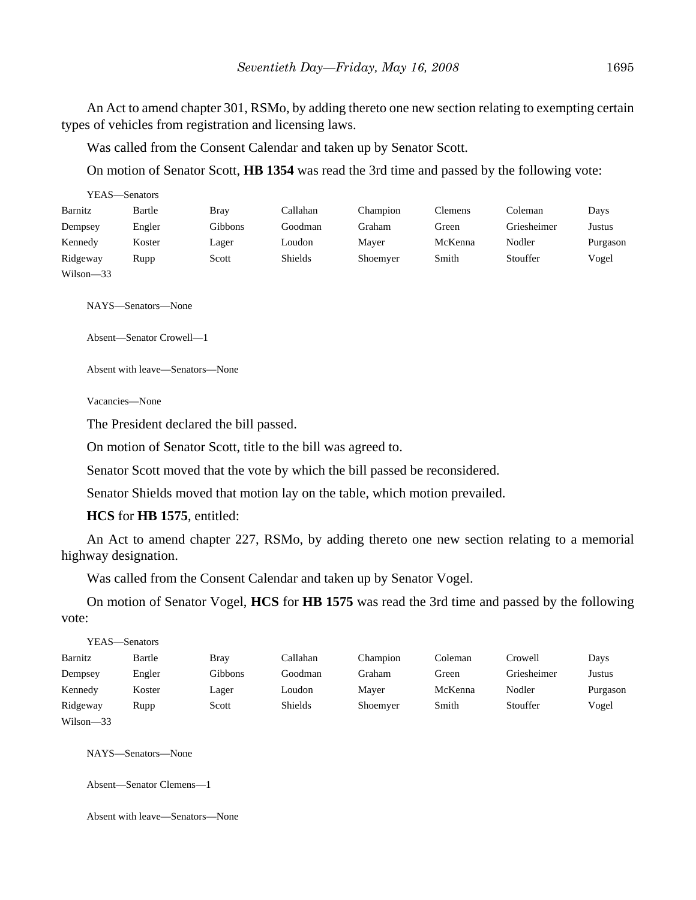An Act to amend chapter 301, RSMo, by adding thereto one new section relating to exempting certain types of vehicles from registration and licensing laws.

Was called from the Consent Calendar and taken up by Senator Scott.

On motion of Senator Scott, **HB 1354** was read the 3rd time and passed by the following vote:

| YEAS—Senators |        |             |          |          |                |             |          |
|---------------|--------|-------------|----------|----------|----------------|-------------|----------|
| Barnitz       | Bartle | <b>Bray</b> | Callahan | Champion | <b>Clemens</b> | Coleman     | Days     |
| Dempsey       | Engler | Gibbons     | Goodman  | Graham   | Green          | Griesheimer | Justus   |
| Kennedy       | Koster | Lager       | Loudon   | Mayer    | McKenna        | Nodler      | Purgason |
| Ridgeway      | Rupp   | Scott       | Shields  | Shoemyer | Smith          | Stouffer    | Vogel    |
| $Wilson - 33$ |        |             |          |          |                |             |          |

NAYS—Senators—None

Absent—Senator Crowell—1

Absent with leave—Senators—None

Vacancies—None

The President declared the bill passed.

On motion of Senator Scott, title to the bill was agreed to.

Senator Scott moved that the vote by which the bill passed be reconsidered.

Senator Shields moved that motion lay on the table, which motion prevailed.

**HCS** for **HB 1575**, entitled:

An Act to amend chapter 227, RSMo, by adding thereto one new section relating to a memorial highway designation.

Was called from the Consent Calendar and taken up by Senator Vogel.

On motion of Senator Vogel, **HCS** for **HB 1575** was read the 3rd time and passed by the following vote:

|               | YEAS—Senators |             |          |          |         |             |          |
|---------------|---------------|-------------|----------|----------|---------|-------------|----------|
| Barnitz       | Bartle        | <b>Bray</b> | Callahan | Champion | Coleman | Crowell     | Days     |
| Dempsey       | Engler        | Gibbons     | Goodman  | Graham   | Green   | Griesheimer | Justus   |
| Kennedy       | Koster        | Lager       | Loudon   | Mayer    | McKenna | Nodler      | Purgason |
| Ridgeway      | Rupp          | Scott       | Shields  | Shoemyer | Smith   | Stouffer    | Vogel    |
| $Wilson - 33$ |               |             |          |          |         |             |          |

NAYS—Senators—None

Absent—Senator Clemens—1

Absent with leave—Senators—None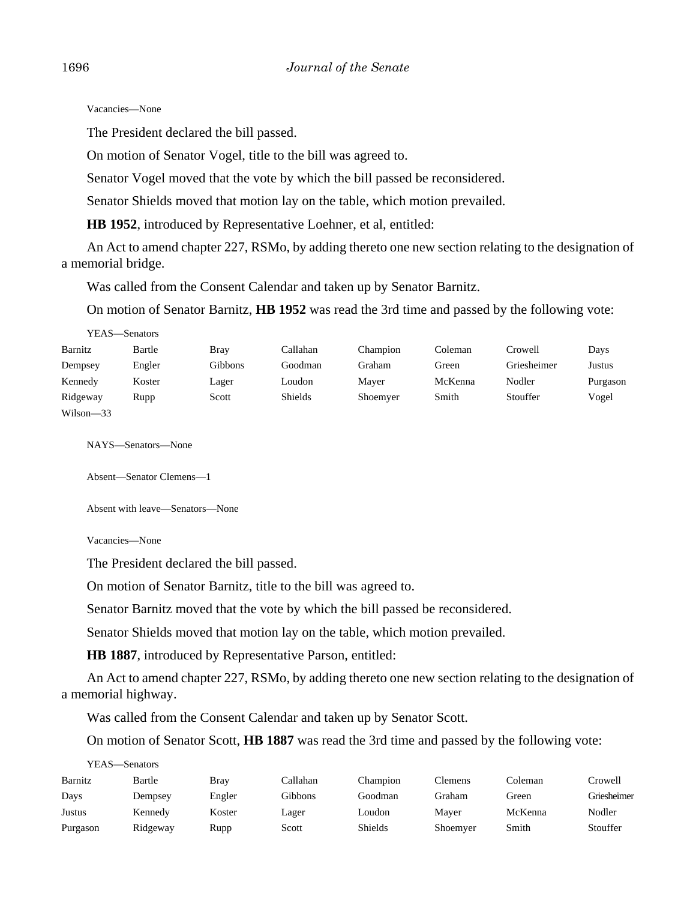Vacancies—None

The President declared the bill passed.

On motion of Senator Vogel, title to the bill was agreed to.

Senator Vogel moved that the vote by which the bill passed be reconsidered.

Senator Shields moved that motion lay on the table, which motion prevailed.

**HB 1952**, introduced by Representative Loehner, et al, entitled:

An Act to amend chapter 227, RSMo, by adding thereto one new section relating to the designation of a memorial bridge.

Was called from the Consent Calendar and taken up by Senator Barnitz.

On motion of Senator Barnitz, **HB 1952** was read the 3rd time and passed by the following vote:

| YEAS—Senators |        |             |                |          |         |             |          |
|---------------|--------|-------------|----------------|----------|---------|-------------|----------|
| Barnitz       | Bartle | <b>Bray</b> | Callahan       | Champion | Coleman | Crowell     | Days     |
| Dempsey       | Engler | Gibbons     | Goodman        | Graham   | Green   | Griesheimer | Justus   |
| Kennedy       | Koster | Lager       | Loudon         | Mayer    | McKenna | Nodler      | Purgason |
| Ridgeway      | Rupp   | Scott       | <b>Shields</b> | Shoemyer | Smith   | Stouffer    | Vogel    |
| $Wilson - 33$ |        |             |                |          |         |             |          |

NAYS—Senators—None

Absent—Senator Clemens—1

Absent with leave—Senators—None

Vacancies—None

The President declared the bill passed.

On motion of Senator Barnitz, title to the bill was agreed to.

Senator Barnitz moved that the vote by which the bill passed be reconsidered.

Senator Shields moved that motion lay on the table, which motion prevailed.

**HB 1887**, introduced by Representative Parson, entitled:

An Act to amend chapter 227, RSMo, by adding thereto one new section relating to the designation of a memorial highway.

Was called from the Consent Calendar and taken up by Senator Scott.

On motion of Senator Scott, **HB 1887** was read the 3rd time and passed by the following vote:

| YEAS—Senators |          |        |          |                |          |         |             |
|---------------|----------|--------|----------|----------------|----------|---------|-------------|
| Barnitz       | Bartle   | Brav   | Callahan | Champion       | Clemens  | Coleman | Crowell     |
| Days          | Dempsey  | Engler | Gibbons  | Goodman        | Graham   | Green   | Griesheimer |
| Justus        | Kennedy  | Koster | Lager    | Loudon         | Mayer    | McKenna | Nodler      |
| Purgason      | Ridgeway | Rupp   | Scott    | <b>Shields</b> | Shoemyer | Smith   | Stouffer    |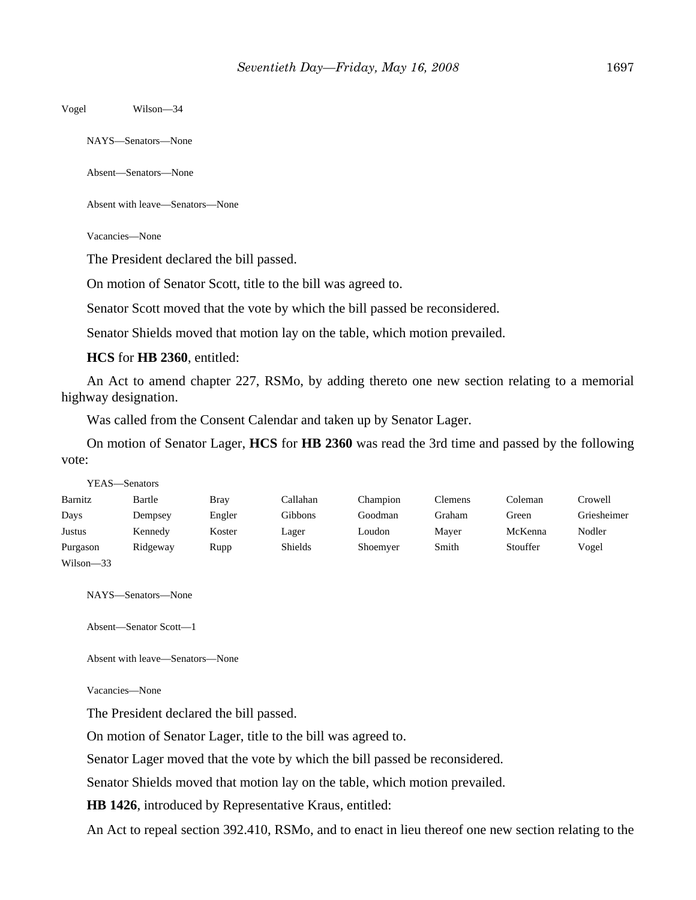Vogel Wilson—34

NAYS—Senators—None

Absent—Senators—None

Absent with leave—Senators—None

Vacancies—None

The President declared the bill passed.

On motion of Senator Scott, title to the bill was agreed to.

Senator Scott moved that the vote by which the bill passed be reconsidered.

Senator Shields moved that motion lay on the table, which motion prevailed.

**HCS** for **HB 2360**, entitled:

An Act to amend chapter 227, RSMo, by adding thereto one new section relating to a memorial highway designation.

Was called from the Consent Calendar and taken up by Senator Lager.

On motion of Senator Lager, **HCS** for **HB 2360** was read the 3rd time and passed by the following vote:

|           | YEAS—Senators |             |                |          |         |          |             |
|-----------|---------------|-------------|----------------|----------|---------|----------|-------------|
| Barnitz   | Bartle        | <b>Bray</b> | Callahan       | Champion | Clemens | Coleman  | Crowell     |
| Days      | Dempsey       | Engler      | Gibbons        | Goodman  | Graham  | Green    | Griesheimer |
| Justus    | Kennedy       | Koster      | Lager          | Loudon   | Mayer   | McKenna  | Nodler      |
| Purgason  | Ridgeway      | Rupp        | <b>Shields</b> | Shoemyer | Smith   | Stouffer | Vogel       |
| Wilson-33 |               |             |                |          |         |          |             |

NAYS—Senators—None

Absent—Senator Scott—1

Absent with leave—Senators—None

Vacancies—None

The President declared the bill passed.

On motion of Senator Lager, title to the bill was agreed to.

Senator Lager moved that the vote by which the bill passed be reconsidered.

Senator Shields moved that motion lay on the table, which motion prevailed.

**HB 1426**, introduced by Representative Kraus, entitled:

An Act to repeal section 392.410, RSMo, and to enact in lieu thereof one new section relating to the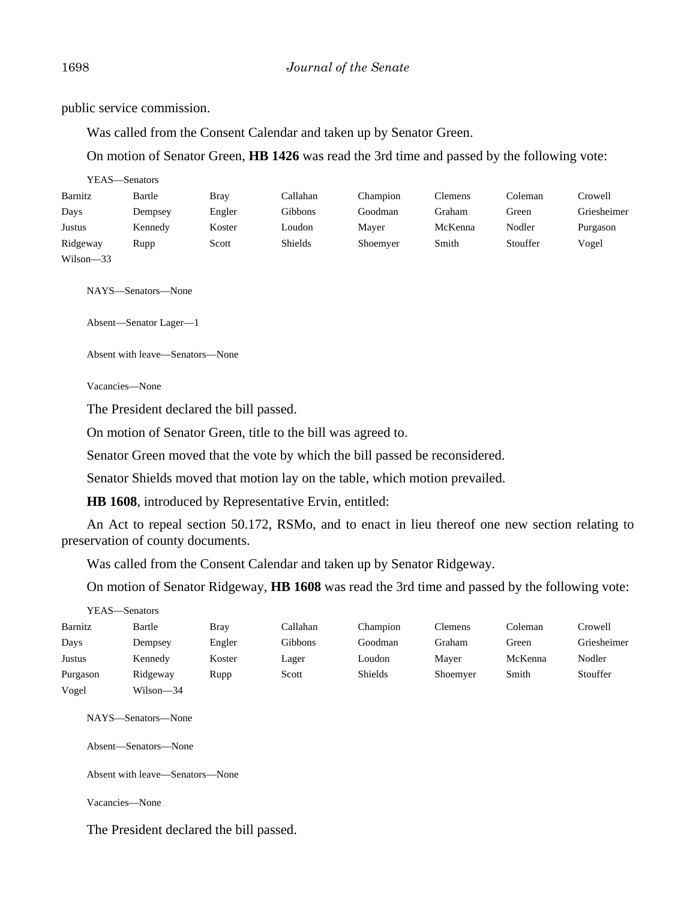public service commission.

Was called from the Consent Calendar and taken up by Senator Green.

On motion of Senator Green, **HB 1426** was read the 3rd time and passed by the following vote:

|               | YEAS—Senators |        |          |          |         |          |             |
|---------------|---------------|--------|----------|----------|---------|----------|-------------|
| Barnitz       | Bartle        | Bray   | Callahan | Champion | Clemens | Coleman  | Crowell     |
| Days          | Dempsey       | Engler | Gibbons  | Goodman  | Graham  | Green    | Griesheimer |
| Justus        | Kennedy       | Koster | Loudon   | Mayer    | McKenna | Nodler   | Purgason    |
| Ridgeway      | Rupp          | Scott  | Shields  | Shoemyer | Smith   | Stouffer | Vogel       |
| $Wilson - 33$ |               |        |          |          |         |          |             |

NAYS—Senators—None

Absent—Senator Lager—1

Absent with leave—Senators—None

Vacancies—None

The President declared the bill passed.

On motion of Senator Green, title to the bill was agreed to.

Senator Green moved that the vote by which the bill passed be reconsidered.

Senator Shields moved that motion lay on the table, which motion prevailed.

**HB 1608**, introduced by Representative Ervin, entitled:

An Act to repeal section 50.172, RSMo, and to enact in lieu thereof one new section relating to preservation of county documents.

Was called from the Consent Calendar and taken up by Senator Ridgeway.

On motion of Senator Ridgeway, **HB 1608** was read the 3rd time and passed by the following vote:

|          | YEAS—Senators |        |          |                |          |         |             |
|----------|---------------|--------|----------|----------------|----------|---------|-------------|
| Barnitz  | Bartle        | Bray   | Callahan | Champion       | Clemens  | Coleman | Crowell     |
| Days     | Dempsey       | Engler | Gibbons  | Goodman        | Graham   | Green   | Griesheimer |
| Justus   | Kennedy       | Koster | Lager    | Loudon         | Mayer    | McKenna | Nodler      |
| Purgason | Ridgeway      | Rupp   | Scott    | <b>Shields</b> | Shoemyer | Smith   | Stouffer    |
| Vogel    | Wilson—34     |        |          |                |          |         |             |

NAYS—Senators—None

Absent—Senators—None

Absent with leave—Senators—None

Vacancies—None

The President declared the bill passed.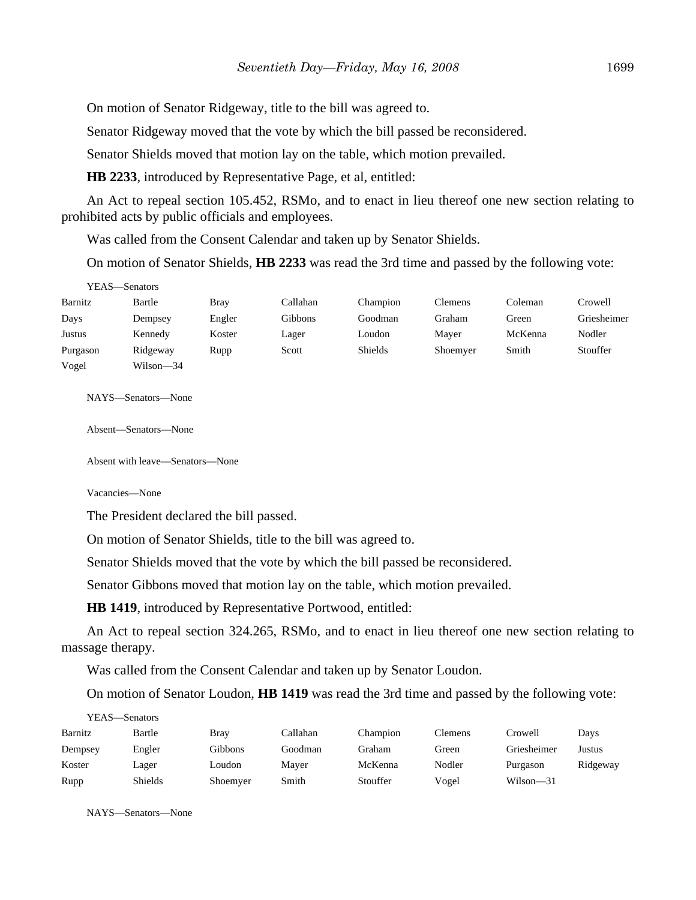On motion of Senator Ridgeway, title to the bill was agreed to.

Senator Ridgeway moved that the vote by which the bill passed be reconsidered.

Senator Shields moved that motion lay on the table, which motion prevailed.

**HB 2233**, introduced by Representative Page, et al, entitled:

An Act to repeal section 105.452, RSMo, and to enact in lieu thereof one new section relating to prohibited acts by public officials and employees.

Was called from the Consent Calendar and taken up by Senator Shields.

On motion of Senator Shields, **HB 2233** was read the 3rd time and passed by the following vote:

| YEAS—Senators |           |             |          |          |                |         |             |
|---------------|-----------|-------------|----------|----------|----------------|---------|-------------|
| Barnitz       | Bartle    | <b>Bray</b> | Callahan | Champion | <b>Clemens</b> | Coleman | Crowell     |
| Days          | Dempsey   | Engler      | Gibbons  | Goodman  | Graham         | Green   | Griesheimer |
| Justus        | Kennedy   | Koster      | Lager    | Loudon   | Maver          | McKenna | Nodler      |
| Purgason      | Ridgeway  | Rupp        | Scott    | Shields  | Shoemyer       | Smith   | Stouffer    |
| Vogel         | Wilson—34 |             |          |          |                |         |             |

NAYS—Senators—None

Absent—Senators—None

Absent with leave—Senators—None

Vacancies—None

The President declared the bill passed.

On motion of Senator Shields, title to the bill was agreed to.

Senator Shields moved that the vote by which the bill passed be reconsidered.

Senator Gibbons moved that motion lay on the table, which motion prevailed.

**HB 1419**, introduced by Representative Portwood, entitled:

An Act to repeal section 324.265, RSMo, and to enact in lieu thereof one new section relating to massage therapy.

Was called from the Consent Calendar and taken up by Senator Loudon.

On motion of Senator Loudon, **HB 1419** was read the 3rd time and passed by the following vote:

| YEAS—Senators |                |             |          |          |                |             |          |
|---------------|----------------|-------------|----------|----------|----------------|-------------|----------|
| Barnitz       | Bartle         | <b>Bray</b> | Callahan | Champion | <b>Clemens</b> | Crowell     | Days     |
| Dempsey       | Engler         | Gibbons     | Goodman  | Graham   | Green          | Griesheimer | Justus   |
| Koster        | Lager          | Loudon      | Maver    | McKenna  | Nodler         | Purgason    | Ridgeway |
| Rupp          | <b>Shields</b> | Shoemyer    | Smith    | Stouffer | Vogel          | Wilson—31   |          |

NAYS—Senators—None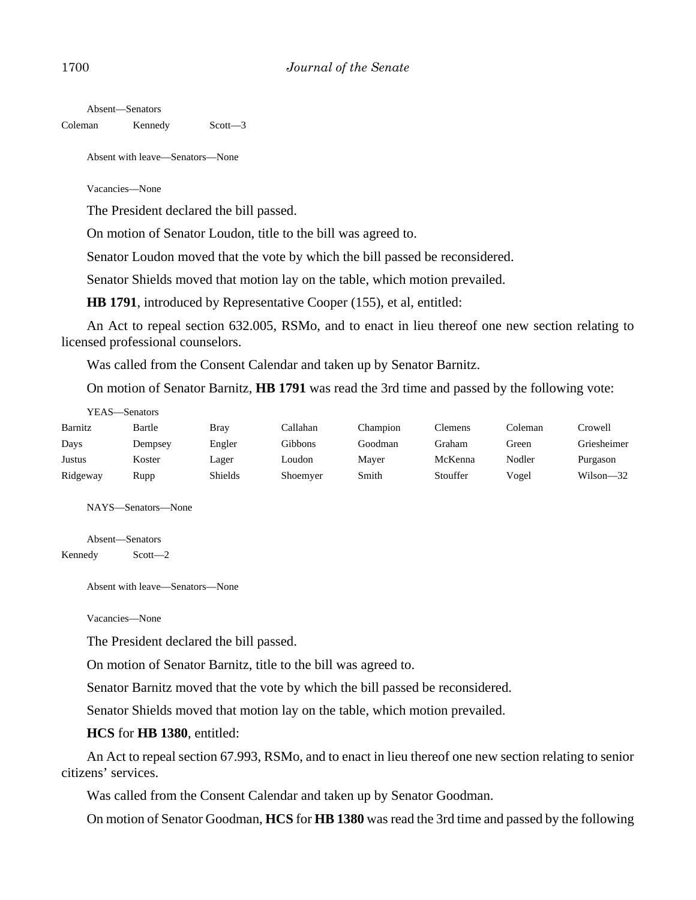Absent—Senators Coleman Kennedy Scott—3

Absent with leave—Senators—None

Vacancies—None

The President declared the bill passed.

On motion of Senator Loudon, title to the bill was agreed to.

Senator Loudon moved that the vote by which the bill passed be reconsidered.

Senator Shields moved that motion lay on the table, which motion prevailed.

**HB 1791**, introduced by Representative Cooper (155), et al, entitled:

An Act to repeal section 632.005, RSMo, and to enact in lieu thereof one new section relating to licensed professional counselors.

Was called from the Consent Calendar and taken up by Senator Barnitz.

On motion of Senator Barnitz, **HB 1791** was read the 3rd time and passed by the following vote:

| YEAS—Senators |         |                |          |          |          |         |               |
|---------------|---------|----------------|----------|----------|----------|---------|---------------|
| Barnitz       | Bartle  | Bray           | Callahan | Champion | Clemens  | Coleman | Crowell       |
| Days          | Dempsey | Engler         | Gibbons  | Goodman  | Graham   | Green   | Griesheimer   |
| Justus        | Koster  | Lager          | Loudon   | Mayer    | McKenna  | Nodler  | Purgason      |
| Ridgeway      | Rupp    | <b>Shields</b> | Shoemyer | Smith    | Stouffer | Vogel   | $Wilson - 32$ |

NAYS—Senators—None

Absent—Senators Kennedy Scott—2

Absent with leave—Senators—None

Vacancies—None

The President declared the bill passed.

On motion of Senator Barnitz, title to the bill was agreed to.

Senator Barnitz moved that the vote by which the bill passed be reconsidered.

Senator Shields moved that motion lay on the table, which motion prevailed.

#### **HCS** for **HB 1380**, entitled:

An Act to repeal section 67.993, RSMo, and to enact in lieu thereof one new section relating to senior citizens' services.

Was called from the Consent Calendar and taken up by Senator Goodman.

On motion of Senator Goodman, **HCS** for **HB 1380** was read the 3rd time and passed by the following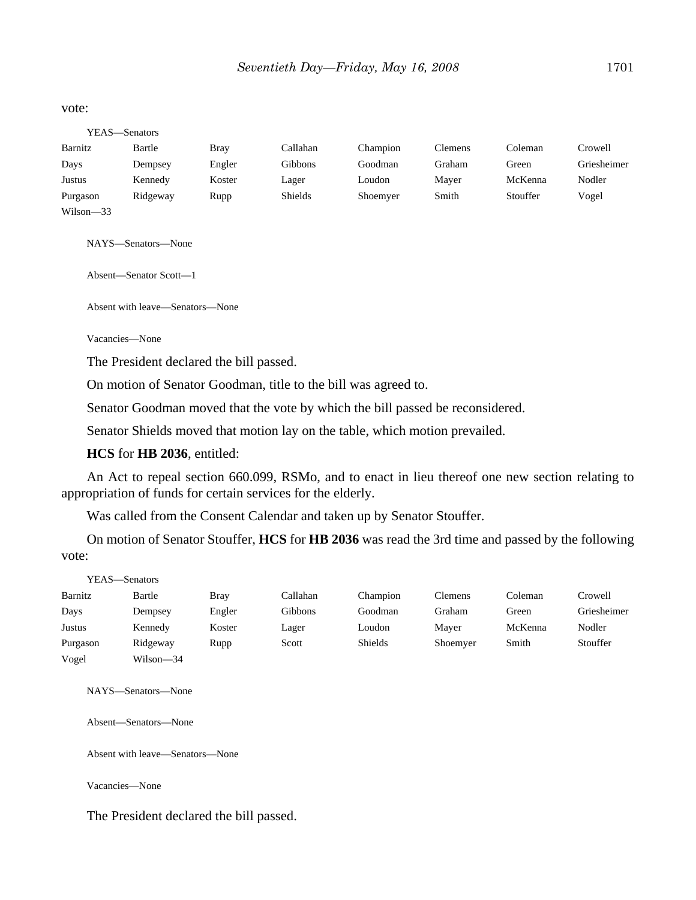#### vote:

| YEAS—Senators |          |             |                |          |                |          |             |
|---------------|----------|-------------|----------------|----------|----------------|----------|-------------|
| Barnitz       | Bartle   | <b>Bray</b> | Callahan       | Champion | <b>Clemens</b> | Coleman  | Crowell     |
| Days          | Dempsey  | Engler      | Gibbons        | Goodman  | Graham         | Green    | Griesheimer |
| Justus        | Kennedy  | Koster      | Lager          | Loudon   | Mayer          | McKenna  | Nodler      |
| Purgason      | Ridgeway | Rupp        | <b>Shields</b> | Shoemyer | Smith          | Stouffer | Vogel       |
| $Wilson - 33$ |          |             |                |          |                |          |             |

NAYS—Senators—None

Absent—Senator Scott—1

Absent with leave—Senators—None

Vacancies—None

The President declared the bill passed.

On motion of Senator Goodman, title to the bill was agreed to.

Senator Goodman moved that the vote by which the bill passed be reconsidered.

Senator Shields moved that motion lay on the table, which motion prevailed.

**HCS** for **HB 2036**, entitled:

An Act to repeal section 660.099, RSMo, and to enact in lieu thereof one new section relating to appropriation of funds for certain services for the elderly.

Was called from the Consent Calendar and taken up by Senator Stouffer.

On motion of Senator Stouffer, **HCS** for **HB 2036** was read the 3rd time and passed by the following vote:

| YEAS—Senators |           |             |          |                |                |         |             |
|---------------|-----------|-------------|----------|----------------|----------------|---------|-------------|
| Barnitz       | Bartle    | <b>Bray</b> | Callahan | Champion       | <b>Clemens</b> | Coleman | Crowell     |
| Days          | Dempsey   | Engler      | Gibbons  | Goodman        | Graham         | Green   | Griesheimer |
| Justus        | Kennedy   | Koster      | Lager    | Loudon         | Mayer          | McKenna | Nodler      |
| Purgason      | Ridgeway  | Rupp        | Scott    | <b>Shields</b> | Shoemyer       | Smith   | Stouffer    |
| Vogel         | Wilson-34 |             |          |                |                |         |             |

NAYS—Senators—None

Absent—Senators—None

Absent with leave—Senators—None

Vacancies—None

The President declared the bill passed.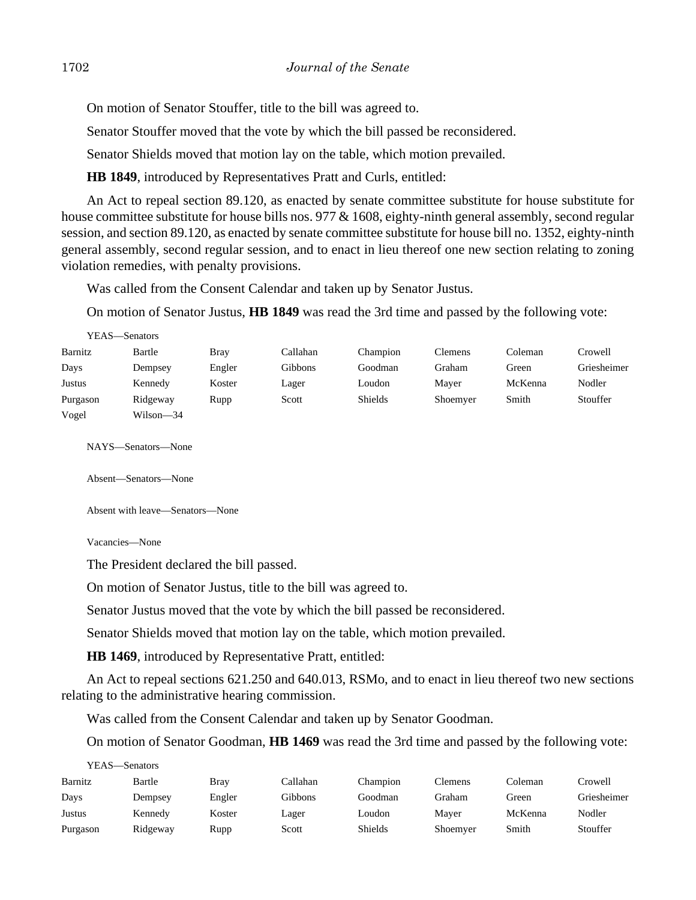On motion of Senator Stouffer, title to the bill was agreed to.

Senator Stouffer moved that the vote by which the bill passed be reconsidered.

Senator Shields moved that motion lay on the table, which motion prevailed.

**HB 1849**, introduced by Representatives Pratt and Curls, entitled:

An Act to repeal section 89.120, as enacted by senate committee substitute for house substitute for house committee substitute for house bills nos. 977 & 1608, eighty-ninth general assembly, second regular session, and section 89.120, as enacted by senate committee substitute for house bill no. 1352, eighty-ninth general assembly, second regular session, and to enact in lieu thereof one new section relating to zoning violation remedies, with penalty provisions.

Was called from the Consent Calendar and taken up by Senator Justus.

On motion of Senator Justus, **HB 1849** was read the 3rd time and passed by the following vote:

|          | YEAS—Senators |             |          |          |                |         |             |
|----------|---------------|-------------|----------|----------|----------------|---------|-------------|
| Barnitz  | Bartle        | <b>Bray</b> | Callahan | Champion | <b>Clemens</b> | Coleman | Crowell     |
| Days     | Dempsey       | Engler      | Gibbons  | Goodman  | Graham         | Green   | Griesheimer |
| Justus   | Kennedy       | Koster      | Lager    | Loudon   | Maver          | McKenna | Nodler      |
| Purgason | Ridgeway      | Rupp        | Scott    | Shields  | Shoemyer       | Smith   | Stouffer    |
| Vogel    | Wilson—34     |             |          |          |                |         |             |

NAYS—Senators—None

Absent—Senators—None

Absent with leave—Senators—None

Vacancies—None

YEAS—Senators

The President declared the bill passed.

On motion of Senator Justus, title to the bill was agreed to.

Senator Justus moved that the vote by which the bill passed be reconsidered.

Senator Shields moved that motion lay on the table, which motion prevailed.

**HB 1469**, introduced by Representative Pratt, entitled:

An Act to repeal sections 621.250 and 640.013, RSMo, and to enact in lieu thereof two new sections relating to the administrative hearing commission.

Was called from the Consent Calendar and taken up by Senator Goodman.

On motion of Senator Goodman, **HB 1469** was read the 3rd time and passed by the following vote:

| .        | .        |        |          |          |          |         |             |
|----------|----------|--------|----------|----------|----------|---------|-------------|
| Barnitz  | Bartle   | Bray   | Callahan | Champion | Clemens  | Coleman | Crowell     |
| Days     | Dempsey  | Engler | Gibbons  | Goodman  | Graham   | Green   | Griesheimer |
| Justus   | Kennedy  | Koster | Lager    | Loudon   | Mayer    | McKenna | Nodler      |
| Purgason | Ridgeway | Rupp   | Scott    | Shields  | Shoemyer | Smith   | Stouffer    |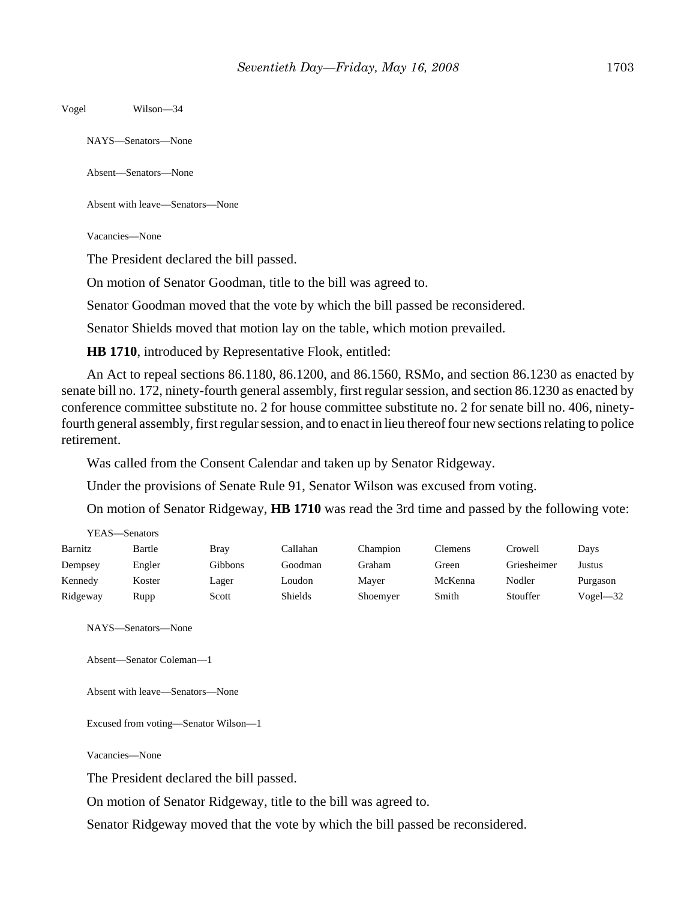Vogel Wilson—34

NAYS—Senators—None

Absent—Senators—None

Absent with leave—Senators—None

Vacancies—None

The President declared the bill passed.

On motion of Senator Goodman, title to the bill was agreed to.

Senator Goodman moved that the vote by which the bill passed be reconsidered.

Senator Shields moved that motion lay on the table, which motion prevailed.

**HB 1710**, introduced by Representative Flook, entitled:

An Act to repeal sections 86.1180, 86.1200, and 86.1560, RSMo, and section 86.1230 as enacted by senate bill no. 172, ninety-fourth general assembly, first regular session, and section 86.1230 as enacted by conference committee substitute no. 2 for house committee substitute no. 2 for senate bill no. 406, ninetyfourth general assembly, first regular session, and to enact in lieu thereof four new sections relating to police retirement.

Was called from the Consent Calendar and taken up by Senator Ridgeway.

Under the provisions of Senate Rule 91, Senator Wilson was excused from voting.

On motion of Senator Ridgeway, **HB 1710** was read the 3rd time and passed by the following vote:

| r EAS—Senators |        |             |          |          |         |             |              |
|----------------|--------|-------------|----------|----------|---------|-------------|--------------|
| Barnitz        | Bartle | <b>Bray</b> | Callahan | Champion | Clemens | Crowell     | Days         |
| Dempsey        | Engler | Gibbons     | Goodman  | Graham   | Green   | Griesheimer | Justus       |
| Kennedy        | Koster | Lager       | Loudon   | Maver    | McKenna | Nodler      | Purgason     |
| Ridgeway       | Rupp   | Scott       | Shields  | Shoemyer | Smith   | Stouffer    | $Vogel - 32$ |

NAYS—Senators—None

 $\overline{y}$ 

```
Absent—Senator Coleman—1
```
Absent with leave—Senators—None

Excused from voting—Senator Wilson—1

Vacancies—None

The President declared the bill passed.

On motion of Senator Ridgeway, title to the bill was agreed to.

Senator Ridgeway moved that the vote by which the bill passed be reconsidered.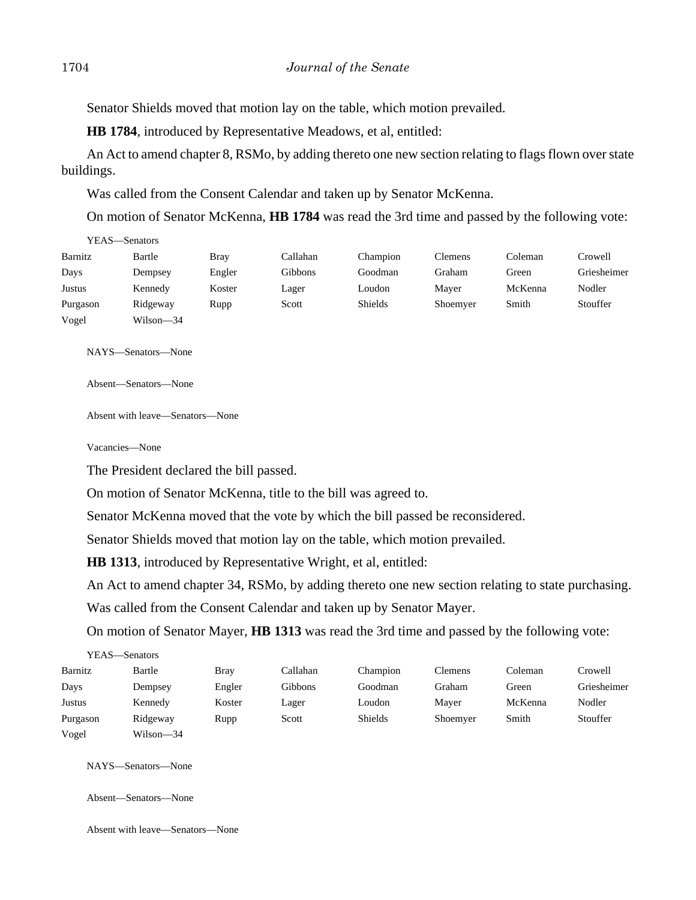Senator Shields moved that motion lay on the table, which motion prevailed.

**HB 1784**, introduced by Representative Meadows, et al, entitled:

An Act to amend chapter 8, RSMo, by adding thereto one new section relating to flags flown over state buildings.

Was called from the Consent Calendar and taken up by Senator McKenna.

On motion of Senator McKenna, **HB 1784** was read the 3rd time and passed by the following vote:

| r e as — Senators |           |             |          |                |                |         |             |
|-------------------|-----------|-------------|----------|----------------|----------------|---------|-------------|
| Barnitz           | Bartle    | <b>Bray</b> | Callahan | Champion       | <b>Clemens</b> | Coleman | Crowell     |
| Days              | Dempsey   | Engler      | Gibbons  | Goodman        | Graham         | Green   | Griesheimer |
| Justus            | Kennedy   | Koster      | Lager    | Loudon         | Mayer          | McKenna | Nodler      |
| Purgason          | Ridgeway  | Rupp        | Scott    | <b>Shields</b> | Shoemyer       | Smith   | Stouffer    |
| Vogel             | Wilson—34 |             |          |                |                |         |             |

NAYS—Senators—None

YEAS—Senators

Absent—Senators—None

Absent with leave—Senators—None

Vacancies—None

The President declared the bill passed.

On motion of Senator McKenna, title to the bill was agreed to.

Senator McKenna moved that the vote by which the bill passed be reconsidered.

Senator Shields moved that motion lay on the table, which motion prevailed.

**HB 1313**, introduced by Representative Wright, et al, entitled:

An Act to amend chapter 34, RSMo, by adding thereto one new section relating to state purchasing.

Was called from the Consent Calendar and taken up by Senator Mayer.

On motion of Senator Mayer, **HB 1313** was read the 3rd time and passed by the following vote:

| YEAS—Senators |           |        |          |          |                |         |             |
|---------------|-----------|--------|----------|----------|----------------|---------|-------------|
| Barnitz       | Bartle    | Bray   | Callahan | Champion | <b>Clemens</b> | Coleman | Crowell     |
| Days          | Dempsey   | Engler | Gibbons  | Goodman  | Graham         | Green   | Griesheimer |
| Justus        | Kennedy   | Koster | Lager    | Loudon   | Mayer          | McKenna | Nodler      |
| Purgason      | Ridgeway  | Rupp   | Scott    | Shields  | Shoemyer       | Smith   | Stouffer    |
| Vogel         | Wilson—34 |        |          |          |                |         |             |

NAYS—Senators—None

Absent—Senators—None

Absent with leave—Senators—None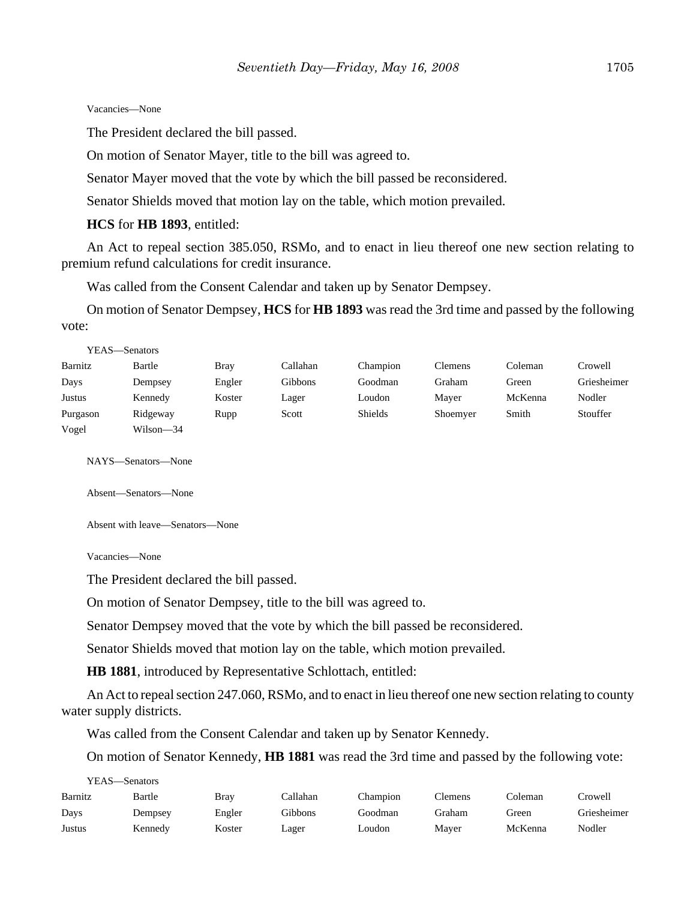#### Vacancies—None

The President declared the bill passed.

On motion of Senator Mayer, title to the bill was agreed to.

Senator Mayer moved that the vote by which the bill passed be reconsidered.

Senator Shields moved that motion lay on the table, which motion prevailed.

#### **HCS** for **HB 1893**, entitled:

An Act to repeal section 385.050, RSMo, and to enact in lieu thereof one new section relating to premium refund calculations for credit insurance.

Was called from the Consent Calendar and taken up by Senator Dempsey.

On motion of Senator Dempsey, **HCS** for **HB 1893** was read the 3rd time and passed by the following vote:

| YEAS—Senators |           |             |                |                |                |         |             |
|---------------|-----------|-------------|----------------|----------------|----------------|---------|-------------|
| Barnitz       | Bartle    | <b>Bray</b> | Callahan       | Champion       | <b>Clemens</b> | Coleman | Crowell     |
| Days          | Dempsey   | Engler      | <b>Gibbons</b> | Goodman        | Graham         | Green   | Griesheimer |
| Justus        | Kennedy   | Koster      | Lager          | Loudon         | Mayer          | McKenna | Nodler      |
| Purgason      | Ridgeway  | Rupp        | Scott          | <b>Shields</b> | Shoemyer       | Smith   | Stouffer    |
| Vogel         | Wilson—34 |             |                |                |                |         |             |

NAYS—Senators—None

Absent—Senators—None

Absent with leave—Senators—None

Vacancies—None

The President declared the bill passed.

On motion of Senator Dempsey, title to the bill was agreed to.

Senator Dempsey moved that the vote by which the bill passed be reconsidered.

Senator Shields moved that motion lay on the table, which motion prevailed.

**HB 1881**, introduced by Representative Schlottach, entitled:

An Act to repeal section 247.060, RSMo, and to enact in lieu thereof one new section relating to county water supply districts.

Was called from the Consent Calendar and taken up by Senator Kennedy.

On motion of Senator Kennedy, **HB 1881** was read the 3rd time and passed by the following vote:

| YEAS- | —Senators |
|-------|-----------|
|       |           |

| Barnitz | Bartle  | Brav   | Callahan | Champion | Clemens | ∑oleman | Crowell:    |
|---------|---------|--------|----------|----------|---------|---------|-------------|
| Days    | Dempsey | Engler | Gibbons  | Goodman  | Graham  | Green   | Griesheimer |
| Justus  | Kennedv | Koster | Lager    | Loudon   | Mayer   | McKenna | Nodler      |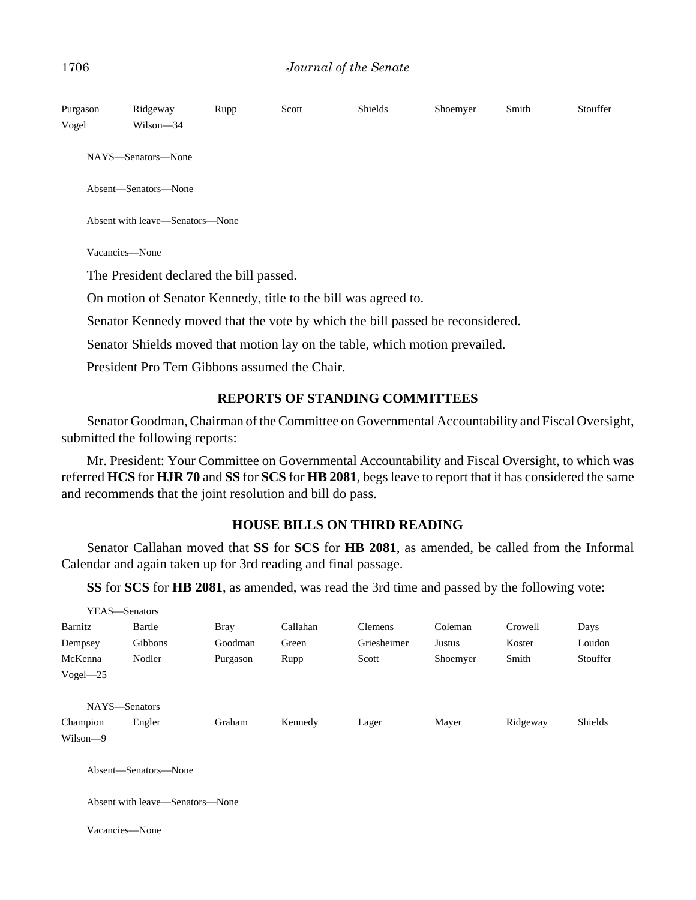| Purgason<br>Vogel | Ridgeway<br>Wilson-34                                                         | Rupp | Scott | <b>Shields</b> | Shoemyer | Smith | Stouffer |
|-------------------|-------------------------------------------------------------------------------|------|-------|----------------|----------|-------|----------|
|                   | NAYS—Senators—None                                                            |      |       |                |          |       |          |
|                   | Absent-Senators-None                                                          |      |       |                |          |       |          |
|                   | Absent with leave—Senators—None                                               |      |       |                |          |       |          |
|                   | Vacancies—None                                                                |      |       |                |          |       |          |
|                   | The President declared the bill passed.                                       |      |       |                |          |       |          |
|                   | On motion of Senator Kennedy, title to the bill was agreed to.                |      |       |                |          |       |          |
|                   | Senator Kennedy moved that the vote by which the bill passed be reconsidered. |      |       |                |          |       |          |
|                   | Senator Shields moved that motion lay on the table, which motion prevailed.   |      |       |                |          |       |          |

President Pro Tem Gibbons assumed the Chair.

## **REPORTS OF STANDING COMMITTEES**

Senator Goodman, Chairman of the Committee on Governmental Accountability and Fiscal Oversight, submitted the following reports:

Mr. President: Your Committee on Governmental Accountability and Fiscal Oversight, to which was referred **HCS** for **HJR 70** and **SS** for **SCS** for **HB 2081**, begs leave to report that it has considered the same and recommends that the joint resolution and bill do pass.

## **HOUSE BILLS ON THIRD READING**

Senator Callahan moved that **SS** for **SCS** for **HB 2081**, as amended, be called from the Informal Calendar and again taken up for 3rd reading and final passage.

**SS** for **SCS** for **HB 2081**, as amended, was read the 3rd time and passed by the following vote:

|              | YEAS-Senators                   |             |          |                |          |          |                |
|--------------|---------------------------------|-------------|----------|----------------|----------|----------|----------------|
| Barnitz      | Bartle                          | <b>Bray</b> | Callahan | <b>Clemens</b> | Coleman  | Crowell  | Days           |
| Dempsey      | Gibbons                         | Goodman     | Green    | Griesheimer    | Justus   | Koster   | Loudon         |
| McKenna      | Nodler                          | Purgason    | Rupp     | Scott          | Shoemyer | Smith    | Stouffer       |
| $Vogel - 25$ |                                 |             |          |                |          |          |                |
|              | NAYS-Senators                   |             |          |                |          |          |                |
| Champion     | Engler                          | Graham      | Kennedy  | Lager          | Mayer    | Ridgeway | <b>Shields</b> |
| Wilson-9     |                                 |             |          |                |          |          |                |
|              | Absent-Senators-None            |             |          |                |          |          |                |
|              | Absent with leave—Senators—None |             |          |                |          |          |                |
|              | Vacancies—None                  |             |          |                |          |          |                |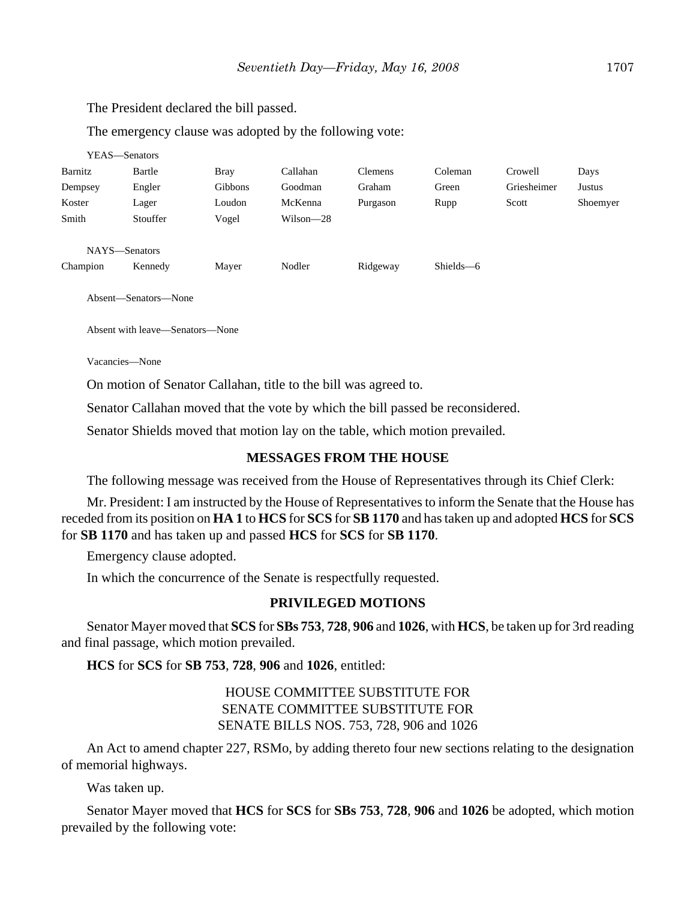The President declared the bill passed.

The emergency clause was adopted by the following vote:

| YEAS—Senators |                      |                |           |                |           |             |          |
|---------------|----------------------|----------------|-----------|----------------|-----------|-------------|----------|
| Barnitz       | Bartle               | <b>Bray</b>    | Callahan  | <b>Clemens</b> | Coleman   | Crowell     | Days     |
| Dempsey       | Engler               | <b>Gibbons</b> | Goodman   | Graham         | Green     | Griesheimer | Justus   |
| Koster        | Lager                | Loudon         | McKenna   | Purgason       | Rupp      | Scott       | Shoemyer |
| Smith         | Stouffer             | Vogel          | Wilson-28 |                |           |             |          |
|               |                      |                |           |                |           |             |          |
| NAYS-Senators |                      |                |           |                |           |             |          |
| Champion      | Kennedy              | Mayer          | Nodler    | Ridgeway       | Shields-6 |             |          |
|               |                      |                |           |                |           |             |          |
|               | Absent—Senators—None |                |           |                |           |             |          |

Absent with leave—Senators—None

Vacancies—None

On motion of Senator Callahan, title to the bill was agreed to.

Senator Callahan moved that the vote by which the bill passed be reconsidered.

Senator Shields moved that motion lay on the table, which motion prevailed.

## **MESSAGES FROM THE HOUSE**

The following message was received from the House of Representatives through its Chief Clerk:

Mr. President: I am instructed by the House of Representatives to inform the Senate that the House has receded from its position on **HA 1** to **HCS** for **SCS** for **SB 1170** and has taken up and adopted **HCS** for **SCS** for **SB 1170** and has taken up and passed **HCS** for **SCS** for **SB 1170**.

Emergency clause adopted.

In which the concurrence of the Senate is respectfully requested.

### **PRIVILEGED MOTIONS**

Senator Mayer moved that **SCS** for **SBs 753**, **728**, **906** and **1026**, with **HCS**, be taken up for 3rd reading and final passage, which motion prevailed.

**HCS** for **SCS** for **SB 753**, **728**, **906** and **1026**, entitled:

HOUSE COMMITTEE SUBSTITUTE FOR SENATE COMMITTEE SUBSTITUTE FOR SENATE BILLS NOS. 753, 728, 906 and 1026

An Act to amend chapter 227, RSMo, by adding thereto four new sections relating to the designation of memorial highways.

Was taken up.

Senator Mayer moved that **HCS** for **SCS** for **SBs 753**, **728**, **906** and **1026** be adopted, which motion prevailed by the following vote: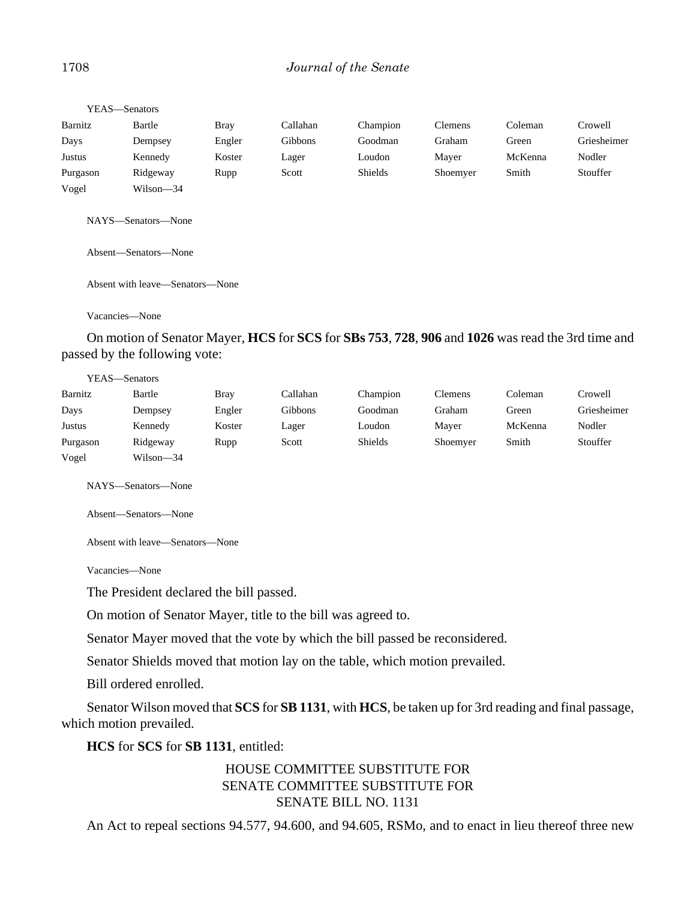## 1708 *Journal of the Senate*

| YEAS—Senators |           |             |          |                |                |         |             |
|---------------|-----------|-------------|----------|----------------|----------------|---------|-------------|
| Barnitz       | Bartle    | <b>Bray</b> | Callahan | Champion       | <b>Clemens</b> | Coleman | Crowell     |
| Days          | Dempsey   | Engler      | Gibbons  | Goodman        | Graham         | Green   | Griesheimer |
| Justus        | Kennedy   | Koster      | Lager    | Loudon         | Mayer          | McKenna | Nodler      |
| Purgason      | Ridgeway  | Rupp        | Scott    | <b>Shields</b> | Shoemyer       | Smith   | Stouffer    |
| Vogel         | Wilson-34 |             |          |                |                |         |             |

NAYS—Senators—None

Absent—Senators—None

Absent with leave—Senators—None

Vacancies—None

On motion of Senator Mayer, **HCS** for **SCS** for **SBs 753**, **728**, **906** and **1026** was read the 3rd time and passed by the following vote:

|               | YEAS—Senators |             |          |                |                |         |             |
|---------------|---------------|-------------|----------|----------------|----------------|---------|-------------|
| Barnitz       | Bartle        | <b>Bray</b> | Callahan | Champion       | <b>Clemens</b> | Coleman | Crowell     |
| Days          | Dempsey       | Engler      | Gibbons  | Goodman        | Graham         | Green   | Griesheimer |
| <b>Justus</b> | Kennedy       | Koster      | Lager    | Loudon         | Mayer          | McKenna | Nodler      |
| Purgason      | Ridgeway      | Rupp        | Scott    | <b>Shields</b> | Shoemyer       | Smith   | Stouffer    |
| Vogel         | Wilson—34     |             |          |                |                |         |             |

NAYS—Senators—None

Absent—Senators—None

Absent with leave—Senators—None

Vacancies—None

The President declared the bill passed.

On motion of Senator Mayer, title to the bill was agreed to.

Senator Mayer moved that the vote by which the bill passed be reconsidered.

Senator Shields moved that motion lay on the table, which motion prevailed.

Bill ordered enrolled.

Senator Wilson moved that **SCS** for **SB 1131**, with **HCS**, be taken up for 3rd reading and final passage, which motion prevailed.

**HCS** for **SCS** for **SB 1131**, entitled:

## HOUSE COMMITTEE SUBSTITUTE FOR SENATE COMMITTEE SUBSTITUTE FOR SENATE BILL NO. 1131

An Act to repeal sections 94.577, 94.600, and 94.605, RSMo, and to enact in lieu thereof three new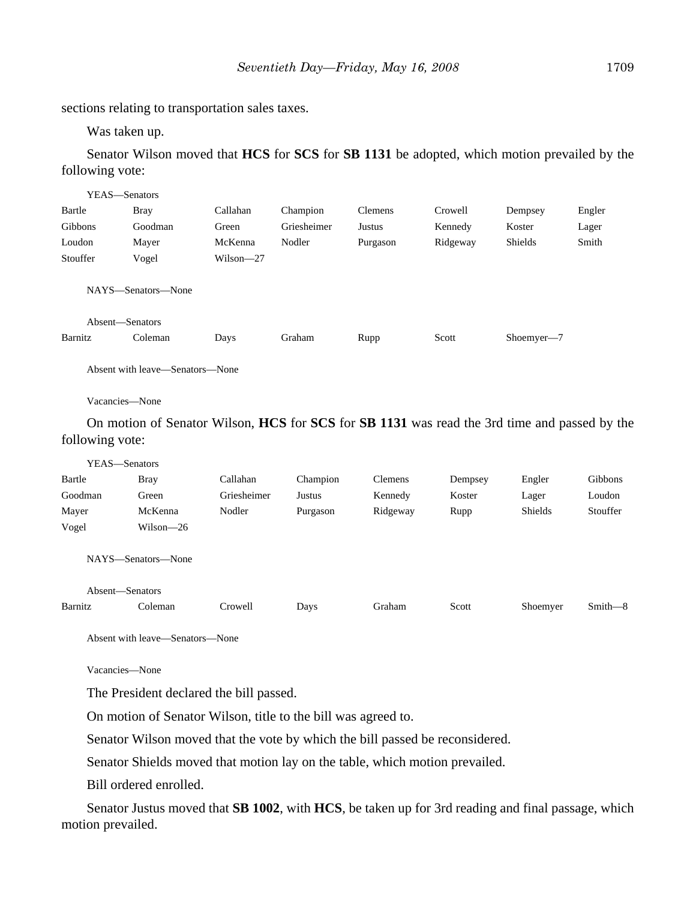sections relating to transportation sales taxes.

Was taken up.

Senator Wilson moved that **HCS** for **SCS** for **SB 1131** be adopted, which motion prevailed by the following vote:

| YEAS—Senators   |                    |               |             |                |          |                |        |
|-----------------|--------------------|---------------|-------------|----------------|----------|----------------|--------|
| Bartle          | <b>Bray</b>        | Callahan      | Champion    | <b>Clemens</b> | Crowell  | Dempsey        | Engler |
| Gibbons         | Goodman            | Green         | Griesheimer | Justus         | Kennedy  | Koster         | Lager  |
| Loudon          | Mayer              | McKenna       | Nodler      | Purgason       | Ridgeway | <b>Shields</b> | Smith  |
| Stouffer        | Vogel              | $Wilson - 27$ |             |                |          |                |        |
|                 | NAYS—Senators—None |               |             |                |          |                |        |
| Absent-Senators |                    |               |             |                |          |                |        |
| Barnitz         | Coleman            | Days          | Graham      | Rupp           | Scott    | Shoemyer-7     |        |
|                 |                    |               |             |                |          |                |        |

Absent with leave—Senators—None

Vacancies—None

On motion of Senator Wilson, **HCS** for **SCS** for **SB 1131** was read the 3rd time and passed by the following vote:

| YEAS—Senators   |                    |             |          |                |         |          |          |
|-----------------|--------------------|-------------|----------|----------------|---------|----------|----------|
| Bartle          | <b>Bray</b>        | Callahan    | Champion | <b>Clemens</b> | Dempsey | Engler   | Gibbons  |
| Goodman         | Green              | Griesheimer | Justus   | Kennedy        | Koster  | Lager    | Loudon   |
| Mayer           | McKenna            | Nodler      | Purgason | Ridgeway       | Rupp    | Shields  | Stouffer |
| Vogel           | Wilson—26          |             |          |                |         |          |          |
|                 | NAYS—Senators—None |             |          |                |         |          |          |
| Absent—Senators |                    |             |          |                |         |          |          |
| Barnitz         | Coleman            | Crowell     | Days     | Graham         | Scott   | Shoemyer | Smith-8  |
|                 |                    |             |          |                |         |          |          |

Absent with leave—Senators—None

Vacancies—None

The President declared the bill passed.

On motion of Senator Wilson, title to the bill was agreed to.

Senator Wilson moved that the vote by which the bill passed be reconsidered.

Senator Shields moved that motion lay on the table, which motion prevailed.

Bill ordered enrolled.

Senator Justus moved that **SB 1002**, with **HCS**, be taken up for 3rd reading and final passage, which motion prevailed.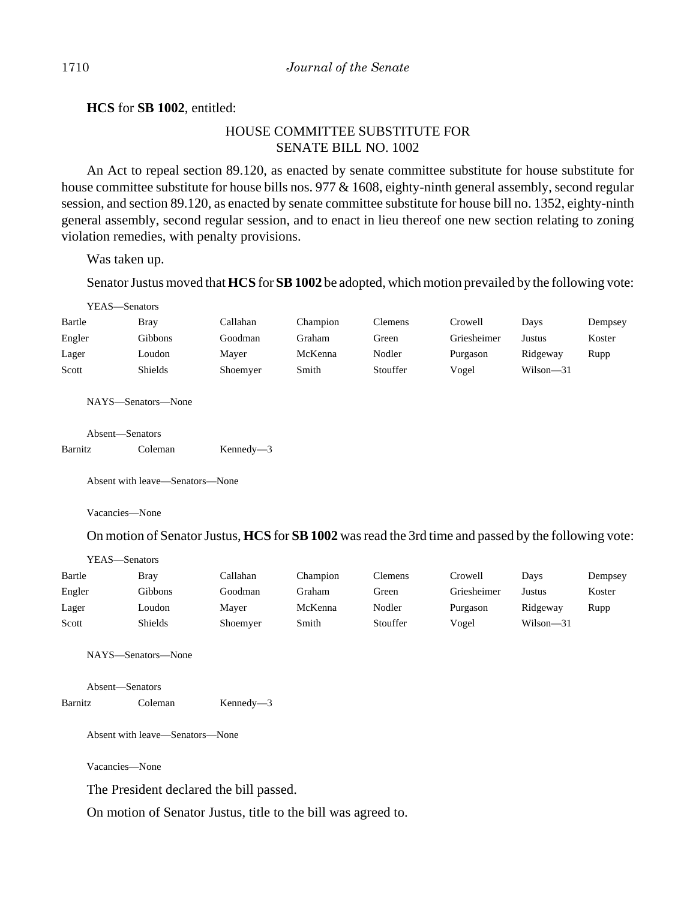**HCS** for **SB 1002**, entitled:

## HOUSE COMMITTEE SUBSTITUTE FOR SENATE BILL NO. 1002

An Act to repeal section 89.120, as enacted by senate committee substitute for house substitute for house committee substitute for house bills nos. 977 & 1608, eighty-ninth general assembly, second regular session, and section 89.120, as enacted by senate committee substitute for house bill no. 1352, eighty-ninth general assembly, second regular session, and to enact in lieu thereof one new section relating to zoning violation remedies, with penalty provisions.

Was taken up.

Senator Justus moved that **HCS** for **SB 1002** be adopted, which motion prevailed by the following vote:

| YEAS—Senators |             |          |          |                |             |               |         |
|---------------|-------------|----------|----------|----------------|-------------|---------------|---------|
| Bartle        | <b>Bray</b> | Callahan | Champion | <b>Clemens</b> | Crowell     | Davs          | Dempsey |
| Engler        | Gibbons     | Goodman  | Graham   | Green          | Griesheimer | Justus        | Koster  |
| Lager         | Loudon      | Mayer    | McKenna  | Nodler         | Purgason    | Ridgeway      | Rupp    |
| Scott         | Shields     | Shoemyer | Smith    | Stouffer       | Vogel       | $Wilson - 31$ |         |

NAYS—Senators—None

|         | Absent—Senators |               |
|---------|-----------------|---------------|
| Barnitz | Coleman         | $Kennedy - 3$ |

Absent with leave—Senators—None

Vacancies—None

YEAS—Senators

On motion of Senator Justus, **HCS** for **SB 1002** was read the 3rd time and passed by the following vote:

| Bartle | Bray    | Callahan | Champion | <b>Clemens</b> | Crowell     | Davs      | Dempsey |
|--------|---------|----------|----------|----------------|-------------|-----------|---------|
| Engler | Gibbons | Goodman  | Graham   | Green          | Griesheimer | Justus    | Koster  |
| Lager  | Loudon  | Maver    | McKenna  | Nodler         | Purgason    | Ridgeway  | Rupp    |
| Scott  | Shields | Shoemyer | Smith    | Stouffer       | Vogel       | Wilson-31 |         |

NAYS—Senators—None

Absent—Senators Barnitz Coleman Kennedy—3

Absent with leave—Senators—None

Vacancies—None

The President declared the bill passed.

On motion of Senator Justus, title to the bill was agreed to.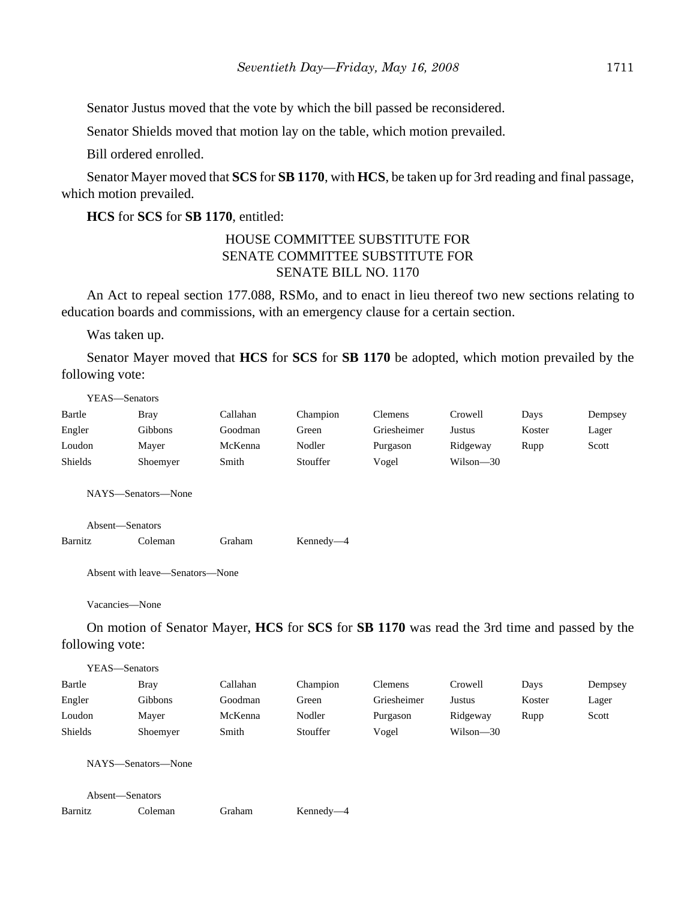Senator Justus moved that the vote by which the bill passed be reconsidered.

Senator Shields moved that motion lay on the table, which motion prevailed.

Bill ordered enrolled.

Senator Mayer moved that **SCS** for **SB 1170**, with **HCS**, be taken up for 3rd reading and final passage, which motion prevailed.

**HCS** for **SCS** for **SB 1170**, entitled:

## HOUSE COMMITTEE SUBSTITUTE FOR SENATE COMMITTEE SUBSTITUTE FOR SENATE BILL NO. 1170

An Act to repeal section 177.088, RSMo, and to enact in lieu thereof two new sections relating to education boards and commissions, with an emergency clause for a certain section.

Was taken up.

YEAS—Senators

Senator Mayer moved that **HCS** for **SCS** for **SB 1170** be adopted, which motion prevailed by the following vote:

Bartle Bray Callahan Champion Clemens Crowell Days Dempsey

| Engler          | Gibbons                                                                                     | Goodman  | Green     | Griesheimer    | <b>Justus</b> | Koster | Lager   |
|-----------------|---------------------------------------------------------------------------------------------|----------|-----------|----------------|---------------|--------|---------|
| Loudon          | Mayer                                                                                       | McKenna  | Nodler    | Purgason       | Ridgeway      | Rupp   | Scott   |
| Shields         | Shoemyer                                                                                    | Smith    | Stouffer  | Vogel          | Wilson-30     |        |         |
|                 | NAYS-Senators-None                                                                          |          |           |                |               |        |         |
|                 | Absent-Senators                                                                             |          |           |                |               |        |         |
| Barnitz         | Coleman                                                                                     | Graham   | Kennedy-4 |                |               |        |         |
|                 | Absent with leave—Senators—None                                                             |          |           |                |               |        |         |
|                 | Vacancies-None                                                                              |          |           |                |               |        |         |
|                 | On motion of Senator Mayer, HCS for SCS for SB 1170 was read the 3rd time and passed by the |          |           |                |               |        |         |
| following vote: |                                                                                             |          |           |                |               |        |         |
|                 | YEAS-Senators                                                                               |          |           |                |               |        |         |
| Bartle          | <b>Bray</b>                                                                                 | Callahan | Champion  | <b>Clemens</b> | Crowell       | Days   | Dempsey |
| Engler          | Gibbons                                                                                     | Goodman  | Green     | Griesheimer    | Justus        | Koster | Lager   |
| Loudon          | Mayer                                                                                       | McKenna  | Nodler    | Purgason       | Ridgeway      | Rupp   | Scott   |
| Shields         | Shoemyer                                                                                    | Smith    | Stouffer  | Vogel          | Wilson-30     |        |         |
|                 | NAYS-Senators-None                                                                          |          |           |                |               |        |         |
|                 | Absent-Senators                                                                             |          |           |                |               |        |         |
| Barnitz         | Coleman                                                                                     | Graham   | Kennedy-4 |                |               |        |         |
|                 |                                                                                             |          |           |                |               |        |         |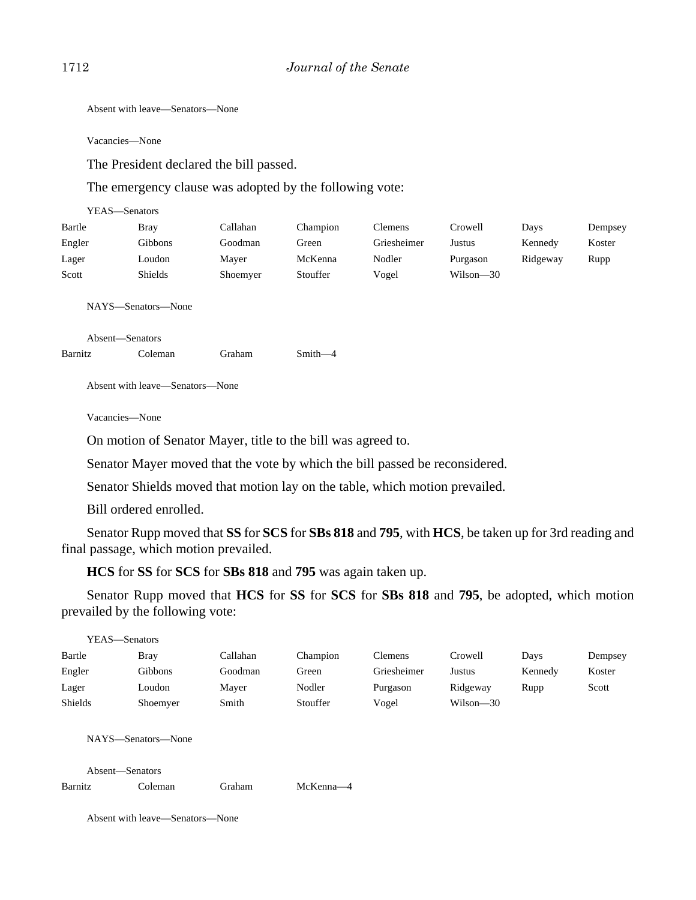Absent with leave—Senators—None

Vacancies—None

The President declared the bill passed.

The emergency clause was adopted by the following vote:

| YEAS—Senators |                |          |          |                |               |          |         |
|---------------|----------------|----------|----------|----------------|---------------|----------|---------|
| Bartle        | <b>Bray</b>    | Callahan | Champion | <b>Clemens</b> | Crowell       | Days     | Dempsey |
| Engler        | Gibbons        | Goodman  | Green    | Griesheimer    | Justus        | Kennedy  | Koster  |
| Lager         | Loudon         | Mayer    | McKenna  | Nodler         | Purgason      | Ridgeway | Rupp    |
| Scott         | <b>Shields</b> | Shoemyer | Stouffer | Vogel          | $Wilson - 30$ |          |         |

NAYS—Senators—None

Absent—Senators

Barnitz Coleman Graham Smith—4

Absent with leave—Senators—None

Vacancies—None

On motion of Senator Mayer, title to the bill was agreed to.

Senator Mayer moved that the vote by which the bill passed be reconsidered.

Senator Shields moved that motion lay on the table, which motion prevailed.

Bill ordered enrolled.

Senator Rupp moved that **SS** for **SCS** for **SBs 818** and **795**, with **HCS**, be taken up for 3rd reading and final passage, which motion prevailed.

**HCS** for **SS** for **SCS** for **SBs 818** and **795** was again taken up.

Senator Rupp moved that **HCS** for **SS** for **SCS** for **SBs 818** and **795**, be adopted, which motion prevailed by the following vote:

| YEAS—Senators              |                               |          |           |             |           |         |         |
|----------------------------|-------------------------------|----------|-----------|-------------|-----------|---------|---------|
| Bartle                     | <b>Bray</b>                   | Callahan | Champion  | Clemens     | Crowell   | Days    | Dempsey |
| Engler                     | Gibbons                       | Goodman  | Green     | Griesheimer | Justus    | Kennedy | Koster  |
| Lager                      | Loudon                        | Mayer    | Nodler    | Purgason    | Ridgeway  | Rupp    | Scott   |
| Shields                    | Shoemyer                      | Smith    | Stouffer  | Vogel       | Wilson-30 |         |         |
| Absent-Senators<br>Barnitz | NAYS—Senators—None<br>Coleman | Graham   | McKenna-4 |             |           |         |         |
|                            |                               |          |           |             |           |         |         |

Absent with leave—Senators—None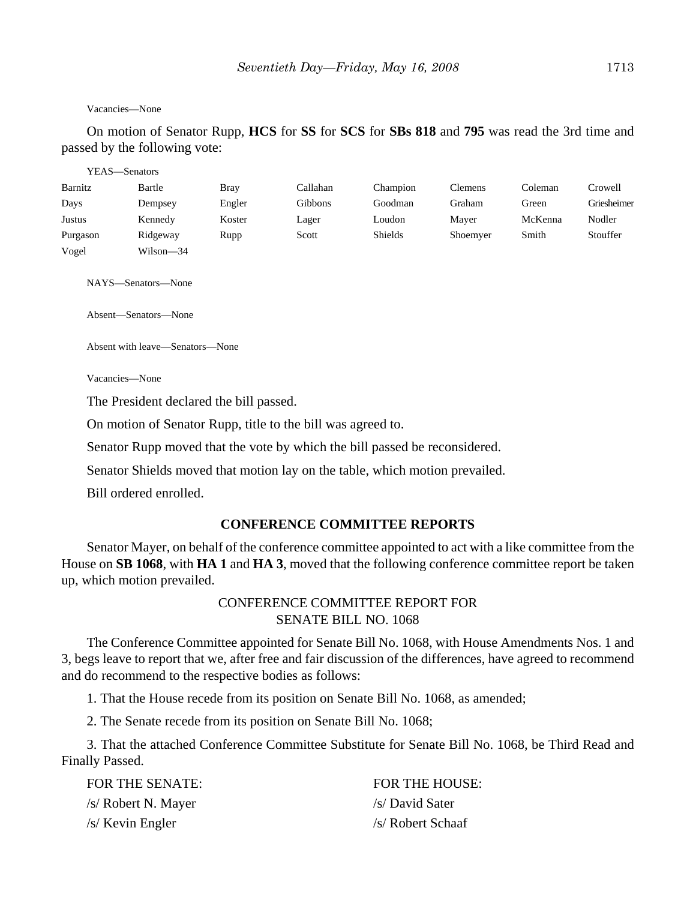#### Vacancies—None

On motion of Senator Rupp, **HCS** for **SS** for **SCS** for **SBs 818** and **795** was read the 3rd time and passed by the following vote:

|          | YEAS—Senators        |             |                |          |                |         |             |
|----------|----------------------|-------------|----------------|----------|----------------|---------|-------------|
| Barnitz  | Bartle               | <b>Bray</b> | Callahan       | Champion | <b>Clemens</b> | Coleman | Crowell     |
| Days     | Dempsey              | Engler      | <b>Gibbons</b> | Goodman  | Graham         | Green   | Griesheimer |
| Justus   | Kennedy              | Koster      | Lager          | Loudon   | Mayer          | McKenna | Nodler      |
| Purgason | Ridgeway             | Rupp        | Scott          | Shields  | Shoemyer       | Smith   | Stouffer    |
| Vogel    | Wilson-34            |             |                |          |                |         |             |
|          | NAYS—Senators—None   |             |                |          |                |         |             |
|          | Absent—Senators—None |             |                |          |                |         |             |

Absent with leave—Senators—None

Vacancies—None

The President declared the bill passed.

On motion of Senator Rupp, title to the bill was agreed to.

Senator Rupp moved that the vote by which the bill passed be reconsidered.

Senator Shields moved that motion lay on the table, which motion prevailed.

Bill ordered enrolled.

#### **CONFERENCE COMMITTEE REPORTS**

Senator Mayer, on behalf of the conference committee appointed to act with a like committee from the House on **SB 1068**, with **HA 1** and **HA 3**, moved that the following conference committee report be taken up, which motion prevailed.

## CONFERENCE COMMITTEE REPORT FOR SENATE BILL NO. 1068

The Conference Committee appointed for Senate Bill No. 1068, with House Amendments Nos. 1 and 3, begs leave to report that we, after free and fair discussion of the differences, have agreed to recommend and do recommend to the respective bodies as follows:

1. That the House recede from its position on Senate Bill No. 1068, as amended;

2. The Senate recede from its position on Senate Bill No. 1068;

3. That the attached Conference Committee Substitute for Senate Bill No. 1068, be Third Read and Finally Passed.

| FOR THE SENATE:     | <b>FOR THE HOUSE:</b> |
|---------------------|-----------------------|
| /s/ Robert N. Mayer | /s/ David Sater       |
| /s/ Kevin Engler    | /s/ Robert Schaaf     |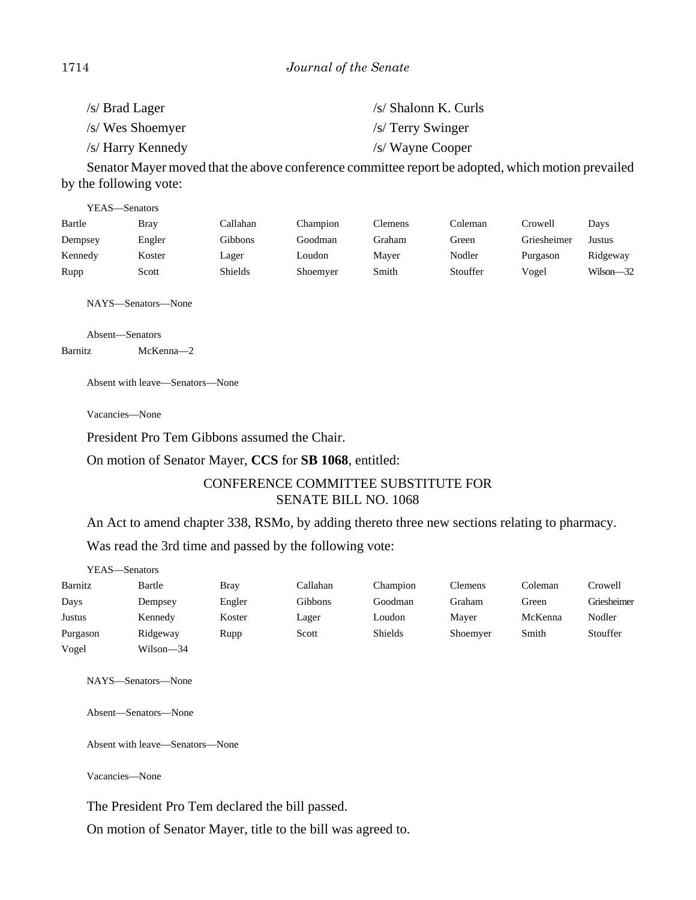| $\sqrt{s}$ Brad Lager | /s/ Shalonn K. Curls |
|-----------------------|----------------------|
| /s/ Wes Shoemyer      | $/s/$ Terry Swinger  |
| /s/ Harry Kennedy     | /s/ Wayne Cooper     |

Senator Mayer moved that the above conference committee report be adopted, which motion prevailed by the following vote:

| YEAS—Senators |             |                |          |         |          |             |               |
|---------------|-------------|----------------|----------|---------|----------|-------------|---------------|
| Bartle        | <b>Bray</b> | Callahan       | Champion | Clemens | Coleman  | Crowell     | Davs          |
| Dempsey       | Engler      | Gibbons        | Goodman  | Graham  | Green    | Griesheimer | Justus        |
| Kennedy       | Koster      | Lager          | Loudon   | Mayer   | Nodler   | Purgason    | Ridgeway      |
| Rupp          | Scott       | <b>Shields</b> | Shoemyer | Smith   | Stouffer | Vogel       | $Wilson - 32$ |

NAYS—Senators—None

Absent—Senators Barnitz McKenna—2

Absent with leave—Senators—None

Vacancies—None

President Pro Tem Gibbons assumed the Chair.

On motion of Senator Mayer, **CCS** for **SB 1068**, entitled:

# CONFERENCE COMMITTEE SUBSTITUTE FOR SENATE BILL NO. 1068

An Act to amend chapter 338, RSMo, by adding thereto three new sections relating to pharmacy.

Was read the 3rd time and passed by the following vote:

| YEAS—Senators |           |             |                |                |                |         |             |
|---------------|-----------|-------------|----------------|----------------|----------------|---------|-------------|
| Barnitz       | Bartle    | <b>Bray</b> | Callahan       | Champion       | <b>Clemens</b> | Coleman | Crowell     |
| Days          | Dempsey   | Engler      | <b>Gibbons</b> | Goodman        | Graham         | Green   | Griesheimer |
| Justus        | Kennedy   | Koster      | Lager          | Loudon         | Mayer          | McKenna | Nodler      |
| Purgason      | Ridgeway  | Rupp        | Scott          | <b>Shields</b> | Shoemyer       | Smith   | Stouffer    |
| Vogel         | Wilson-34 |             |                |                |                |         |             |

NAYS—Senators—None

Absent—Senators—None

Absent with leave—Senators—None

Vacancies—None

The President Pro Tem declared the bill passed.

On motion of Senator Mayer, title to the bill was agreed to.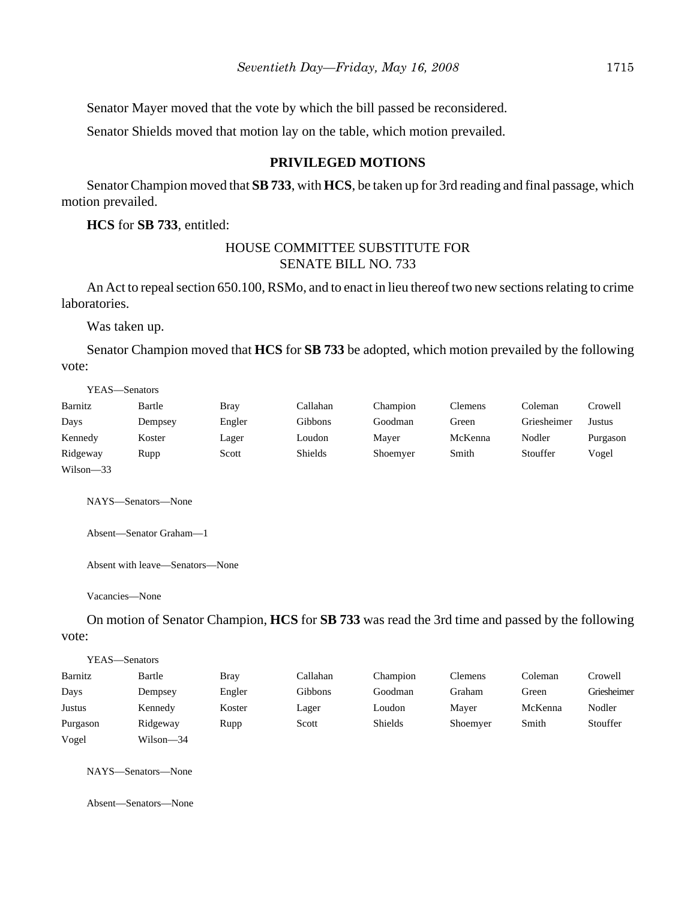Senator Mayer moved that the vote by which the bill passed be reconsidered.

Senator Shields moved that motion lay on the table, which motion prevailed.

## **PRIVILEGED MOTIONS**

Senator Champion moved that **SB 733**, with **HCS**, be taken up for 3rd reading and final passage, which motion prevailed.

**HCS** for **SB 733**, entitled:

#### HOUSE COMMITTEE SUBSTITUTE FOR SENATE BILL NO. 733

An Act to repeal section 650.100, RSMo, and to enact in lieu thereof two new sections relating to crime laboratories.

Was taken up.

Senator Champion moved that **HCS** for **SB 733** be adopted, which motion prevailed by the following vote:

YEAS—Senators

| Barnitz   | Bartle  | <b>Bray</b> | Callahan       | Champion | Clemens | Coleman     | Crowell  |
|-----------|---------|-------------|----------------|----------|---------|-------------|----------|
| Days      | Dempsey | Engler      | Gibbons        | Goodman  | Green   | Griesheimer | Justus   |
| Kennedy   | Koster  | Lager       | Loudon         | Maver    | McKenna | Nodler      | Purgason |
| Ridgeway  | Rupp    | Scott       | <b>Shields</b> | Shoemyer | Smith   | Stouffer    | Vogel    |
| Wilson-33 |         |             |                |          |         |             |          |

NAYS—Senators—None

Absent—Senator Graham—1

Absent with leave—Senators—None

Vacancies—None

On motion of Senator Champion, **HCS** for **SB 733** was read the 3rd time and passed by the following vote:

| YEAS—Senators |           |        |          |          |          |         |             |
|---------------|-----------|--------|----------|----------|----------|---------|-------------|
| Barnitz       | Bartle    | Bray   | Callahan | Champion | Clemens  | Coleman | Crowell     |
| Days          | Dempsey   | Engler | Gibbons  | Goodman  | Graham   | Green   | Griesheimer |
| Justus        | Kennedy   | Koster | Lager    | Loudon   | Maver    | McKenna | Nodler      |
| Purgason      | Ridgeway  | Rupp   | Scott    | Shields  | Shoemyer | Smith   | Stouffer    |
| Vogel         | Wilson-34 |        |          |          |          |         |             |

NAYS—Senators—None

Absent—Senators—None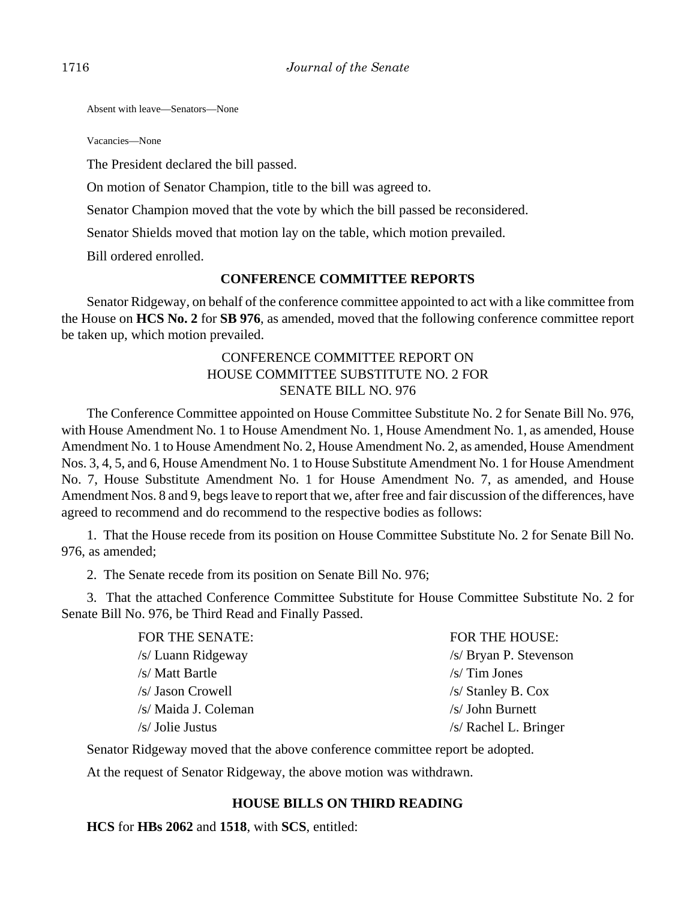Absent with leave—Senators—None

Vacancies—None

The President declared the bill passed.

On motion of Senator Champion, title to the bill was agreed to.

Senator Champion moved that the vote by which the bill passed be reconsidered.

Senator Shields moved that motion lay on the table, which motion prevailed.

Bill ordered enrolled.

## **CONFERENCE COMMITTEE REPORTS**

Senator Ridgeway, on behalf of the conference committee appointed to act with a like committee from the House on **HCS No. 2** for **SB 976**, as amended, moved that the following conference committee report be taken up, which motion prevailed.

## CONFERENCE COMMITTEE REPORT ON HOUSE COMMITTEE SUBSTITUTE NO. 2 FOR SENATE BILL NO. 976

The Conference Committee appointed on House Committee Substitute No. 2 for Senate Bill No. 976, with House Amendment No. 1 to House Amendment No. 1, House Amendment No. 1, as amended, House Amendment No. 1 to House Amendment No. 2, House Amendment No. 2, as amended, House Amendment Nos. 3, 4, 5, and 6, House Amendment No. 1 to House Substitute Amendment No. 1 for House Amendment No. 7, House Substitute Amendment No. 1 for House Amendment No. 7, as amended, and House Amendment Nos. 8 and 9, begs leave to report that we, after free and fair discussion of the differences, have agreed to recommend and do recommend to the respective bodies as follows:

1. That the House recede from its position on House Committee Substitute No. 2 for Senate Bill No. 976, as amended;

2. The Senate recede from its position on Senate Bill No. 976;

3. That the attached Conference Committee Substitute for House Committee Substitute No. 2 for Senate Bill No. 976, be Third Read and Finally Passed.

| <b>FOR THE SENATE:</b> | <b>FOR THE HOUSE:</b>   |
|------------------------|-------------------------|
| /s/ Luann Ridgeway     | /s/ Bryan P. Stevenson  |
| /s/ Matt Bartle        | $/s/$ Tim Jones         |
| /s/ Jason Crowell      | $/s/$ Stanley B. Cox    |
| /s/ Maida J. Coleman   | /s/ John Burnett        |
| $/s/$ Jolie Justus     | $/s/$ Rachel L. Bringer |
|                        |                         |

Senator Ridgeway moved that the above conference committee report be adopted.

At the request of Senator Ridgeway, the above motion was withdrawn.

## **HOUSE BILLS ON THIRD READING**

**HCS** for **HBs 2062** and **1518**, with **SCS**, entitled: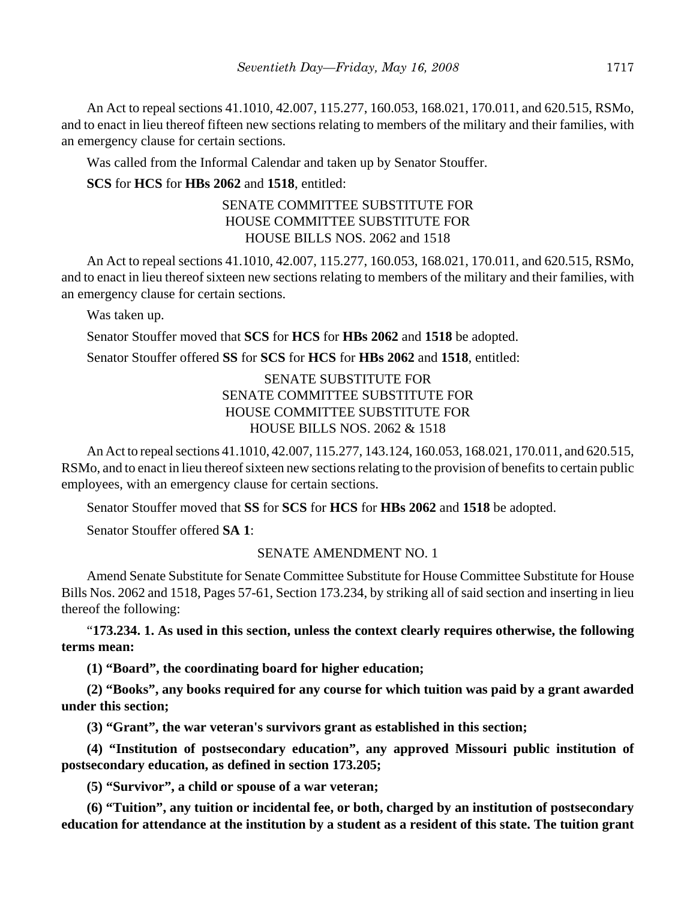An Act to repeal sections 41.1010, 42.007, 115.277, 160.053, 168.021, 170.011, and 620.515, RSMo, and to enact in lieu thereof fifteen new sections relating to members of the military and their families, with an emergency clause for certain sections.

Was called from the Informal Calendar and taken up by Senator Stouffer.

### **SCS** for **HCS** for **HBs 2062** and **1518**, entitled:

## SENATE COMMITTEE SUBSTITUTE FOR HOUSE COMMITTEE SUBSTITUTE FOR HOUSE BILLS NOS. 2062 and 1518

An Act to repeal sections 41.1010, 42.007, 115.277, 160.053, 168.021, 170.011, and 620.515, RSMo, and to enact in lieu thereof sixteen new sections relating to members of the military and their families, with an emergency clause for certain sections.

Was taken up.

Senator Stouffer moved that **SCS** for **HCS** for **HBs 2062** and **1518** be adopted.

Senator Stouffer offered **SS** for **SCS** for **HCS** for **HBs 2062** and **1518**, entitled:

## SENATE SUBSTITUTE FOR SENATE COMMITTEE SUBSTITUTE FOR HOUSE COMMITTEE SUBSTITUTE FOR HOUSE BILLS NOS. 2062 & 1518

An Act to repeal sections 41.1010, 42.007, 115.277, 143.124, 160.053, 168.021, 170.011, and 620.515, RSMo, and to enact in lieu thereof sixteen new sections relating to the provision of benefits to certain public employees, with an emergency clause for certain sections.

Senator Stouffer moved that **SS** for **SCS** for **HCS** for **HBs 2062** and **1518** be adopted.

Senator Stouffer offered **SA 1**:

#### SENATE AMENDMENT NO. 1

Amend Senate Substitute for Senate Committee Substitute for House Committee Substitute for House Bills Nos. 2062 and 1518, Pages 57-61, Section 173.234, by striking all of said section and inserting in lieu thereof the following:

"**173.234. 1. As used in this section, unless the context clearly requires otherwise, the following terms mean:**

**(1) "Board", the coordinating board for higher education;**

**(2) "Books", any books required for any course for which tuition was paid by a grant awarded under this section;**

**(3) "Grant", the war veteran's survivors grant as established in this section;**

**(4) "Institution of postsecondary education", any approved Missouri public institution of postsecondary education, as defined in section 173.205;**

**(5) "Survivor", a child or spouse of a war veteran;**

**(6) "Tuition", any tuition or incidental fee, or both, charged by an institution of postsecondary education for attendance at the institution by a student as a resident of this state. The tuition grant**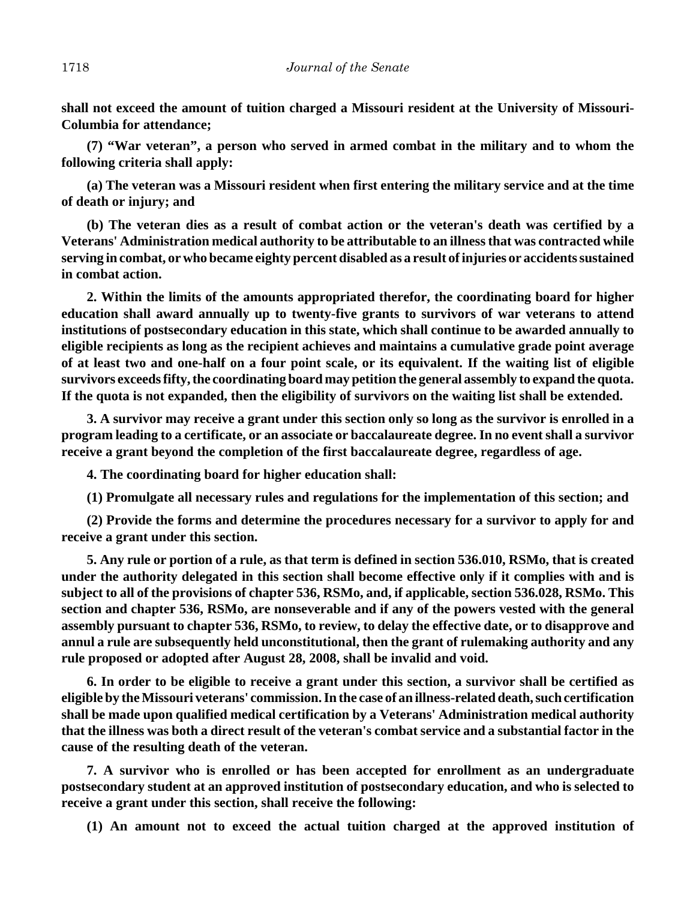**shall not exceed the amount of tuition charged a Missouri resident at the University of Missouri-Columbia for attendance;**

**(7) "War veteran", a person who served in armed combat in the military and to whom the following criteria shall apply:**

**(a) The veteran was a Missouri resident when first entering the military service and at the time of death or injury; and**

**(b) The veteran dies as a result of combat action or the veteran's death was certified by a Veterans' Administration medical authority to be attributable to an illness that was contracted while serving in combat, or who became eighty percent disabled as a result of injuries or accidents sustained in combat action.**

**2. Within the limits of the amounts appropriated therefor, the coordinating board for higher education shall award annually up to twenty-five grants to survivors of war veterans to attend institutions of postsecondary education in this state, which shall continue to be awarded annually to eligible recipients as long as the recipient achieves and maintains a cumulative grade point average of at least two and one-half on a four point scale, or its equivalent. If the waiting list of eligible survivors exceeds fifty, the coordinating board may petition the general assembly to expand the quota. If the quota is not expanded, then the eligibility of survivors on the waiting list shall be extended.**

**3. A survivor may receive a grant under this section only so long as the survivor is enrolled in a program leading to a certificate, or an associate or baccalaureate degree. In no event shall a survivor receive a grant beyond the completion of the first baccalaureate degree, regardless of age.**

**4. The coordinating board for higher education shall:**

**(1) Promulgate all necessary rules and regulations for the implementation of this section; and**

**(2) Provide the forms and determine the procedures necessary for a survivor to apply for and receive a grant under this section.**

**5. Any rule or portion of a rule, as that term is defined in section 536.010, RSMo, that is created under the authority delegated in this section shall become effective only if it complies with and is subject to all of the provisions of chapter 536, RSMo, and, if applicable, section 536.028, RSMo. This section and chapter 536, RSMo, are nonseverable and if any of the powers vested with the general assembly pursuant to chapter 536, RSMo, to review, to delay the effective date, or to disapprove and annul a rule are subsequently held unconstitutional, then the grant of rulemaking authority and any rule proposed or adopted after August 28, 2008, shall be invalid and void.**

**6. In order to be eligible to receive a grant under this section, a survivor shall be certified as eligible by the Missouri veterans' commission. In the case of an illness-related death, such certification shall be made upon qualified medical certification by a Veterans' Administration medical authority that the illness was both a direct result of the veteran's combat service and a substantial factor in the cause of the resulting death of the veteran.**

**7. A survivor who is enrolled or has been accepted for enrollment as an undergraduate postsecondary student at an approved institution of postsecondary education, and who is selected to receive a grant under this section, shall receive the following:**

**(1) An amount not to exceed the actual tuition charged at the approved institution of**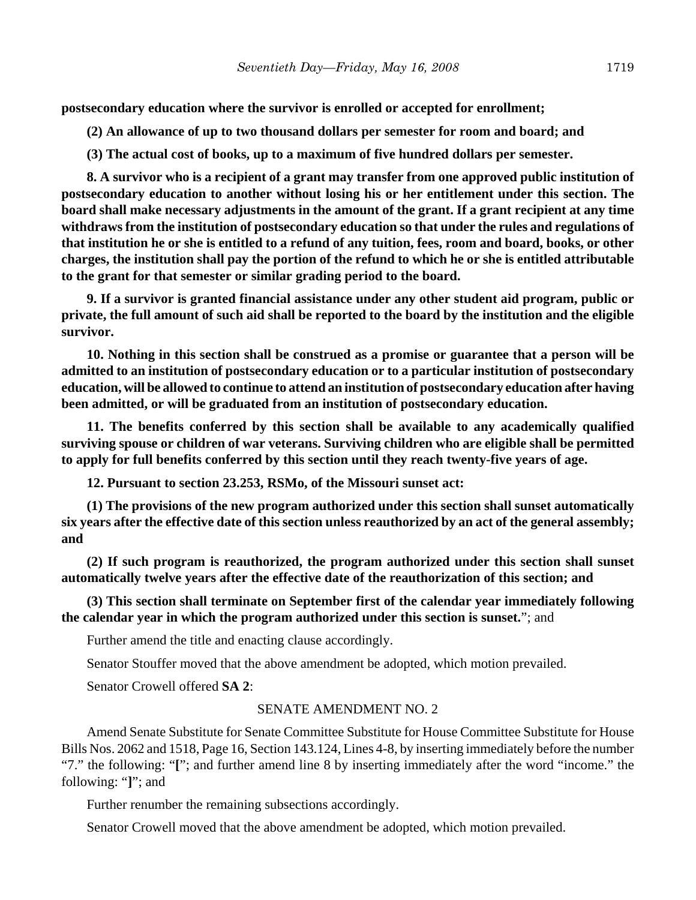**postsecondary education where the survivor is enrolled or accepted for enrollment;**

**(2) An allowance of up to two thousand dollars per semester for room and board; and**

**(3) The actual cost of books, up to a maximum of five hundred dollars per semester.**

**8. A survivor who is a recipient of a grant may transfer from one approved public institution of postsecondary education to another without losing his or her entitlement under this section. The board shall make necessary adjustments in the amount of the grant. If a grant recipient at any time withdraws from the institution of postsecondary education so that under the rules and regulations of that institution he or she is entitled to a refund of any tuition, fees, room and board, books, or other charges, the institution shall pay the portion of the refund to which he or she is entitled attributable to the grant for that semester or similar grading period to the board.**

**9. If a survivor is granted financial assistance under any other student aid program, public or private, the full amount of such aid shall be reported to the board by the institution and the eligible survivor.**

**10. Nothing in this section shall be construed as a promise or guarantee that a person will be admitted to an institution of postsecondary education or to a particular institution of postsecondary education, will be allowed to continue to attend an institution of postsecondary education after having been admitted, or will be graduated from an institution of postsecondary education.**

**11. The benefits conferred by this section shall be available to any academically qualified surviving spouse or children of war veterans. Surviving children who are eligible shall be permitted to apply for full benefits conferred by this section until they reach twenty-five years of age.**

**12. Pursuant to section 23.253, RSMo, of the Missouri sunset act:**

**(1) The provisions of the new program authorized under this section shall sunset automatically six years after the effective date of this section unless reauthorized by an act of the general assembly; and**

**(2) If such program is reauthorized, the program authorized under this section shall sunset automatically twelve years after the effective date of the reauthorization of this section; and**

**(3) This section shall terminate on September first of the calendar year immediately following the calendar year in which the program authorized under this section is sunset.**"; and

Further amend the title and enacting clause accordingly.

Senator Stouffer moved that the above amendment be adopted, which motion prevailed.

Senator Crowell offered **SA 2**:

#### SENATE AMENDMENT NO. 2

Amend Senate Substitute for Senate Committee Substitute for House Committee Substitute for House Bills Nos. 2062 and 1518, Page 16, Section 143.124, Lines 4-8, by inserting immediately before the number "7." the following: "**[**"; and further amend line 8 by inserting immediately after the word "income." the following: "**]**"; and

Further renumber the remaining subsections accordingly.

Senator Crowell moved that the above amendment be adopted, which motion prevailed.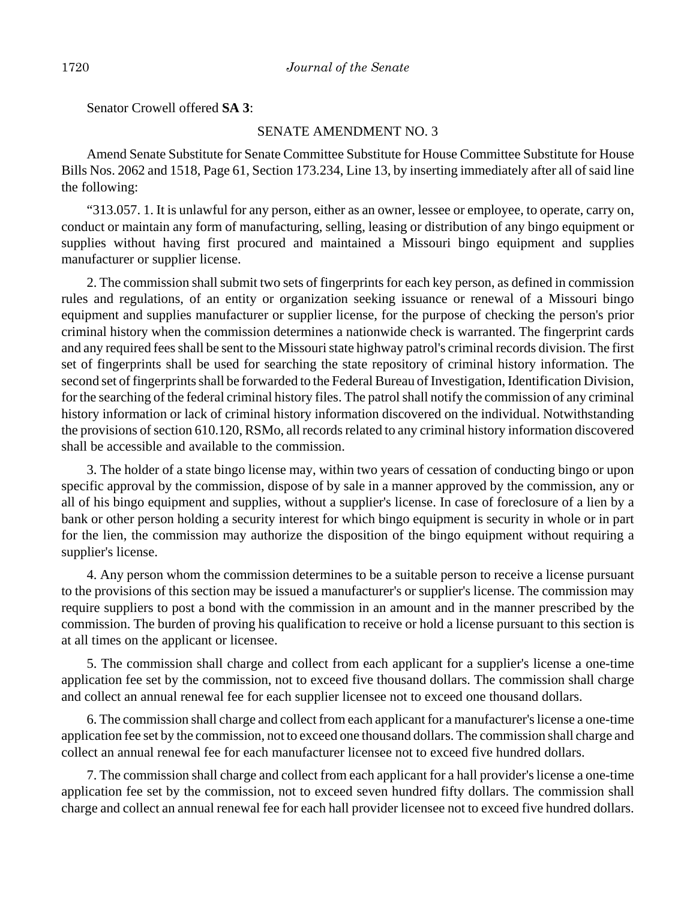Senator Crowell offered **SA 3**:

### SENATE AMENDMENT NO. 3

Amend Senate Substitute for Senate Committee Substitute for House Committee Substitute for House Bills Nos. 2062 and 1518, Page 61, Section 173.234, Line 13, by inserting immediately after all of said line the following:

"313.057. 1. It is unlawful for any person, either as an owner, lessee or employee, to operate, carry on, conduct or maintain any form of manufacturing, selling, leasing or distribution of any bingo equipment or supplies without having first procured and maintained a Missouri bingo equipment and supplies manufacturer or supplier license.

2. The commission shall submit two sets of fingerprints for each key person, as defined in commission rules and regulations, of an entity or organization seeking issuance or renewal of a Missouri bingo equipment and supplies manufacturer or supplier license, for the purpose of checking the person's prior criminal history when the commission determines a nationwide check is warranted. The fingerprint cards and any required fees shall be sent to the Missouri state highway patrol's criminal records division. The first set of fingerprints shall be used for searching the state repository of criminal history information. The second set of fingerprints shall be forwarded to the Federal Bureau of Investigation, Identification Division, for the searching of the federal criminal history files. The patrol shall notify the commission of any criminal history information or lack of criminal history information discovered on the individual. Notwithstanding the provisions of section 610.120, RSMo, all records related to any criminal history information discovered shall be accessible and available to the commission.

3. The holder of a state bingo license may, within two years of cessation of conducting bingo or upon specific approval by the commission, dispose of by sale in a manner approved by the commission, any or all of his bingo equipment and supplies, without a supplier's license. In case of foreclosure of a lien by a bank or other person holding a security interest for which bingo equipment is security in whole or in part for the lien, the commission may authorize the disposition of the bingo equipment without requiring a supplier's license.

4. Any person whom the commission determines to be a suitable person to receive a license pursuant to the provisions of this section may be issued a manufacturer's or supplier's license. The commission may require suppliers to post a bond with the commission in an amount and in the manner prescribed by the commission. The burden of proving his qualification to receive or hold a license pursuant to this section is at all times on the applicant or licensee.

5. The commission shall charge and collect from each applicant for a supplier's license a one-time application fee set by the commission, not to exceed five thousand dollars. The commission shall charge and collect an annual renewal fee for each supplier licensee not to exceed one thousand dollars.

6. The commission shall charge and collect from each applicant for a manufacturer's license a one-time application fee set by the commission, not to exceed one thousand dollars. The commission shall charge and collect an annual renewal fee for each manufacturer licensee not to exceed five hundred dollars.

7. The commission shall charge and collect from each applicant for a hall provider's license a one-time application fee set by the commission, not to exceed seven hundred fifty dollars. The commission shall charge and collect an annual renewal fee for each hall provider licensee not to exceed five hundred dollars.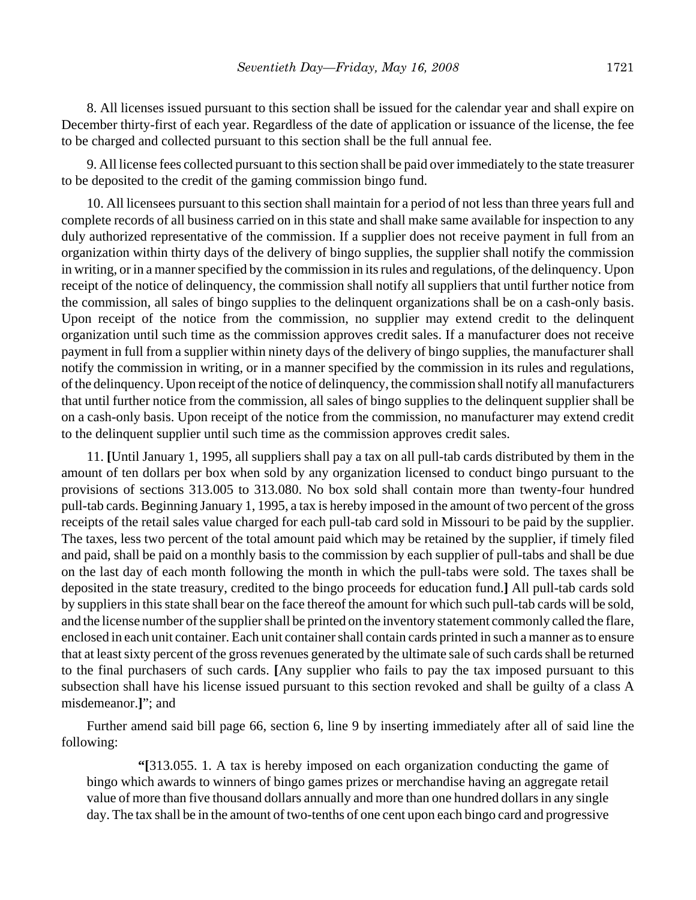8. All licenses issued pursuant to this section shall be issued for the calendar year and shall expire on December thirty-first of each year. Regardless of the date of application or issuance of the license, the fee to be charged and collected pursuant to this section shall be the full annual fee.

9. All license fees collected pursuant to this section shall be paid over immediately to the state treasurer to be deposited to the credit of the gaming commission bingo fund.

10. All licensees pursuant to this section shall maintain for a period of not less than three years full and complete records of all business carried on in this state and shall make same available for inspection to any duly authorized representative of the commission. If a supplier does not receive payment in full from an organization within thirty days of the delivery of bingo supplies, the supplier shall notify the commission in writing, or in a manner specified by the commission in its rules and regulations, of the delinquency. Upon receipt of the notice of delinquency, the commission shall notify all suppliers that until further notice from the commission, all sales of bingo supplies to the delinquent organizations shall be on a cash-only basis. Upon receipt of the notice from the commission, no supplier may extend credit to the delinquent organization until such time as the commission approves credit sales. If a manufacturer does not receive payment in full from a supplier within ninety days of the delivery of bingo supplies, the manufacturer shall notify the commission in writing, or in a manner specified by the commission in its rules and regulations, of the delinquency. Upon receipt of the notice of delinquency, the commission shall notify all manufacturers that until further notice from the commission, all sales of bingo supplies to the delinquent supplier shall be on a cash-only basis. Upon receipt of the notice from the commission, no manufacturer may extend credit to the delinquent supplier until such time as the commission approves credit sales.

11. **[**Until January 1, 1995, all suppliers shall pay a tax on all pull-tab cards distributed by them in the amount of ten dollars per box when sold by any organization licensed to conduct bingo pursuant to the provisions of sections 313.005 to 313.080. No box sold shall contain more than twenty-four hundred pull-tab cards. Beginning January 1, 1995, a tax is hereby imposed in the amount of two percent of the gross receipts of the retail sales value charged for each pull-tab card sold in Missouri to be paid by the supplier. The taxes, less two percent of the total amount paid which may be retained by the supplier, if timely filed and paid, shall be paid on a monthly basis to the commission by each supplier of pull-tabs and shall be due on the last day of each month following the month in which the pull-tabs were sold. The taxes shall be deposited in the state treasury, credited to the bingo proceeds for education fund.**]** All pull-tab cards sold by suppliers in this state shall bear on the face thereof the amount for which such pull-tab cards will be sold, and the license number of the supplier shall be printed on the inventory statement commonly called the flare, enclosed in each unit container. Each unit container shall contain cards printed in such a manner as to ensure that at least sixty percent of the gross revenues generated by the ultimate sale of such cards shall be returned to the final purchasers of such cards. **[**Any supplier who fails to pay the tax imposed pursuant to this subsection shall have his license issued pursuant to this section revoked and shall be guilty of a class A misdemeanor.**]**"; and

Further amend said bill page 66, section 6, line 9 by inserting immediately after all of said line the following:

**"[**313.055. 1. A tax is hereby imposed on each organization conducting the game of bingo which awards to winners of bingo games prizes or merchandise having an aggregate retail value of more than five thousand dollars annually and more than one hundred dollars in any single day. The tax shall be in the amount of two-tenths of one cent upon each bingo card and progressive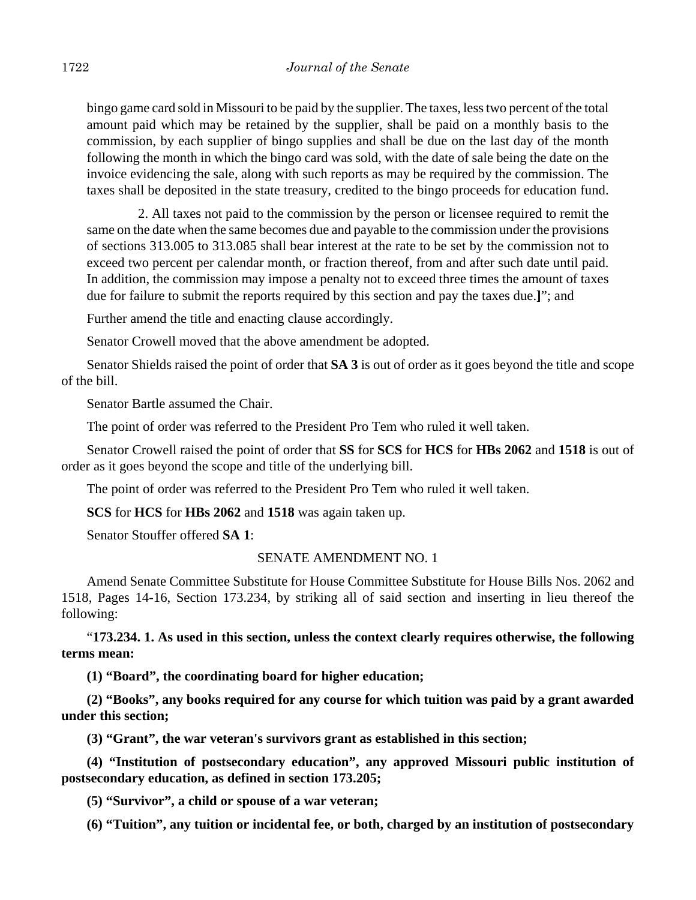bingo game card sold in Missouri to be paid by the supplier. The taxes, less two percent of the total amount paid which may be retained by the supplier, shall be paid on a monthly basis to the commission, by each supplier of bingo supplies and shall be due on the last day of the month following the month in which the bingo card was sold, with the date of sale being the date on the invoice evidencing the sale, along with such reports as may be required by the commission. The taxes shall be deposited in the state treasury, credited to the bingo proceeds for education fund.

2. All taxes not paid to the commission by the person or licensee required to remit the same on the date when the same becomes due and payable to the commission under the provisions of sections 313.005 to 313.085 shall bear interest at the rate to be set by the commission not to exceed two percent per calendar month, or fraction thereof, from and after such date until paid. In addition, the commission may impose a penalty not to exceed three times the amount of taxes due for failure to submit the reports required by this section and pay the taxes due.**]**"; and

Further amend the title and enacting clause accordingly.

Senator Crowell moved that the above amendment be adopted.

Senator Shields raised the point of order that **SA 3** is out of order as it goes beyond the title and scope of the bill.

Senator Bartle assumed the Chair.

The point of order was referred to the President Pro Tem who ruled it well taken.

Senator Crowell raised the point of order that **SS** for **SCS** for **HCS** for **HBs 2062** and **1518** is out of order as it goes beyond the scope and title of the underlying bill.

The point of order was referred to the President Pro Tem who ruled it well taken.

**SCS** for **HCS** for **HBs 2062** and **1518** was again taken up.

Senator Stouffer offered **SA 1**:

## SENATE AMENDMENT NO. 1

Amend Senate Committee Substitute for House Committee Substitute for House Bills Nos. 2062 and 1518, Pages 14-16, Section 173.234, by striking all of said section and inserting in lieu thereof the following:

"**173.234. 1. As used in this section, unless the context clearly requires otherwise, the following terms mean:**

**(1) "Board", the coordinating board for higher education;**

**(2) "Books", any books required for any course for which tuition was paid by a grant awarded under this section;**

**(3) "Grant", the war veteran's survivors grant as established in this section;**

**(4) "Institution of postsecondary education", any approved Missouri public institution of postsecondary education, as defined in section 173.205;**

**(5) "Survivor", a child or spouse of a war veteran;**

**(6) "Tuition", any tuition or incidental fee, or both, charged by an institution of postsecondary**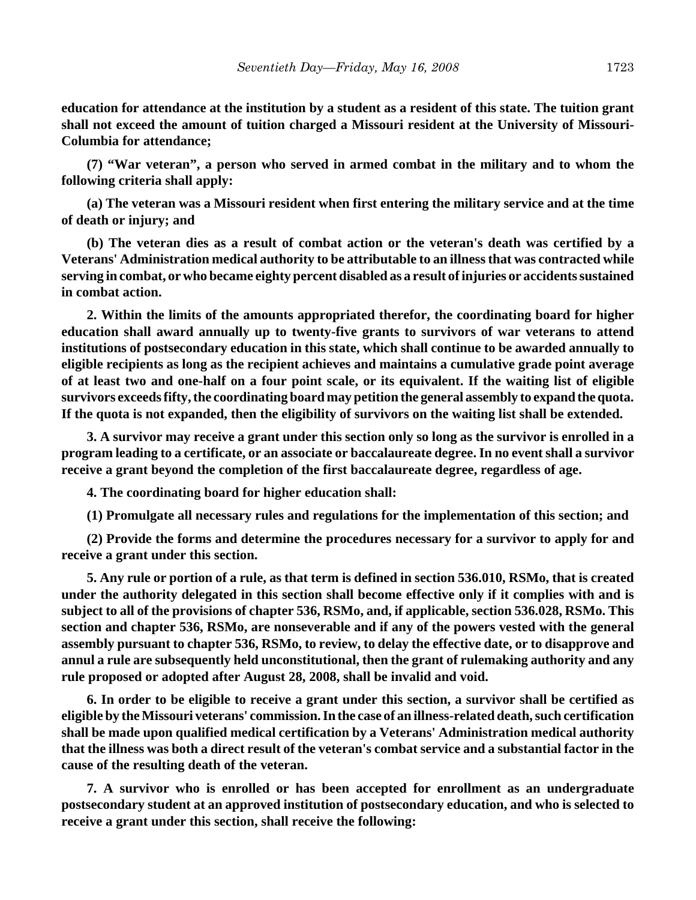**education for attendance at the institution by a student as a resident of this state. The tuition grant shall not exceed the amount of tuition charged a Missouri resident at the University of Missouri-Columbia for attendance;**

**(7) "War veteran", a person who served in armed combat in the military and to whom the following criteria shall apply:**

**(a) The veteran was a Missouri resident when first entering the military service and at the time of death or injury; and**

**(b) The veteran dies as a result of combat action or the veteran's death was certified by a Veterans' Administration medical authority to be attributable to an illness that was contracted while serving in combat, or who became eighty percent disabled as a result of injuries or accidents sustained in combat action.**

**2. Within the limits of the amounts appropriated therefor, the coordinating board for higher education shall award annually up to twenty-five grants to survivors of war veterans to attend institutions of postsecondary education in this state, which shall continue to be awarded annually to eligible recipients as long as the recipient achieves and maintains a cumulative grade point average of at least two and one-half on a four point scale, or its equivalent. If the waiting list of eligible survivors exceeds fifty, the coordinating board may petition the general assembly to expand the quota. If the quota is not expanded, then the eligibility of survivors on the waiting list shall be extended.**

**3. A survivor may receive a grant under this section only so long as the survivor is enrolled in a program leading to a certificate, or an associate or baccalaureate degree. In no event shall a survivor receive a grant beyond the completion of the first baccalaureate degree, regardless of age.**

**4. The coordinating board for higher education shall:**

**(1) Promulgate all necessary rules and regulations for the implementation of this section; and**

**(2) Provide the forms and determine the procedures necessary for a survivor to apply for and receive a grant under this section.**

**5. Any rule or portion of a rule, as that term is defined in section 536.010, RSMo, that is created under the authority delegated in this section shall become effective only if it complies with and is subject to all of the provisions of chapter 536, RSMo, and, if applicable, section 536.028, RSMo. This section and chapter 536, RSMo, are nonseverable and if any of the powers vested with the general assembly pursuant to chapter 536, RSMo, to review, to delay the effective date, or to disapprove and annul a rule are subsequently held unconstitutional, then the grant of rulemaking authority and any rule proposed or adopted after August 28, 2008, shall be invalid and void.**

**6. In order to be eligible to receive a grant under this section, a survivor shall be certified as eligible by the Missouri veterans' commission. In the case of an illness-related death, such certification shall be made upon qualified medical certification by a Veterans' Administration medical authority that the illness was both a direct result of the veteran's combat service and a substantial factor in the cause of the resulting death of the veteran.**

**7. A survivor who is enrolled or has been accepted for enrollment as an undergraduate postsecondary student at an approved institution of postsecondary education, and who is selected to receive a grant under this section, shall receive the following:**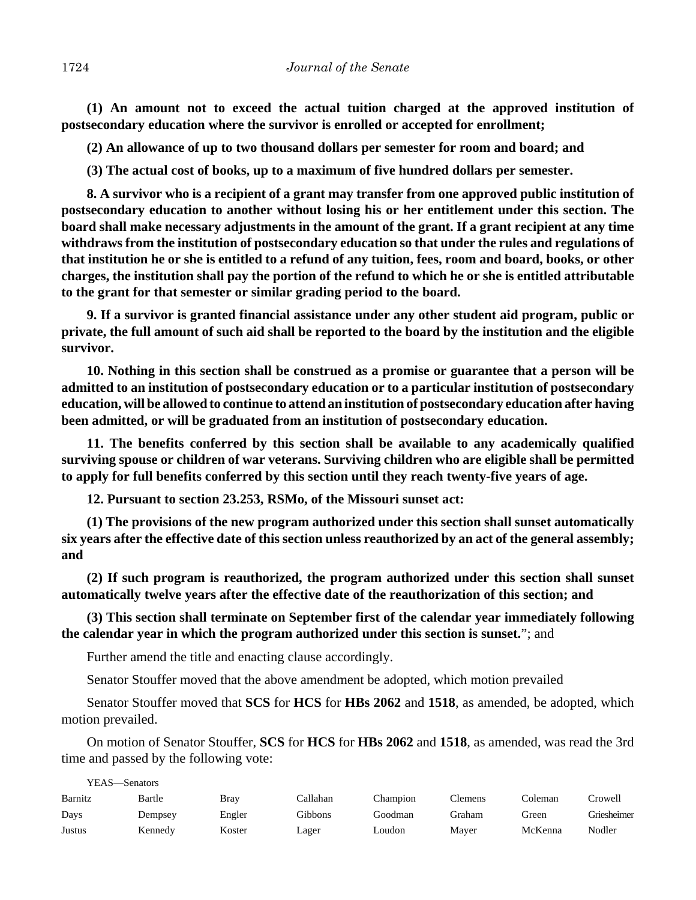**(1) An amount not to exceed the actual tuition charged at the approved institution of postsecondary education where the survivor is enrolled or accepted for enrollment;**

**(2) An allowance of up to two thousand dollars per semester for room and board; and**

**(3) The actual cost of books, up to a maximum of five hundred dollars per semester.**

**8. A survivor who is a recipient of a grant may transfer from one approved public institution of postsecondary education to another without losing his or her entitlement under this section. The board shall make necessary adjustments in the amount of the grant. If a grant recipient at any time withdraws from the institution of postsecondary education so that under the rules and regulations of that institution he or she is entitled to a refund of any tuition, fees, room and board, books, or other charges, the institution shall pay the portion of the refund to which he or she is entitled attributable to the grant for that semester or similar grading period to the board.**

**9. If a survivor is granted financial assistance under any other student aid program, public or private, the full amount of such aid shall be reported to the board by the institution and the eligible survivor.**

**10. Nothing in this section shall be construed as a promise or guarantee that a person will be admitted to an institution of postsecondary education or to a particular institution of postsecondary education, will be allowed to continue to attend an institution of postsecondary education after having been admitted, or will be graduated from an institution of postsecondary education.**

**11. The benefits conferred by this section shall be available to any academically qualified surviving spouse or children of war veterans. Surviving children who are eligible shall be permitted to apply for full benefits conferred by this section until they reach twenty-five years of age.**

**12. Pursuant to section 23.253, RSMo, of the Missouri sunset act:**

**(1) The provisions of the new program authorized under this section shall sunset automatically six years after the effective date of this section unless reauthorized by an act of the general assembly; and**

**(2) If such program is reauthorized, the program authorized under this section shall sunset automatically twelve years after the effective date of the reauthorization of this section; and**

**(3) This section shall terminate on September first of the calendar year immediately following the calendar year in which the program authorized under this section is sunset.**"; and

Further amend the title and enacting clause accordingly.

YEAS—Senators

Senator Stouffer moved that the above amendment be adopted, which motion prevailed

Senator Stouffer moved that **SCS** for **HCS** for **HBs 2062** and **1518**, as amended, be adopted, which motion prevailed.

On motion of Senator Stouffer, **SCS** for **HCS** for **HBs 2062** and **1518**, as amended, was read the 3rd time and passed by the following vote:

| YEAS—Senators |         |        |          |          |         |         |             |
|---------------|---------|--------|----------|----------|---------|---------|-------------|
| Barnitz       | Bartle  | Bray   | Callahan | Champion | Clemens | Coleman | Crowell     |
| Days          | Dempsey | Engler | Gibbons  | Goodman  | Graham  | Green   | Griesheimer |
| Justus        | Kennedy | Koster | Lager    | Loudon   | Maver   | McKenna | Nodler      |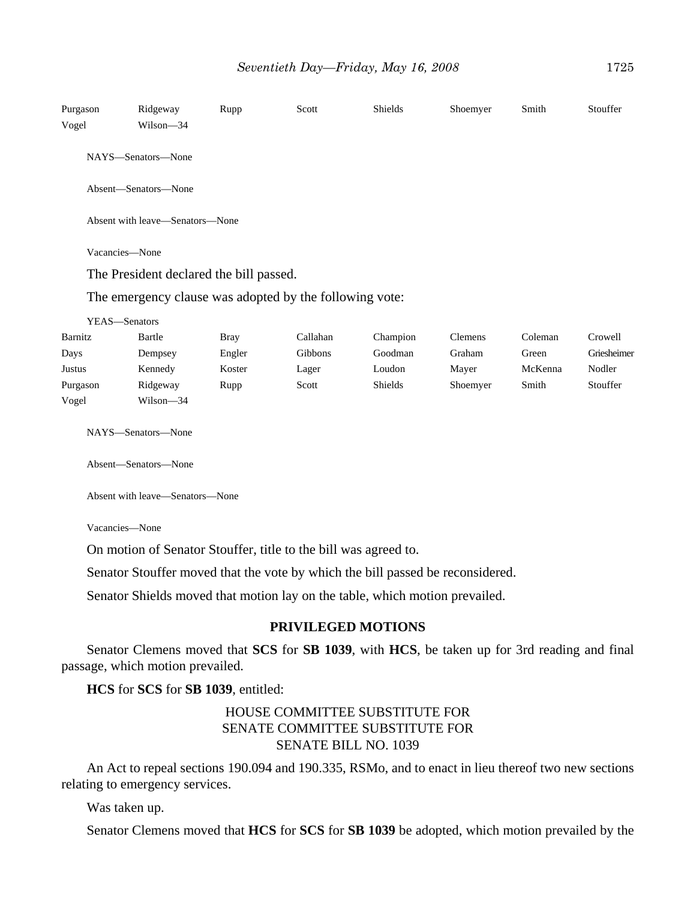| Purgason<br>Vogel | Ridgeway<br>Wilson-34                   | Rupp        | Scott                                                   | Shields  | Shoemyer | Smith   | Stouffer    |
|-------------------|-----------------------------------------|-------------|---------------------------------------------------------|----------|----------|---------|-------------|
|                   | NAYS-Senators-None                      |             |                                                         |          |          |         |             |
|                   | Absent-Senators-None                    |             |                                                         |          |          |         |             |
|                   | Absent with leave-Senators-None         |             |                                                         |          |          |         |             |
|                   | Vacancies-None                          |             |                                                         |          |          |         |             |
|                   | The President declared the bill passed. |             |                                                         |          |          |         |             |
|                   |                                         |             | The emergency clause was adopted by the following vote: |          |          |         |             |
| YEAS-Senators     |                                         |             |                                                         |          |          |         |             |
| Barnitz           | Bartle                                  | <b>Bray</b> | Callahan                                                | Champion | Clemens  | Coleman | Crowell     |
| Days              | Dempsey                                 | Engler      | Gibbons                                                 | Goodman  | Graham   | Green   | Griesheimer |
| Justus            | Kennedy                                 | Koster      | Lager                                                   | Loudon   | Mayer    | McKenna | Nodler      |
| Purgason          | Ridgeway                                | Rupp        | Scott                                                   | Shields  | Shoemyer | Smith   | Stouffer    |
| Vogel             | Wilson-34                               |             |                                                         |          |          |         |             |
|                   | NAYS-Senators-None                      |             |                                                         |          |          |         |             |
|                   | Absent-Senators-None                    |             |                                                         |          |          |         |             |
|                   | Absent with leave—Senators—None         |             |                                                         |          |          |         |             |

Vacancies—None

On motion of Senator Stouffer, title to the bill was agreed to.

Senator Stouffer moved that the vote by which the bill passed be reconsidered.

Senator Shields moved that motion lay on the table, which motion prevailed.

## **PRIVILEGED MOTIONS**

Senator Clemens moved that **SCS** for **SB 1039**, with **HCS**, be taken up for 3rd reading and final passage, which motion prevailed.

**HCS** for **SCS** for **SB 1039**, entitled:

## HOUSE COMMITTEE SUBSTITUTE FOR SENATE COMMITTEE SUBSTITUTE FOR SENATE BILL NO. 1039

An Act to repeal sections 190.094 and 190.335, RSMo, and to enact in lieu thereof two new sections relating to emergency services.

Was taken up.

Senator Clemens moved that **HCS** for **SCS** for **SB 1039** be adopted, which motion prevailed by the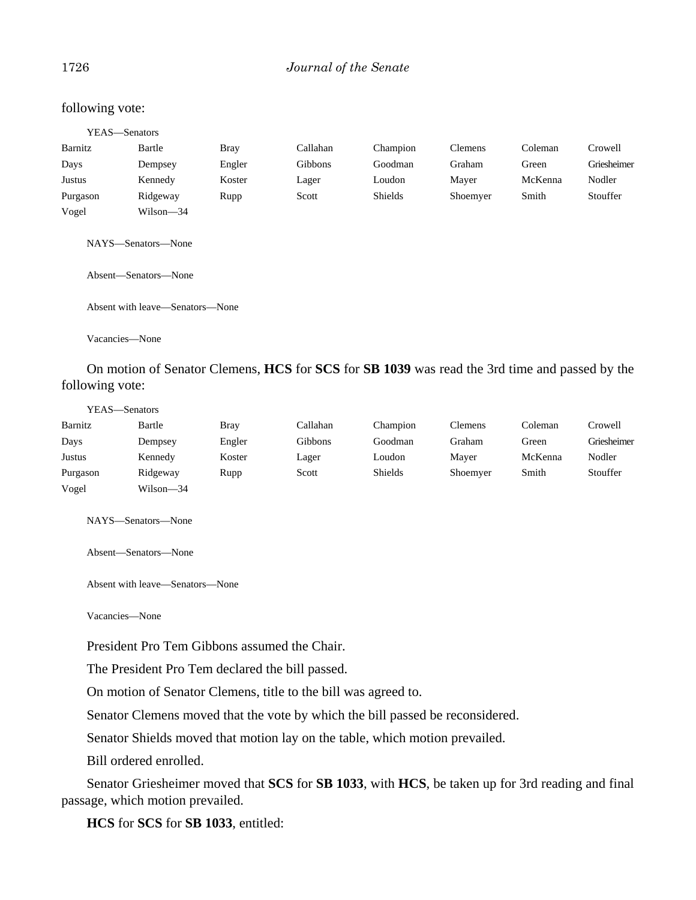## 1726 *Journal of the Senate*

#### following vote:

|          | YEAS—Senators                                                                                 |        |                |          |                |         |             |
|----------|-----------------------------------------------------------------------------------------------|--------|----------------|----------|----------------|---------|-------------|
| Barnitz  | Bartle                                                                                        | Bray   | Callahan       | Champion | <b>Clemens</b> | Coleman | Crowell     |
| Days     | Dempsey                                                                                       | Engler | <b>Gibbons</b> | Goodman  | Graham         | Green   | Griesheimer |
| Justus   | Kennedy                                                                                       | Koster | Lager          | Loudon   | Mayer          | McKenna | Nodler      |
| Purgason | Ridgeway                                                                                      | Rupp   | Scott          | Shields  | Shoemyer       | Smith   | Stouffer    |
| Vogel    | Wilson—34                                                                                     |        |                |          |                |         |             |
|          | NAYS—Senators—None<br>Absent-Senators-None                                                    |        |                |          |                |         |             |
|          | Absent with leave—Senators—None                                                               |        |                |          |                |         |             |
|          | Vacancies—None                                                                                |        |                |          |                |         |             |
|          | On motion of Senator Clemens, HCS for SCS for SB 1039 was read the 3rd time and passed by the |        |                |          |                |         |             |

following vote:

| YEAS—Senators |           |             |          |          |                |         |             |
|---------------|-----------|-------------|----------|----------|----------------|---------|-------------|
| Barnitz       | Bartle    | <b>Bray</b> | Callahan | Champion | <b>Clemens</b> | Coleman | Crowell     |
| Days          | Dempsey   | Engler      | Gibbons  | Goodman  | Graham         | Green   | Griesheimer |
| Justus        | Kennedy   | Koster      | Lager    | Loudon   | Maver          | McKenna | Nodler      |
| Purgason      | Ridgeway  | Rupp        | Scott    | Shields  | Shoemyer       | Smith   | Stouffer    |
| Vogel         | Wilson-34 |             |          |          |                |         |             |

NAYS—Senators—None

Absent—Senators—None

Absent with leave—Senators—None

Vacancies—None

President Pro Tem Gibbons assumed the Chair.

The President Pro Tem declared the bill passed.

On motion of Senator Clemens, title to the bill was agreed to.

Senator Clemens moved that the vote by which the bill passed be reconsidered.

Senator Shields moved that motion lay on the table, which motion prevailed.

Bill ordered enrolled.

Senator Griesheimer moved that **SCS** for **SB 1033**, with **HCS**, be taken up for 3rd reading and final passage, which motion prevailed.

**HCS** for **SCS** for **SB 1033**, entitled: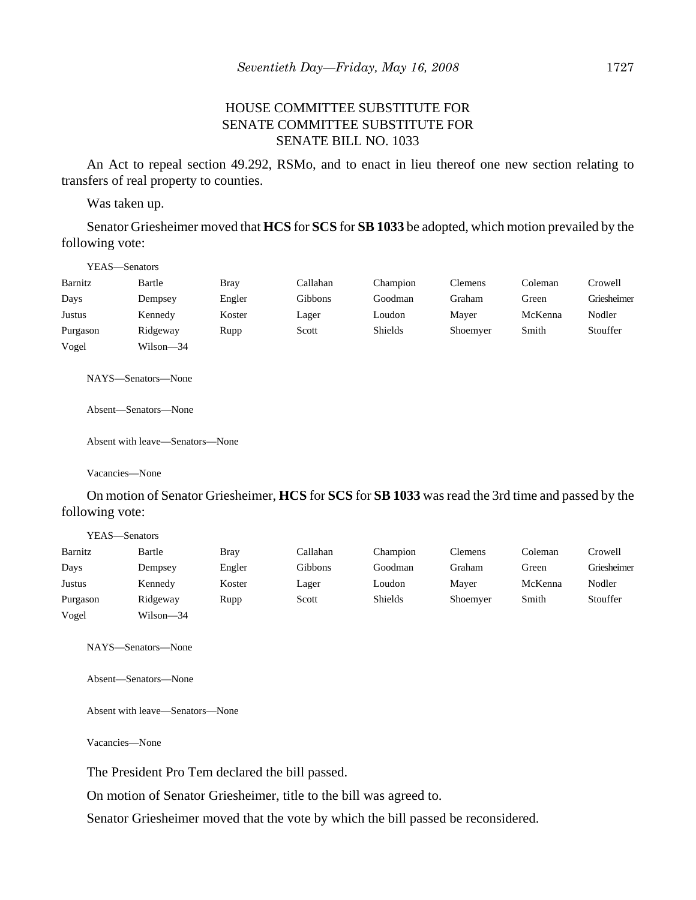## HOUSE COMMITTEE SUBSTITUTE FOR SENATE COMMITTEE SUBSTITUTE FOR SENATE BILL NO. 1033

An Act to repeal section 49.292, RSMo, and to enact in lieu thereof one new section relating to transfers of real property to counties.

Was taken up.

Senator Griesheimer moved that **HCS** for **SCS** for **SB 1033** be adopted, which motion prevailed by the following vote:

|               | YEAS—Senators |             |          |          |                |         |             |
|---------------|---------------|-------------|----------|----------|----------------|---------|-------------|
| Barnitz       | Bartle        | <b>Bray</b> | Callahan | Champion | <b>Clemens</b> | Coleman | Crowell     |
| Days          | Dempsey       | Engler      | Gibbons  | Goodman  | Graham         | Green   | Griesheimer |
| <b>Justus</b> | Kennedy       | Koster      | Lager    | Loudon   | Maver          | McKenna | Nodler      |
| Purgason      | Ridgeway      | Rupp        | Scott    | Shields  | Shoemyer       | Smith   | Stouffer    |
| Vogel         | Wilson—34     |             |          |          |                |         |             |

NAYS—Senators—None

Absent—Senators—None

Absent with leave—Senators—None

Vacancies—None

On motion of Senator Griesheimer, **HCS** for **SCS** for **SB 1033** was read the 3rd time and passed by the following vote:

|          | YEAS—Senators |             |          |                |          |         |             |
|----------|---------------|-------------|----------|----------------|----------|---------|-------------|
| Barnitz  | Bartle        | <b>Bray</b> | Callahan | Champion       | Clemens  | Coleman | Crowell     |
| Days     | Dempsey       | Engler      | Gibbons  | Goodman        | Graham   | Green   | Griesheimer |
| Justus   | Kennedy       | Koster      | Lager    | Loudon         | Maver    | McKenna | Nodler      |
| Purgason | Ridgeway      | Rupp        | Scott    | <b>Shields</b> | Shoemyer | Smith   | Stouffer    |
| Vogel    | Wilson—34     |             |          |                |          |         |             |

NAYS—Senators—None

Absent—Senators—None

Absent with leave—Senators—None

Vacancies—None

The President Pro Tem declared the bill passed.

On motion of Senator Griesheimer, title to the bill was agreed to.

Senator Griesheimer moved that the vote by which the bill passed be reconsidered.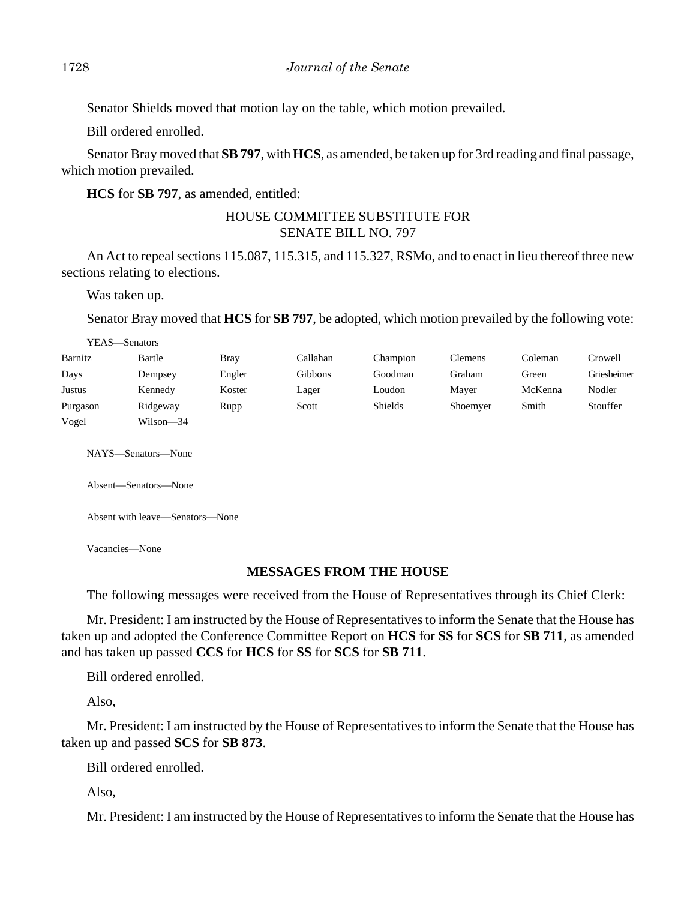Senator Shields moved that motion lay on the table, which motion prevailed.

Bill ordered enrolled.

Senator Bray moved that **SB 797**, with **HCS**, as amended, be taken up for 3rd reading and final passage, which motion prevailed.

**HCS** for **SB 797**, as amended, entitled:

# HOUSE COMMITTEE SUBSTITUTE FOR SENATE BILL NO. 797

An Act to repeal sections 115.087, 115.315, and 115.327, RSMo, and to enact in lieu thereof three new sections relating to elections.

Was taken up.

Senator Bray moved that **HCS** for **SB 797**, be adopted, which motion prevailed by the following vote:

|          | YEAS—Senators      |        |                |                |                |         |             |
|----------|--------------------|--------|----------------|----------------|----------------|---------|-------------|
| Barnitz  | Bartle             | Bray   | Callahan       | Champion       | <b>Clemens</b> | Coleman | Crowell     |
| Days     | Dempsey            | Engler | <b>Gibbons</b> | Goodman        | Graham         | Green   | Griesheimer |
| Justus   | Kennedy            | Koster | Lager          | Loudon         | Mayer          | McKenna | Nodler      |
| Purgason | Ridgeway           | Rupp   | Scott          | <b>Shields</b> | Shoemyer       | Smith   | Stouffer    |
| Vogel    | Wilson-34          |        |                |                |                |         |             |
|          |                    |        |                |                |                |         |             |
|          | NAYS—Senators—None |        |                |                |                |         |             |

Absent—Senators—None

Absent with leave—Senators—None

Vacancies—None

## **MESSAGES FROM THE HOUSE**

The following messages were received from the House of Representatives through its Chief Clerk:

Mr. President: I am instructed by the House of Representatives to inform the Senate that the House has taken up and adopted the Conference Committee Report on **HCS** for **SS** for **SCS** for **SB 711**, as amended and has taken up passed **CCS** for **HCS** for **SS** for **SCS** for **SB 711**.

Bill ordered enrolled.

Also,

Mr. President: I am instructed by the House of Representatives to inform the Senate that the House has taken up and passed **SCS** for **SB 873**.

Bill ordered enrolled.

Also,

Mr. President: I am instructed by the House of Representatives to inform the Senate that the House has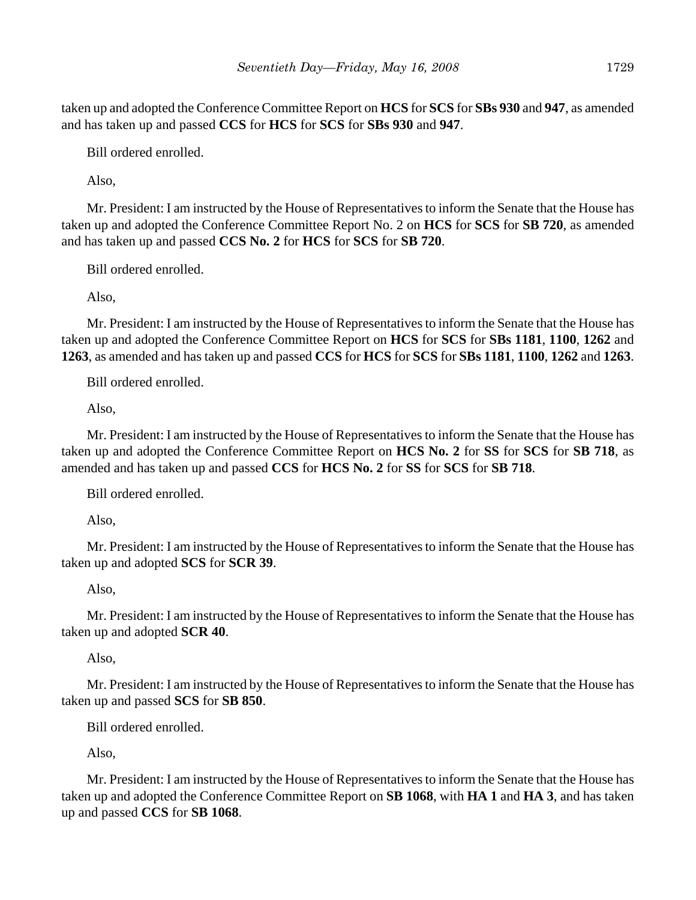taken up and adopted the Conference Committee Report on **HCS** for **SCS** for **SBs 930** and **947**, as amended and has taken up and passed **CCS** for **HCS** for **SCS** for **SBs 930** and **947**.

Bill ordered enrolled.

Also,

Mr. President: I am instructed by the House of Representatives to inform the Senate that the House has taken up and adopted the Conference Committee Report No. 2 on **HCS** for **SCS** for **SB 720**, as amended and has taken up and passed **CCS No. 2** for **HCS** for **SCS** for **SB 720**.

Bill ordered enrolled.

Also,

Mr. President: I am instructed by the House of Representatives to inform the Senate that the House has taken up and adopted the Conference Committee Report on **HCS** for **SCS** for **SBs 1181**, **1100**, **1262** and **1263**, as amended and has taken up and passed **CCS** for **HCS** for **SCS** for **SBs 1181**, **1100**, **1262** and **1263**.

Bill ordered enrolled.

Also,

Mr. President: I am instructed by the House of Representatives to inform the Senate that the House has taken up and adopted the Conference Committee Report on **HCS No. 2** for **SS** for **SCS** for **SB 718**, as amended and has taken up and passed **CCS** for **HCS No. 2** for **SS** for **SCS** for **SB 718**.

Bill ordered enrolled.

Also,

Mr. President: I am instructed by the House of Representatives to inform the Senate that the House has taken up and adopted **SCS** for **SCR 39**.

Also,

Mr. President: I am instructed by the House of Representatives to inform the Senate that the House has taken up and adopted **SCR 40**.

Also,

Mr. President: I am instructed by the House of Representatives to inform the Senate that the House has taken up and passed **SCS** for **SB 850**.

Bill ordered enrolled.

Also,

Mr. President: I am instructed by the House of Representatives to inform the Senate that the House has taken up and adopted the Conference Committee Report on **SB 1068**, with **HA 1** and **HA 3**, and has taken up and passed **CCS** for **SB 1068**.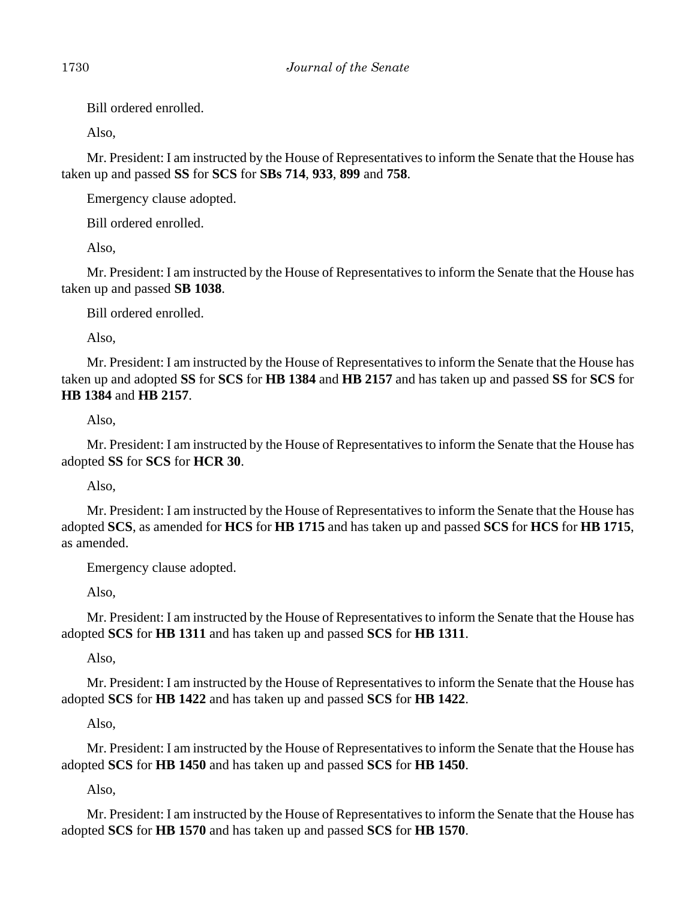Bill ordered enrolled.

Also,

Mr. President: I am instructed by the House of Representatives to inform the Senate that the House has taken up and passed **SS** for **SCS** for **SBs 714**, **933**, **899** and **758**.

Emergency clause adopted.

Bill ordered enrolled.

Also,

Mr. President: I am instructed by the House of Representatives to inform the Senate that the House has taken up and passed **SB 1038**.

Bill ordered enrolled.

Also,

Mr. President: I am instructed by the House of Representatives to inform the Senate that the House has taken up and adopted **SS** for **SCS** for **HB 1384** and **HB 2157** and has taken up and passed **SS** for **SCS** for **HB 1384** and **HB 2157**.

# Also,

Mr. President: I am instructed by the House of Representatives to inform the Senate that the House has adopted **SS** for **SCS** for **HCR 30**.

Also,

Mr. President: I am instructed by the House of Representatives to inform the Senate that the House has adopted **SCS**, as amended for **HCS** for **HB 1715** and has taken up and passed **SCS** for **HCS** for **HB 1715**, as amended.

Emergency clause adopted.

Also,

Mr. President: I am instructed by the House of Representatives to inform the Senate that the House has adopted **SCS** for **HB 1311** and has taken up and passed **SCS** for **HB 1311**.

Also,

Mr. President: I am instructed by the House of Representatives to inform the Senate that the House has adopted **SCS** for **HB 1422** and has taken up and passed **SCS** for **HB 1422**.

Also,

Mr. President: I am instructed by the House of Representatives to inform the Senate that the House has adopted **SCS** for **HB 1450** and has taken up and passed **SCS** for **HB 1450**.

Also,

Mr. President: I am instructed by the House of Representatives to inform the Senate that the House has adopted **SCS** for **HB 1570** and has taken up and passed **SCS** for **HB 1570**.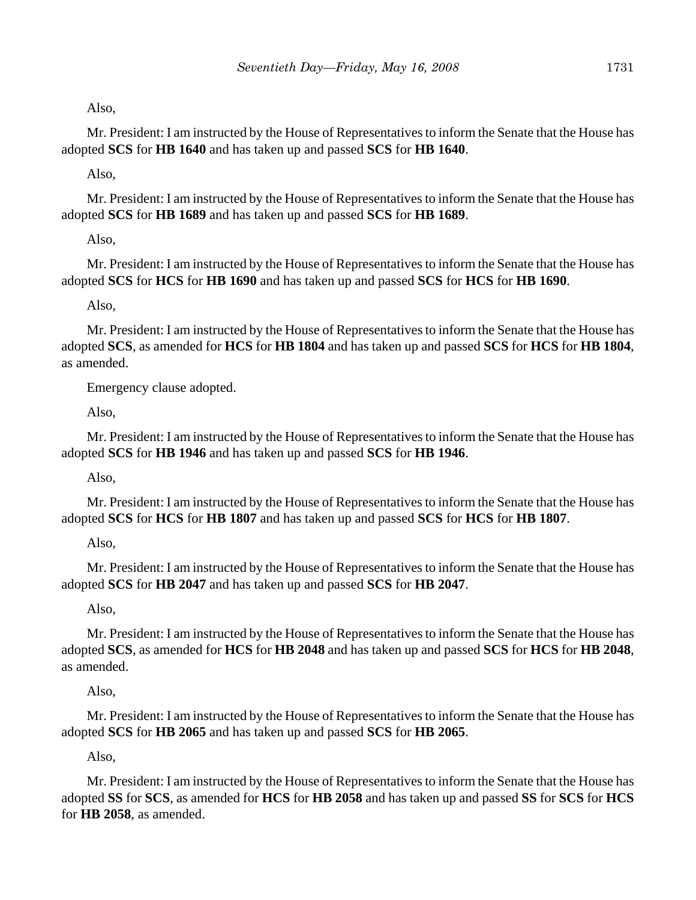Also,

Mr. President: I am instructed by the House of Representatives to inform the Senate that the House has adopted **SCS** for **HB 1640** and has taken up and passed **SCS** for **HB 1640**.

Also,

Mr. President: I am instructed by the House of Representatives to inform the Senate that the House has adopted **SCS** for **HB 1689** and has taken up and passed **SCS** for **HB 1689**.

Also,

Mr. President: I am instructed by the House of Representatives to inform the Senate that the House has adopted **SCS** for **HCS** for **HB 1690** and has taken up and passed **SCS** for **HCS** for **HB 1690**.

Also,

Mr. President: I am instructed by the House of Representatives to inform the Senate that the House has adopted **SCS**, as amended for **HCS** for **HB 1804** and has taken up and passed **SCS** for **HCS** for **HB 1804**, as amended.

Emergency clause adopted.

Also,

Mr. President: I am instructed by the House of Representatives to inform the Senate that the House has adopted **SCS** for **HB 1946** and has taken up and passed **SCS** for **HB 1946**.

Also,

Mr. President: I am instructed by the House of Representatives to inform the Senate that the House has adopted **SCS** for **HCS** for **HB 1807** and has taken up and passed **SCS** for **HCS** for **HB 1807**.

Also,

Mr. President: I am instructed by the House of Representatives to inform the Senate that the House has adopted **SCS** for **HB 2047** and has taken up and passed **SCS** for **HB 2047**.

Also,

Mr. President: I am instructed by the House of Representatives to inform the Senate that the House has adopted **SCS**, as amended for **HCS** for **HB 2048** and has taken up and passed **SCS** for **HCS** for **HB 2048**, as amended.

Also,

Mr. President: I am instructed by the House of Representatives to inform the Senate that the House has adopted **SCS** for **HB 2065** and has taken up and passed **SCS** for **HB 2065**.

Also,

Mr. President: I am instructed by the House of Representatives to inform the Senate that the House has adopted **SS** for **SCS**, as amended for **HCS** for **HB 2058** and has taken up and passed **SS** for **SCS** for **HCS** for **HB 2058**, as amended.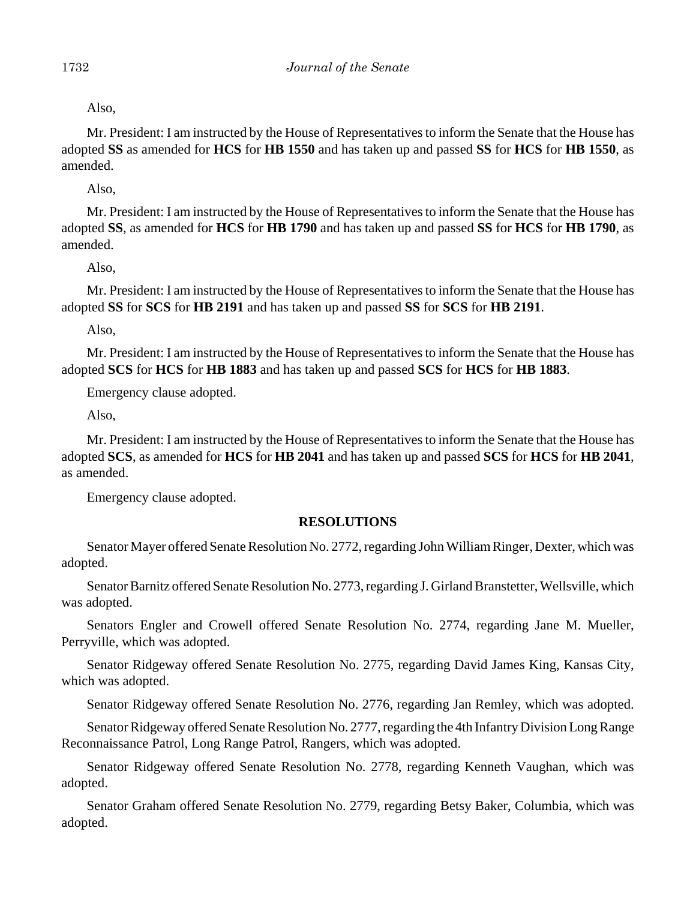Also,

Mr. President: I am instructed by the House of Representatives to inform the Senate that the House has adopted **SS** as amended for **HCS** for **HB 1550** and has taken up and passed **SS** for **HCS** for **HB 1550**, as amended.

Also,

Mr. President: I am instructed by the House of Representatives to inform the Senate that the House has adopted **SS**, as amended for **HCS** for **HB 1790** and has taken up and passed **SS** for **HCS** for **HB 1790**, as amended.

Also,

Mr. President: I am instructed by the House of Representatives to inform the Senate that the House has adopted **SS** for **SCS** for **HB 2191** and has taken up and passed **SS** for **SCS** for **HB 2191**.

Also,

Mr. President: I am instructed by the House of Representatives to inform the Senate that the House has adopted **SCS** for **HCS** for **HB 1883** and has taken up and passed **SCS** for **HCS** for **HB 1883**.

Emergency clause adopted.

Also,

Mr. President: I am instructed by the House of Representatives to inform the Senate that the House has adopted **SCS**, as amended for **HCS** for **HB 2041** and has taken up and passed **SCS** for **HCS** for **HB 2041**, as amended.

Emergency clause adopted.

## **RESOLUTIONS**

Senator Mayer offered Senate Resolution No. 2772, regarding John William Ringer, Dexter, which was adopted.

Senator Barnitz offered Senate Resolution No. 2773, regarding J. Girland Branstetter, Wellsville, which was adopted.

Senators Engler and Crowell offered Senate Resolution No. 2774, regarding Jane M. Mueller, Perryville, which was adopted.

Senator Ridgeway offered Senate Resolution No. 2775, regarding David James King, Kansas City, which was adopted.

Senator Ridgeway offered Senate Resolution No. 2776, regarding Jan Remley, which was adopted.

Senator Ridgeway offered Senate Resolution No. 2777, regarding the 4th Infantry Division Long Range Reconnaissance Patrol, Long Range Patrol, Rangers, which was adopted.

Senator Ridgeway offered Senate Resolution No. 2778, regarding Kenneth Vaughan, which was adopted.

Senator Graham offered Senate Resolution No. 2779, regarding Betsy Baker, Columbia, which was adopted.